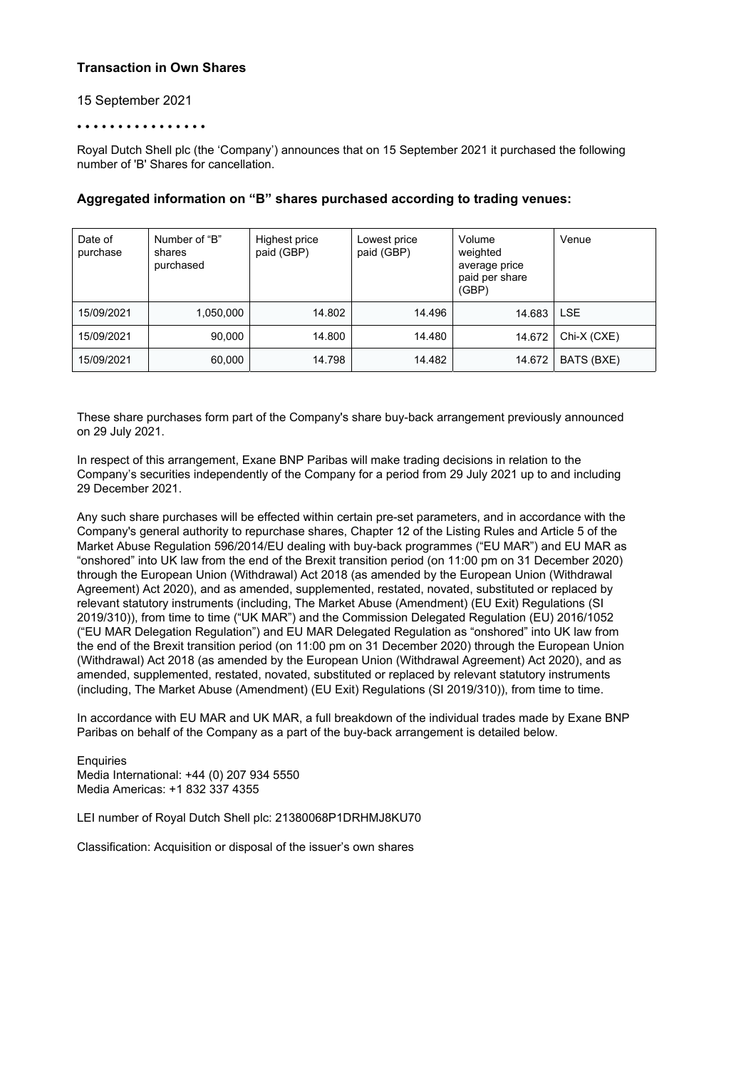## **Transaction in Own Shares**

### 15 September 2021

#### • • • • • • • • • • • • • • • •

Royal Dutch Shell plc (the 'Company') announces that on 15 September 2021 it purchased the following number of 'B' Shares for cancellation.

| Date of<br>purchase | Number of "B"<br>shares<br>purchased | Highest price<br>paid (GBP) | Lowest price<br>paid (GBP) | Volume<br>weighted<br>average price<br>paid per share<br>(GBP) | Venue       |
|---------------------|--------------------------------------|-----------------------------|----------------------------|----------------------------------------------------------------|-------------|
| 15/09/2021          | 1,050,000                            | 14.802                      | 14.496                     | 14.683                                                         | <b>LSE</b>  |
| 15/09/2021          | 90,000                               | 14.800                      | 14.480                     | 14.672                                                         | Chi-X (CXE) |
| 15/09/2021          | 60,000                               | 14.798                      | 14.482                     | 14.672                                                         | BATS (BXE)  |

## **Aggregated information on "B" shares purchased according to trading venues:**

These share purchases form part of the Company's share buy-back arrangement previously announced on 29 July 2021.

In respect of this arrangement, Exane BNP Paribas will make trading decisions in relation to the Company's securities independently of the Company for a period from 29 July 2021 up to and including 29 December 2021.

Any such share purchases will be effected within certain pre-set parameters, and in accordance with the Company's general authority to repurchase shares, Chapter 12 of the Listing Rules and Article 5 of the Market Abuse Regulation 596/2014/EU dealing with buy-back programmes ("EU MAR") and EU MAR as "onshored" into UK law from the end of the Brexit transition period (on 11:00 pm on 31 December 2020) through the European Union (Withdrawal) Act 2018 (as amended by the European Union (Withdrawal Agreement) Act 2020), and as amended, supplemented, restated, novated, substituted or replaced by relevant statutory instruments (including, The Market Abuse (Amendment) (EU Exit) Regulations (SI 2019/310)), from time to time ("UK MAR") and the Commission Delegated Regulation (EU) 2016/1052 ("EU MAR Delegation Regulation") and EU MAR Delegated Regulation as "onshored" into UK law from the end of the Brexit transition period (on 11:00 pm on 31 December 2020) through the European Union (Withdrawal) Act 2018 (as amended by the European Union (Withdrawal Agreement) Act 2020), and as amended, supplemented, restated, novated, substituted or replaced by relevant statutory instruments (including, The Market Abuse (Amendment) (EU Exit) Regulations (SI 2019/310)), from time to time.

In accordance with EU MAR and UK MAR, a full breakdown of the individual trades made by Exane BNP Paribas on behalf of the Company as a part of the buy-back arrangement is detailed below.

**Enquiries** Media International: +44 (0) 207 934 5550 Media Americas: +1 832 337 4355

LEI number of Royal Dutch Shell plc: 21380068P1DRHMJ8KU70

Classification: Acquisition or disposal of the issuer's own shares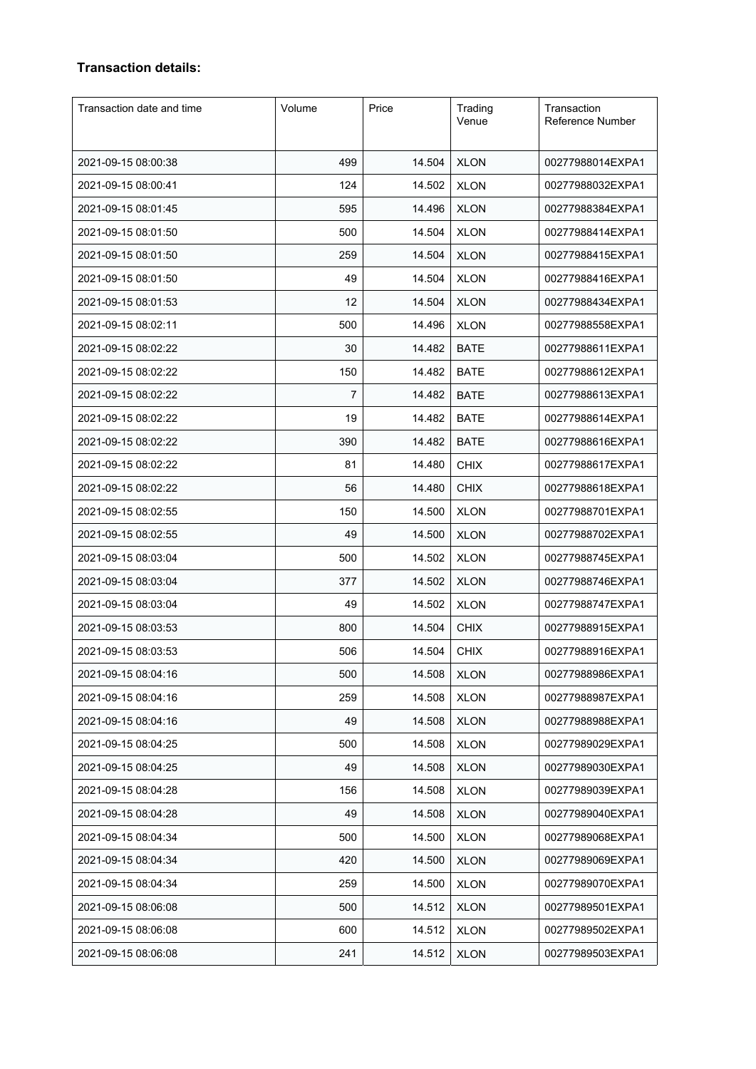# **Transaction details:**

| Transaction date and time | Volume | Price  | Trading<br>Venue | Transaction<br><b>Reference Number</b> |
|---------------------------|--------|--------|------------------|----------------------------------------|
| 2021-09-15 08:00:38       | 499    | 14.504 | <b>XLON</b>      | 00277988014EXPA1                       |
| 2021-09-15 08:00:41       | 124    | 14.502 | <b>XLON</b>      | 00277988032EXPA1                       |
| 2021-09-15 08:01:45       | 595    | 14.496 | <b>XLON</b>      | 00277988384EXPA1                       |
| 2021-09-15 08:01:50       | 500    | 14.504 | <b>XLON</b>      | 00277988414EXPA1                       |
| 2021-09-15 08:01:50       | 259    | 14.504 | <b>XLON</b>      | 00277988415EXPA1                       |
| 2021-09-15 08:01:50       | 49     | 14.504 | <b>XLON</b>      | 00277988416EXPA1                       |
| 2021-09-15 08:01:53       | 12     | 14.504 | <b>XLON</b>      | 00277988434EXPA1                       |
| 2021-09-15 08:02:11       | 500    | 14.496 | <b>XLON</b>      | 00277988558EXPA1                       |
| 2021-09-15 08:02:22       | 30     | 14.482 | <b>BATE</b>      | 00277988611EXPA1                       |
| 2021-09-15 08:02:22       | 150    | 14.482 | <b>BATE</b>      | 00277988612EXPA1                       |
| 2021-09-15 08:02:22       | 7      | 14.482 | <b>BATE</b>      | 00277988613EXPA1                       |
| 2021-09-15 08:02:22       | 19     | 14.482 | <b>BATE</b>      | 00277988614EXPA1                       |
| 2021-09-15 08:02:22       | 390    | 14.482 | <b>BATE</b>      | 00277988616EXPA1                       |
| 2021-09-15 08:02:22       | 81     | 14.480 | <b>CHIX</b>      | 00277988617EXPA1                       |
| 2021-09-15 08:02:22       | 56     | 14.480 | <b>CHIX</b>      | 00277988618EXPA1                       |
| 2021-09-15 08:02:55       | 150    | 14.500 | <b>XLON</b>      | 00277988701EXPA1                       |
| 2021-09-15 08:02:55       | 49     | 14.500 | <b>XLON</b>      | 00277988702EXPA1                       |
| 2021-09-15 08:03:04       | 500    | 14.502 | <b>XLON</b>      | 00277988745EXPA1                       |
| 2021-09-15 08:03:04       | 377    | 14.502 | <b>XLON</b>      | 00277988746EXPA1                       |
| 2021-09-15 08:03:04       | 49     | 14.502 | <b>XLON</b>      | 00277988747EXPA1                       |
| 2021-09-15 08:03:53       | 800    | 14.504 | <b>CHIX</b>      | 00277988915EXPA1                       |
| 2021-09-15 08:03:53       | 506    | 14.504 | <b>CHIX</b>      | 00277988916EXPA1                       |
| 2021-09-15 08:04:16       | 500    | 14.508 | <b>XLON</b>      | 00277988986EXPA1                       |
| 2021-09-15 08:04:16       | 259    | 14.508 | <b>XLON</b>      | 00277988987EXPA1                       |
| 2021-09-15 08:04:16       | 49     | 14.508 | <b>XLON</b>      | 00277988988EXPA1                       |
| 2021-09-15 08:04:25       | 500    | 14.508 | <b>XLON</b>      | 00277989029EXPA1                       |
| 2021-09-15 08:04:25       | 49     | 14.508 | <b>XLON</b>      | 00277989030EXPA1                       |
| 2021-09-15 08:04:28       | 156    | 14.508 | <b>XLON</b>      | 00277989039EXPA1                       |
| 2021-09-15 08:04:28       | 49     | 14.508 | <b>XLON</b>      | 00277989040EXPA1                       |
| 2021-09-15 08:04:34       | 500    | 14.500 | <b>XLON</b>      | 00277989068EXPA1                       |
| 2021-09-15 08:04:34       | 420    | 14.500 | <b>XLON</b>      | 00277989069EXPA1                       |
| 2021-09-15 08:04:34       | 259    | 14.500 | <b>XLON</b>      | 00277989070EXPA1                       |
| 2021-09-15 08:06:08       | 500    | 14.512 | <b>XLON</b>      | 00277989501EXPA1                       |
| 2021-09-15 08:06:08       | 600    | 14.512 | <b>XLON</b>      | 00277989502EXPA1                       |
| 2021-09-15 08:06:08       | 241    | 14.512 | <b>XLON</b>      | 00277989503EXPA1                       |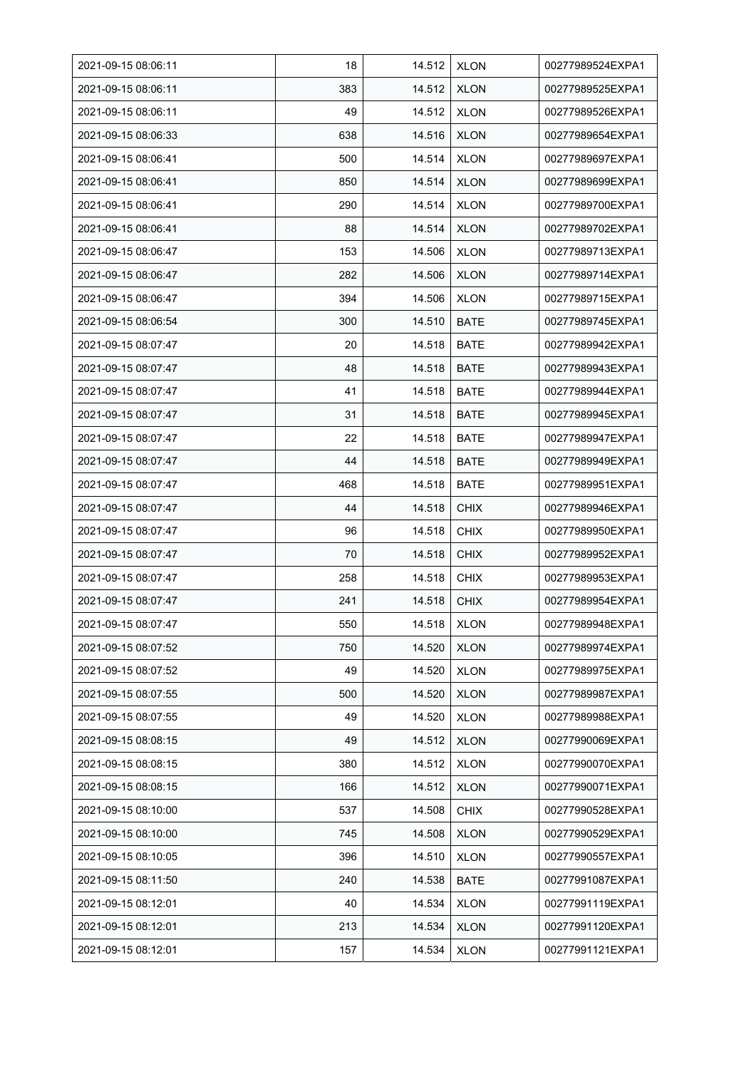| 2021-09-15 08:06:11 | 18  | 14.512 | <b>XLON</b> | 00277989524EXPA1 |
|---------------------|-----|--------|-------------|------------------|
| 2021-09-15 08 06 11 | 383 | 14.512 | <b>XLON</b> | 00277989525EXPA1 |
| 2021-09-15 08:06:11 | 49  | 14.512 | <b>XLON</b> | 00277989526EXPA1 |
| 2021-09-15 08:06:33 | 638 | 14.516 | <b>XLON</b> | 00277989654EXPA1 |
| 2021-09-15 08:06:41 | 500 | 14.514 | <b>XLON</b> | 00277989697EXPA1 |
| 2021-09-15 08 06 41 | 850 | 14.514 | <b>XLON</b> | 00277989699EXPA1 |
| 2021-09-15 08:06:41 | 290 | 14.514 | <b>XLON</b> | 00277989700EXPA1 |
| 2021-09-15 08:06:41 | 88  | 14.514 | <b>XLON</b> | 00277989702EXPA1 |
| 2021-09-15 08:06:47 | 153 | 14.506 | <b>XLON</b> | 00277989713EXPA1 |
| 2021-09-15 08:06:47 | 282 | 14.506 | <b>XLON</b> | 00277989714EXPA1 |
| 2021-09-15 08:06:47 | 394 | 14.506 | <b>XLON</b> | 00277989715EXPA1 |
| 2021-09-15 08:06:54 | 300 | 14.510 | <b>BATE</b> | 00277989745EXPA1 |
| 2021-09-15 08:07:47 | 20  | 14.518 | <b>BATE</b> | 00277989942EXPA1 |
| 2021-09-15 08:07:47 | 48  | 14.518 | <b>BATE</b> | 00277989943EXPA1 |
| 2021-09-15 08:07:47 | 41  | 14.518 | <b>BATE</b> | 00277989944EXPA1 |
| 2021-09-15 08:07:47 | 31  | 14.518 | <b>BATE</b> | 00277989945EXPA1 |
| 2021-09-15 08:07:47 | 22  | 14.518 | <b>BATE</b> | 00277989947EXPA1 |
| 2021-09-15 08:07:47 | 44  | 14.518 | <b>BATE</b> | 00277989949EXPA1 |
| 2021-09-15 08:07:47 | 468 | 14.518 | <b>BATE</b> | 00277989951EXPA1 |
| 2021-09-15 08:07:47 | 44  | 14.518 | <b>CHIX</b> | 00277989946EXPA1 |
| 2021-09-15 08:07:47 | 96  | 14.518 | <b>CHIX</b> | 00277989950EXPA1 |
| 2021-09-15 08:07:47 | 70  | 14.518 | <b>CHIX</b> | 00277989952EXPA1 |
| 2021-09-15 08:07:47 | 258 | 14.518 | <b>CHIX</b> | 00277989953EXPA1 |
| 2021-09-15 08:07:47 | 241 | 14.518 | <b>CHIX</b> | 00277989954EXPA1 |
| 2021-09-15 08:07:47 | 550 | 14.518 | <b>XLON</b> | 00277989948EXPA1 |
| 2021-09-15 08:07:52 | 750 | 14.520 | <b>XLON</b> | 00277989974EXPA1 |
| 2021-09-15 08:07:52 | 49  | 14.520 | <b>XLON</b> | 00277989975EXPA1 |
| 2021-09-15 08:07:55 | 500 | 14.520 | <b>XLON</b> | 00277989987EXPA1 |
| 2021-09-15 08:07:55 | 49  | 14.520 | <b>XLON</b> | 00277989988EXPA1 |
| 2021-09-15 08:08:15 | 49  | 14.512 | <b>XLON</b> | 00277990069EXPA1 |
| 2021-09-15 08:08:15 | 380 | 14.512 | <b>XLON</b> | 00277990070EXPA1 |
| 2021-09-15 08:08:15 | 166 | 14.512 | <b>XLON</b> | 00277990071EXPA1 |
| 2021-09-15 08:10:00 | 537 | 14.508 | <b>CHIX</b> | 00277990528EXPA1 |
| 2021-09-15 08:10:00 | 745 | 14.508 | <b>XLON</b> | 00277990529EXPA1 |
| 2021-09-15 08:10:05 | 396 | 14.510 | <b>XLON</b> | 00277990557EXPA1 |
| 2021-09-15 08:11:50 | 240 | 14.538 | <b>BATE</b> | 00277991087EXPA1 |
| 2021-09-15 08:12:01 | 40  | 14.534 | <b>XLON</b> | 00277991119EXPA1 |
| 2021-09-15 08:12:01 | 213 | 14.534 | <b>XLON</b> | 00277991120EXPA1 |
| 2021-09-15 08:12:01 | 157 | 14.534 | <b>XLON</b> | 00277991121EXPA1 |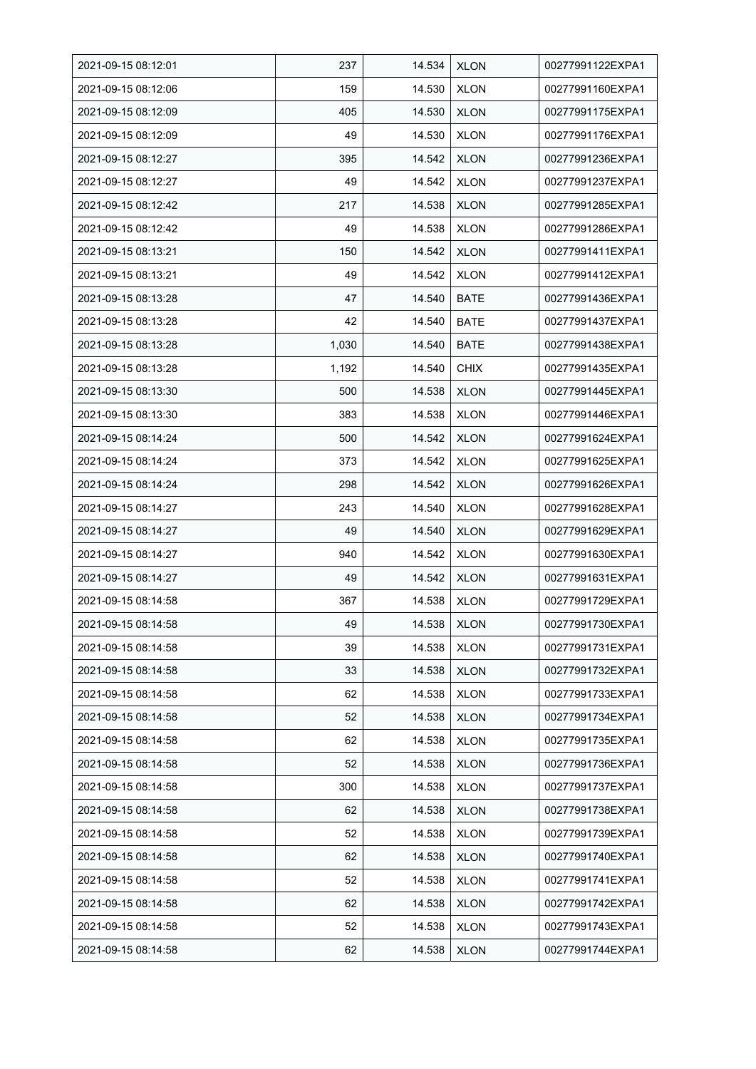| 2021-09-15 08:12:01 | 237   | 14.534 | <b>XLON</b> | 00277991122EXPA1 |
|---------------------|-------|--------|-------------|------------------|
| 2021-09-15 08:12:06 | 159   | 14.530 | <b>XLON</b> | 00277991160EXPA1 |
| 2021-09-15 08:12:09 | 405   | 14.530 | <b>XLON</b> | 00277991175EXPA1 |
| 2021-09-15 08:12:09 | 49    | 14.530 | <b>XLON</b> | 00277991176EXPA1 |
| 2021-09-15 08:12:27 | 395   | 14.542 | <b>XLON</b> | 00277991236EXPA1 |
| 2021-09-15 08:12:27 | 49    | 14.542 | <b>XLON</b> | 00277991237EXPA1 |
| 2021-09-15 08:12:42 | 217   | 14.538 | <b>XLON</b> | 00277991285EXPA1 |
| 2021-09-15 08:12:42 | 49    | 14.538 | <b>XLON</b> | 00277991286EXPA1 |
| 2021-09-15 08:13:21 | 150   | 14.542 | <b>XLON</b> | 00277991411EXPA1 |
| 2021-09-15 08:13:21 | 49    | 14.542 | <b>XLON</b> | 00277991412EXPA1 |
| 2021-09-15 08:13:28 | 47    | 14.540 | <b>BATE</b> | 00277991436EXPA1 |
| 2021-09-15 08:13:28 | 42    | 14.540 | <b>BATE</b> | 00277991437EXPA1 |
| 2021-09-15 08:13:28 | 1,030 | 14.540 | <b>BATE</b> | 00277991438EXPA1 |
| 2021-09-15 08:13:28 | 1,192 | 14.540 | <b>CHIX</b> | 00277991435EXPA1 |
| 2021-09-15 08:13:30 | 500   | 14.538 | <b>XLON</b> | 00277991445EXPA1 |
| 2021-09-15 08:13:30 | 383   | 14.538 | <b>XLON</b> | 00277991446EXPA1 |
| 2021-09-15 08:14:24 | 500   | 14.542 | <b>XLON</b> | 00277991624EXPA1 |
| 2021-09-15 08:14:24 | 373   | 14.542 | XLON        | 00277991625EXPA1 |
| 2021-09-15 08:14:24 | 298   | 14.542 | XLON        | 00277991626EXPA1 |
| 2021-09-15 08:14:27 | 243   | 14.540 | XLON        | 00277991628EXPA1 |
| 2021-09-15 08:14:27 | 49    | 14.540 | <b>XLON</b> | 00277991629EXPA1 |
| 2021-09-15 08:14:27 | 940   | 14.542 | <b>XLON</b> | 00277991630EXPA1 |
| 2021-09-15 08:14:27 | 49    | 14.542 | <b>XLON</b> | 00277991631EXPA1 |
| 2021-09-15 08:14:58 | 367   | 14.538 | <b>XLON</b> | 00277991729EXPA1 |
| 2021-09-15 08:14:58 | 49    | 14.538 | <b>XLON</b> | 00277991730EXPA1 |
| 2021-09-15 08:14:58 | 39    | 14.538 | <b>XLON</b> | 00277991731EXPA1 |
| 2021-09-15 08:14:58 | 33    | 14.538 | <b>XLON</b> | 00277991732EXPA1 |
| 2021-09-15 08:14:58 | 62    | 14.538 | <b>XLON</b> | 00277991733EXPA1 |
| 2021-09-15 08:14:58 | 52    | 14.538 | <b>XLON</b> | 00277991734EXPA1 |
| 2021-09-15 08:14:58 | 62    | 14.538 | <b>XLON</b> | 00277991735EXPA1 |
| 2021-09-15 08:14:58 | 52    | 14.538 | <b>XLON</b> | 00277991736EXPA1 |
| 2021-09-15 08:14:58 | 300   | 14.538 | <b>XLON</b> | 00277991737EXPA1 |
| 2021-09-15 08:14:58 | 62    | 14.538 | <b>XLON</b> | 00277991738EXPA1 |
| 2021-09-15 08:14:58 | 52    | 14.538 | <b>XLON</b> | 00277991739EXPA1 |
| 2021-09-15 08:14:58 | 62    | 14.538 | <b>XLON</b> | 00277991740EXPA1 |
| 2021-09-15 08:14:58 | 52    | 14.538 | <b>XLON</b> | 00277991741EXPA1 |
| 2021-09-15 08:14:58 | 62    | 14.538 | <b>XLON</b> | 00277991742EXPA1 |
| 2021-09-15 08:14:58 | 52    | 14.538 | XLON        | 00277991743EXPA1 |
| 2021-09-15 08:14:58 | 62    | 14.538 | <b>XLON</b> | 00277991744EXPA1 |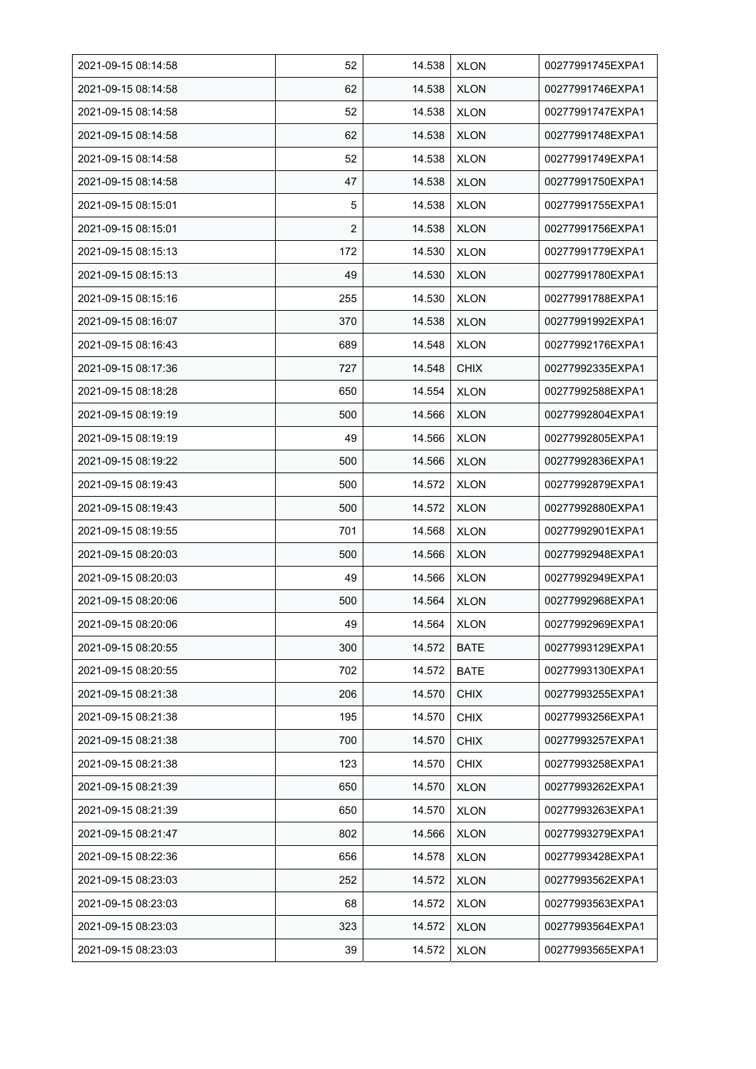| 2021-09-15 08:14:58 | 52  | 14.538 | <b>XLON</b> | 00277991745EXPA1 |
|---------------------|-----|--------|-------------|------------------|
| 2021-09-15 08:14:58 | 62  | 14.538 | <b>XLON</b> | 00277991746EXPA1 |
| 2021-09-15 08:14:58 | 52  | 14.538 | <b>XLON</b> | 00277991747EXPA1 |
| 2021-09-15 08:14:58 | 62  | 14.538 | <b>XLON</b> | 00277991748EXPA1 |
| 2021-09-15 08:14:58 | 52  | 14.538 | <b>XLON</b> | 00277991749EXPA1 |
| 2021-09-15 08:14:58 | 47  | 14.538 | <b>XLON</b> | 00277991750EXPA1 |
| 2021-09-15 08:15:01 | 5   | 14.538 | <b>XLON</b> | 00277991755EXPA1 |
| 2021-09-15 08:15:01 | 2   | 14.538 | <b>XLON</b> | 00277991756EXPA1 |
| 2021-09-15 08:15:13 | 172 | 14.530 | <b>XLON</b> | 00277991779EXPA1 |
| 2021-09-15 08:15:13 | 49  | 14.530 | <b>XLON</b> | 00277991780EXPA1 |
| 2021-09-15 08:15:16 | 255 | 14.530 | <b>XLON</b> | 00277991788EXPA1 |
| 2021-09-15 08:16:07 | 370 | 14.538 | <b>XLON</b> | 00277991992EXPA1 |
| 2021-09-15 08:16:43 | 689 | 14.548 | <b>XLON</b> | 00277992176EXPA1 |
| 2021-09-15 08:17:36 | 727 | 14.548 | <b>CHIX</b> | 00277992335EXPA1 |
| 2021-09-15 08:18:28 | 650 | 14.554 | <b>XLON</b> | 00277992588EXPA1 |
| 2021-09-15 08:19:19 | 500 | 14.566 | <b>XLON</b> | 00277992804EXPA1 |
| 2021-09-15 08:19:19 | 49  | 14.566 | <b>XLON</b> | 00277992805EXPA1 |
| 2021-09-15 08:19:22 | 500 | 14.566 | <b>XLON</b> | 00277992836EXPA1 |
| 2021-09-15 08:19:43 | 500 | 14.572 | XLON        | 00277992879EXPA1 |
| 2021-09-15 08:19:43 | 500 | 14.572 | <b>XLON</b> | 00277992880EXPA1 |
| 2021-09-15 08:19:55 | 701 | 14.568 | <b>XLON</b> | 00277992901EXPA1 |
| 2021-09-15 08:20:03 | 500 | 14.566 | <b>XLON</b> | 00277992948EXPA1 |
| 2021-09-15 08:20:03 | 49  | 14.566 | <b>XLON</b> | 00277992949EXPA1 |
| 2021-09-15 08:20:06 | 500 | 14.564 | <b>XLON</b> | 00277992968EXPA1 |
| 2021-09-15 08:20:06 | 49  | 14.564 | <b>XLON</b> | 00277992969EXPA1 |
| 2021-09-15 08:20:55 | 300 | 14.572 | <b>BATE</b> | 00277993129EXPA1 |
| 2021-09-15 08:20:55 | 702 | 14.572 | <b>BATE</b> | 00277993130EXPA1 |
| 2021-09-15 08:21:38 | 206 | 14.570 | <b>CHIX</b> | 00277993255EXPA1 |
| 2021-09-15 08:21:38 | 195 | 14.570 | <b>CHIX</b> | 00277993256EXPA1 |
| 2021-09-15 08:21:38 | 700 | 14.570 | <b>CHIX</b> | 00277993257EXPA1 |
| 2021-09-15 08:21:38 | 123 | 14.570 | <b>CHIX</b> | 00277993258EXPA1 |
| 2021-09-15 08:21:39 | 650 | 14.570 | <b>XLON</b> | 00277993262EXPA1 |
| 2021-09-15 08:21:39 | 650 | 14.570 | <b>XLON</b> | 00277993263EXPA1 |
| 2021-09-15 08:21:47 | 802 | 14.566 | <b>XLON</b> | 00277993279EXPA1 |
| 2021-09-15 08:22:36 | 656 | 14.578 | <b>XLON</b> | 00277993428EXPA1 |
| 2021-09-15 08:23:03 | 252 | 14.572 | <b>XLON</b> | 00277993562EXPA1 |
| 2021-09-15 08:23:03 | 68  | 14.572 | <b>XLON</b> | 00277993563EXPA1 |
| 2021-09-15 08:23:03 | 323 | 14.572 | <b>XLON</b> | 00277993564EXPA1 |
| 2021-09-15 08:23:03 | 39  | 14.572 | <b>XLON</b> | 00277993565EXPA1 |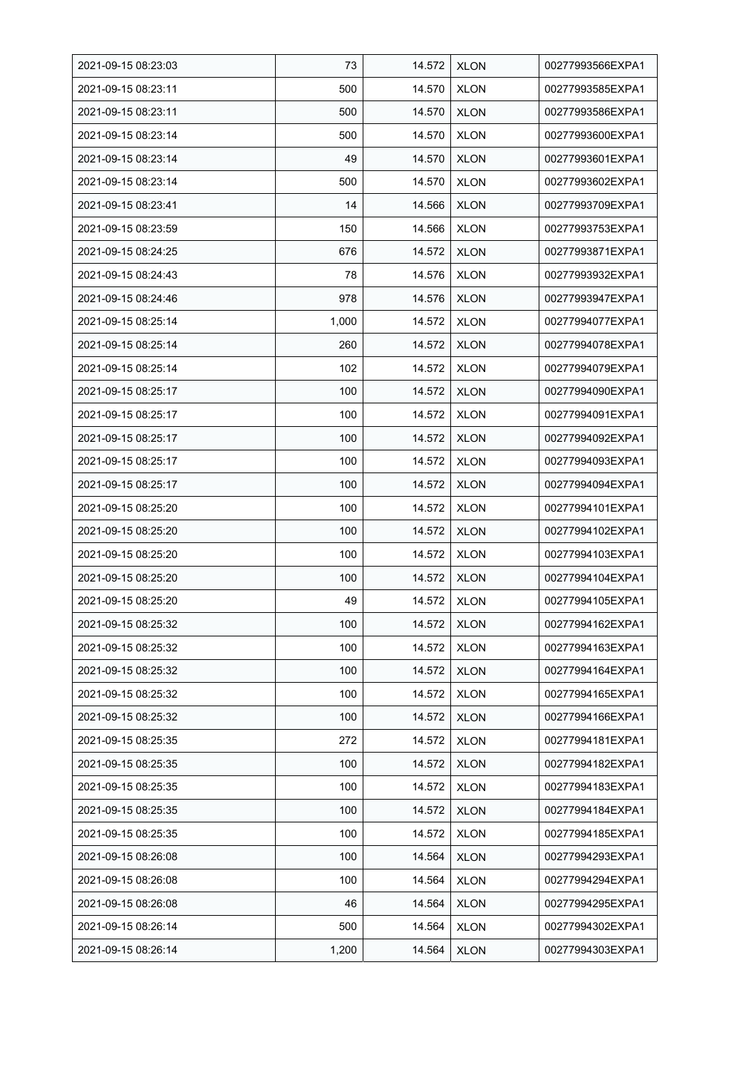| 2021-09-15 08:23:03 | 73    | 14.572 | <b>XLON</b> | 00277993566EXPA1 |
|---------------------|-------|--------|-------------|------------------|
| 2021-09-15 08:23:11 | 500   | 14.570 | <b>XLON</b> | 00277993585EXPA1 |
| 2021-09-15 08:23:11 | 500   | 14.570 | <b>XLON</b> | 00277993586EXPA1 |
| 2021-09-15 08:23:14 | 500   | 14.570 | <b>XLON</b> | 00277993600EXPA1 |
| 2021-09-15 08:23:14 | 49    | 14.570 | <b>XLON</b> | 00277993601EXPA1 |
| 2021-09-15 08:23:14 | 500   | 14.570 | <b>XLON</b> | 00277993602EXPA1 |
| 2021-09-15 08:23:41 | 14    | 14.566 | <b>XLON</b> | 00277993709EXPA1 |
| 2021-09-15 08:23:59 | 150   | 14.566 | <b>XLON</b> | 00277993753EXPA1 |
| 2021-09-15 08:24:25 | 676   | 14.572 | <b>XLON</b> | 00277993871EXPA1 |
| 2021-09-15 08:24:43 | 78    | 14.576 | <b>XLON</b> | 00277993932EXPA1 |
| 2021-09-15 08:24:46 | 978   | 14.576 | <b>XLON</b> | 00277993947EXPA1 |
| 2021-09-15 08:25:14 | 1,000 | 14.572 | <b>XLON</b> | 00277994077EXPA1 |
| 2021-09-15 08:25:14 | 260   | 14.572 | <b>XLON</b> | 00277994078EXPA1 |
| 2021-09-15 08:25:14 | 102   | 14.572 | <b>XLON</b> | 00277994079EXPA1 |
| 2021-09-15 08:25:17 | 100   | 14.572 | <b>XLON</b> | 00277994090EXPA1 |
| 2021-09-15 08:25:17 | 100   | 14.572 | <b>XLON</b> | 00277994091EXPA1 |
| 2021-09-15 08:25:17 | 100   | 14.572 | <b>XLON</b> | 00277994092EXPA1 |
| 2021-09-15 08:25:17 | 100   | 14.572 | <b>XLON</b> | 00277994093EXPA1 |
| 2021-09-15 08:25:17 | 100   | 14.572 | <b>XLON</b> | 00277994094EXPA1 |
| 2021-09-15 08:25:20 | 100   | 14.572 | <b>XLON</b> | 00277994101EXPA1 |
| 2021-09-15 08:25:20 | 100   | 14.572 | <b>XLON</b> | 00277994102EXPA1 |
| 2021-09-15 08:25:20 | 100   | 14.572 | <b>XLON</b> | 00277994103EXPA1 |
| 2021-09-15 08:25:20 | 100   | 14.572 | <b>XLON</b> | 00277994104EXPA1 |
| 2021-09-15 08:25:20 | 49    | 14.572 | <b>XLON</b> | 00277994105EXPA1 |
| 2021-09-15 08:25:32 | 100   | 14.572 | <b>XLON</b> | 00277994162EXPA1 |
| 2021-09-15 08:25:32 | 100   | 14.572 | <b>XLON</b> | 00277994163EXPA1 |
| 2021-09-15 08:25:32 | 100   | 14.572 | <b>XLON</b> | 00277994164EXPA1 |
| 2021-09-15 08:25:32 | 100   | 14.572 | <b>XLON</b> | 00277994165EXPA1 |
| 2021-09-15 08:25:32 | 100   | 14.572 | <b>XLON</b> | 00277994166EXPA1 |
| 2021-09-15 08:25:35 | 272   | 14.572 | <b>XLON</b> | 00277994181EXPA1 |
| 2021-09-15 08:25:35 | 100   | 14.572 | <b>XLON</b> | 00277994182EXPA1 |
| 2021-09-15 08:25:35 | 100   | 14.572 | <b>XLON</b> | 00277994183EXPA1 |
| 2021-09-15 08:25:35 | 100   | 14.572 | <b>XLON</b> | 00277994184EXPA1 |
| 2021-09-15 08:25:35 | 100   | 14.572 | <b>XLON</b> | 00277994185EXPA1 |
| 2021-09-15 08:26:08 | 100   | 14.564 | <b>XLON</b> | 00277994293EXPA1 |
| 2021-09-15 08:26:08 | 100   | 14.564 | <b>XLON</b> | 00277994294EXPA1 |
| 2021-09-15 08:26:08 | 46    | 14.564 | <b>XLON</b> | 00277994295EXPA1 |
| 2021-09-15 08:26:14 | 500   | 14.564 | <b>XLON</b> | 00277994302EXPA1 |
| 2021-09-15 08:26:14 | 1,200 | 14.564 | <b>XLON</b> | 00277994303EXPA1 |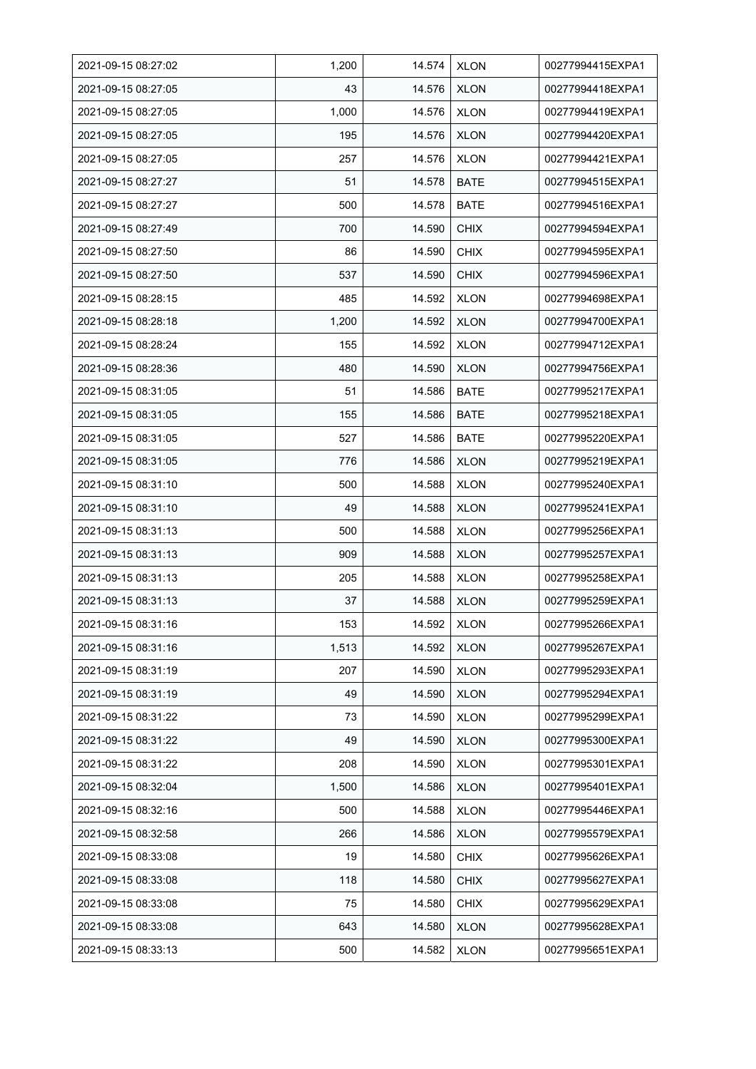| 2021-09-15 08:27:02 | 1,200 | 14.574 | <b>XLON</b> | 00277994415EXPA1 |
|---------------------|-------|--------|-------------|------------------|
| 2021-09-15 08:27:05 | 43    | 14.576 | <b>XLON</b> | 00277994418EXPA1 |
| 2021-09-15 08:27:05 | 1,000 | 14.576 | <b>XLON</b> | 00277994419EXPA1 |
| 2021-09-15 08:27:05 | 195   | 14.576 | <b>XLON</b> | 00277994420EXPA1 |
| 2021-09-15 08:27:05 | 257   | 14.576 | <b>XLON</b> | 00277994421EXPA1 |
| 2021-09-15 08:27:27 | 51    | 14.578 | <b>BATE</b> | 00277994515EXPA1 |
| 2021-09-15 08:27:27 | 500   | 14.578 | <b>BATE</b> | 00277994516EXPA1 |
| 2021-09-15 08:27:49 | 700   | 14.590 | <b>CHIX</b> | 00277994594EXPA1 |
| 2021-09-15 08:27:50 | 86    | 14.590 | <b>CHIX</b> | 00277994595EXPA1 |
| 2021-09-15 08:27:50 | 537   | 14.590 | <b>CHIX</b> | 00277994596EXPA1 |
| 2021-09-15 08:28:15 | 485   | 14.592 | <b>XLON</b> | 00277994698EXPA1 |
| 2021-09-15 08:28:18 | 1,200 | 14.592 | <b>XLON</b> | 00277994700EXPA1 |
| 2021-09-15 08:28:24 | 155   | 14.592 | <b>XLON</b> | 00277994712EXPA1 |
| 2021-09-15 08:28:36 | 480   | 14.590 | <b>XLON</b> | 00277994756EXPA1 |
| 2021-09-15 08:31:05 | 51    | 14.586 | BATE        | 00277995217EXPA1 |
| 2021-09-15 08:31:05 | 155   | 14.586 | <b>BATE</b> | 00277995218EXPA1 |
| 2021-09-15 08:31:05 | 527   | 14.586 | BATE        | 00277995220EXPA1 |
| 2021-09-15 08:31:05 | 776   | 14.586 | <b>XLON</b> | 00277995219EXPA1 |
| 2021-09-15 08:31:10 | 500   | 14.588 | <b>XLON</b> | 00277995240EXPA1 |
| 2021-09-15 08:31:10 | 49    | 14.588 | <b>XLON</b> | 00277995241EXPA1 |
| 2021-09-15 08:31:13 | 500   | 14.588 | <b>XLON</b> | 00277995256EXPA1 |
| 2021-09-15 08:31:13 | 909   | 14.588 | <b>XLON</b> | 00277995257EXPA1 |
| 2021-09-15 08:31:13 | 205   | 14.588 | <b>XLON</b> | 00277995258EXPA1 |
| 2021-09-15 08:31:13 | 37    | 14.588 | <b>XLON</b> | 00277995259EXPA1 |
| 2021-09-15 08:31:16 | 153   | 14.592 | <b>XLON</b> | 00277995266EXPA1 |
| 2021-09-15 08:31:16 | 1,513 | 14.592 | <b>XLON</b> | 00277995267EXPA1 |
| 2021-09-15 08:31:19 | 207   | 14.590 | <b>XLON</b> | 00277995293EXPA1 |
| 2021-09-15 08:31:19 | 49    | 14.590 | <b>XLON</b> | 00277995294EXPA1 |
| 2021-09-15 08:31:22 | 73    | 14.590 | <b>XLON</b> | 00277995299EXPA1 |
| 2021-09-15 08:31:22 | 49    | 14.590 | <b>XLON</b> | 00277995300EXPA1 |
| 2021-09-15 08:31:22 | 208   | 14.590 | <b>XLON</b> | 00277995301EXPA1 |
| 2021-09-15 08:32:04 | 1,500 | 14.586 | <b>XLON</b> | 00277995401EXPA1 |
| 2021-09-15 08:32:16 | 500   | 14.588 | <b>XLON</b> | 00277995446EXPA1 |
| 2021-09-15 08:32:58 | 266   | 14.586 | <b>XLON</b> | 00277995579EXPA1 |
| 2021-09-15 08:33:08 | 19    | 14.580 | <b>CHIX</b> | 00277995626EXPA1 |
| 2021-09-15 08:33:08 | 118   | 14.580 | <b>CHIX</b> | 00277995627EXPA1 |
| 2021-09-15 08:33:08 | 75    | 14.580 | <b>CHIX</b> | 00277995629EXPA1 |
| 2021-09-15 08:33:08 | 643   | 14.580 | <b>XLON</b> | 00277995628EXPA1 |
| 2021-09-15 08:33:13 | 500   | 14.582 | <b>XLON</b> | 00277995651EXPA1 |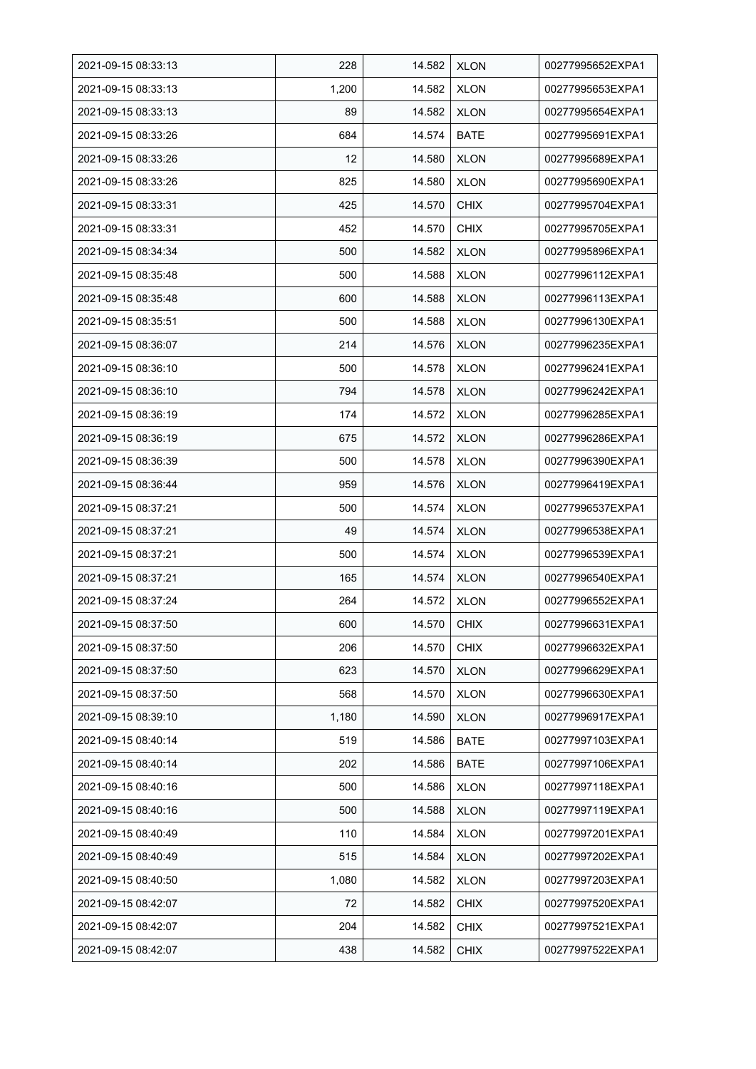| 2021-09-15 08:33:13 | 228   | 14.582 | <b>XLON</b> | 00277995652EXPA1 |
|---------------------|-------|--------|-------------|------------------|
| 2021-09-15 08:33:13 | 1,200 | 14.582 | <b>XLON</b> | 00277995653EXPA1 |
| 2021-09-15 08:33:13 | 89    | 14.582 | <b>XLON</b> | 00277995654EXPA1 |
| 2021-09-15 08:33:26 | 684   | 14.574 | <b>BATE</b> | 00277995691EXPA1 |
| 2021-09-15 08:33:26 | 12    | 14.580 | <b>XLON</b> | 00277995689EXPA1 |
| 2021-09-15 08:33:26 | 825   | 14.580 | <b>XLON</b> | 00277995690EXPA1 |
| 2021-09-15 08:33:31 | 425   | 14.570 | <b>CHIX</b> | 00277995704EXPA1 |
| 2021-09-15 08:33:31 | 452   | 14.570 | <b>CHIX</b> | 00277995705EXPA1 |
| 2021-09-15 08:34:34 | 500   | 14.582 | <b>XLON</b> | 00277995896EXPA1 |
| 2021-09-15 08:35:48 | 500   | 14.588 | <b>XLON</b> | 00277996112EXPA1 |
| 2021-09-15 08:35:48 | 600   | 14.588 | <b>XLON</b> | 00277996113EXPA1 |
| 2021-09-15 08:35:51 | 500   | 14.588 | <b>XLON</b> | 00277996130EXPA1 |
| 2021-09-15 08:36:07 | 214   | 14.576 | <b>XLON</b> | 00277996235EXPA1 |
| 2021-09-15 08:36:10 | 500   | 14.578 | <b>XLON</b> | 00277996241EXPA1 |
| 2021-09-15 08:36:10 | 794   | 14.578 | <b>XLON</b> | 00277996242EXPA1 |
| 2021-09-15 08:36:19 | 174   | 14.572 | <b>XLON</b> | 00277996285EXPA1 |
| 2021-09-15 08:36:19 | 675   | 14.572 | <b>XLON</b> | 00277996286EXPA1 |
| 2021-09-15 08:36:39 | 500   | 14.578 | <b>XLON</b> | 00277996390EXPA1 |
| 2021-09-15 08:36:44 | 959   | 14.576 | XLON        | 00277996419EXPA1 |
| 2021-09-15 08:37:21 | 500   | 14.574 | <b>XLON</b> | 00277996537EXPA1 |
| 2021-09-15 08:37:21 | 49    | 14.574 | <b>XLON</b> | 00277996538EXPA1 |
| 2021-09-15 08:37:21 | 500   | 14.574 | <b>XLON</b> | 00277996539EXPA1 |
| 2021-09-15 08:37:21 | 165   | 14.574 | <b>XLON</b> | 00277996540EXPA1 |
| 2021-09-15 08:37:24 | 264   | 14.572 | <b>XLON</b> | 00277996552EXPA1 |
| 2021-09-15 08:37:50 | 600   | 14.570 | <b>CHIX</b> | 00277996631EXPA1 |
| 2021-09-15 08:37:50 | 206   | 14.570 | <b>CHIX</b> | 00277996632EXPA1 |
| 2021-09-15 08:37:50 | 623   | 14.570 | <b>XLON</b> | 00277996629EXPA1 |
| 2021-09-15 08:37:50 | 568   | 14.570 | <b>XLON</b> | 00277996630EXPA1 |
| 2021-09-15 08:39:10 | 1,180 | 14.590 | <b>XLON</b> | 00277996917EXPA1 |
| 2021-09-15 08:40:14 | 519   | 14.586 | <b>BATE</b> | 00277997103EXPA1 |
| 2021-09-15 08:40:14 | 202   | 14.586 | <b>BATE</b> | 00277997106EXPA1 |
| 2021-09-15 08:40:16 | 500   | 14.586 | <b>XLON</b> | 00277997118EXPA1 |
| 2021-09-15 08:40:16 | 500   | 14.588 | <b>XLON</b> | 00277997119EXPA1 |
| 2021-09-15 08:40:49 | 110   | 14.584 | <b>XLON</b> | 00277997201EXPA1 |
| 2021-09-15 08:40:49 | 515   | 14.584 | <b>XLON</b> | 00277997202EXPA1 |
| 2021-09-15 08:40:50 | 1,080 | 14.582 | <b>XLON</b> | 00277997203EXPA1 |
| 2021-09-15 08:42:07 | 72    | 14.582 | <b>CHIX</b> | 00277997520EXPA1 |
| 2021-09-15 08:42:07 | 204   | 14.582 | <b>CHIX</b> | 00277997521EXPA1 |
| 2021-09-15 08:42:07 | 438   | 14.582 | <b>CHIX</b> | 00277997522EXPA1 |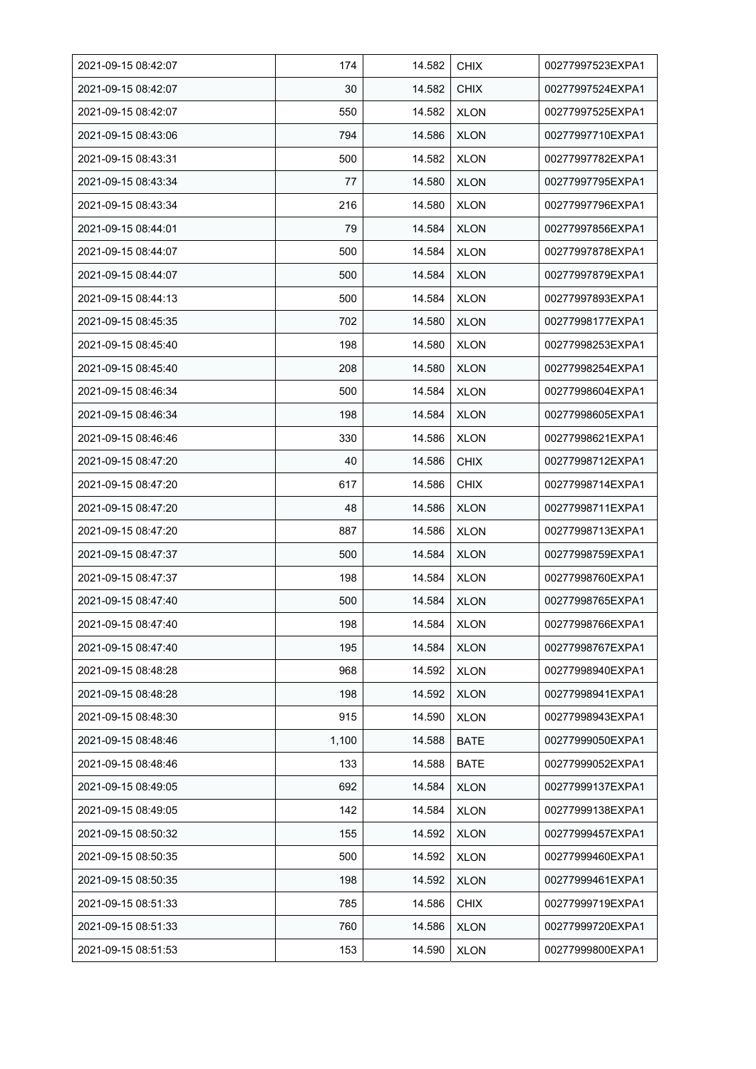| 2021-09-15 08:42:07 | 174   | 14.582 | <b>CHIX</b> | 00277997523EXPA1 |
|---------------------|-------|--------|-------------|------------------|
| 2021-09-15 08:42:07 | 30    | 14.582 | <b>CHIX</b> | 00277997524EXPA1 |
| 2021-09-15 08:42:07 | 550   | 14.582 | <b>XLON</b> | 00277997525EXPA1 |
| 2021-09-15 08:43:06 | 794   | 14.586 | <b>XLON</b> | 00277997710EXPA1 |
| 2021-09-15 08:43:31 | 500   | 14.582 | <b>XLON</b> | 00277997782EXPA1 |
| 2021-09-15 08:43:34 | 77    | 14.580 | <b>XLON</b> | 00277997795EXPA1 |
| 2021-09-15 08:43:34 | 216   | 14.580 | <b>XLON</b> | 00277997796EXPA1 |
| 2021-09-15 08:44:01 | 79    | 14.584 | <b>XLON</b> | 00277997856EXPA1 |
| 2021-09-15 08:44:07 | 500   | 14.584 | <b>XLON</b> | 00277997878EXPA1 |
| 2021-09-15 08:44:07 | 500   | 14.584 | XLON        | 00277997879EXPA1 |
| 2021-09-15 08:44:13 | 500   | 14.584 | <b>XLON</b> | 00277997893EXPA1 |
| 2021-09-15 08:45:35 | 702   | 14.580 | <b>XLON</b> | 00277998177EXPA1 |
| 2021-09-15 08:45:40 | 198   | 14.580 | <b>XLON</b> | 00277998253EXPA1 |
| 2021-09-15 08:45:40 | 208   | 14.580 | <b>XLON</b> | 00277998254EXPA1 |
| 2021-09-15 08:46:34 | 500   | 14.584 | <b>XLON</b> | 00277998604EXPA1 |
| 2021-09-15 08:46:34 | 198   | 14.584 | <b>XLON</b> | 00277998605EXPA1 |
| 2021-09-15 08:46:46 | 330   | 14.586 | <b>XLON</b> | 00277998621EXPA1 |
| 2021-09-15 08:47:20 | 40    | 14.586 | <b>CHIX</b> | 00277998712EXPA1 |
| 2021-09-15 08:47:20 | 617   | 14.586 | <b>CHIX</b> | 00277998714EXPA1 |
| 2021-09-15 08:47:20 | 48    | 14.586 | <b>XLON</b> | 00277998711EXPA1 |
| 2021-09-15 08:47:20 | 887   | 14.586 | <b>XLON</b> | 00277998713EXPA1 |
| 2021-09-15 08:47:37 | 500   | 14.584 | <b>XLON</b> | 00277998759EXPA1 |
| 2021-09-15 08:47:37 | 198   | 14.584 | <b>XLON</b> | 00277998760EXPA1 |
| 2021-09-15 08:47:40 | 500   | 14.584 | <b>XLON</b> | 00277998765EXPA1 |
| 2021-09-15 08:47:40 | 198   | 14.584 | <b>XLON</b> | 00277998766EXPA1 |
| 2021-09-15 08:47:40 | 195   | 14.584 | <b>XLON</b> | 00277998767EXPA1 |
| 2021-09-15 08:48:28 | 968   | 14.592 | <b>XLON</b> | 00277998940EXPA1 |
| 2021-09-15 08:48:28 | 198   | 14.592 | <b>XLON</b> | 00277998941EXPA1 |
| 2021-09-15 08:48:30 | 915   | 14.590 | <b>XLON</b> | 00277998943EXPA1 |
| 2021-09-15 08:48:46 | 1,100 | 14.588 | <b>BATE</b> | 00277999050EXPA1 |
| 2021-09-15 08:48:46 | 133   | 14.588 | <b>BATE</b> | 00277999052EXPA1 |
| 2021-09-15 08:49:05 | 692   | 14.584 | <b>XLON</b> | 00277999137EXPA1 |
| 2021-09-15 08:49:05 | 142   | 14.584 | <b>XLON</b> | 00277999138EXPA1 |
| 2021-09-15 08:50:32 | 155   | 14.592 | <b>XLON</b> | 00277999457EXPA1 |
| 2021-09-15 08:50:35 | 500   | 14.592 | <b>XLON</b> | 00277999460EXPA1 |
| 2021-09-15 08:50:35 | 198   | 14.592 | <b>XLON</b> | 00277999461EXPA1 |
| 2021-09-15 08:51:33 | 785   | 14.586 | <b>CHIX</b> | 00277999719EXPA1 |
| 2021-09-15 08:51:33 | 760   | 14.586 | <b>XLON</b> | 00277999720EXPA1 |
| 2021-09-15 08:51:53 | 153   | 14.590 | <b>XLON</b> | 00277999800EXPA1 |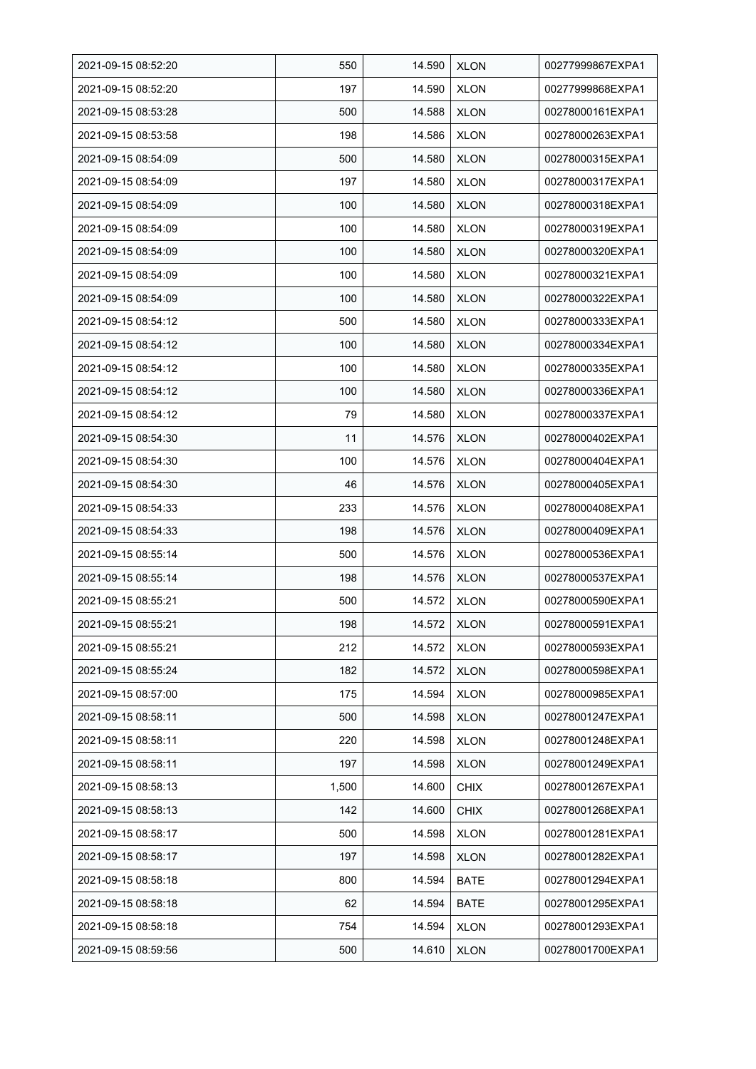| 2021-09-15 08:52:20 | 550   | 14.590 | <b>XLON</b> | 00277999867EXPA1 |
|---------------------|-------|--------|-------------|------------------|
| 2021-09-15 08:52:20 | 197   | 14.590 | <b>XLON</b> | 00277999868EXPA1 |
| 2021-09-15 08:53:28 | 500   | 14.588 | <b>XLON</b> | 00278000161EXPA1 |
| 2021-09-15 08:53:58 | 198   | 14.586 | <b>XLON</b> | 00278000263EXPA1 |
| 2021-09-15 08:54:09 | 500   | 14.580 | <b>XLON</b> | 00278000315EXPA1 |
| 2021-09-15 08:54:09 | 197   | 14.580 | <b>XLON</b> | 00278000317EXPA1 |
| 2021-09-15 08:54:09 | 100   | 14.580 | <b>XLON</b> | 00278000318EXPA1 |
| 2021-09-15 08:54:09 | 100   | 14.580 | <b>XLON</b> | 00278000319EXPA1 |
| 2021-09-15 08:54:09 | 100   | 14.580 | <b>XLON</b> | 00278000320EXPA1 |
| 2021-09-15 08:54:09 | 100   | 14.580 | <b>XLON</b> | 00278000321EXPA1 |
| 2021-09-15 08:54:09 | 100   | 14.580 | <b>XLON</b> | 00278000322EXPA1 |
| 2021-09-15 08:54:12 | 500   | 14.580 | <b>XLON</b> | 00278000333EXPA1 |
| 2021-09-15 08:54:12 | 100   | 14.580 | <b>XLON</b> | 00278000334EXPA1 |
| 2021-09-15 08:54:12 | 100   | 14.580 | <b>XLON</b> | 00278000335EXPA1 |
| 2021-09-15 08:54:12 | 100   | 14.580 | <b>XLON</b> | 00278000336EXPA1 |
| 2021-09-15 08:54:12 | 79    | 14.580 | <b>XLON</b> | 00278000337EXPA1 |
| 2021-09-15 08:54:30 | 11    | 14.576 | <b>XLON</b> | 00278000402EXPA1 |
| 2021-09-15 08:54:30 | 100   | 14.576 | <b>XLON</b> | 00278000404EXPA1 |
| 2021-09-15 08:54:30 | 46    | 14.576 | XLON        | 00278000405EXPA1 |
| 2021-09-15 08:54:33 | 233   | 14.576 | <b>XLON</b> | 00278000408EXPA1 |
| 2021-09-15 08:54:33 | 198   | 14.576 | <b>XLON</b> | 00278000409EXPA1 |
| 2021-09-15 08:55:14 | 500   | 14.576 | <b>XLON</b> | 00278000536EXPA1 |
| 2021-09-15 08:55:14 | 198   | 14.576 | <b>XLON</b> | 00278000537EXPA1 |
| 2021-09-15 08:55:21 | 500   | 14.572 | <b>XLON</b> | 00278000590EXPA1 |
| 2021-09-15 08:55:21 | 198   | 14.572 | <b>XLON</b> | 00278000591EXPA1 |
| 2021-09-15 08:55:21 | 212   | 14.572 | <b>XLON</b> | 00278000593EXPA1 |
| 2021-09-15 08:55:24 | 182   | 14.572 | <b>XLON</b> | 00278000598EXPA1 |
| 2021-09-15 08:57:00 | 175   | 14.594 | <b>XLON</b> | 00278000985EXPA1 |
| 2021-09-15 08:58:11 | 500   | 14.598 | <b>XLON</b> | 00278001247EXPA1 |
| 2021-09-15 08:58:11 | 220   | 14.598 | <b>XLON</b> | 00278001248EXPA1 |
| 2021-09-15 08:58:11 | 197   | 14.598 | <b>XLON</b> | 00278001249EXPA1 |
| 2021-09-15 08:58:13 | 1,500 | 14.600 | <b>CHIX</b> | 00278001267EXPA1 |
| 2021-09-15 08:58:13 | 142   | 14.600 | <b>CHIX</b> | 00278001268EXPA1 |
| 2021-09-15 08:58:17 | 500   | 14.598 | <b>XLON</b> | 00278001281EXPA1 |
| 2021-09-15 08:58:17 | 197   | 14.598 | <b>XLON</b> | 00278001282EXPA1 |
| 2021-09-15 08:58:18 | 800   | 14.594 | <b>BATE</b> | 00278001294EXPA1 |
| 2021-09-15 08:58:18 | 62    | 14.594 | BATE        | 00278001295EXPA1 |
| 2021-09-15 08:58:18 | 754   | 14.594 | <b>XLON</b> | 00278001293EXPA1 |
| 2021-09-15 08:59:56 | 500   | 14.610 | <b>XLON</b> | 00278001700EXPA1 |
|                     |       |        |             |                  |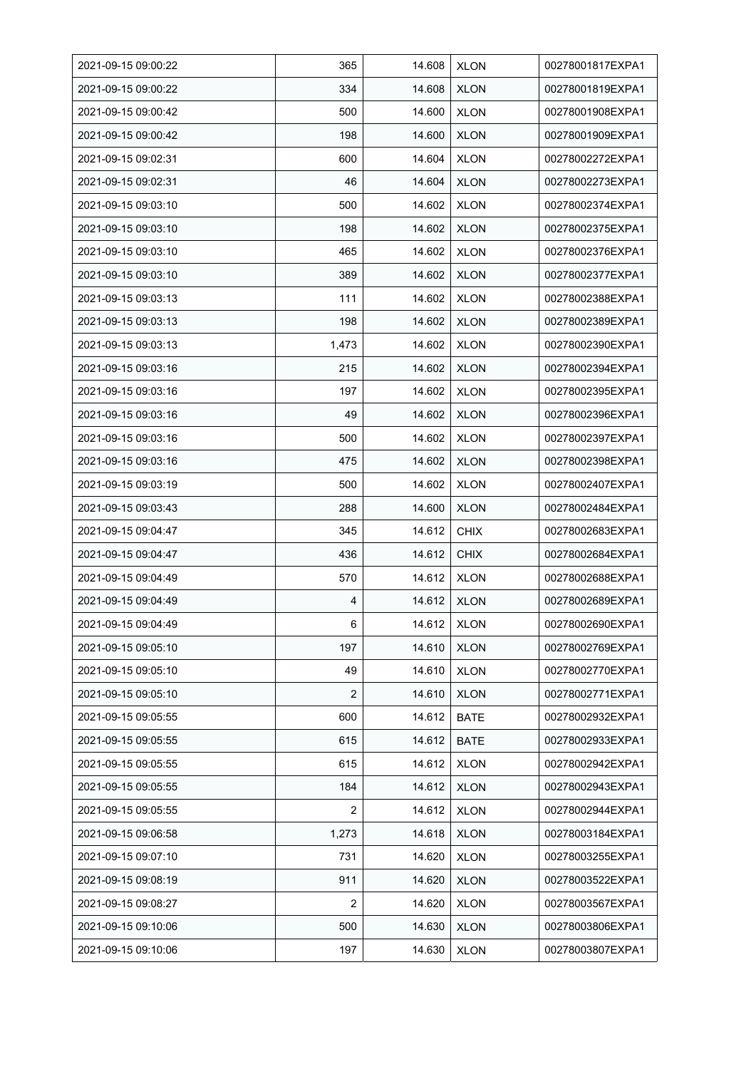| 2021-09-15 09:00:22 | 365            | 14.608 | <b>XLON</b> | 00278001817EXPA1 |
|---------------------|----------------|--------|-------------|------------------|
| 2021-09-15 09:00:22 | 334            | 14.608 | <b>XLON</b> | 00278001819EXPA1 |
| 2021-09-15 09:00:42 | 500            | 14.600 | <b>XLON</b> | 00278001908EXPA1 |
| 2021-09-15 09:00:42 | 198            | 14.600 | <b>XLON</b> | 00278001909EXPA1 |
| 2021-09-15 09:02:31 | 600            | 14.604 | <b>XLON</b> | 00278002272EXPA1 |
| 2021-09-15 09:02:31 | 46             | 14.604 | <b>XLON</b> | 00278002273EXPA1 |
| 2021-09-15 09:03:10 | 500            | 14.602 | <b>XLON</b> | 00278002374EXPA1 |
| 2021-09-15 09:03:10 | 198            | 14.602 | <b>XLON</b> | 00278002375EXPA1 |
| 2021-09-15 09:03:10 | 465            | 14.602 | <b>XLON</b> | 00278002376EXPA1 |
| 2021-09-15 09:03:10 | 389            | 14.602 | <b>XLON</b> | 00278002377EXPA1 |
| 2021-09-15 09:03:13 | 111            | 14.602 | <b>XLON</b> | 00278002388EXPA1 |
| 2021-09-15 09:03:13 | 198            | 14.602 | <b>XLON</b> | 00278002389EXPA1 |
| 2021-09-15 09:03:13 | 1,473          | 14.602 | <b>XLON</b> | 00278002390EXPA1 |
| 2021-09-15 09:03:16 | 215            | 14.602 | <b>XLON</b> | 00278002394EXPA1 |
| 2021-09-15 09:03:16 | 197            | 14.602 | <b>XLON</b> | 00278002395EXPA1 |
| 2021-09-15 09:03:16 | 49             | 14.602 | <b>XLON</b> | 00278002396EXPA1 |
| 2021-09-15 09:03:16 | 500            | 14.602 | <b>XLON</b> | 00278002397EXPA1 |
| 2021-09-15 09:03:16 | 475            | 14.602 | <b>XLON</b> | 00278002398EXPA1 |
| 2021-09-15 09:03:19 | 500            | 14.602 | <b>XLON</b> | 00278002407EXPA1 |
| 2021-09-15 09:03:43 | 288            | 14.600 | <b>XLON</b> | 00278002484EXPA1 |
| 2021-09-15 09:04:47 | 345            | 14.612 | <b>CHIX</b> | 00278002683EXPA1 |
| 2021-09-15 09:04:47 | 436            | 14.612 | <b>CHIX</b> | 00278002684EXPA1 |
| 2021-09-15 09:04:49 | 570            | 14.612 | <b>XLON</b> | 00278002688EXPA1 |
| 2021-09-15 09:04:49 | 4              | 14.612 | <b>XLON</b> | 00278002689EXPA1 |
| 2021-09-15 09:04:49 | 6              | 14.612 | <b>XLON</b> | 00278002690EXPA1 |
| 2021-09-15 09:05:10 | 197            | 14.610 | <b>XLON</b> | 00278002769EXPA1 |
| 2021-09-15 09:05:10 | 49             | 14.610 | <b>XLON</b> | 00278002770EXPA1 |
| 2021-09-15 09:05:10 | 2              | 14.610 | <b>XLON</b> | 00278002771EXPA1 |
| 2021-09-15 09:05:55 | 600            | 14.612 | <b>BATE</b> | 00278002932EXPA1 |
| 2021-09-15 09:05:55 | 615            | 14.612 | <b>BATE</b> | 00278002933EXPA1 |
| 2021-09-15 09:05:55 | 615            | 14.612 | <b>XLON</b> | 00278002942EXPA1 |
| 2021-09-15 09:05:55 | 184            | 14.612 | <b>XLON</b> | 00278002943EXPA1 |
| 2021-09-15 09:05:55 | $\overline{2}$ | 14.612 | <b>XLON</b> | 00278002944EXPA1 |
| 2021-09-15 09:06:58 | 1,273          | 14.618 | <b>XLON</b> | 00278003184EXPA1 |
| 2021-09-15 09:07:10 | 731            | 14.620 | <b>XLON</b> | 00278003255EXPA1 |
| 2021-09-15 09:08:19 | 911            | 14.620 | <b>XLON</b> | 00278003522EXPA1 |
| 2021-09-15 09:08:27 | 2              | 14.620 | <b>XLON</b> | 00278003567EXPA1 |
| 2021-09-15 09:10:06 | 500            | 14.630 | <b>XLON</b> | 00278003806EXPA1 |
| 2021-09-15 09:10:06 | 197            | 14.630 | <b>XLON</b> | 00278003807EXPA1 |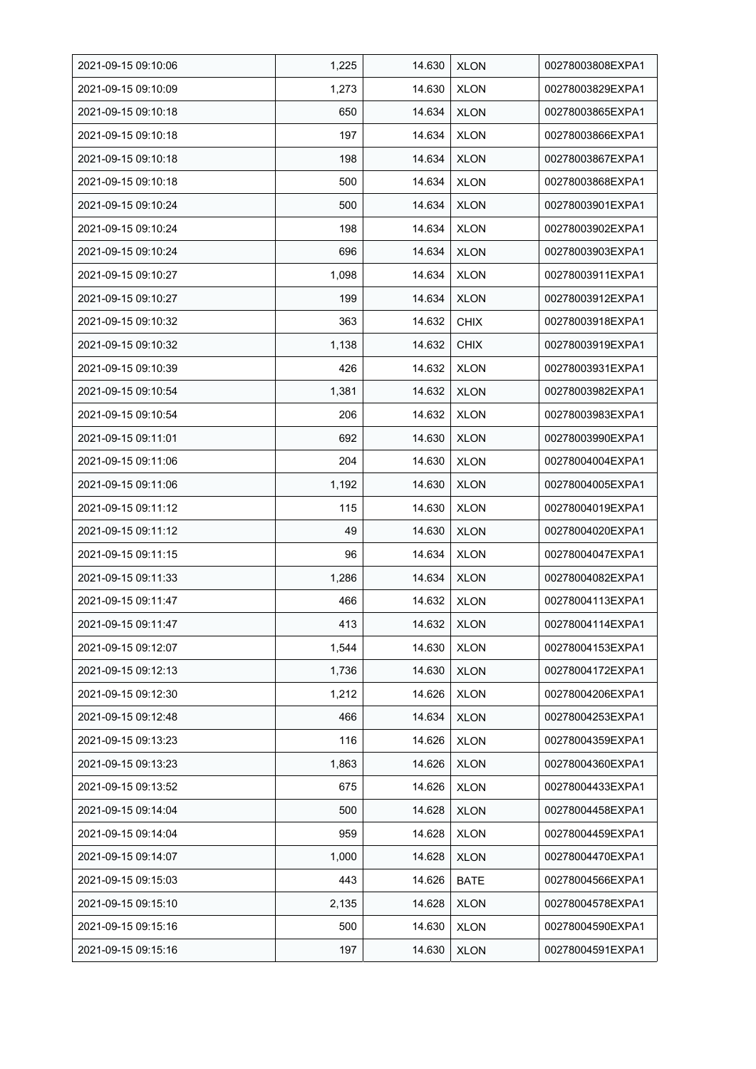| 2021-09-15 09:10:06 | 1,225 | 14.630 | <b>XLON</b> | 00278003808EXPA1 |
|---------------------|-------|--------|-------------|------------------|
| 2021-09-15 09:10:09 | 1,273 | 14.630 | <b>XLON</b> | 00278003829EXPA1 |
| 2021-09-15 09:10:18 | 650   | 14.634 | <b>XLON</b> | 00278003865EXPA1 |
| 2021-09-15 09:10:18 | 197   | 14.634 | <b>XLON</b> | 00278003866EXPA1 |
| 2021-09-15 09:10:18 | 198   | 14.634 | <b>XLON</b> | 00278003867EXPA1 |
| 2021-09-15 09:10:18 | 500   | 14.634 | <b>XLON</b> | 00278003868EXPA1 |
| 2021-09-15 09:10:24 | 500   | 14.634 | <b>XLON</b> | 00278003901EXPA1 |
| 2021-09-15 09:10:24 | 198   | 14.634 | <b>XLON</b> | 00278003902EXPA1 |
| 2021-09-15 09:10:24 | 696   | 14.634 | <b>XLON</b> | 00278003903EXPA1 |
| 2021-09-15 09:10:27 | 1,098 | 14.634 | <b>XLON</b> | 00278003911EXPA1 |
| 2021-09-15 09:10:27 | 199   | 14.634 | <b>XLON</b> | 00278003912EXPA1 |
| 2021-09-15 09:10:32 | 363   | 14.632 | <b>CHIX</b> | 00278003918EXPA1 |
| 2021-09-15 09:10:32 | 1,138 | 14.632 | <b>CHIX</b> | 00278003919EXPA1 |
| 2021-09-15 09:10:39 | 426   | 14.632 | <b>XLON</b> | 00278003931EXPA1 |
| 2021-09-15 09:10:54 | 1,381 | 14.632 | <b>XLON</b> | 00278003982EXPA1 |
| 2021-09-15 09:10:54 | 206   | 14.632 | <b>XLON</b> | 00278003983EXPA1 |
| 2021-09-15 09:11:01 | 692   | 14.630 | <b>XLON</b> | 00278003990EXPA1 |
| 2021-09-15 09:11:06 | 204   | 14.630 | <b>XLON</b> | 00278004004EXPA1 |
| 2021-09-15 09:11:06 | 1,192 | 14.630 | <b>XLON</b> | 00278004005EXPA1 |
| 2021-09-15 09:11:12 | 115   | 14.630 | <b>XLON</b> | 00278004019EXPA1 |
| 2021-09-15 09:11:12 | 49    | 14.630 | <b>XLON</b> | 00278004020EXPA1 |
| 2021-09-15 09:11:15 | 96    | 14.634 | <b>XLON</b> | 00278004047EXPA1 |
| 2021-09-15 09:11:33 | 1,286 | 14.634 | <b>XLON</b> | 00278004082EXPA1 |
| 2021-09-15 09:11:47 | 466   | 14.632 | <b>XLON</b> | 00278004113EXPA1 |
| 2021-09-15 09:11:47 | 413   | 14.632 | <b>XLON</b> | 00278004114EXPA1 |
| 2021-09-15 09:12:07 | 1,544 | 14.630 | <b>XLON</b> | 00278004153EXPA1 |
| 2021-09-15 09:12:13 | 1,736 | 14.630 | <b>XLON</b> | 00278004172EXPA1 |
| 2021-09-15 09:12:30 | 1,212 | 14.626 | <b>XLON</b> | 00278004206EXPA1 |
| 2021-09-15 09:12:48 | 466   | 14.634 | <b>XLON</b> | 00278004253EXPA1 |
| 2021-09-15 09:13:23 | 116   | 14.626 | <b>XLON</b> | 00278004359EXPA1 |
| 2021-09-15 09:13:23 | 1,863 | 14.626 | <b>XLON</b> | 00278004360EXPA1 |
| 2021-09-15 09:13:52 | 675   | 14.626 | <b>XLON</b> | 00278004433EXPA1 |
| 2021-09-15 09:14:04 | 500   | 14.628 | <b>XLON</b> | 00278004458EXPA1 |
| 2021-09-15 09:14:04 | 959   | 14.628 | <b>XLON</b> | 00278004459EXPA1 |
| 2021-09-15 09:14:07 | 1,000 | 14.628 | <b>XLON</b> | 00278004470EXPA1 |
| 2021-09-15 09:15:03 | 443   | 14.626 | <b>BATE</b> | 00278004566EXPA1 |
| 2021-09-15 09:15:10 | 2,135 | 14.628 | <b>XLON</b> | 00278004578EXPA1 |
| 2021-09-15 09:15:16 | 500   | 14.630 | <b>XLON</b> | 00278004590EXPA1 |
| 2021-09-15 09:15:16 | 197   | 14.630 | <b>XLON</b> | 00278004591EXPA1 |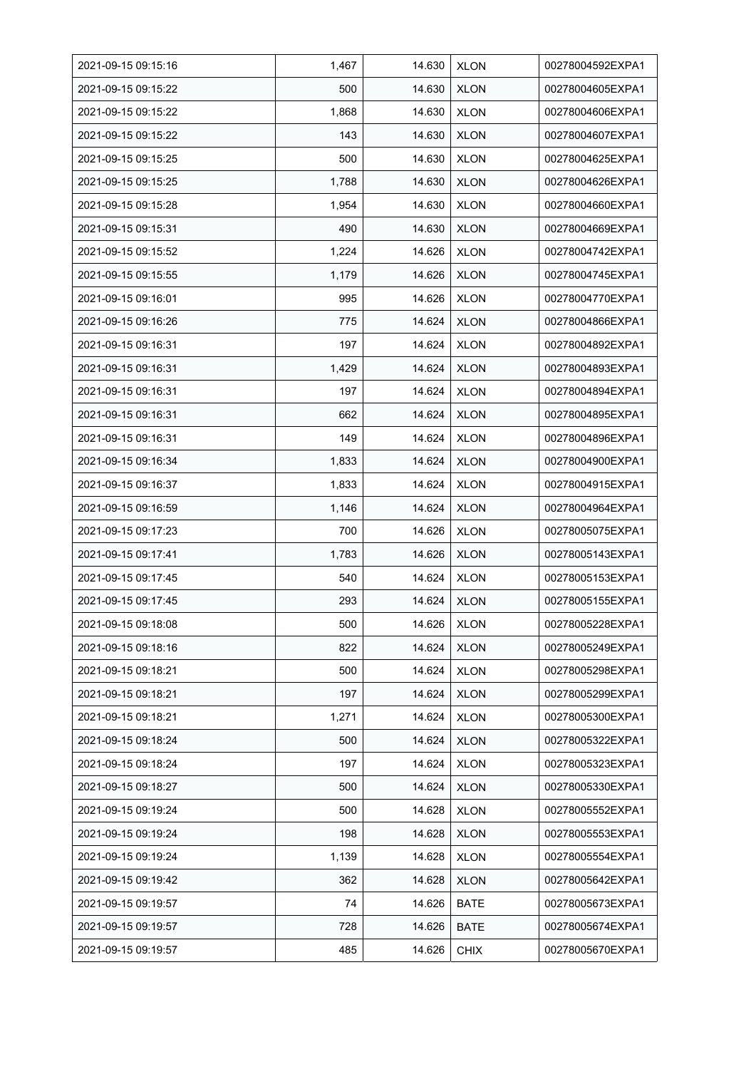| 2021-09-15 09:15:16 | 1,467 | 14.630 | <b>XLON</b> | 00278004592EXPA1 |
|---------------------|-------|--------|-------------|------------------|
| 2021-09-15 09:15:22 | 500   | 14.630 | <b>XLON</b> | 00278004605EXPA1 |
| 2021-09-15 09:15:22 | 1,868 | 14.630 | <b>XLON</b> | 00278004606EXPA1 |
| 2021-09-15 09:15:22 | 143   | 14.630 | <b>XLON</b> | 00278004607EXPA1 |
| 2021-09-15 09:15:25 | 500   | 14.630 | <b>XLON</b> | 00278004625EXPA1 |
| 2021-09-15 09:15:25 | 1,788 | 14.630 | <b>XLON</b> | 00278004626EXPA1 |
| 2021-09-15 09:15:28 | 1,954 | 14.630 | <b>XLON</b> | 00278004660EXPA1 |
| 2021-09-15 09:15:31 | 490   | 14.630 | <b>XLON</b> | 00278004669EXPA1 |
| 2021-09-15 09:15:52 | 1,224 | 14.626 | <b>XLON</b> | 00278004742EXPA1 |
| 2021-09-15 09:15:55 | 1,179 | 14.626 | <b>XLON</b> | 00278004745EXPA1 |
| 2021-09-15 09:16:01 | 995   | 14.626 | <b>XLON</b> | 00278004770EXPA1 |
| 2021-09-15 09:16:26 | 775   | 14.624 | <b>XLON</b> | 00278004866EXPA1 |
| 2021-09-15 09:16:31 | 197   | 14.624 | <b>XLON</b> | 00278004892EXPA1 |
| 2021-09-15 09:16:31 | 1,429 | 14.624 | <b>XLON</b> | 00278004893EXPA1 |
| 2021-09-15 09:16:31 | 197   | 14.624 | <b>XLON</b> | 00278004894EXPA1 |
| 2021-09-15 09:16:31 | 662   | 14.624 | <b>XLON</b> | 00278004895EXPA1 |
| 2021-09-15 09:16:31 | 149   | 14.624 | <b>XLON</b> | 00278004896EXPA1 |
| 2021-09-15 09:16:34 | 1,833 | 14.624 | <b>XLON</b> | 00278004900EXPA1 |
| 2021-09-15 09:16:37 | 1,833 | 14.624 | <b>XLON</b> | 00278004915EXPA1 |
| 2021-09-15 09:16:59 | 1,146 | 14.624 | <b>XLON</b> | 00278004964EXPA1 |
| 2021-09-15 09:17:23 | 700   | 14.626 | <b>XLON</b> | 00278005075EXPA1 |
| 2021-09-15 09:17:41 | 1,783 | 14.626 | <b>XLON</b> | 00278005143EXPA1 |
| 2021-09-15 09:17:45 | 540   | 14.624 | <b>XLON</b> | 00278005153EXPA1 |
| 2021-09-15 09:17:45 | 293   | 14.624 | <b>XLON</b> | 00278005155EXPA1 |
| 2021-09-15 09:18:08 | 500   | 14.626 | <b>XLON</b> | 00278005228EXPA1 |
| 2021-09-15 09:18:16 | 822   | 14.624 | <b>XLON</b> | 00278005249EXPA1 |
| 2021-09-15 09:18:21 | 500   | 14.624 | <b>XLON</b> | 00278005298EXPA1 |
| 2021-09-15 09:18:21 | 197   | 14.624 | <b>XLON</b> | 00278005299EXPA1 |
| 2021-09-15 09:18:21 | 1,271 | 14.624 | <b>XLON</b> | 00278005300EXPA1 |
| 2021-09-15 09:18:24 | 500   | 14.624 | <b>XLON</b> | 00278005322EXPA1 |
| 2021-09-15 09:18:24 | 197   | 14.624 | <b>XLON</b> | 00278005323EXPA1 |
| 2021-09-15 09:18:27 | 500   | 14.624 | <b>XLON</b> | 00278005330EXPA1 |
| 2021-09-15 09:19:24 | 500   | 14.628 | <b>XLON</b> | 00278005552EXPA1 |
| 2021-09-15 09:19:24 | 198   | 14.628 | <b>XLON</b> | 00278005553EXPA1 |
| 2021-09-15 09:19:24 | 1,139 | 14.628 | <b>XLON</b> | 00278005554EXPA1 |
| 2021-09-15 09:19:42 | 362   | 14.628 | <b>XLON</b> | 00278005642EXPA1 |
| 2021-09-15 09:19:57 | 74    | 14.626 | BATE        | 00278005673EXPA1 |
| 2021-09-15 09:19:57 | 728   | 14.626 | <b>BATE</b> | 00278005674EXPA1 |
| 2021-09-15 09:19:57 | 485   | 14.626 | <b>CHIX</b> | 00278005670EXPA1 |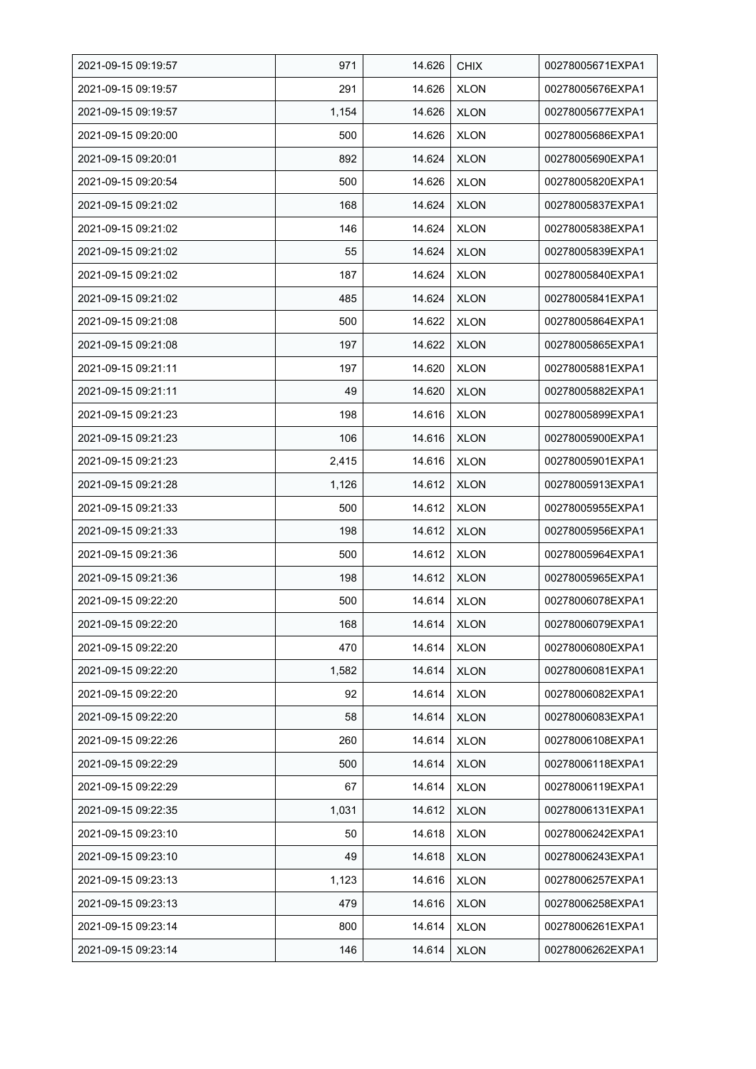| 2021-09-15 09:19:57 | 971   | 14.626 | <b>CHIX</b> | 00278005671EXPA1 |
|---------------------|-------|--------|-------------|------------------|
| 2021-09-15 09:19:57 | 291   | 14.626 | <b>XLON</b> | 00278005676EXPA1 |
| 2021-09-15 09:19:57 | 1,154 | 14.626 | <b>XLON</b> | 00278005677EXPA1 |
| 2021-09-15 09:20:00 | 500   | 14.626 | <b>XLON</b> | 00278005686EXPA1 |
| 2021-09-15 09:20:01 | 892   | 14.624 | <b>XLON</b> | 00278005690EXPA1 |
| 2021-09-15 09:20:54 | 500   | 14.626 | <b>XLON</b> | 00278005820EXPA1 |
| 2021-09-15 09:21:02 | 168   | 14.624 | <b>XLON</b> | 00278005837EXPA1 |
| 2021-09-15 09:21:02 | 146   | 14.624 | <b>XLON</b> | 00278005838EXPA1 |
| 2021-09-15 09:21:02 | 55    | 14.624 | <b>XLON</b> | 00278005839EXPA1 |
| 2021-09-15 09:21:02 | 187   | 14.624 | <b>XLON</b> | 00278005840EXPA1 |
| 2021-09-15 09:21:02 | 485   | 14.624 | <b>XLON</b> | 00278005841EXPA1 |
| 2021-09-15 09:21:08 | 500   | 14.622 | <b>XLON</b> | 00278005864EXPA1 |
| 2021-09-15 09:21:08 | 197   | 14.622 | <b>XLON</b> | 00278005865EXPA1 |
| 2021-09-15 09:21:11 | 197   | 14.620 | <b>XLON</b> | 00278005881EXPA1 |
| 2021-09-15 09:21:11 | 49    | 14.620 | <b>XLON</b> | 00278005882EXPA1 |
| 2021-09-15 09:21:23 | 198   | 14.616 | <b>XLON</b> | 00278005899EXPA1 |
| 2021-09-15 09:21:23 | 106   | 14.616 | <b>XLON</b> | 00278005900EXPA1 |
| 2021-09-15 09:21:23 | 2,415 | 14.616 | <b>XLON</b> | 00278005901EXPA1 |
| 2021-09-15 09:21:28 | 1,126 | 14.612 | <b>XLON</b> | 00278005913EXPA1 |
| 2021-09-15 09:21:33 | 500   | 14.612 | <b>XLON</b> | 00278005955EXPA1 |
| 2021-09-15 09:21:33 | 198   | 14.612 | <b>XLON</b> | 00278005956EXPA1 |
| 2021-09-15 09:21:36 | 500   | 14.612 | <b>XLON</b> | 00278005964EXPA1 |
| 2021-09-15 09:21:36 | 198   | 14.612 | <b>XLON</b> | 00278005965EXPA1 |
| 2021-09-15 09:22:20 | 500   | 14.614 | <b>XLON</b> | 00278006078EXPA1 |
| 2021-09-15 09:22:20 | 168   | 14.614 | <b>XLON</b> | 00278006079EXPA1 |
| 2021-09-15 09:22:20 | 470   | 14.614 | <b>XLON</b> | 00278006080EXPA1 |
| 2021-09-15 09:22:20 | 1,582 | 14.614 | <b>XLON</b> | 00278006081EXPA1 |
| 2021-09-15 09:22:20 | 92    | 14.614 | <b>XLON</b> | 00278006082EXPA1 |
| 2021-09-15 09:22:20 | 58    | 14.614 | <b>XLON</b> | 00278006083EXPA1 |
| 2021-09-15 09:22:26 | 260   | 14.614 | <b>XLON</b> | 00278006108EXPA1 |
| 2021-09-15 09:22:29 | 500   | 14.614 | <b>XLON</b> | 00278006118EXPA1 |
| 2021-09-15 09:22:29 | 67    | 14.614 | <b>XLON</b> | 00278006119EXPA1 |
| 2021-09-15 09:22:35 | 1,031 | 14.612 | <b>XLON</b> | 00278006131EXPA1 |
| 2021-09-15 09:23:10 | 50    | 14.618 | <b>XLON</b> | 00278006242EXPA1 |
| 2021-09-15 09:23:10 | 49    | 14.618 | <b>XLON</b> | 00278006243EXPA1 |
| 2021-09-15 09:23:13 | 1,123 | 14.616 | <b>XLON</b> | 00278006257EXPA1 |
| 2021-09-15 09:23:13 | 479   | 14.616 | <b>XLON</b> | 00278006258EXPA1 |
| 2021-09-15 09:23:14 | 800   | 14.614 | <b>XLON</b> | 00278006261EXPA1 |
| 2021-09-15 09:23:14 | 146   | 14.614 | <b>XLON</b> | 00278006262EXPA1 |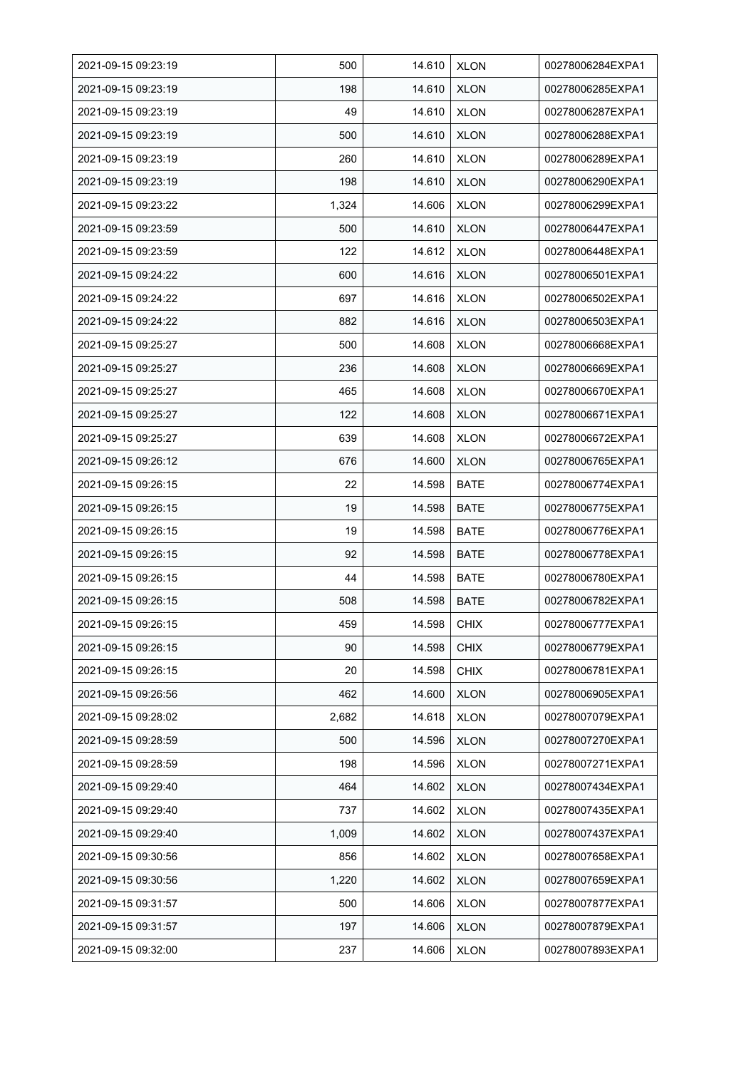| 2021-09-15 09:23:19 | 500   | 14.610 | <b>XLON</b> | 00278006284EXPA1 |
|---------------------|-------|--------|-------------|------------------|
| 2021-09-15 09:23:19 | 198   | 14.610 | <b>XLON</b> | 00278006285EXPA1 |
| 2021-09-15 09:23:19 | 49    | 14.610 | <b>XLON</b> | 00278006287EXPA1 |
| 2021-09-15 09:23:19 | 500   | 14.610 | <b>XLON</b> | 00278006288EXPA1 |
| 2021-09-15 09:23:19 | 260   | 14.610 | <b>XLON</b> | 00278006289EXPA1 |
| 2021-09-15 09:23:19 | 198   | 14.610 | <b>XLON</b> | 00278006290EXPA1 |
| 2021-09-15 09:23:22 | 1,324 | 14.606 | <b>XLON</b> | 00278006299EXPA1 |
| 2021-09-15 09:23:59 | 500   | 14.610 | <b>XLON</b> | 00278006447EXPA1 |
| 2021-09-15 09:23:59 | 122   | 14.612 | <b>XLON</b> | 00278006448EXPA1 |
| 2021-09-15 09:24:22 | 600   | 14.616 | <b>XLON</b> | 00278006501EXPA1 |
| 2021-09-15 09:24:22 | 697   | 14.616 | <b>XLON</b> | 00278006502EXPA1 |
| 2021-09-15 09:24:22 | 882   | 14.616 | <b>XLON</b> | 00278006503EXPA1 |
| 2021-09-15 09:25:27 | 500   | 14.608 | <b>XLON</b> | 00278006668EXPA1 |
| 2021-09-15 09:25:27 | 236   | 14.608 | <b>XLON</b> | 00278006669EXPA1 |
| 2021-09-15 09:25:27 | 465   | 14.608 | <b>XLON</b> | 00278006670EXPA1 |
| 2021-09-15 09:25:27 | 122   | 14.608 | <b>XLON</b> | 00278006671EXPA1 |
| 2021-09-15 09:25:27 | 639   | 14.608 | <b>XLON</b> | 00278006672EXPA1 |
| 2021-09-15 09:26:12 | 676   | 14.600 | <b>XLON</b> | 00278006765EXPA1 |
| 2021-09-15 09:26:15 | 22    | 14.598 | <b>BATE</b> | 00278006774EXPA1 |
| 2021-09-15 09:26:15 | 19    | 14.598 | BATE        | 00278006775EXPA1 |
| 2021-09-15 09:26:15 | 19    | 14.598 | <b>BATE</b> | 00278006776EXPA1 |
| 2021-09-15 09:26:15 | 92    | 14.598 | <b>BATE</b> | 00278006778EXPA1 |
| 2021-09-15 09:26:15 | 44    | 14.598 | <b>BATE</b> | 00278006780EXPA1 |
| 2021-09-15 09:26:15 | 508   | 14.598 | <b>BATE</b> | 00278006782EXPA1 |
| 2021-09-15 09:26:15 | 459   | 14.598 | <b>CHIX</b> | 00278006777EXPA1 |
| 2021-09-15 09:26:15 | 90    | 14.598 | <b>CHIX</b> | 00278006779EXPA1 |
| 2021-09-15 09:26:15 | 20    | 14.598 | <b>CHIX</b> | 00278006781EXPA1 |
| 2021-09-15 09:26:56 | 462   | 14.600 | <b>XLON</b> | 00278006905EXPA1 |
| 2021-09-15 09:28:02 | 2,682 | 14.618 | <b>XLON</b> | 00278007079EXPA1 |
| 2021-09-15 09:28:59 | 500   | 14.596 | <b>XLON</b> | 00278007270EXPA1 |
| 2021-09-15 09:28:59 | 198   | 14.596 | <b>XLON</b> | 00278007271EXPA1 |
| 2021-09-15 09:29:40 | 464   | 14.602 | <b>XLON</b> | 00278007434EXPA1 |
| 2021-09-15 09:29:40 | 737   | 14.602 | <b>XLON</b> | 00278007435EXPA1 |
| 2021-09-15 09:29:40 | 1,009 | 14.602 | <b>XLON</b> | 00278007437EXPA1 |
| 2021-09-15 09:30:56 | 856   | 14.602 | <b>XLON</b> | 00278007658EXPA1 |
| 2021-09-15 09:30:56 | 1,220 | 14.602 | <b>XLON</b> | 00278007659EXPA1 |
| 2021-09-15 09:31:57 | 500   | 14.606 | <b>XLON</b> | 00278007877EXPA1 |
| 2021-09-15 09:31:57 | 197   | 14.606 | <b>XLON</b> | 00278007879EXPA1 |
| 2021-09-15 09:32:00 | 237   | 14.606 | <b>XLON</b> | 00278007893EXPA1 |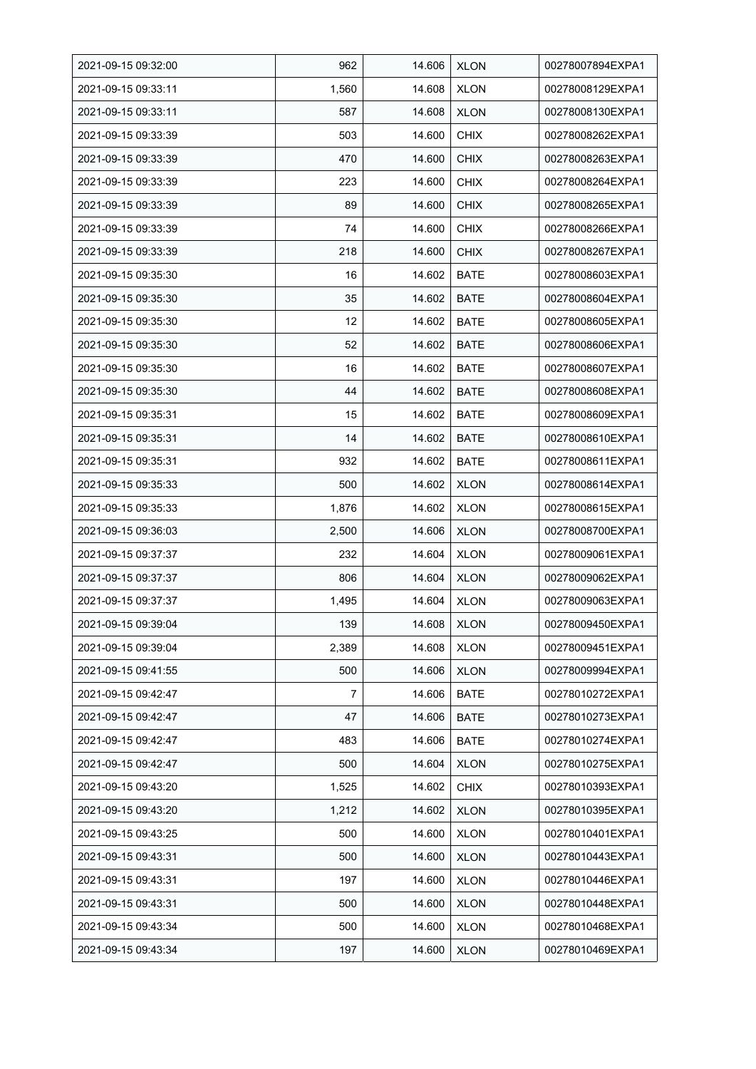| 2021-09-15 09:32:00 | 962            | 14.606 | <b>XLON</b> | 00278007894EXPA1 |
|---------------------|----------------|--------|-------------|------------------|
| 2021-09-15 09:33:11 | 1,560          | 14.608 | <b>XLON</b> | 00278008129EXPA1 |
| 2021-09-15 09:33:11 | 587            | 14.608 | <b>XLON</b> | 00278008130EXPA1 |
| 2021-09-15 09:33:39 | 503            | 14.600 | <b>CHIX</b> | 00278008262EXPA1 |
| 2021-09-15 09:33:39 | 470            | 14.600 | <b>CHIX</b> | 00278008263EXPA1 |
| 2021-09-15 09:33:39 | 223            | 14.600 | <b>CHIX</b> | 00278008264EXPA1 |
| 2021-09-15 09:33:39 | 89             | 14.600 | <b>CHIX</b> | 00278008265EXPA1 |
| 2021-09-15 09:33:39 | 74             | 14.600 | <b>CHIX</b> | 00278008266EXPA1 |
| 2021-09-15 09:33:39 | 218            | 14.600 | <b>CHIX</b> | 00278008267EXPA1 |
| 2021-09-15 09:35:30 | 16             | 14.602 | <b>BATE</b> | 00278008603EXPA1 |
| 2021-09-15 09:35:30 | 35             | 14.602 | <b>BATE</b> | 00278008604EXPA1 |
| 2021-09-15 09:35:30 | 12             | 14.602 | <b>BATE</b> | 00278008605EXPA1 |
| 2021-09-15 09:35:30 | 52             | 14.602 | <b>BATE</b> | 00278008606EXPA1 |
| 2021-09-15 09:35:30 | 16             | 14.602 | <b>BATE</b> | 00278008607EXPA1 |
| 2021-09-15 09:35:30 | 44             | 14.602 | <b>BATE</b> | 00278008608EXPA1 |
| 2021-09-15 09:35:31 | 15             | 14.602 | <b>BATE</b> | 00278008609EXPA1 |
| 2021-09-15 09:35:31 | 14             | 14.602 | <b>BATE</b> | 00278008610EXPA1 |
| 2021-09-15 09:35:31 | 932            | 14.602 | <b>BATE</b> | 00278008611EXPA1 |
| 2021-09-15 09:35:33 | 500            | 14.602 | <b>XLON</b> | 00278008614EXPA1 |
| 2021-09-15 09:35:33 | 1,876          | 14.602 | <b>XLON</b> | 00278008615EXPA1 |
| 2021-09-15 09:36:03 | 2,500          | 14.606 | <b>XLON</b> | 00278008700EXPA1 |
| 2021-09-15 09:37:37 | 232            | 14.604 | <b>XLON</b> | 00278009061EXPA1 |
| 2021-09-15 09:37:37 | 806            | 14.604 | <b>XLON</b> | 00278009062EXPA1 |
| 2021-09-15 09:37:37 | 1,495          | 14.604 | <b>XLON</b> | 00278009063EXPA1 |
| 2021-09-15 09:39:04 | 139            | 14.608 | <b>XLON</b> | 00278009450EXPA1 |
| 2021-09-15 09:39:04 | 2,389          | 14.608 | <b>XLON</b> | 00278009451EXPA1 |
| 2021-09-15 09:41:55 | 500            | 14.606 | <b>XLON</b> | 00278009994EXPA1 |
| 2021-09-15 09:42:47 | $\overline{7}$ | 14.606 | BATE        | 00278010272EXPA1 |
| 2021-09-15 09:42:47 | 47             | 14.606 | BATE        | 00278010273EXPA1 |
| 2021-09-15 09:42:47 | 483            | 14.606 | <b>BATE</b> | 00278010274EXPA1 |
| 2021-09-15 09:42:47 | 500            | 14.604 | <b>XLON</b> | 00278010275EXPA1 |
| 2021-09-15 09:43:20 | 1,525          | 14.602 | <b>CHIX</b> | 00278010393EXPA1 |
| 2021-09-15 09:43:20 | 1,212          | 14.602 | <b>XLON</b> | 00278010395EXPA1 |
| 2021-09-15 09:43:25 | 500            | 14.600 | <b>XLON</b> | 00278010401EXPA1 |
| 2021-09-15 09:43:31 | 500            | 14.600 | <b>XLON</b> | 00278010443EXPA1 |
| 2021-09-15 09:43:31 | 197            | 14.600 | <b>XLON</b> | 00278010446EXPA1 |
| 2021-09-15 09:43:31 | 500            | 14.600 | <b>XLON</b> | 00278010448EXPA1 |
| 2021-09-15 09:43:34 | 500            | 14.600 | <b>XLON</b> | 00278010468EXPA1 |
| 2021-09-15 09:43:34 | 197            | 14.600 | <b>XLON</b> | 00278010469EXPA1 |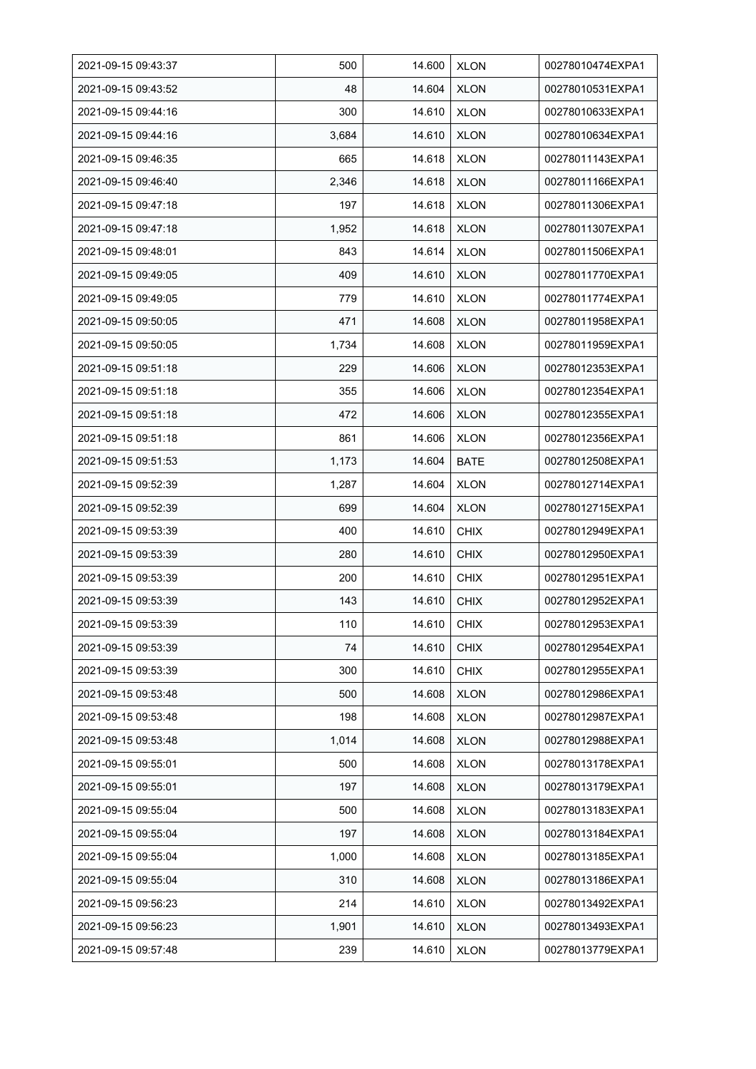| 2021-09-15 09:43:37 | 500   | 14.600 | <b>XLON</b> | 00278010474EXPA1 |
|---------------------|-------|--------|-------------|------------------|
| 2021-09-15 09:43:52 | 48    | 14.604 | <b>XLON</b> | 00278010531EXPA1 |
| 2021-09-15 09:44:16 | 300   | 14.610 | <b>XLON</b> | 00278010633EXPA1 |
| 2021-09-15 09:44:16 | 3,684 | 14.610 | <b>XLON</b> | 00278010634EXPA1 |
| 2021-09-15 09:46:35 | 665   | 14.618 | <b>XLON</b> | 00278011143EXPA1 |
| 2021-09-15 09:46:40 | 2,346 | 14.618 | <b>XLON</b> | 00278011166EXPA1 |
| 2021-09-15 09:47:18 | 197   | 14.618 | <b>XLON</b> | 00278011306EXPA1 |
| 2021-09-15 09:47:18 | 1,952 | 14.618 | <b>XLON</b> | 00278011307EXPA1 |
| 2021-09-15 09:48:01 | 843   | 14.614 | <b>XLON</b> | 00278011506EXPA1 |
| 2021-09-15 09:49:05 | 409   | 14.610 | <b>XLON</b> | 00278011770EXPA1 |
| 2021-09-15 09:49:05 | 779   | 14.610 | <b>XLON</b> | 00278011774EXPA1 |
| 2021-09-15 09:50:05 | 471   | 14.608 | <b>XLON</b> | 00278011958EXPA1 |
| 2021-09-15 09:50:05 | 1,734 | 14.608 | <b>XLON</b> | 00278011959EXPA1 |
| 2021-09-15 09:51:18 | 229   | 14.606 | <b>XLON</b> | 00278012353EXPA1 |
| 2021-09-15 09:51:18 | 355   | 14.606 | <b>XLON</b> | 00278012354EXPA1 |
| 2021-09-15 09:51:18 | 472   | 14.606 | <b>XLON</b> | 00278012355EXPA1 |
| 2021-09-15 09:51:18 | 861   | 14.606 | <b>XLON</b> | 00278012356EXPA1 |
| 2021-09-15 09:51:53 | 1,173 | 14.604 | BATE        | 00278012508EXPA1 |
| 2021-09-15 09:52:39 | 1,287 | 14.604 | <b>XLON</b> | 00278012714EXPA1 |
| 2021-09-15 09:52:39 | 699   | 14.604 | <b>XLON</b> | 00278012715EXPA1 |
| 2021-09-15 09:53:39 | 400   | 14.610 | <b>CHIX</b> | 00278012949EXPA1 |
| 2021-09-15 09:53:39 | 280   | 14.610 | <b>CHIX</b> | 00278012950EXPA1 |
| 2021-09-15 09:53:39 | 200   | 14.610 | <b>CHIX</b> | 00278012951EXPA1 |
| 2021-09-15 09:53:39 | 143   | 14.610 | <b>CHIX</b> | 00278012952EXPA1 |
| 2021-09-15 09:53:39 | 110   | 14.610 | <b>CHIX</b> | 00278012953EXPA1 |
| 2021-09-15 09:53:39 | 74    | 14.610 | <b>CHIX</b> | 00278012954EXPA1 |
| 2021-09-15 09:53:39 | 300   | 14.610 | <b>CHIX</b> | 00278012955EXPA1 |
| 2021-09-15 09:53:48 | 500   | 14.608 | <b>XLON</b> | 00278012986EXPA1 |
| 2021-09-15 09:53:48 | 198   | 14.608 | <b>XLON</b> | 00278012987EXPA1 |
| 2021-09-15 09:53:48 | 1,014 | 14.608 | <b>XLON</b> | 00278012988EXPA1 |
| 2021-09-15 09:55:01 | 500   | 14.608 | <b>XLON</b> | 00278013178EXPA1 |
| 2021-09-15 09:55:01 | 197   | 14.608 | <b>XLON</b> | 00278013179EXPA1 |
| 2021-09-15 09:55:04 | 500   | 14.608 | <b>XLON</b> | 00278013183EXPA1 |
| 2021-09-15 09:55:04 | 197   | 14.608 | <b>XLON</b> | 00278013184EXPA1 |
| 2021-09-15 09:55:04 | 1,000 | 14.608 | <b>XLON</b> | 00278013185EXPA1 |
| 2021-09-15 09:55:04 | 310   | 14.608 | <b>XLON</b> | 00278013186EXPA1 |
| 2021-09-15 09:56:23 | 214   | 14.610 | <b>XLON</b> | 00278013492EXPA1 |
| 2021-09-15 09:56:23 | 1,901 | 14.610 | <b>XLON</b> | 00278013493EXPA1 |
| 2021-09-15 09:57:48 | 239   | 14.610 | <b>XLON</b> | 00278013779EXPA1 |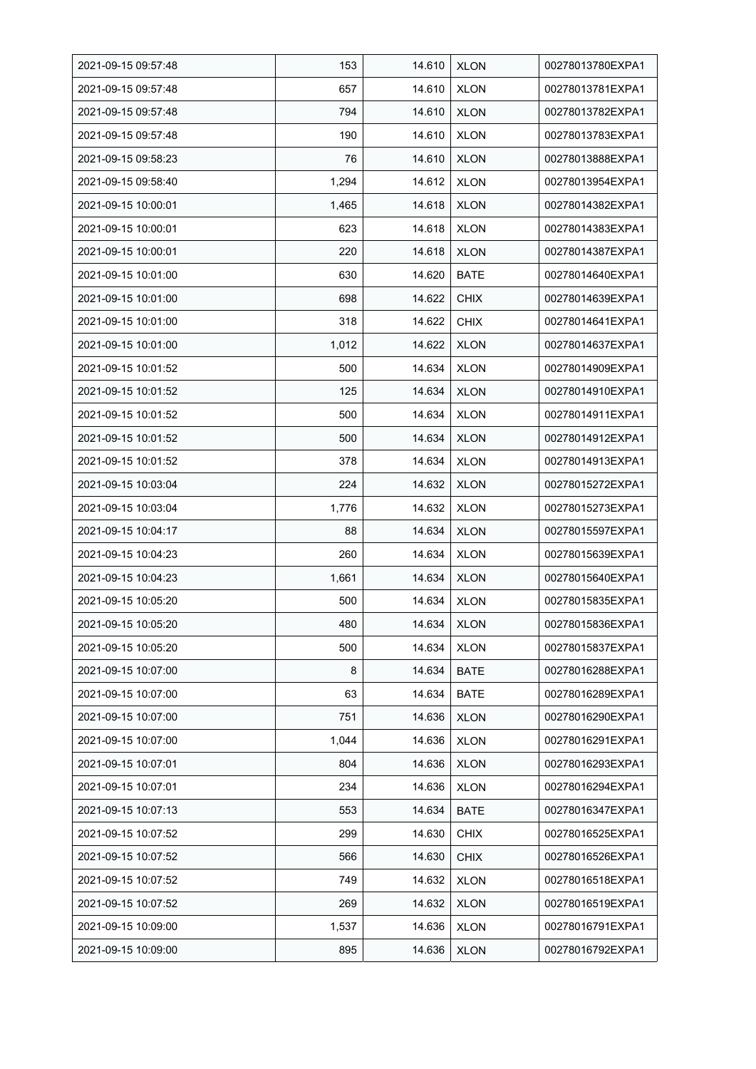| 2021-09-15 09:57:48 | 153   | 14.610 | <b>XLON</b> | 00278013780EXPA1 |
|---------------------|-------|--------|-------------|------------------|
| 2021-09-15 09:57:48 | 657   | 14.610 | <b>XLON</b> | 00278013781EXPA1 |
| 2021-09-15 09:57:48 | 794   | 14.610 | <b>XLON</b> | 00278013782EXPA1 |
| 2021-09-15 09:57:48 | 190   | 14.610 | <b>XLON</b> | 00278013783EXPA1 |
| 2021-09-15 09:58:23 | 76    | 14.610 | <b>XLON</b> | 00278013888EXPA1 |
| 2021-09-15 09:58:40 | 1,294 | 14.612 | <b>XLON</b> | 00278013954EXPA1 |
| 2021-09-15 10:00:01 | 1,465 | 14.618 | <b>XLON</b> | 00278014382EXPA1 |
| 2021-09-15 10:00:01 | 623   | 14.618 | <b>XLON</b> | 00278014383EXPA1 |
| 2021-09-15 10:00:01 | 220   | 14.618 | <b>XLON</b> | 00278014387EXPA1 |
| 2021-09-15 10:01:00 | 630   | 14.620 | <b>BATE</b> | 00278014640EXPA1 |
| 2021-09-15 10:01:00 | 698   | 14.622 | <b>CHIX</b> | 00278014639EXPA1 |
| 2021-09-15 10:01:00 | 318   | 14.622 | <b>CHIX</b> | 00278014641EXPA1 |
| 2021-09-15 10:01:00 | 1,012 | 14.622 | <b>XLON</b> | 00278014637EXPA1 |
| 2021-09-15 10:01:52 | 500   | 14.634 | <b>XLON</b> | 00278014909EXPA1 |
| 2021-09-15 10:01:52 | 125   | 14.634 | <b>XLON</b> | 00278014910EXPA1 |
| 2021-09-15 10:01:52 | 500   | 14.634 | <b>XLON</b> | 00278014911EXPA1 |
| 2021-09-15 10:01:52 | 500   | 14.634 | <b>XLON</b> | 00278014912EXPA1 |
| 2021-09-15 10:01:52 | 378   | 14.634 | <b>XLON</b> | 00278014913EXPA1 |
| 2021-09-15 10:03:04 | 224   | 14.632 | <b>XLON</b> | 00278015272EXPA1 |
| 2021-09-15 10:03:04 | 1,776 | 14.632 | XLON        | 00278015273EXPA1 |
| 2021-09-15 10:04:17 | 88    | 14.634 | <b>XLON</b> | 00278015597EXPA1 |
| 2021-09-15 10:04:23 | 260   | 14.634 | <b>XLON</b> | 00278015639EXPA1 |
| 2021-09-15 10:04:23 | 1,661 | 14.634 | <b>XLON</b> | 00278015640EXPA1 |
| 2021-09-15 10:05:20 | 500   | 14.634 | <b>XLON</b> | 00278015835EXPA1 |
| 2021-09-15 10:05:20 | 480   | 14.634 | <b>XLON</b> | 00278015836EXPA1 |
| 2021-09-15 10:05:20 | 500   | 14.634 | <b>XLON</b> | 00278015837EXPA1 |
| 2021-09-15 10:07:00 | 8     | 14.634 | <b>BATE</b> | 00278016288EXPA1 |
| 2021-09-15 10:07:00 | 63    | 14.634 | <b>BATE</b> | 00278016289EXPA1 |
| 2021-09-15 10:07:00 | 751   | 14.636 | <b>XLON</b> | 00278016290EXPA1 |
| 2021-09-15 10:07:00 | 1,044 | 14.636 | <b>XLON</b> | 00278016291EXPA1 |
| 2021-09-15 10:07:01 | 804   | 14.636 | <b>XLON</b> | 00278016293EXPA1 |
| 2021-09-15 10:07:01 | 234   | 14.636 | <b>XLON</b> | 00278016294EXPA1 |
| 2021-09-15 10:07:13 | 553   | 14.634 | <b>BATE</b> | 00278016347EXPA1 |
| 2021-09-15 10:07:52 | 299   | 14.630 | <b>CHIX</b> | 00278016525EXPA1 |
| 2021-09-15 10:07:52 | 566   | 14.630 | <b>CHIX</b> | 00278016526EXPA1 |
| 2021-09-15 10:07:52 | 749   | 14.632 | <b>XLON</b> | 00278016518EXPA1 |
| 2021-09-15 10:07:52 | 269   | 14.632 | <b>XLON</b> | 00278016519EXPA1 |
| 2021-09-15 10:09:00 | 1,537 | 14.636 | <b>XLON</b> | 00278016791EXPA1 |
| 2021-09-15 10:09:00 | 895   | 14.636 | <b>XLON</b> | 00278016792EXPA1 |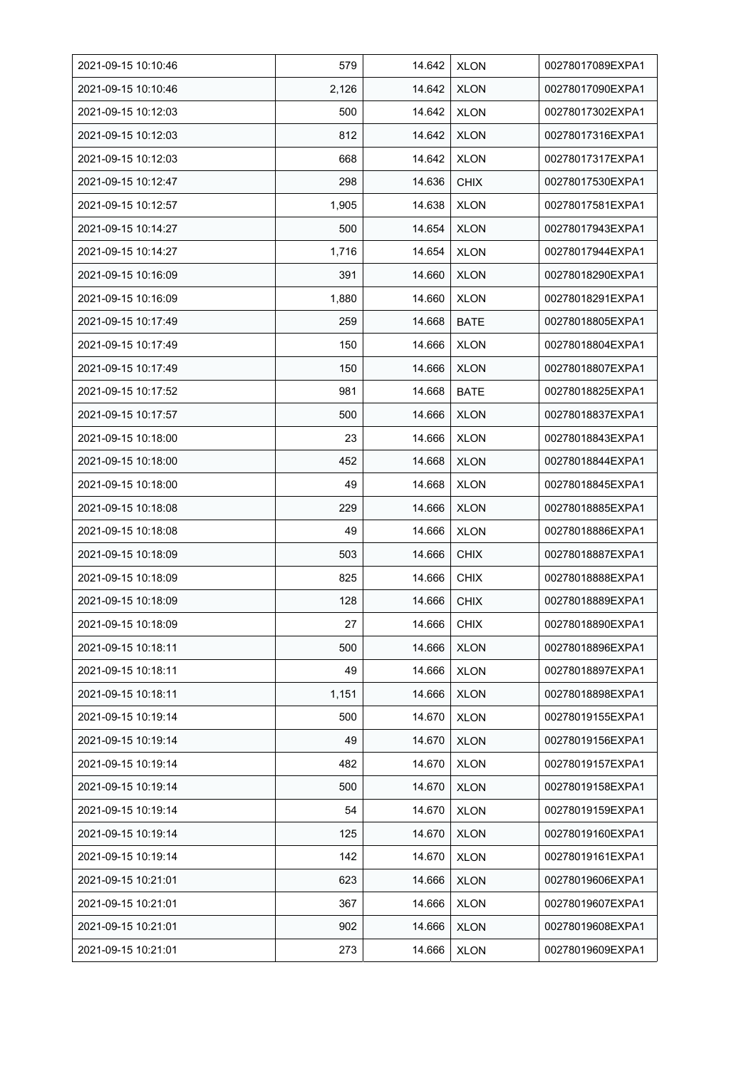| 2021-09-15 10:10:46 | 579   | 14.642 | <b>XLON</b> | 00278017089EXPA1 |
|---------------------|-------|--------|-------------|------------------|
| 2021-09-15 10:10:46 | 2,126 | 14.642 | <b>XLON</b> | 00278017090EXPA1 |
| 2021-09-15 10:12:03 | 500   | 14.642 | <b>XLON</b> | 00278017302EXPA1 |
| 2021-09-15 10:12:03 | 812   | 14.642 | <b>XLON</b> | 00278017316EXPA1 |
| 2021-09-15 10:12:03 | 668   | 14.642 | <b>XLON</b> | 00278017317EXPA1 |
| 2021-09-15 10:12:47 | 298   | 14.636 | <b>CHIX</b> | 00278017530EXPA1 |
| 2021-09-15 10:12:57 | 1,905 | 14.638 | <b>XLON</b> | 00278017581EXPA1 |
| 2021-09-15 10:14:27 | 500   | 14.654 | <b>XLON</b> | 00278017943EXPA1 |
| 2021-09-15 10:14:27 | 1,716 | 14.654 | <b>XLON</b> | 00278017944EXPA1 |
| 2021-09-15 10:16:09 | 391   | 14.660 | <b>XLON</b> | 00278018290EXPA1 |
| 2021-09-15 10:16:09 | 1,880 | 14.660 | <b>XLON</b> | 00278018291EXPA1 |
| 2021-09-15 10:17:49 | 259   | 14.668 | <b>BATE</b> | 00278018805EXPA1 |
| 2021-09-15 10:17:49 | 150   | 14.666 | <b>XLON</b> | 00278018804EXPA1 |
| 2021-09-15 10:17:49 | 150   | 14.666 | <b>XLON</b> | 00278018807EXPA1 |
| 2021-09-15 10:17:52 | 981   | 14.668 | <b>BATE</b> | 00278018825EXPA1 |
| 2021-09-15 10:17:57 | 500   | 14.666 | <b>XLON</b> | 00278018837EXPA1 |
| 2021-09-15 10:18:00 | 23    | 14.666 | <b>XLON</b> | 00278018843EXPA1 |
| 2021-09-15 10:18:00 | 452   | 14.668 | <b>XLON</b> | 00278018844EXPA1 |
| 2021-09-15 10:18:00 | 49    | 14.668 | <b>XLON</b> | 00278018845EXPA1 |
| 2021-09-15 10:18:08 | 229   | 14.666 | <b>XLON</b> | 00278018885EXPA1 |
| 2021-09-15 10:18:08 | 49    | 14.666 | <b>XLON</b> | 00278018886EXPA1 |
| 2021-09-15 10:18:09 | 503   | 14.666 | <b>CHIX</b> | 00278018887EXPA1 |
| 2021-09-15 10:18:09 | 825   | 14.666 | <b>CHIX</b> | 00278018888EXPA1 |
| 2021-09-15 10:18:09 | 128   | 14.666 | <b>CHIX</b> | 00278018889EXPA1 |
| 2021-09-15 10:18:09 | 27    | 14.666 | <b>CHIX</b> | 00278018890EXPA1 |
| 2021-09-15 10:18:11 | 500   | 14.666 | <b>XLON</b> | 00278018896EXPA1 |
| 2021-09-15 10:18:11 | 49    | 14.666 | <b>XLON</b> | 00278018897EXPA1 |
| 2021-09-15 10:18:11 | 1,151 | 14.666 | <b>XLON</b> | 00278018898EXPA1 |
| 2021-09-15 10:19:14 | 500   | 14.670 | <b>XLON</b> | 00278019155EXPA1 |
| 2021-09-15 10:19:14 | 49    | 14.670 | <b>XLON</b> | 00278019156EXPA1 |
| 2021-09-15 10:19:14 | 482   | 14.670 | <b>XLON</b> | 00278019157EXPA1 |
| 2021-09-15 10:19:14 | 500   | 14.670 | <b>XLON</b> | 00278019158EXPA1 |
| 2021-09-15 10:19:14 | 54    | 14.670 | <b>XLON</b> | 00278019159EXPA1 |
| 2021-09-15 10:19:14 | 125   | 14.670 | <b>XLON</b> | 00278019160EXPA1 |
| 2021-09-15 10:19:14 | 142   | 14.670 | <b>XLON</b> | 00278019161EXPA1 |
| 2021-09-15 10:21:01 | 623   | 14.666 | <b>XLON</b> | 00278019606EXPA1 |
| 2021-09-15 10:21:01 | 367   | 14.666 | <b>XLON</b> | 00278019607EXPA1 |
| 2021-09-15 10:21:01 | 902   | 14.666 | <b>XLON</b> | 00278019608EXPA1 |
| 2021-09-15 10:21:01 | 273   | 14.666 | <b>XLON</b> | 00278019609EXPA1 |
|                     |       |        |             |                  |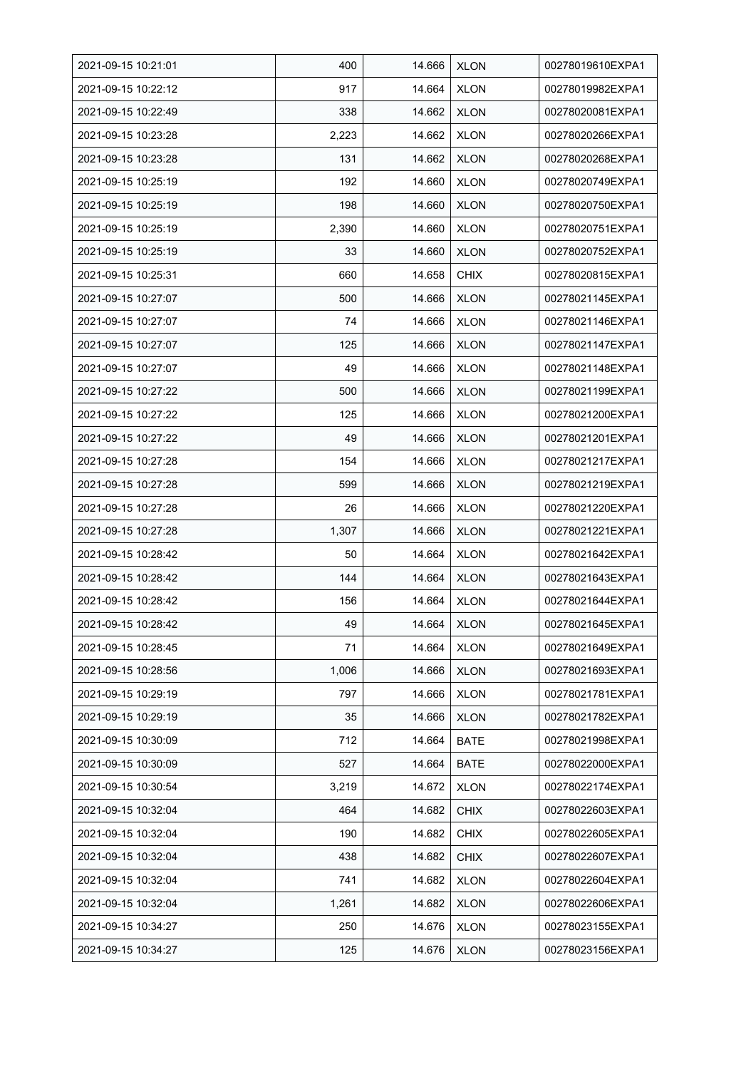| 2021-09-15 10:21:01 | 400   | 14.666 | <b>XLON</b> | 00278019610EXPA1 |
|---------------------|-------|--------|-------------|------------------|
| 2021-09-15 10:22:12 | 917   | 14.664 | <b>XLON</b> | 00278019982EXPA1 |
| 2021-09-15 10:22:49 | 338   | 14.662 | <b>XLON</b> | 00278020081EXPA1 |
| 2021-09-15 10:23:28 | 2,223 | 14.662 | <b>XLON</b> | 00278020266EXPA1 |
| 2021-09-15 10:23:28 | 131   | 14.662 | <b>XLON</b> | 00278020268EXPA1 |
| 2021-09-15 10:25:19 | 192   | 14.660 | <b>XLON</b> | 00278020749EXPA1 |
| 2021-09-15 10:25:19 | 198   | 14.660 | <b>XLON</b> | 00278020750EXPA1 |
| 2021-09-15 10:25:19 | 2,390 | 14.660 | <b>XLON</b> | 00278020751EXPA1 |
| 2021-09-15 10:25:19 | 33    | 14.660 | <b>XLON</b> | 00278020752EXPA1 |
| 2021-09-15 10:25:31 | 660   | 14.658 | <b>CHIX</b> | 00278020815EXPA1 |
| 2021-09-15 10:27:07 | 500   | 14.666 | <b>XLON</b> | 00278021145EXPA1 |
| 2021-09-15 10:27:07 | 74    | 14.666 | <b>XLON</b> | 00278021146EXPA1 |
| 2021-09-15 10:27:07 | 125   | 14.666 | <b>XLON</b> | 00278021147EXPA1 |
| 2021-09-15 10:27:07 | 49    | 14.666 | <b>XLON</b> | 00278021148EXPA1 |
| 2021-09-15 10:27:22 | 500   | 14.666 | <b>XLON</b> | 00278021199EXPA1 |
| 2021-09-15 10:27:22 | 125   | 14.666 | <b>XLON</b> | 00278021200EXPA1 |
| 2021-09-15 10:27:22 | 49    | 14.666 | <b>XLON</b> | 00278021201EXPA1 |
| 2021-09-15 10:27:28 | 154   | 14.666 | <b>XLON</b> | 00278021217EXPA1 |
| 2021-09-15 10:27:28 | 599   | 14.666 | <b>XLON</b> | 00278021219EXPA1 |
| 2021-09-15 10:27:28 | 26    | 14.666 | <b>XLON</b> | 00278021220EXPA1 |
| 2021-09-15 10:27:28 | 1,307 | 14.666 | <b>XLON</b> | 00278021221EXPA1 |
| 2021-09-15 10:28:42 | 50    | 14.664 | <b>XLON</b> | 00278021642EXPA1 |
| 2021-09-15 10:28:42 | 144   | 14.664 | <b>XLON</b> | 00278021643EXPA1 |
| 2021-09-15 10:28:42 | 156   | 14.664 | <b>XLON</b> | 00278021644EXPA1 |
| 2021-09-15 10:28:42 | 49    | 14.664 | <b>XLON</b> | 00278021645EXPA1 |
| 2021-09-15 10:28:45 | 71    | 14.664 | <b>XLON</b> | 00278021649EXPA1 |
| 2021-09-15 10:28:56 | 1,006 | 14.666 | <b>XLON</b> | 00278021693EXPA1 |
| 2021-09-15 10:29:19 | 797   | 14.666 | <b>XLON</b> | 00278021781EXPA1 |
| 2021-09-15 10:29:19 | 35    | 14.666 | <b>XLON</b> | 00278021782EXPA1 |
| 2021-09-15 10:30:09 | 712   | 14.664 | <b>BATE</b> | 00278021998EXPA1 |
| 2021-09-15 10:30:09 | 527   | 14.664 | <b>BATE</b> | 00278022000EXPA1 |
| 2021-09-15 10:30:54 | 3,219 | 14.672 | <b>XLON</b> | 00278022174EXPA1 |
| 2021-09-15 10:32:04 | 464   | 14.682 | <b>CHIX</b> | 00278022603EXPA1 |
| 2021-09-15 10:32:04 | 190   | 14.682 | <b>CHIX</b> | 00278022605EXPA1 |
| 2021-09-15 10:32:04 | 438   | 14.682 | <b>CHIX</b> | 00278022607EXPA1 |
| 2021-09-15 10:32:04 | 741   | 14.682 | <b>XLON</b> | 00278022604EXPA1 |
| 2021-09-15 10:32:04 | 1,261 | 14.682 | <b>XLON</b> | 00278022606EXPA1 |
| 2021-09-15 10:34:27 | 250   | 14.676 | <b>XLON</b> | 00278023155EXPA1 |
| 2021-09-15 10:34:27 | 125   | 14.676 | <b>XLON</b> | 00278023156EXPA1 |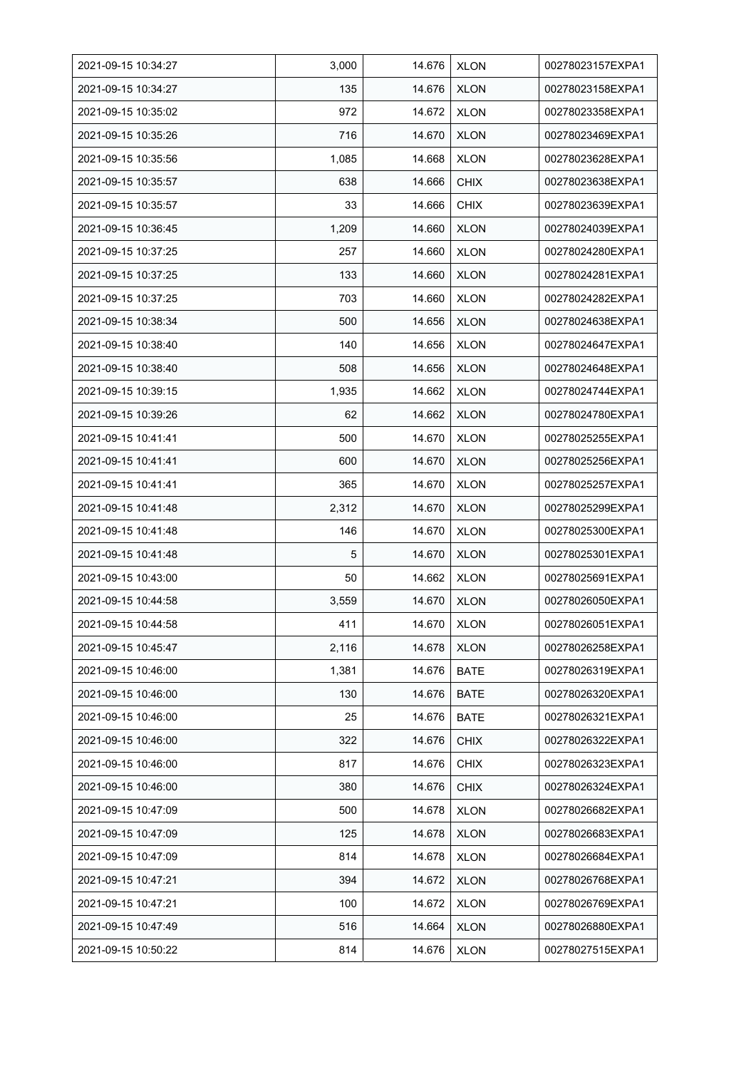| 2021-09-15 10:34:27 | 3,000 | 14.676 | <b>XLON</b> | 00278023157EXPA1 |
|---------------------|-------|--------|-------------|------------------|
| 2021-09-15 10:34:27 | 135   | 14.676 | <b>XLON</b> | 00278023158EXPA1 |
| 2021-09-15 10:35:02 | 972   | 14.672 | <b>XLON</b> | 00278023358EXPA1 |
| 2021-09-15 10:35:26 | 716   | 14.670 | <b>XLON</b> | 00278023469EXPA1 |
| 2021-09-15 10:35:56 | 1,085 | 14.668 | <b>XLON</b> | 00278023628EXPA1 |
| 2021-09-15 10:35:57 | 638   | 14.666 | <b>CHIX</b> | 00278023638EXPA1 |
| 2021-09-15 10:35:57 | 33    | 14.666 | <b>CHIX</b> | 00278023639EXPA1 |
| 2021-09-15 10:36:45 | 1,209 | 14.660 | <b>XLON</b> | 00278024039EXPA1 |
| 2021-09-15 10:37:25 | 257   | 14.660 | <b>XLON</b> | 00278024280EXPA1 |
| 2021-09-15 10:37:25 | 133   | 14.660 | <b>XLON</b> | 00278024281EXPA1 |
| 2021-09-15 10:37:25 | 703   | 14.660 | <b>XLON</b> | 00278024282EXPA1 |
| 2021-09-15 10:38:34 | 500   | 14.656 | <b>XLON</b> | 00278024638EXPA1 |
| 2021-09-15 10:38:40 | 140   | 14.656 | <b>XLON</b> | 00278024647EXPA1 |
| 2021-09-15 10:38:40 | 508   | 14.656 | <b>XLON</b> | 00278024648EXPA1 |
| 2021-09-15 10:39:15 | 1,935 | 14.662 | <b>XLON</b> | 00278024744EXPA1 |
| 2021-09-15 10:39:26 | 62    | 14.662 | <b>XLON</b> | 00278024780EXPA1 |
| 2021-09-15 10:41:41 | 500   | 14.670 | <b>XLON</b> | 00278025255EXPA1 |
| 2021-09-15 10:41:41 | 600   | 14.670 | <b>XLON</b> | 00278025256EXPA1 |
| 2021-09-15 10:41:41 | 365   | 14.670 | <b>XLON</b> | 00278025257EXPA1 |
| 2021-09-15 10:41:48 | 2,312 | 14.670 | <b>XLON</b> | 00278025299EXPA1 |
| 2021-09-15 10:41:48 | 146   | 14.670 | <b>XLON</b> | 00278025300EXPA1 |
| 2021-09-15 10:41:48 | 5     | 14.670 | <b>XLON</b> | 00278025301EXPA1 |
| 2021-09-15 10:43:00 | 50    | 14.662 | <b>XLON</b> | 00278025691EXPA1 |
| 2021-09-15 10:44:58 | 3,559 | 14.670 | <b>XLON</b> | 00278026050EXPA1 |
| 2021-09-15 10:44:58 | 411   | 14.670 | <b>XLON</b> | 00278026051EXPA1 |
| 2021-09-15 10:45:47 | 2,116 | 14.678 | <b>XLON</b> | 00278026258EXPA1 |
| 2021-09-15 10:46:00 | 1,381 | 14.676 | BATE        | 00278026319EXPA1 |
| 2021-09-15 10:46:00 | 130   | 14.676 | BATE        | 00278026320EXPA1 |
| 2021-09-15 10:46:00 | 25    | 14.676 | <b>BATE</b> | 00278026321EXPA1 |
| 2021-09-15 10:46:00 | 322   | 14.676 | <b>CHIX</b> | 00278026322EXPA1 |
| 2021-09-15 10:46:00 | 817   | 14.676 | <b>CHIX</b> | 00278026323EXPA1 |
| 2021-09-15 10:46:00 | 380   | 14.676 | <b>CHIX</b> | 00278026324EXPA1 |
| 2021-09-15 10:47:09 | 500   | 14.678 | <b>XLON</b> | 00278026682EXPA1 |
| 2021-09-15 10:47:09 | 125   | 14.678 | <b>XLON</b> | 00278026683EXPA1 |
| 2021-09-15 10:47:09 | 814   | 14.678 | <b>XLON</b> | 00278026684EXPA1 |
| 2021-09-15 10:47:21 | 394   | 14.672 | <b>XLON</b> | 00278026768EXPA1 |
| 2021-09-15 10:47:21 | 100   | 14.672 | <b>XLON</b> | 00278026769EXPA1 |
| 2021-09-15 10:47:49 | 516   | 14.664 | <b>XLON</b> | 00278026880EXPA1 |
| 2021-09-15 10:50:22 | 814   | 14.676 | <b>XLON</b> | 00278027515EXPA1 |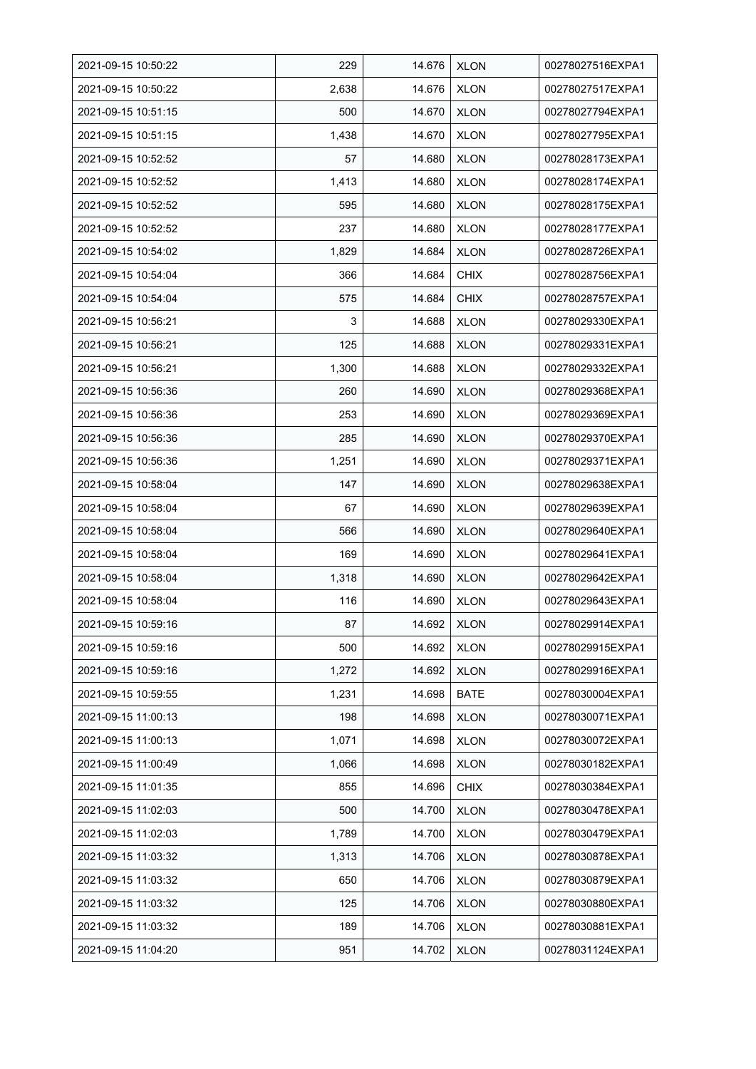| 2021-09-15 10:50:22 | 229   | 14.676 | <b>XLON</b> | 00278027516EXPA1 |
|---------------------|-------|--------|-------------|------------------|
| 2021-09-15 10:50:22 | 2,638 | 14.676 | <b>XLON</b> | 00278027517EXPA1 |
| 2021-09-15 10:51:15 | 500   | 14.670 | <b>XLON</b> | 00278027794EXPA1 |
| 2021-09-15 10:51:15 | 1,438 | 14.670 | <b>XLON</b> | 00278027795EXPA1 |
| 2021-09-15 10:52:52 | 57    | 14.680 | <b>XLON</b> | 00278028173EXPA1 |
| 2021-09-15 10:52:52 | 1,413 | 14.680 | <b>XLON</b> | 00278028174EXPA1 |
| 2021-09-15 10:52:52 | 595   | 14.680 | <b>XLON</b> | 00278028175EXPA1 |
| 2021-09-15 10:52:52 | 237   | 14.680 | <b>XLON</b> | 00278028177EXPA1 |
| 2021-09-15 10:54:02 | 1,829 | 14.684 | <b>XLON</b> | 00278028726EXPA1 |
| 2021-09-15 10:54:04 | 366   | 14.684 | <b>CHIX</b> | 00278028756EXPA1 |
| 2021-09-15 10:54:04 | 575   | 14.684 | <b>CHIX</b> | 00278028757EXPA1 |
| 2021-09-15 10:56:21 | 3     | 14.688 | <b>XLON</b> | 00278029330EXPA1 |
| 2021-09-15 10:56:21 | 125   | 14.688 | <b>XLON</b> | 00278029331EXPA1 |
| 2021-09-15 10:56:21 | 1,300 | 14.688 | <b>XLON</b> | 00278029332EXPA1 |
| 2021-09-15 10:56:36 | 260   | 14.690 | <b>XLON</b> | 00278029368EXPA1 |
| 2021-09-15 10:56:36 | 253   | 14.690 | <b>XLON</b> | 00278029369EXPA1 |
| 2021-09-15 10:56:36 | 285   | 14.690 | <b>XLON</b> | 00278029370EXPA1 |
| 2021-09-15 10:56:36 | 1,251 | 14.690 | <b>XLON</b> | 00278029371EXPA1 |
| 2021-09-15 10:58:04 | 147   | 14.690 | <b>XLON</b> | 00278029638EXPA1 |
| 2021-09-15 10:58:04 | 67    | 14.690 | <b>XLON</b> | 00278029639EXPA1 |
| 2021-09-15 10:58:04 | 566   | 14.690 | <b>XLON</b> | 00278029640EXPA1 |
| 2021-09-15 10:58:04 | 169   | 14.690 | <b>XLON</b> | 00278029641EXPA1 |
| 2021-09-15 10:58:04 | 1,318 | 14.690 | <b>XLON</b> | 00278029642EXPA1 |
| 2021-09-15 10:58:04 | 116   | 14.690 | <b>XLON</b> | 00278029643EXPA1 |
| 2021-09-15 10:59:16 | 87    | 14.692 | <b>XLON</b> | 00278029914EXPA1 |
| 2021-09-15 10:59:16 | 500   | 14.692 | <b>XLON</b> | 00278029915EXPA1 |
| 2021-09-15 10:59:16 | 1,272 | 14.692 | <b>XLON</b> | 00278029916EXPA1 |
| 2021-09-15 10:59:55 | 1,231 | 14.698 | <b>BATE</b> | 00278030004EXPA1 |
| 2021-09-15 11:00:13 | 198   | 14.698 | <b>XLON</b> | 00278030071EXPA1 |
| 2021-09-15 11:00:13 | 1,071 | 14.698 | <b>XLON</b> | 00278030072EXPA1 |
| 2021-09-15 11:00:49 | 1,066 | 14.698 | <b>XLON</b> | 00278030182EXPA1 |
| 2021-09-15 11:01:35 | 855   | 14.696 | <b>CHIX</b> | 00278030384EXPA1 |
| 2021-09-15 11:02:03 | 500   | 14.700 | <b>XLON</b> | 00278030478EXPA1 |
| 2021-09-15 11:02:03 | 1,789 | 14.700 | <b>XLON</b> | 00278030479EXPA1 |
| 2021-09-15 11:03:32 | 1,313 | 14.706 | <b>XLON</b> | 00278030878EXPA1 |
| 2021-09-15 11:03:32 | 650   | 14.706 | <b>XLON</b> | 00278030879EXPA1 |
| 2021-09-15 11:03:32 | 125   | 14.706 | <b>XLON</b> | 00278030880EXPA1 |
| 2021-09-15 11:03:32 | 189   | 14.706 | <b>XLON</b> | 00278030881EXPA1 |
| 2021-09-15 11:04:20 | 951   | 14.702 | <b>XLON</b> | 00278031124EXPA1 |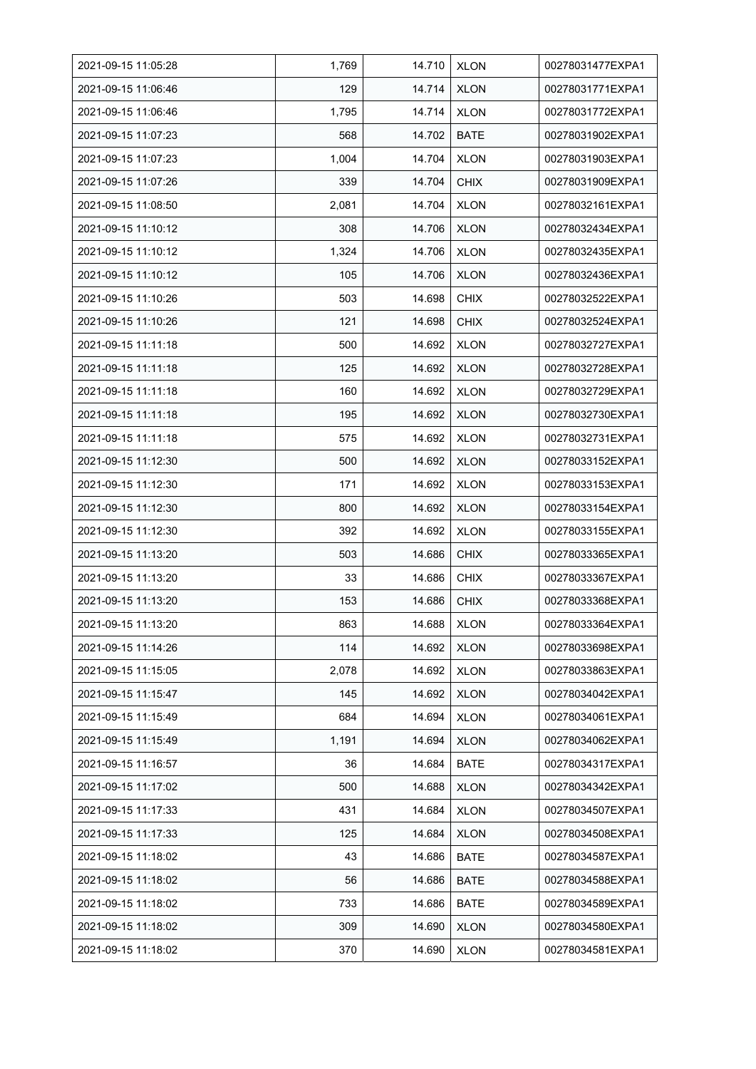| 2021-09-15 11:05:28 | 1,769 | 14.710 | <b>XLON</b> | 00278031477EXPA1 |
|---------------------|-------|--------|-------------|------------------|
| 2021-09-15 11:06:46 | 129   | 14.714 | <b>XLON</b> | 00278031771EXPA1 |
| 2021-09-15 11:06:46 | 1,795 | 14.714 | <b>XLON</b> | 00278031772EXPA1 |
| 2021-09-15 11:07:23 | 568   | 14.702 | <b>BATE</b> | 00278031902EXPA1 |
| 2021-09-15 11:07:23 | 1,004 | 14.704 | <b>XLON</b> | 00278031903EXPA1 |
| 2021-09-15 11:07:26 | 339   | 14.704 | <b>CHIX</b> | 00278031909EXPA1 |
| 2021-09-15 11:08:50 | 2,081 | 14.704 | <b>XLON</b> | 00278032161EXPA1 |
| 2021-09-15 11:10:12 | 308   | 14.706 | <b>XLON</b> | 00278032434EXPA1 |
| 2021-09-15 11:10:12 | 1,324 | 14.706 | <b>XLON</b> | 00278032435EXPA1 |
| 2021-09-15 11:10:12 | 105   | 14.706 | <b>XLON</b> | 00278032436EXPA1 |
| 2021-09-15 11:10:26 | 503   | 14.698 | <b>CHIX</b> | 00278032522EXPA1 |
| 2021-09-15 11:10:26 | 121   | 14.698 | <b>CHIX</b> | 00278032524EXPA1 |
| 2021-09-15 11:11:18 | 500   | 14.692 | <b>XLON</b> | 00278032727EXPA1 |
| 2021-09-15 11:11:18 | 125   | 14.692 | <b>XLON</b> | 00278032728EXPA1 |
| 2021-09-15 11:11:18 | 160   | 14.692 | <b>XLON</b> | 00278032729EXPA1 |
| 2021-09-15 11:11:18 | 195   | 14.692 | <b>XLON</b> | 00278032730EXPA1 |
| 2021-09-15 11:11:18 | 575   | 14.692 | <b>XLON</b> | 00278032731EXPA1 |
| 2021-09-15 11:12:30 | 500   | 14.692 | <b>XLON</b> | 00278033152EXPA1 |
| 2021-09-15 11:12:30 | 171   | 14.692 | <b>XLON</b> | 00278033153EXPA1 |
| 2021-09-15 11:12:30 | 800   | 14.692 | <b>XLON</b> | 00278033154EXPA1 |
| 2021-09-15 11:12:30 | 392   | 14.692 | <b>XLON</b> | 00278033155EXPA1 |
| 2021-09-15 11:13:20 | 503   | 14.686 | <b>CHIX</b> | 00278033365EXPA1 |
| 2021-09-15 11:13:20 | 33    | 14.686 | <b>CHIX</b> | 00278033367EXPA1 |
| 2021-09-15 11:13:20 | 153   | 14.686 | <b>CHIX</b> | 00278033368EXPA1 |
| 2021-09-15 11:13:20 | 863   | 14.688 | <b>XLON</b> | 00278033364EXPA1 |
| 2021-09-15 11:14:26 | 114   | 14.692 | <b>XLON</b> | 00278033698EXPA1 |
| 2021-09-15 11:15:05 | 2,078 | 14.692 | <b>XLON</b> | 00278033863EXPA1 |
| 2021-09-15 11:15:47 | 145   | 14.692 | <b>XLON</b> | 00278034042EXPA1 |
| 2021-09-15 11:15:49 | 684   | 14.694 | <b>XLON</b> | 00278034061EXPA1 |
| 2021-09-15 11:15:49 | 1,191 | 14.694 | <b>XLON</b> | 00278034062EXPA1 |
| 2021-09-15 11:16:57 | 36    | 14.684 | <b>BATE</b> | 00278034317EXPA1 |
| 2021-09-15 11:17:02 | 500   | 14.688 | <b>XLON</b> | 00278034342EXPA1 |
| 2021-09-15 11:17:33 | 431   | 14.684 | <b>XLON</b> | 00278034507EXPA1 |
| 2021-09-15 11:17:33 | 125   | 14.684 | <b>XLON</b> | 00278034508EXPA1 |
| 2021-09-15 11:18:02 | 43    | 14.686 | BATE        | 00278034587EXPA1 |
| 2021-09-15 11:18:02 | 56    | 14.686 | <b>BATE</b> | 00278034588EXPA1 |
| 2021-09-15 11:18:02 | 733   | 14.686 | <b>BATE</b> | 00278034589EXPA1 |
| 2021-09-15 11:18:02 | 309   | 14.690 | <b>XLON</b> | 00278034580EXPA1 |
| 2021-09-15 11:18:02 | 370   | 14.690 | <b>XLON</b> | 00278034581EXPA1 |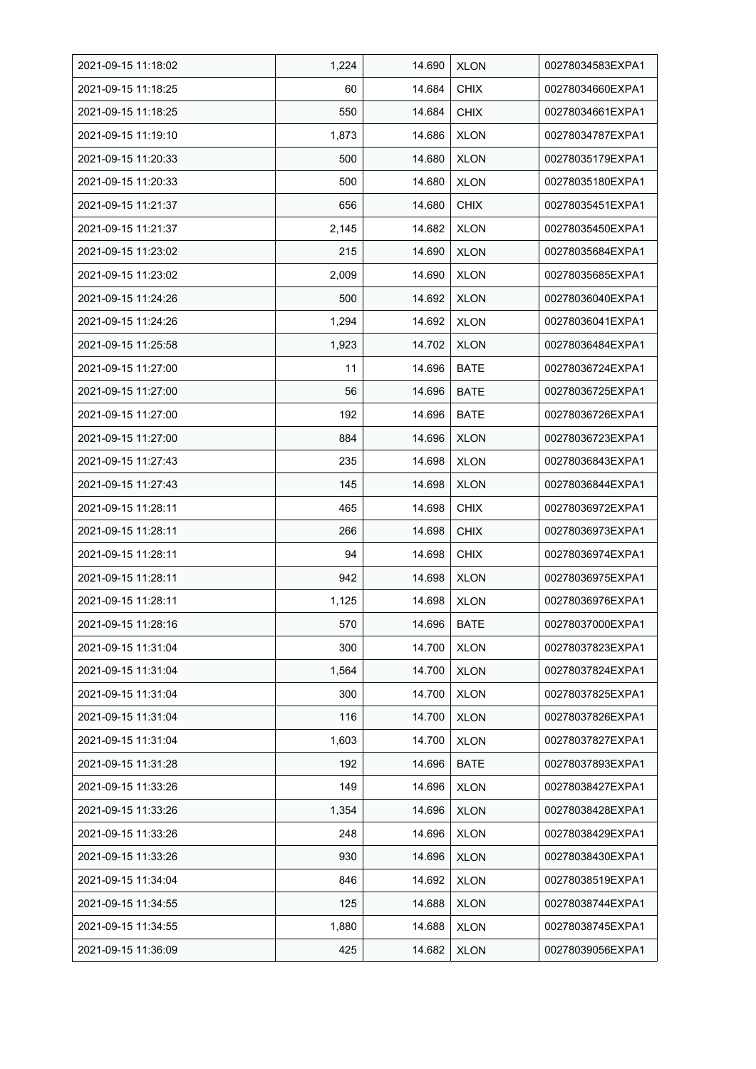| 2021-09-15 11:18:02 | 1,224 | 14.690 | <b>XLON</b> | 00278034583EXPA1 |
|---------------------|-------|--------|-------------|------------------|
| 2021-09-15 11:18:25 | 60    | 14.684 | <b>CHIX</b> | 00278034660EXPA1 |
| 2021-09-15 11:18:25 | 550   | 14.684 | <b>CHIX</b> | 00278034661EXPA1 |
| 2021-09-15 11:19:10 | 1,873 | 14.686 | <b>XLON</b> | 00278034787EXPA1 |
| 2021-09-15 11:20:33 | 500   | 14.680 | <b>XLON</b> | 00278035179EXPA1 |
| 2021-09-15 11:20:33 | 500   | 14.680 | <b>XLON</b> | 00278035180EXPA1 |
| 2021-09-15 11:21:37 | 656   | 14.680 | <b>CHIX</b> | 00278035451EXPA1 |
| 2021-09-15 11:21:37 | 2,145 | 14.682 | <b>XLON</b> | 00278035450EXPA1 |
| 2021-09-15 11:23:02 | 215   | 14.690 | <b>XLON</b> | 00278035684EXPA1 |
| 2021-09-15 11:23:02 | 2,009 | 14.690 | <b>XLON</b> | 00278035685EXPA1 |
| 2021-09-15 11:24:26 | 500   | 14.692 | <b>XLON</b> | 00278036040EXPA1 |
| 2021-09-15 11:24:26 | 1,294 | 14.692 | <b>XLON</b> | 00278036041EXPA1 |
| 2021-09-15 11:25:58 | 1,923 | 14.702 | <b>XLON</b> | 00278036484EXPA1 |
| 2021-09-15 11:27:00 | 11    | 14.696 | <b>BATE</b> | 00278036724EXPA1 |
| 2021-09-15 11:27:00 | 56    | 14.696 | <b>BATE</b> | 00278036725EXPA1 |
| 2021-09-15 11:27:00 | 192   | 14.696 | <b>BATE</b> | 00278036726EXPA1 |
| 2021-09-15 11:27:00 | 884   | 14.696 | <b>XLON</b> | 00278036723EXPA1 |
| 2021-09-15 11:27:43 | 235   | 14.698 | <b>XLON</b> | 00278036843EXPA1 |
| 2021-09-15 11:27:43 | 145   | 14.698 | <b>XLON</b> | 00278036844EXPA1 |
| 2021-09-15 11:28:11 | 465   | 14.698 | <b>CHIX</b> | 00278036972EXPA1 |
| 2021-09-15 11:28:11 | 266   | 14.698 | <b>CHIX</b> | 00278036973EXPA1 |
| 2021-09-15 11:28:11 | 94    | 14.698 | <b>CHIX</b> | 00278036974EXPA1 |
| 2021-09-15 11:28:11 | 942   | 14.698 | <b>XLON</b> | 00278036975EXPA1 |
| 2021-09-15 11:28:11 | 1,125 | 14.698 | <b>XLON</b> | 00278036976EXPA1 |
| 2021-09-15 11:28:16 | 570   | 14.696 | <b>BATE</b> | 00278037000EXPA1 |
| 2021-09-15 11:31:04 | 300   | 14.700 | <b>XLON</b> | 00278037823EXPA1 |
| 2021-09-15 11:31:04 | 1,564 | 14.700 | <b>XLON</b> | 00278037824EXPA1 |
| 2021-09-15 11:31:04 | 300   | 14.700 | <b>XLON</b> | 00278037825EXPA1 |
| 2021-09-15 11:31:04 | 116   | 14.700 | <b>XLON</b> | 00278037826EXPA1 |
| 2021-09-15 11:31:04 | 1,603 | 14.700 | <b>XLON</b> | 00278037827EXPA1 |
| 2021-09-15 11:31:28 | 192   | 14.696 | <b>BATE</b> | 00278037893EXPA1 |
| 2021-09-15 11:33:26 | 149   | 14.696 | <b>XLON</b> | 00278038427EXPA1 |
| 2021-09-15 11:33:26 | 1,354 | 14.696 | <b>XLON</b> | 00278038428EXPA1 |
| 2021-09-15 11:33:26 | 248   | 14.696 | <b>XLON</b> | 00278038429EXPA1 |
| 2021-09-15 11:33:26 | 930   | 14.696 | <b>XLON</b> | 00278038430EXPA1 |
| 2021-09-15 11:34:04 | 846   | 14.692 | <b>XLON</b> | 00278038519EXPA1 |
| 2021-09-15 11:34:55 | 125   | 14.688 | <b>XLON</b> | 00278038744EXPA1 |
| 2021-09-15 11:34:55 | 1,880 | 14.688 | <b>XLON</b> | 00278038745EXPA1 |
| 2021-09-15 11:36:09 | 425   | 14.682 | <b>XLON</b> | 00278039056EXPA1 |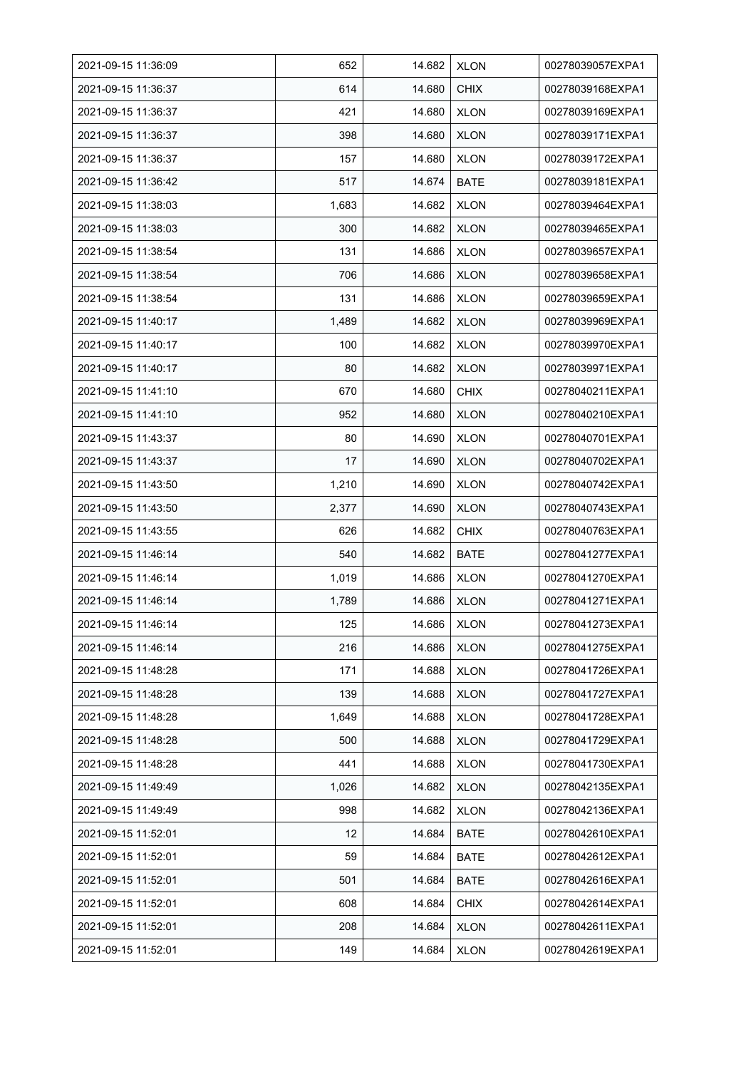| 2021-09-15 11:36:09 | 652   | 14.682 | <b>XLON</b> | 00278039057EXPA1 |
|---------------------|-------|--------|-------------|------------------|
| 2021-09-15 11:36:37 | 614   | 14.680 | <b>CHIX</b> | 00278039168EXPA1 |
| 2021-09-15 11:36:37 | 421   | 14.680 | <b>XLON</b> | 00278039169EXPA1 |
| 2021-09-15 11:36:37 | 398   | 14.680 | <b>XLON</b> | 00278039171EXPA1 |
| 2021-09-15 11:36:37 | 157   | 14.680 | <b>XLON</b> | 00278039172EXPA1 |
| 2021-09-15 11:36:42 | 517   | 14.674 | <b>BATE</b> | 00278039181EXPA1 |
| 2021-09-15 11:38:03 | 1,683 | 14.682 | <b>XLON</b> | 00278039464EXPA1 |
| 2021-09-15 11:38:03 | 300   | 14.682 | <b>XLON</b> | 00278039465EXPA1 |
| 2021-09-15 11:38:54 | 131   | 14.686 | <b>XLON</b> | 00278039657EXPA1 |
| 2021-09-15 11:38:54 | 706   | 14.686 | <b>XLON</b> | 00278039658EXPA1 |
| 2021-09-15 11:38:54 | 131   | 14.686 | <b>XLON</b> | 00278039659EXPA1 |
| 2021-09-15 11:40:17 | 1,489 | 14.682 | <b>XLON</b> | 00278039969EXPA1 |
| 2021-09-15 11:40:17 | 100   | 14.682 | <b>XLON</b> | 00278039970EXPA1 |
| 2021-09-15 11:40:17 | 80    | 14.682 | <b>XLON</b> | 00278039971EXPA1 |
| 2021-09-15 11:41:10 | 670   | 14.680 | <b>CHIX</b> | 00278040211EXPA1 |
| 2021-09-15 11:41:10 | 952   | 14.680 | <b>XLON</b> | 00278040210EXPA1 |
| 2021-09-15 11:43:37 | 80    | 14.690 | <b>XLON</b> | 00278040701EXPA1 |
| 2021-09-15 11:43:37 | 17    | 14.690 | <b>XLON</b> | 00278040702EXPA1 |
| 2021-09-15 11:43:50 | 1,210 | 14.690 | <b>XLON</b> | 00278040742EXPA1 |
| 2021-09-15 11:43:50 | 2,377 | 14.690 | <b>XLON</b> | 00278040743EXPA1 |
| 2021-09-15 11:43:55 | 626   | 14.682 | <b>CHIX</b> | 00278040763EXPA1 |
| 2021-09-15 11:46:14 | 540   | 14.682 | <b>BATE</b> | 00278041277EXPA1 |
| 2021-09-15 11:46:14 | 1,019 | 14.686 | <b>XLON</b> | 00278041270EXPA1 |
| 2021-09-15 11:46:14 | 1,789 | 14.686 | <b>XLON</b> | 00278041271EXPA1 |
| 2021-09-15 11:46:14 | 125   | 14.686 | <b>XLON</b> | 00278041273EXPA1 |
| 2021-09-15 11:46:14 | 216   | 14.686 | <b>XLON</b> | 00278041275EXPA1 |
| 2021-09-15 11:48:28 | 171   | 14.688 | <b>XLON</b> | 00278041726EXPA1 |
| 2021-09-15 11:48:28 | 139   | 14.688 | <b>XLON</b> | 00278041727EXPA1 |
| 2021-09-15 11:48:28 | 1.649 | 14.688 | <b>XLON</b> | 00278041728EXPA1 |
| 2021-09-15 11:48:28 | 500   | 14.688 | <b>XLON</b> | 00278041729EXPA1 |
| 2021-09-15 11:48:28 | 441   | 14.688 | <b>XLON</b> | 00278041730EXPA1 |
| 2021-09-15 11:49:49 | 1,026 | 14.682 | <b>XLON</b> | 00278042135EXPA1 |
| 2021-09-15 11:49:49 | 998   | 14.682 | <b>XLON</b> | 00278042136EXPA1 |
| 2021-09-15 11:52:01 | 12    | 14.684 | <b>BATE</b> | 00278042610EXPA1 |
| 2021-09-15 11:52:01 | 59    | 14.684 | <b>BATE</b> | 00278042612EXPA1 |
| 2021-09-15 11:52:01 | 501   | 14.684 | <b>BATE</b> | 00278042616EXPA1 |
| 2021-09-15 11:52:01 | 608   | 14.684 | <b>CHIX</b> | 00278042614EXPA1 |
| 2021-09-15 11:52:01 | 208   | 14.684 | <b>XLON</b> | 00278042611EXPA1 |
| 2021-09-15 11:52:01 | 149   | 14.684 | <b>XLON</b> | 00278042619EXPA1 |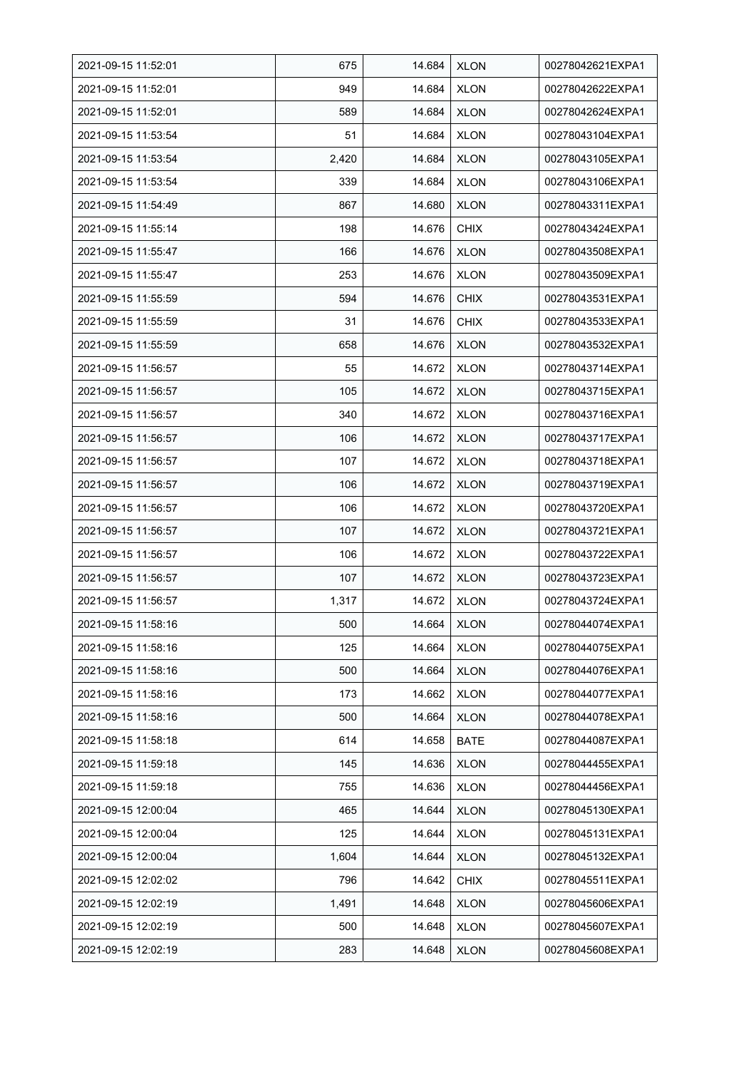| 2021-09-15 11:52:01 | 675   | 14.684 | <b>XLON</b> | 00278042621EXPA1 |
|---------------------|-------|--------|-------------|------------------|
| 2021-09-15 11:52:01 | 949   | 14.684 | <b>XLON</b> | 00278042622EXPA1 |
| 2021-09-15 11:52:01 | 589   | 14.684 | <b>XLON</b> | 00278042624EXPA1 |
| 2021-09-15 11:53:54 | 51    | 14.684 | <b>XLON</b> | 00278043104EXPA1 |
| 2021-09-15 11:53:54 | 2,420 | 14.684 | <b>XLON</b> | 00278043105EXPA1 |
| 2021-09-15 11:53:54 | 339   | 14.684 | <b>XLON</b> | 00278043106EXPA1 |
| 2021-09-15 11:54:49 | 867   | 14.680 | <b>XLON</b> | 00278043311EXPA1 |
| 2021-09-15 11:55:14 | 198   | 14.676 | <b>CHIX</b> | 00278043424EXPA1 |
| 2021-09-15 11:55:47 | 166   | 14.676 | <b>XLON</b> | 00278043508EXPA1 |
| 2021-09-15 11:55:47 | 253   | 14.676 | <b>XLON</b> | 00278043509EXPA1 |
| 2021-09-15 11:55:59 | 594   | 14.676 | <b>CHIX</b> | 00278043531EXPA1 |
| 2021-09-15 11:55:59 | 31    | 14.676 | <b>CHIX</b> | 00278043533EXPA1 |
| 2021-09-15 11:55:59 | 658   | 14.676 | <b>XLON</b> | 00278043532EXPA1 |
| 2021-09-15 11:56:57 | 55    | 14.672 | <b>XLON</b> | 00278043714EXPA1 |
| 2021-09-15 11:56:57 | 105   | 14.672 | <b>XLON</b> | 00278043715EXPA1 |
| 2021-09-15 11:56:57 | 340   | 14.672 | XLON        | 00278043716EXPA1 |
| 2021-09-15 11:56:57 | 106   | 14.672 | <b>XLON</b> | 00278043717EXPA1 |
| 2021-09-15 11:56:57 | 107   | 14.672 | <b>XLON</b> | 00278043718EXPA1 |
| 2021-09-15 11:56:57 | 106   | 14.672 | <b>XLON</b> | 00278043719EXPA1 |
| 2021-09-15 11:56:57 | 106   | 14.672 | XLON        | 00278043720EXPA1 |
| 2021-09-15 11:56:57 | 107   | 14.672 | <b>XLON</b> | 00278043721EXPA1 |
| 2021-09-15 11:56:57 | 106   | 14.672 | <b>XLON</b> | 00278043722EXPA1 |
| 2021-09-15 11:56:57 | 107   | 14.672 | <b>XLON</b> | 00278043723EXPA1 |
| 2021-09-15 11:56:57 | 1,317 | 14.672 | <b>XLON</b> | 00278043724EXPA1 |
| 2021-09-15 11:58:16 | 500   | 14.664 | <b>XLON</b> | 00278044074EXPA1 |
| 2021-09-15 11:58:16 | 125   | 14.664 | <b>XLON</b> | 00278044075EXPA1 |
| 2021-09-15 11:58:16 | 500   | 14.664 | <b>XLON</b> | 00278044076EXPA1 |
| 2021-09-15 11:58:16 | 173   | 14.662 | <b>XLON</b> | 00278044077EXPA1 |
| 2021-09-15 11:58:16 | 500   | 14.664 | <b>XLON</b> | 00278044078EXPA1 |
| 2021-09-15 11:58:18 | 614   | 14.658 | <b>BATE</b> | 00278044087EXPA1 |
| 2021-09-15 11:59:18 | 145   | 14.636 | <b>XLON</b> | 00278044455EXPA1 |
| 2021-09-15 11:59:18 | 755   | 14.636 | <b>XLON</b> | 00278044456EXPA1 |
| 2021-09-15 12:00:04 | 465   | 14.644 | <b>XLON</b> | 00278045130EXPA1 |
| 2021-09-15 12:00:04 | 125   | 14.644 | <b>XLON</b> | 00278045131EXPA1 |
| 2021-09-15 12:00:04 | 1,604 | 14.644 | <b>XLON</b> | 00278045132EXPA1 |
| 2021-09-15 12:02:02 | 796   | 14.642 | <b>CHIX</b> | 00278045511EXPA1 |
| 2021-09-15 12:02:19 | 1,491 | 14.648 | <b>XLON</b> | 00278045606EXPA1 |
| 2021-09-15 12:02:19 | 500   | 14.648 | <b>XLON</b> | 00278045607EXPA1 |
| 2021-09-15 12:02:19 | 283   | 14.648 | <b>XLON</b> | 00278045608EXPA1 |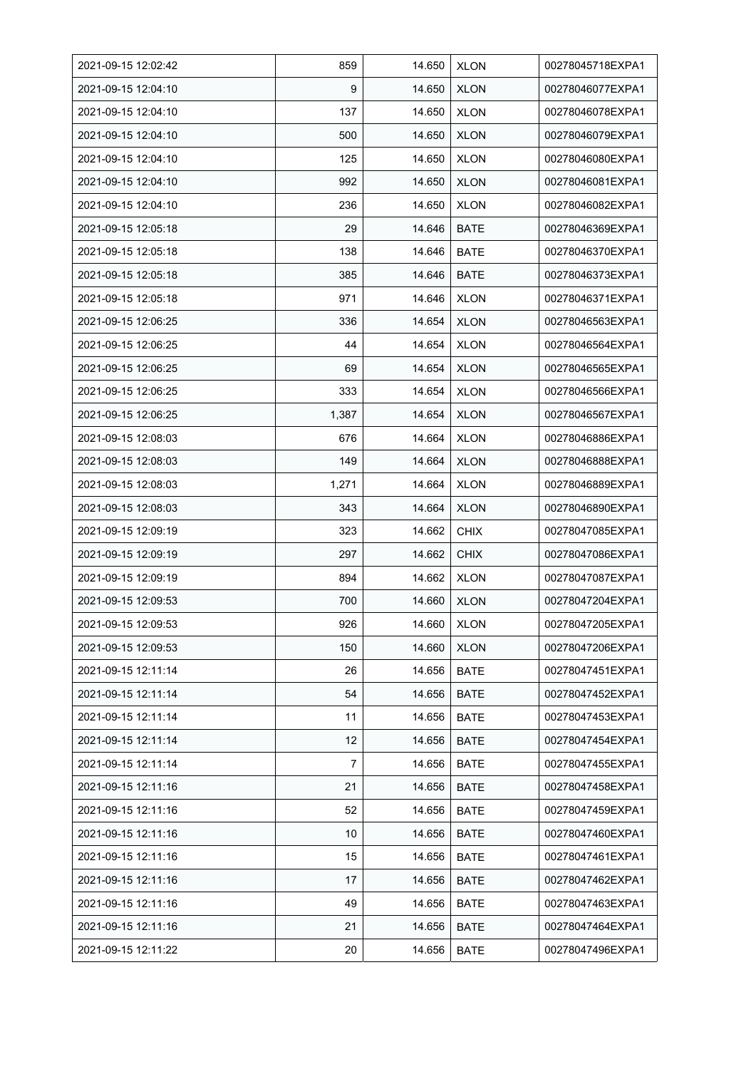| 2021-09-15 12:02:42 | 859   | 14.650 | <b>XLON</b> | 00278045718EXPA1 |
|---------------------|-------|--------|-------------|------------------|
| 2021-09-15 12:04:10 | 9     | 14.650 | <b>XLON</b> | 00278046077EXPA1 |
| 2021-09-15 12:04:10 | 137   | 14.650 | <b>XLON</b> | 00278046078EXPA1 |
| 2021-09-15 12:04:10 | 500   | 14.650 | <b>XLON</b> | 00278046079EXPA1 |
| 2021-09-15 12:04:10 | 125   | 14.650 | <b>XLON</b> | 00278046080EXPA1 |
| 2021-09-15 12:04:10 | 992   | 14.650 | <b>XLON</b> | 00278046081EXPA1 |
| 2021-09-15 12:04:10 | 236   | 14.650 | <b>XLON</b> | 00278046082EXPA1 |
| 2021-09-15 12:05:18 | 29    | 14.646 | <b>BATE</b> | 00278046369EXPA1 |
| 2021-09-15 12:05:18 | 138   | 14.646 | <b>BATE</b> | 00278046370EXPA1 |
| 2021-09-15 12:05:18 | 385   | 14.646 | <b>BATE</b> | 00278046373EXPA1 |
| 2021-09-15 12:05:18 | 971   | 14.646 | <b>XLON</b> | 00278046371EXPA1 |
| 2021-09-15 12:06:25 | 336   | 14.654 | <b>XLON</b> | 00278046563EXPA1 |
| 2021-09-15 12:06:25 | 44    | 14.654 | <b>XLON</b> | 00278046564EXPA1 |
| 2021-09-15 12:06:25 | 69    | 14.654 | <b>XLON</b> | 00278046565EXPA1 |
| 2021-09-15 12:06:25 | 333   | 14.654 | <b>XLON</b> | 00278046566EXPA1 |
| 2021-09-15 12:06:25 | 1,387 | 14.654 | <b>XLON</b> | 00278046567EXPA1 |
| 2021-09-15 12:08:03 | 676   | 14.664 | <b>XLON</b> | 00278046886EXPA1 |
| 2021-09-15 12:08:03 | 149   | 14.664 | <b>XLON</b> | 00278046888EXPA1 |
| 2021-09-15 12:08:03 | 1,271 | 14.664 | <b>XLON</b> | 00278046889EXPA1 |
| 2021-09-15 12:08:03 | 343   | 14.664 | <b>XLON</b> | 00278046890EXPA1 |
| 2021-09-15 12:09:19 | 323   | 14.662 | <b>CHIX</b> | 00278047085EXPA1 |
| 2021-09-15 12:09:19 | 297   | 14.662 | <b>CHIX</b> | 00278047086EXPA1 |
| 2021-09-15 12:09:19 | 894   | 14.662 | <b>XLON</b> | 00278047087EXPA1 |
| 2021-09-15 12:09:53 | 700   | 14.660 | <b>XLON</b> | 00278047204EXPA1 |
| 2021-09-15 12:09:53 | 926   | 14.660 | <b>XLON</b> | 00278047205EXPA1 |
| 2021-09-15 12:09:53 | 150   | 14.660 | <b>XLON</b> | 00278047206EXPA1 |
| 2021-09-15 12:11:14 | 26    | 14.656 | <b>BATE</b> | 00278047451EXPA1 |
| 2021-09-15 12:11:14 | 54    | 14.656 | <b>BATE</b> | 00278047452EXPA1 |
| 2021-09-15 12:11:14 | 11    | 14.656 | <b>BATE</b> | 00278047453EXPA1 |
| 2021-09-15 12:11:14 | 12    | 14.656 | BATE        | 00278047454EXPA1 |
| 2021-09-15 12:11:14 | 7     | 14.656 | <b>BATE</b> | 00278047455EXPA1 |
| 2021-09-15 12:11:16 | 21    | 14.656 | <b>BATE</b> | 00278047458EXPA1 |
| 2021-09-15 12:11:16 | 52    | 14.656 | <b>BATE</b> | 00278047459EXPA1 |
| 2021-09-15 12:11:16 | 10    | 14.656 | <b>BATE</b> | 00278047460EXPA1 |
| 2021-09-15 12:11:16 | 15    | 14.656 | BATE        | 00278047461EXPA1 |
| 2021-09-15 12:11:16 | 17    | 14.656 | BATE        | 00278047462EXPA1 |
| 2021-09-15 12:11:16 | 49    | 14.656 | <b>BATE</b> | 00278047463EXPA1 |
| 2021-09-15 12:11:16 | 21    | 14.656 | BATE        | 00278047464EXPA1 |
| 2021-09-15 12:11:22 | 20    | 14.656 | <b>BATE</b> | 00278047496EXPA1 |
|                     |       |        |             |                  |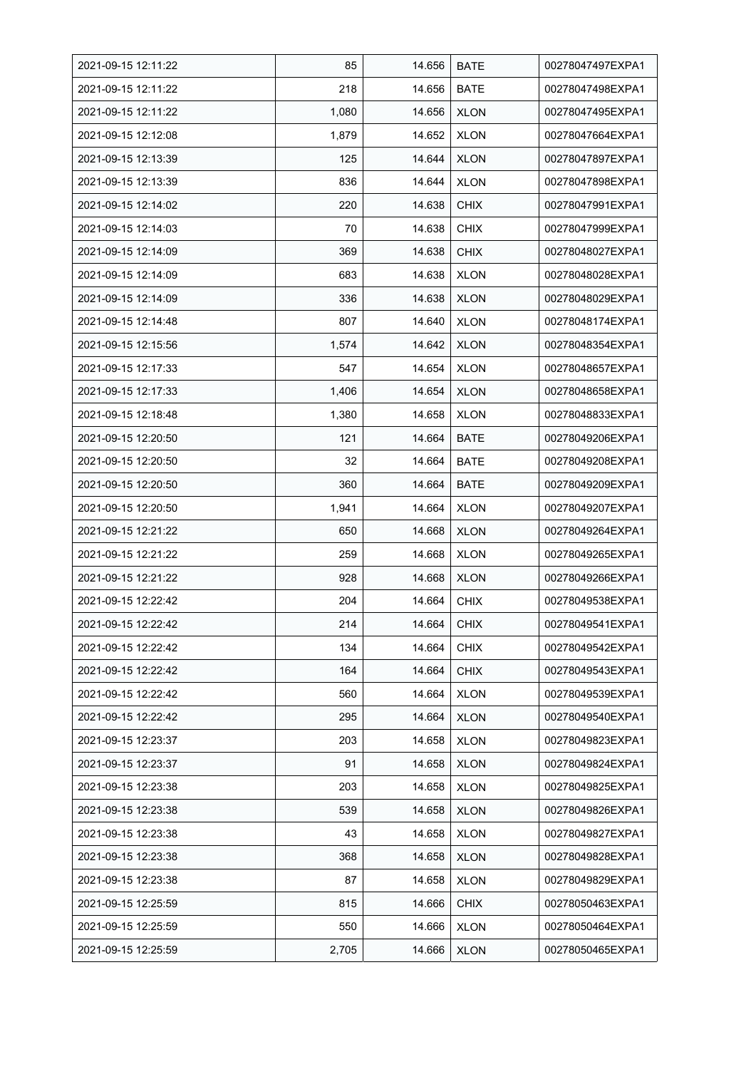| 2021-09-15 12:11:22 | 85    | 14.656 | <b>BATE</b> | 00278047497EXPA1 |
|---------------------|-------|--------|-------------|------------------|
| 2021-09-15 12:11:22 | 218   | 14.656 | <b>BATE</b> | 00278047498EXPA1 |
| 2021-09-15 12:11:22 | 1,080 | 14.656 | <b>XLON</b> | 00278047495EXPA1 |
| 2021-09-15 12:12:08 | 1,879 | 14.652 | <b>XLON</b> | 00278047664EXPA1 |
| 2021-09-15 12:13:39 | 125   | 14.644 | <b>XLON</b> | 00278047897EXPA1 |
| 2021-09-15 12:13:39 | 836   | 14.644 | <b>XLON</b> | 00278047898EXPA1 |
| 2021-09-15 12:14:02 | 220   | 14.638 | <b>CHIX</b> | 00278047991EXPA1 |
| 2021-09-15 12:14:03 | 70    | 14.638 | <b>CHIX</b> | 00278047999EXPA1 |
| 2021-09-15 12:14:09 | 369   | 14.638 | <b>CHIX</b> | 00278048027EXPA1 |
| 2021-09-15 12:14:09 | 683   | 14.638 | <b>XLON</b> | 00278048028EXPA1 |
| 2021-09-15 12:14:09 | 336   | 14.638 | <b>XLON</b> | 00278048029EXPA1 |
| 2021-09-15 12:14:48 | 807   | 14.640 | <b>XLON</b> | 00278048174EXPA1 |
| 2021-09-15 12:15:56 | 1,574 | 14.642 | <b>XLON</b> | 00278048354EXPA1 |
| 2021-09-15 12:17:33 | 547   | 14.654 | <b>XLON</b> | 00278048657EXPA1 |
| 2021-09-15 12:17:33 | 1,406 | 14.654 | <b>XLON</b> | 00278048658EXPA1 |
| 2021-09-15 12:18:48 | 1,380 | 14.658 | <b>XLON</b> | 00278048833EXPA1 |
| 2021-09-15 12:20:50 | 121   | 14.664 | BATE        | 00278049206EXPA1 |
| 2021-09-15 12:20:50 | 32    | 14.664 | BATE        | 00278049208EXPA1 |
| 2021-09-15 12:20:50 | 360   | 14.664 | <b>BATE</b> | 00278049209EXPA1 |
| 2021-09-15 12:20:50 | 1,941 | 14.664 | <b>XLON</b> | 00278049207EXPA1 |
| 2021-09-15 12:21:22 | 650   | 14.668 | <b>XLON</b> | 00278049264EXPA1 |
| 2021-09-15 12:21:22 | 259   | 14.668 | <b>XLON</b> | 00278049265EXPA1 |
| 2021-09-15 12:21:22 | 928   | 14.668 | <b>XLON</b> | 00278049266EXPA1 |
| 2021-09-15 12:22:42 | 204   | 14.664 | <b>CHIX</b> | 00278049538EXPA1 |
| 2021-09-15 12:22:42 | 214   | 14.664 | <b>CHIX</b> | 00278049541EXPA1 |
| 2021-09-15 12:22:42 | 134   | 14.664 | <b>CHIX</b> | 00278049542EXPA1 |
| 2021-09-15 12:22:42 | 164   | 14.664 | <b>CHIX</b> | 00278049543EXPA1 |
| 2021-09-15 12:22:42 | 560   | 14.664 | <b>XLON</b> | 00278049539EXPA1 |
| 2021-09-15 12:22:42 | 295   | 14.664 | <b>XLON</b> | 00278049540EXPA1 |
| 2021-09-15 12:23:37 | 203   | 14.658 | <b>XLON</b> | 00278049823EXPA1 |
| 2021-09-15 12:23:37 | 91    | 14.658 | <b>XLON</b> | 00278049824EXPA1 |
| 2021-09-15 12:23:38 | 203   | 14.658 | <b>XLON</b> | 00278049825EXPA1 |
| 2021-09-15 12:23:38 | 539   | 14.658 | <b>XLON</b> | 00278049826EXPA1 |
| 2021-09-15 12:23:38 | 43    | 14.658 | <b>XLON</b> | 00278049827EXPA1 |
| 2021-09-15 12:23:38 | 368   | 14.658 | <b>XLON</b> | 00278049828EXPA1 |
| 2021-09-15 12:23:38 | 87    | 14.658 | <b>XLON</b> | 00278049829EXPA1 |
| 2021-09-15 12:25:59 | 815   | 14.666 | <b>CHIX</b> | 00278050463EXPA1 |
| 2021-09-15 12:25:59 | 550   | 14.666 | <b>XLON</b> | 00278050464EXPA1 |
| 2021-09-15 12:25:59 | 2,705 | 14.666 | <b>XLON</b> | 00278050465EXPA1 |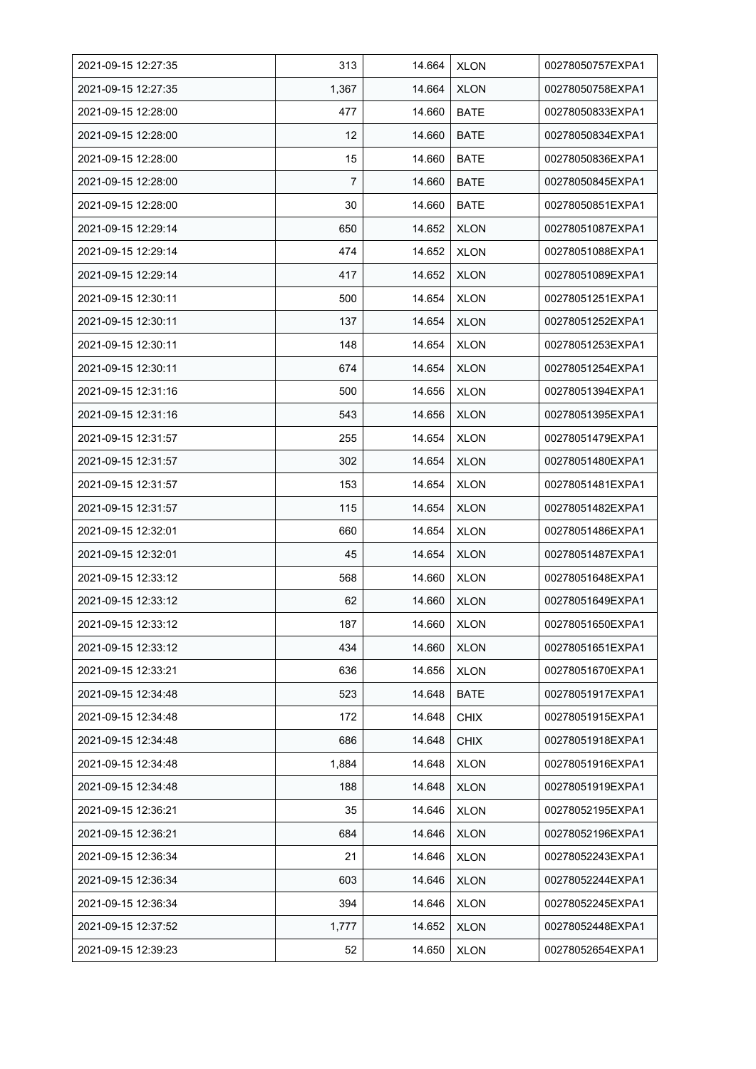| 2021-09-15 12:27:35 | 313            | 14.664 | <b>XLON</b> | 00278050757EXPA1 |
|---------------------|----------------|--------|-------------|------------------|
| 2021-09-15 12:27:35 | 1,367          | 14.664 | <b>XLON</b> | 00278050758EXPA1 |
| 2021-09-15 12:28:00 | 477            | 14.660 | <b>BATE</b> | 00278050833EXPA1 |
| 2021-09-15 12:28:00 | 12             | 14.660 | <b>BATE</b> | 00278050834EXPA1 |
| 2021-09-15 12:28:00 | 15             | 14.660 | <b>BATE</b> | 00278050836EXPA1 |
| 2021-09-15 12:28:00 | $\overline{7}$ | 14.660 | <b>BATE</b> | 00278050845EXPA1 |
| 2021-09-15 12:28:00 | 30             | 14.660 | <b>BATE</b> | 00278050851EXPA1 |
| 2021-09-15 12:29:14 | 650            | 14.652 | <b>XLON</b> | 00278051087EXPA1 |
| 2021-09-15 12:29:14 | 474            | 14.652 | <b>XLON</b> | 00278051088EXPA1 |
| 2021-09-15 12:29:14 | 417            | 14.652 | <b>XLON</b> | 00278051089EXPA1 |
| 2021-09-15 12:30:11 | 500            | 14.654 | <b>XLON</b> | 00278051251EXPA1 |
| 2021-09-15 12:30:11 | 137            | 14.654 | <b>XLON</b> | 00278051252EXPA1 |
| 2021-09-15 12:30:11 | 148            | 14.654 | <b>XLON</b> | 00278051253EXPA1 |
| 2021-09-15 12:30:11 | 674            | 14.654 | <b>XLON</b> | 00278051254EXPA1 |
| 2021-09-15 12:31:16 | 500            | 14.656 | <b>XLON</b> | 00278051394EXPA1 |
| 2021-09-15 12:31:16 | 543            | 14.656 | <b>XLON</b> | 00278051395EXPA1 |
| 2021-09-15 12:31:57 | 255            | 14.654 | <b>XLON</b> | 00278051479EXPA1 |
| 2021-09-15 12:31:57 | 302            | 14.654 | <b>XLON</b> | 00278051480EXPA1 |
| 2021-09-15 12:31:57 | 153            | 14.654 | <b>XLON</b> | 00278051481EXPA1 |
| 2021-09-15 12:31:57 | 115            | 14.654 | <b>XLON</b> | 00278051482EXPA1 |
| 2021-09-15 12:32:01 | 660            | 14.654 | <b>XLON</b> | 00278051486EXPA1 |
| 2021-09-15 12:32:01 | 45             | 14.654 | <b>XLON</b> | 00278051487EXPA1 |
| 2021-09-15 12:33:12 | 568            | 14.660 | <b>XLON</b> | 00278051648EXPA1 |
| 2021-09-15 12:33:12 | 62             | 14.660 | <b>XLON</b> | 00278051649EXPA1 |
| 2021-09-15 12:33:12 | 187            | 14.660 | <b>XLON</b> | 00278051650EXPA1 |
| 2021-09-15 12:33:12 | 434            | 14.660 | <b>XLON</b> | 00278051651EXPA1 |
| 2021-09-15 12:33:21 | 636            | 14.656 | <b>XLON</b> | 00278051670EXPA1 |
| 2021-09-15 12:34:48 | 523            | 14.648 | BATE        | 00278051917EXPA1 |
| 2021-09-15 12:34:48 | 172            | 14.648 | <b>CHIX</b> | 00278051915EXPA1 |
| 2021-09-15 12:34:48 | 686            | 14.648 | <b>CHIX</b> | 00278051918EXPA1 |
| 2021-09-15 12:34:48 | 1,884          | 14.648 | <b>XLON</b> | 00278051916EXPA1 |
| 2021-09-15 12:34:48 | 188            | 14.648 | <b>XLON</b> | 00278051919EXPA1 |
| 2021-09-15 12:36:21 | 35             | 14.646 | <b>XLON</b> | 00278052195EXPA1 |
| 2021-09-15 12:36:21 | 684            | 14.646 | <b>XLON</b> | 00278052196EXPA1 |
| 2021-09-15 12:36:34 | 21             | 14.646 | <b>XLON</b> | 00278052243EXPA1 |
| 2021-09-15 12:36:34 | 603            | 14.646 | <b>XLON</b> | 00278052244EXPA1 |
| 2021-09-15 12:36:34 | 394            | 14.646 | <b>XLON</b> | 00278052245EXPA1 |
| 2021-09-15 12:37:52 | 1,777          | 14.652 | <b>XLON</b> | 00278052448EXPA1 |
| 2021-09-15 12:39:23 | 52             | 14.650 | <b>XLON</b> | 00278052654EXPA1 |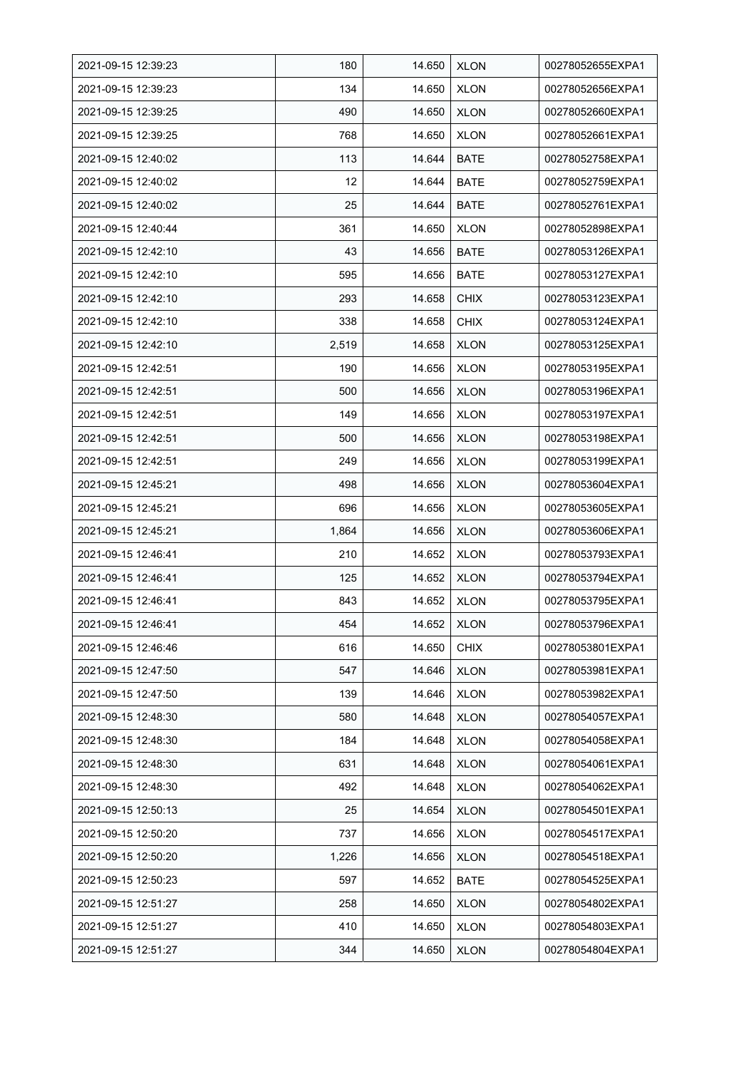| 2021-09-15 12:39:23 | 180   | 14.650 | <b>XLON</b> | 00278052655EXPA1 |
|---------------------|-------|--------|-------------|------------------|
| 2021-09-15 12:39:23 | 134   | 14.650 | <b>XLON</b> | 00278052656EXPA1 |
| 2021-09-15 12:39:25 | 490   | 14.650 | <b>XLON</b> | 00278052660EXPA1 |
| 2021-09-15 12:39:25 | 768   | 14.650 | <b>XLON</b> | 00278052661EXPA1 |
| 2021-09-15 12:40:02 | 113   | 14.644 | BATE        | 00278052758EXPA1 |
| 2021-09-15 12:40:02 | 12    | 14.644 | <b>BATE</b> | 00278052759EXPA1 |
| 2021-09-15 12:40:02 | 25    | 14.644 | BATE        | 00278052761EXPA1 |
| 2021-09-15 12:40:44 | 361   | 14.650 | <b>XLON</b> | 00278052898EXPA1 |
| 2021-09-15 12:42:10 | 43    | 14.656 | <b>BATE</b> | 00278053126EXPA1 |
| 2021-09-15 12:42:10 | 595   | 14.656 | <b>BATE</b> | 00278053127EXPA1 |
| 2021-09-15 12:42:10 | 293   | 14.658 | <b>CHIX</b> | 00278053123EXPA1 |
| 2021-09-15 12:42:10 | 338   | 14.658 | <b>CHIX</b> | 00278053124EXPA1 |
| 2021-09-15 12:42:10 | 2,519 | 14.658 | <b>XLON</b> | 00278053125EXPA1 |
| 2021-09-15 12:42:51 | 190   | 14.656 | <b>XLON</b> | 00278053195EXPA1 |
| 2021-09-15 12:42:51 | 500   | 14.656 | <b>XLON</b> | 00278053196EXPA1 |
| 2021-09-15 12:42:51 | 149   | 14.656 | <b>XLON</b> | 00278053197EXPA1 |
| 2021-09-15 12:42:51 | 500   | 14.656 | <b>XLON</b> | 00278053198EXPA1 |
| 2021-09-15 12:42:51 | 249   | 14.656 | <b>XLON</b> | 00278053199EXPA1 |
| 2021-09-15 12:45:21 | 498   | 14.656 | <b>XLON</b> | 00278053604EXPA1 |
| 2021-09-15 12:45:21 | 696   | 14.656 | <b>XLON</b> | 00278053605EXPA1 |
| 2021-09-15 12:45:21 | 1,864 | 14.656 | <b>XLON</b> | 00278053606EXPA1 |
| 2021-09-15 12:46:41 | 210   | 14.652 | <b>XLON</b> | 00278053793EXPA1 |
| 2021-09-15 12:46:41 | 125   | 14.652 | <b>XLON</b> | 00278053794EXPA1 |
| 2021-09-15 12:46:41 | 843   | 14.652 | <b>XLON</b> | 00278053795EXPA1 |
| 2021-09-15 12:46:41 | 454   | 14.652 | <b>XLON</b> | 00278053796EXPA1 |
| 2021-09-15 12:46:46 | 616   | 14.650 | <b>CHIX</b> | 00278053801EXPA1 |
| 2021-09-15 12:47:50 | 547   | 14.646 | <b>XLON</b> | 00278053981EXPA1 |
| 2021-09-15 12:47:50 | 139   | 14.646 | <b>XLON</b> | 00278053982EXPA1 |
| 2021-09-15 12:48:30 | 580   | 14.648 | <b>XLON</b> | 00278054057EXPA1 |
| 2021-09-15 12:48:30 | 184   | 14.648 | <b>XLON</b> | 00278054058EXPA1 |
| 2021-09-15 12:48:30 | 631   | 14.648 | <b>XLON</b> | 00278054061EXPA1 |
| 2021-09-15 12:48:30 | 492   | 14.648 | <b>XLON</b> | 00278054062EXPA1 |
| 2021-09-15 12:50:13 | 25    | 14.654 | <b>XLON</b> | 00278054501EXPA1 |
| 2021-09-15 12:50:20 | 737   | 14.656 | <b>XLON</b> | 00278054517EXPA1 |
| 2021-09-15 12:50:20 | 1,226 | 14.656 | <b>XLON</b> | 00278054518EXPA1 |
| 2021-09-15 12:50:23 | 597   | 14.652 | BATE        | 00278054525EXPA1 |
| 2021-09-15 12:51:27 | 258   | 14.650 | <b>XLON</b> | 00278054802EXPA1 |
| 2021-09-15 12:51:27 | 410   | 14.650 | <b>XLON</b> | 00278054803EXPA1 |
| 2021-09-15 12:51:27 | 344   | 14.650 | <b>XLON</b> | 00278054804EXPA1 |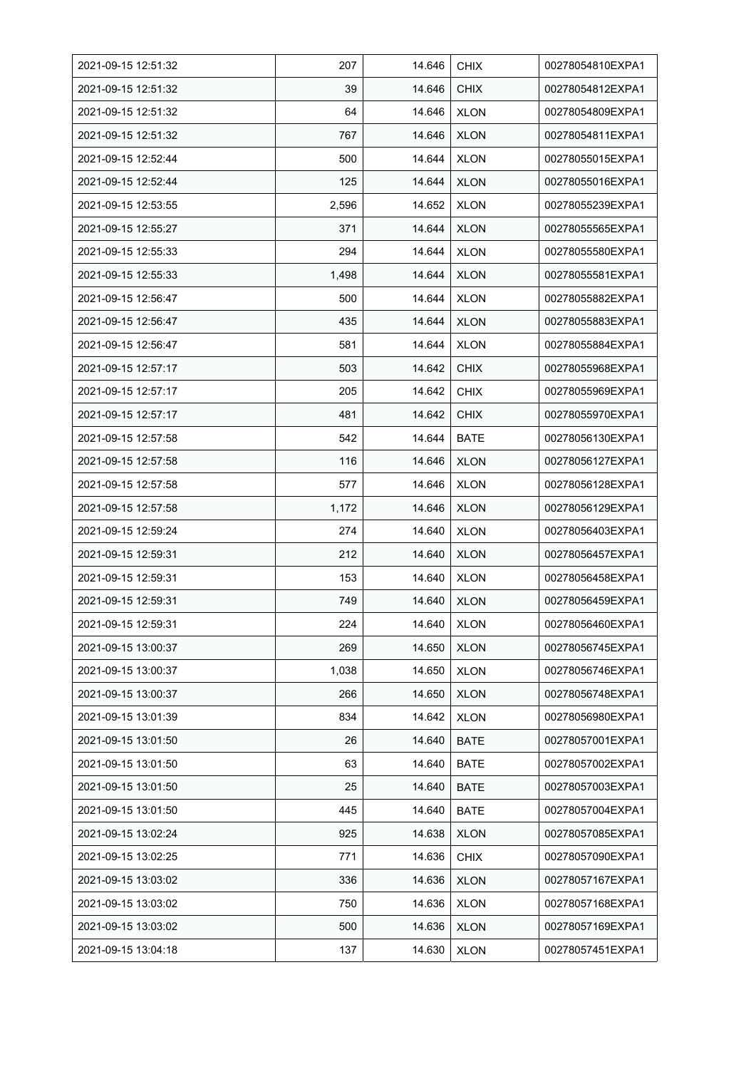| 2021-09-15 12:51:32 | 207   | 14.646 | <b>CHIX</b> | 00278054810EXPA1 |
|---------------------|-------|--------|-------------|------------------|
| 2021-09-15 12:51:32 | 39    | 14.646 | <b>CHIX</b> | 00278054812EXPA1 |
| 2021-09-15 12:51:32 | 64    | 14.646 | <b>XLON</b> | 00278054809EXPA1 |
| 2021-09-15 12:51:32 | 767   | 14.646 | <b>XLON</b> | 00278054811EXPA1 |
| 2021-09-15 12:52:44 | 500   | 14.644 | <b>XLON</b> | 00278055015EXPA1 |
| 2021-09-15 12:52:44 | 125   | 14.644 | <b>XLON</b> | 00278055016EXPA1 |
| 2021-09-15 12:53:55 | 2,596 | 14.652 | <b>XLON</b> | 00278055239EXPA1 |
| 2021-09-15 12:55:27 | 371   | 14.644 | <b>XLON</b> | 00278055565EXPA1 |
| 2021-09-15 12:55:33 | 294   | 14.644 | <b>XLON</b> | 00278055580EXPA1 |
| 2021-09-15 12:55:33 | 1,498 | 14.644 | <b>XLON</b> | 00278055581EXPA1 |
| 2021-09-15 12:56:47 | 500   | 14.644 | <b>XLON</b> | 00278055882EXPA1 |
| 2021-09-15 12:56:47 | 435   | 14.644 | <b>XLON</b> | 00278055883EXPA1 |
| 2021-09-15 12:56:47 | 581   | 14.644 | <b>XLON</b> | 00278055884EXPA1 |
| 2021-09-15 12:57:17 | 503   | 14.642 | <b>CHIX</b> | 00278055968EXPA1 |
| 2021-09-15 12:57:17 | 205   | 14.642 | <b>CHIX</b> | 00278055969EXPA1 |
| 2021-09-15 12:57:17 | 481   | 14.642 | <b>CHIX</b> | 00278055970EXPA1 |
| 2021-09-15 12:57:58 | 542   | 14.644 | BATE        | 00278056130EXPA1 |
| 2021-09-15 12:57:58 | 116   | 14.646 | <b>XLON</b> | 00278056127EXPA1 |
| 2021-09-15 12:57:58 | 577   | 14.646 | <b>XLON</b> | 00278056128EXPA1 |
| 2021-09-15 12:57:58 | 1,172 | 14.646 | <b>XLON</b> | 00278056129EXPA1 |
| 2021-09-15 12:59:24 | 274   | 14.640 | <b>XLON</b> | 00278056403EXPA1 |
| 2021-09-15 12:59:31 | 212   | 14.640 | <b>XLON</b> | 00278056457EXPA1 |
| 2021-09-15 12:59:31 | 153   | 14.640 | <b>XLON</b> | 00278056458EXPA1 |
| 2021-09-15 12:59:31 | 749   | 14.640 | <b>XLON</b> | 00278056459EXPA1 |
| 2021-09-15 12:59:31 | 224   | 14.640 | <b>XLON</b> | 00278056460EXPA1 |
| 2021-09-15 13:00:37 | 269   | 14.650 | <b>XLON</b> | 00278056745EXPA1 |
| 2021-09-15 13:00:37 | 1,038 | 14.650 | <b>XLON</b> | 00278056746EXPA1 |
| 2021-09-15 13:00:37 | 266   | 14.650 | <b>XLON</b> | 00278056748EXPA1 |
| 2021-09-15 13:01:39 | 834   | 14.642 | <b>XLON</b> | 00278056980EXPA1 |
| 2021-09-15 13:01:50 | 26    | 14.640 | <b>BATE</b> | 00278057001EXPA1 |
| 2021-09-15 13:01:50 | 63    | 14.640 | <b>BATE</b> | 00278057002EXPA1 |
| 2021-09-15 13:01:50 | 25    | 14.640 | BATE        | 00278057003EXPA1 |
| 2021-09-15 13:01:50 | 445   | 14.640 | <b>BATE</b> | 00278057004EXPA1 |
| 2021-09-15 13:02:24 | 925   | 14.638 | <b>XLON</b> | 00278057085EXPA1 |
| 2021-09-15 13:02:25 | 771   | 14.636 | <b>CHIX</b> | 00278057090EXPA1 |
| 2021-09-15 13:03:02 | 336   | 14.636 | <b>XLON</b> | 00278057167EXPA1 |
| 2021-09-15 13:03:02 | 750   | 14.636 | <b>XLON</b> | 00278057168EXPA1 |
| 2021-09-15 13:03:02 | 500   | 14.636 | <b>XLON</b> | 00278057169EXPA1 |
| 2021-09-15 13:04:18 | 137   | 14.630 | <b>XLON</b> | 00278057451EXPA1 |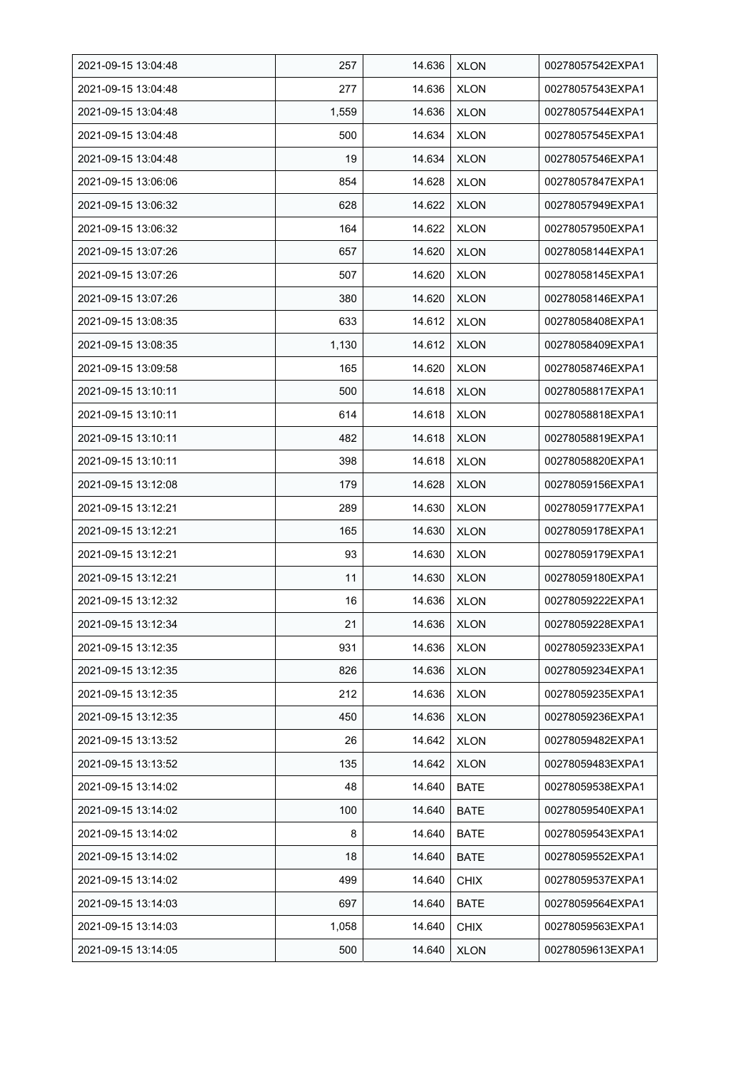| 2021-09-15 13:04:48 | 257   | 14.636 | <b>XLON</b> | 00278057542EXPA1 |
|---------------------|-------|--------|-------------|------------------|
| 2021-09-15 13:04:48 | 277   | 14.636 | <b>XLON</b> | 00278057543EXPA1 |
| 2021-09-15 13:04:48 | 1,559 | 14.636 | <b>XLON</b> | 00278057544EXPA1 |
| 2021-09-15 13:04:48 | 500   | 14.634 | <b>XLON</b> | 00278057545EXPA1 |
| 2021-09-15 13:04:48 | 19    | 14.634 | <b>XLON</b> | 00278057546EXPA1 |
| 2021-09-15 13:06:06 | 854   | 14.628 | <b>XLON</b> | 00278057847EXPA1 |
| 2021-09-15 13:06:32 | 628   | 14.622 | <b>XLON</b> | 00278057949EXPA1 |
| 2021-09-15 13:06:32 | 164   | 14.622 | <b>XLON</b> | 00278057950EXPA1 |
| 2021-09-15 13:07:26 | 657   | 14.620 | <b>XLON</b> | 00278058144EXPA1 |
| 2021-09-15 13:07:26 | 507   | 14.620 | <b>XLON</b> | 00278058145EXPA1 |
| 2021-09-15 13:07:26 | 380   | 14.620 | <b>XLON</b> | 00278058146EXPA1 |
| 2021-09-15 13:08:35 | 633   | 14.612 | <b>XLON</b> | 00278058408EXPA1 |
| 2021-09-15 13:08:35 | 1,130 | 14.612 | <b>XLON</b> | 00278058409EXPA1 |
| 2021-09-15 13:09:58 | 165   | 14.620 | <b>XLON</b> | 00278058746EXPA1 |
| 2021-09-15 13:10:11 | 500   | 14.618 | <b>XLON</b> | 00278058817EXPA1 |
| 2021-09-15 13:10:11 | 614   | 14.618 | <b>XLON</b> | 00278058818EXPA1 |
| 2021-09-15 13:10:11 | 482   | 14.618 | <b>XLON</b> | 00278058819EXPA1 |
| 2021-09-15 13:10:11 | 398   | 14.618 | <b>XLON</b> | 00278058820EXPA1 |
| 2021-09-15 13:12:08 | 179   | 14.628 | <b>XLON</b> | 00278059156EXPA1 |
| 2021-09-15 13:12:21 | 289   | 14.630 | <b>XLON</b> | 00278059177EXPA1 |
| 2021-09-15 13:12:21 | 165   | 14.630 | <b>XLON</b> | 00278059178EXPA1 |
| 2021-09-15 13:12:21 | 93    | 14.630 | <b>XLON</b> | 00278059179EXPA1 |
| 2021-09-15 13:12:21 | 11    | 14.630 | <b>XLON</b> | 00278059180EXPA1 |
| 2021-09-15 13:12:32 | 16    | 14.636 | <b>XLON</b> | 00278059222EXPA1 |
| 2021-09-15 13:12:34 | 21    | 14.636 | <b>XLON</b> | 00278059228EXPA1 |
| 2021-09-15 13:12:35 | 931   | 14.636 | <b>XLON</b> | 00278059233EXPA1 |
| 2021-09-15 13:12:35 | 826   | 14.636 | <b>XLON</b> | 00278059234EXPA1 |
| 2021-09-15 13:12:35 | 212   | 14.636 | <b>XLON</b> | 00278059235EXPA1 |
| 2021-09-15 13:12:35 | 450   | 14.636 | <b>XLON</b> | 00278059236EXPA1 |
| 2021-09-15 13:13:52 | 26    | 14.642 | <b>XLON</b> | 00278059482EXPA1 |
| 2021-09-15 13:13:52 | 135   | 14.642 | <b>XLON</b> | 00278059483EXPA1 |
| 2021-09-15 13:14:02 | 48    | 14.640 | <b>BATE</b> | 00278059538EXPA1 |
| 2021-09-15 13:14:02 | 100   | 14.640 | BATE        | 00278059540EXPA1 |
| 2021-09-15 13:14:02 | 8     | 14.640 | <b>BATE</b> | 00278059543EXPA1 |
| 2021-09-15 13:14:02 | 18    | 14.640 | <b>BATE</b> | 00278059552EXPA1 |
| 2021-09-15 13:14:02 | 499   | 14.640 | <b>CHIX</b> | 00278059537EXPA1 |
| 2021-09-15 13:14:03 | 697   | 14.640 | BATE        | 00278059564EXPA1 |
| 2021-09-15 13:14:03 | 1,058 | 14.640 | <b>CHIX</b> | 00278059563EXPA1 |
| 2021-09-15 13:14:05 | 500   | 14.640 | <b>XLON</b> | 00278059613EXPA1 |
|                     |       |        |             |                  |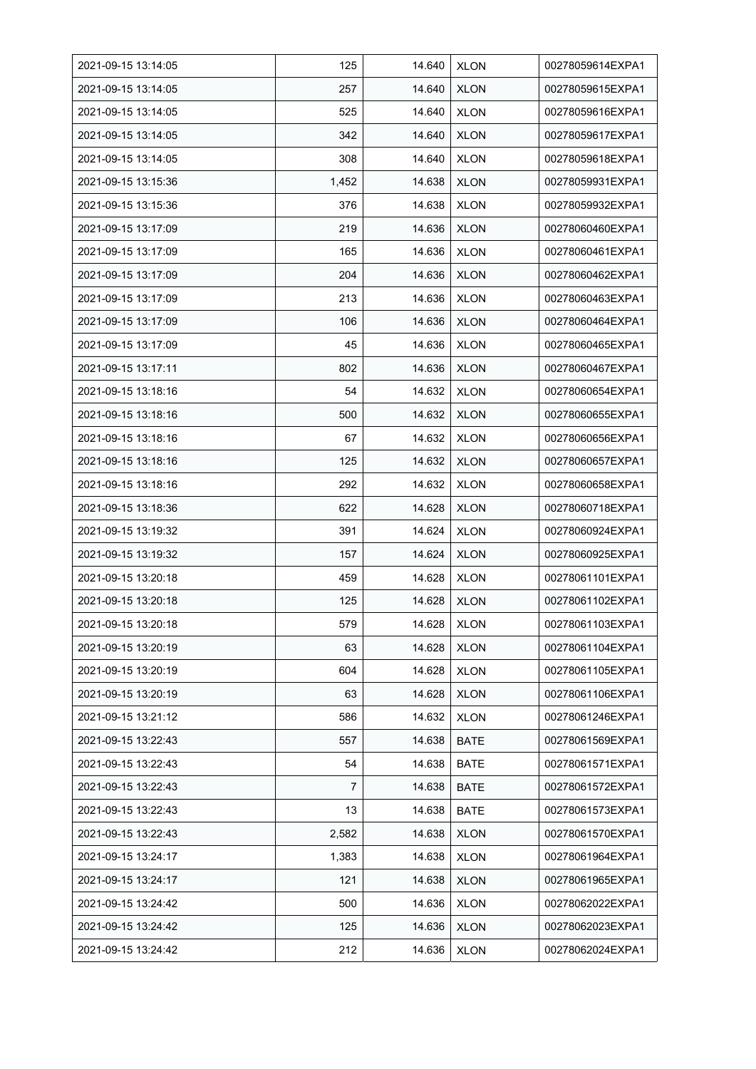| 2021-09-15 13:14:05 | 125   | 14.640 | <b>XLON</b> | 00278059614EXPA1 |
|---------------------|-------|--------|-------------|------------------|
| 2021-09-15 13:14:05 | 257   | 14.640 | <b>XLON</b> | 00278059615EXPA1 |
| 2021-09-15 13:14:05 | 525   | 14.640 | <b>XLON</b> | 00278059616EXPA1 |
| 2021-09-15 13:14:05 | 342   | 14.640 | <b>XLON</b> | 00278059617EXPA1 |
| 2021-09-15 13:14:05 | 308   | 14.640 | <b>XLON</b> | 00278059618EXPA1 |
| 2021-09-15 13:15:36 | 1,452 | 14.638 | <b>XLON</b> | 00278059931EXPA1 |
| 2021-09-15 13:15:36 | 376   | 14.638 | <b>XLON</b> | 00278059932EXPA1 |
| 2021-09-15 13:17:09 | 219   | 14.636 | <b>XLON</b> | 00278060460EXPA1 |
| 2021-09-15 13:17:09 | 165   | 14.636 | <b>XLON</b> | 00278060461EXPA1 |
| 2021-09-15 13:17:09 | 204   | 14.636 | <b>XLON</b> | 00278060462EXPA1 |
| 2021-09-15 13:17:09 | 213   | 14.636 | <b>XLON</b> | 00278060463EXPA1 |
| 2021-09-15 13:17:09 | 106   | 14.636 | <b>XLON</b> | 00278060464EXPA1 |
| 2021-09-15 13:17:09 | 45    | 14.636 | <b>XLON</b> | 00278060465EXPA1 |
| 2021-09-15 13:17:11 | 802   | 14.636 | <b>XLON</b> | 00278060467EXPA1 |
| 2021-09-15 13:18:16 | 54    | 14.632 | <b>XLON</b> | 00278060654EXPA1 |
| 2021-09-15 13:18:16 | 500   | 14.632 | <b>XLON</b> | 00278060655EXPA1 |
| 2021-09-15 13:18:16 | 67    | 14.632 | <b>XLON</b> | 00278060656EXPA1 |
| 2021-09-15 13:18:16 | 125   | 14.632 | <b>XLON</b> | 00278060657EXPA1 |
| 2021-09-15 13:18:16 | 292   | 14.632 | XLON        | 00278060658EXPA1 |
| 2021-09-15 13:18:36 | 622   | 14.628 | XLON        | 00278060718EXPA1 |
| 2021-09-15 13:19:32 | 391   | 14.624 | <b>XLON</b> | 00278060924EXPA1 |
| 2021-09-15 13:19:32 | 157   | 14.624 | <b>XLON</b> | 00278060925EXPA1 |
| 2021-09-15 13:20:18 | 459   | 14.628 | <b>XLON</b> | 00278061101EXPA1 |
| 2021-09-15 13:20:18 | 125   | 14.628 | <b>XLON</b> | 00278061102EXPA1 |
| 2021-09-15 13:20:18 | 579   | 14.628 | <b>XLON</b> | 00278061103EXPA1 |
| 2021-09-15 13:20:19 | 63    | 14.628 | <b>XLON</b> | 00278061104EXPA1 |
| 2021-09-15 13:20:19 | 604   | 14.628 | <b>XLON</b> | 00278061105EXPA1 |
| 2021-09-15 13:20:19 | 63    | 14.628 | <b>XLON</b> | 00278061106EXPA1 |
| 2021-09-15 13:21:12 | 586   | 14.632 | <b>XLON</b> | 00278061246EXPA1 |
| 2021-09-15 13:22:43 | 557   | 14.638 | BATE        | 00278061569EXPA1 |
| 2021-09-15 13:22:43 | 54    | 14.638 | <b>BATE</b> | 00278061571EXPA1 |
| 2021-09-15 13:22:43 | 7     | 14.638 | BATE        | 00278061572EXPA1 |
| 2021-09-15 13:22:43 | 13    | 14.638 | <b>BATE</b> | 00278061573EXPA1 |
| 2021-09-15 13:22:43 | 2,582 | 14.638 | <b>XLON</b> | 00278061570EXPA1 |
| 2021-09-15 13:24:17 | 1,383 | 14.638 | <b>XLON</b> | 00278061964EXPA1 |
| 2021-09-15 13:24:17 | 121   | 14.638 | <b>XLON</b> | 00278061965EXPA1 |
| 2021-09-15 13:24:42 | 500   | 14.636 | <b>XLON</b> | 00278062022EXPA1 |
| 2021-09-15 13:24:42 | 125   | 14.636 | <b>XLON</b> | 00278062023EXPA1 |
| 2021-09-15 13:24:42 | 212   | 14.636 | <b>XLON</b> | 00278062024EXPA1 |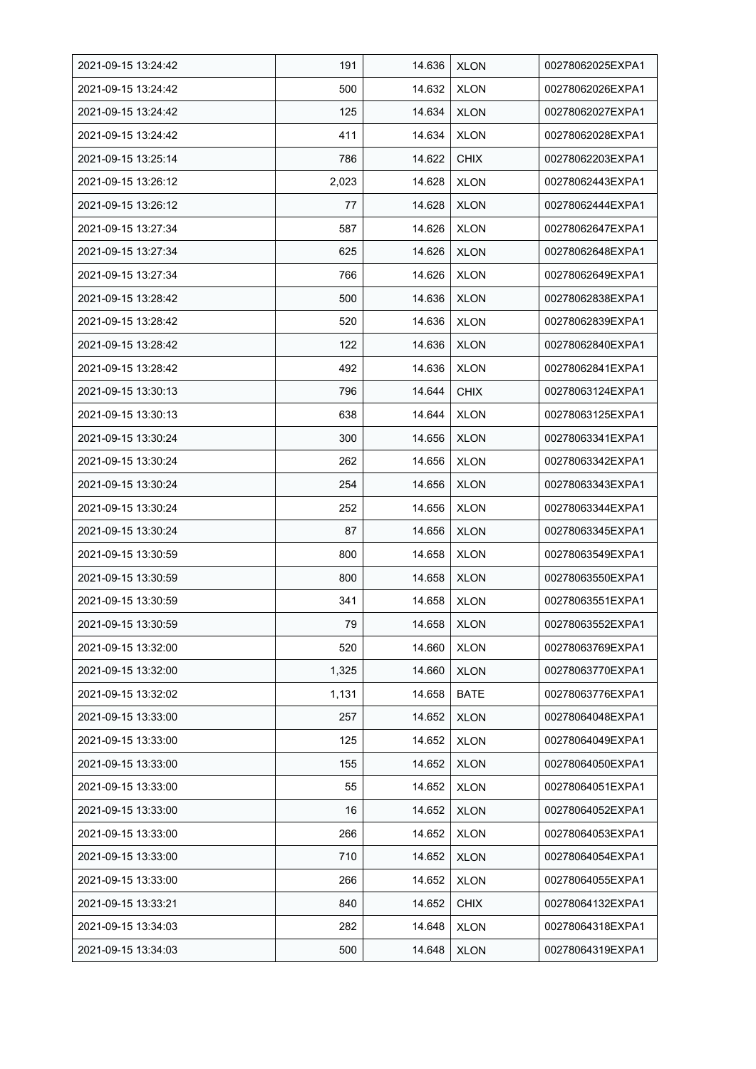| 2021-09-15 13:24:42 | 191   | 14.636 | <b>XLON</b> | 00278062025EXPA1 |
|---------------------|-------|--------|-------------|------------------|
| 2021-09-15 13:24:42 | 500   | 14.632 | <b>XLON</b> | 00278062026EXPA1 |
| 2021-09-15 13:24:42 | 125   | 14.634 | <b>XLON</b> | 00278062027EXPA1 |
| 2021-09-15 13:24:42 | 411   | 14.634 | <b>XLON</b> | 00278062028EXPA1 |
| 2021-09-15 13:25:14 | 786   | 14.622 | <b>CHIX</b> | 00278062203EXPA1 |
| 2021-09-15 13:26:12 | 2,023 | 14.628 | <b>XLON</b> | 00278062443EXPA1 |
| 2021-09-15 13:26:12 | 77    | 14.628 | <b>XLON</b> | 00278062444EXPA1 |
| 2021-09-15 13:27:34 | 587   | 14.626 | <b>XLON</b> | 00278062647EXPA1 |
| 2021-09-15 13:27:34 | 625   | 14.626 | <b>XLON</b> | 00278062648EXPA1 |
| 2021-09-15 13:27:34 | 766   | 14.626 | <b>XLON</b> | 00278062649EXPA1 |
| 2021-09-15 13:28:42 | 500   | 14.636 | <b>XLON</b> | 00278062838EXPA1 |
| 2021-09-15 13:28:42 | 520   | 14.636 | <b>XLON</b> | 00278062839EXPA1 |
| 2021-09-15 13:28:42 | 122   | 14.636 | <b>XLON</b> | 00278062840EXPA1 |
| 2021-09-15 13:28:42 | 492   | 14.636 | <b>XLON</b> | 00278062841EXPA1 |
| 2021-09-15 13:30:13 | 796   | 14.644 | <b>CHIX</b> | 00278063124EXPA1 |
| 2021-09-15 13:30:13 | 638   | 14.644 | <b>XLON</b> | 00278063125EXPA1 |
| 2021-09-15 13:30:24 | 300   | 14.656 | <b>XLON</b> | 00278063341EXPA1 |
| 2021-09-15 13:30:24 | 262   | 14.656 | <b>XLON</b> | 00278063342EXPA1 |
| 2021-09-15 13:30:24 | 254   | 14.656 | <b>XLON</b> | 00278063343EXPA1 |
| 2021-09-15 13:30:24 | 252   | 14.656 | <b>XLON</b> | 00278063344EXPA1 |
| 2021-09-15 13:30:24 | 87    | 14.656 | <b>XLON</b> | 00278063345EXPA1 |
| 2021-09-15 13:30:59 | 800   | 14.658 | <b>XLON</b> | 00278063549EXPA1 |
| 2021-09-15 13:30:59 | 800   | 14.658 | <b>XLON</b> | 00278063550EXPA1 |
| 2021-09-15 13:30:59 | 341   | 14.658 | <b>XLON</b> | 00278063551EXPA1 |
| 2021-09-15 13:30:59 | 79    | 14.658 | <b>XLON</b> | 00278063552EXPA1 |
| 2021-09-15 13:32:00 | 520   | 14.660 | <b>XLON</b> | 00278063769EXPA1 |
| 2021-09-15 13:32:00 | 1,325 | 14.660 | <b>XLON</b> | 00278063770EXPA1 |
| 2021-09-15 13:32:02 | 1,131 | 14.658 | BATE        | 00278063776EXPA1 |
| 2021-09-15 13:33:00 | 257   | 14.652 | <b>XLON</b> | 00278064048EXPA1 |
| 2021-09-15 13:33:00 | 125   | 14.652 | <b>XLON</b> | 00278064049EXPA1 |
| 2021-09-15 13:33:00 | 155   | 14.652 | <b>XLON</b> | 00278064050EXPA1 |
| 2021-09-15 13:33:00 | 55    | 14.652 | <b>XLON</b> | 00278064051EXPA1 |
| 2021-09-15 13:33:00 | 16    | 14.652 | <b>XLON</b> | 00278064052EXPA1 |
| 2021-09-15 13:33:00 | 266   | 14.652 | <b>XLON</b> | 00278064053EXPA1 |
| 2021-09-15 13:33:00 | 710   | 14.652 | <b>XLON</b> | 00278064054EXPA1 |
| 2021-09-15 13:33:00 | 266   | 14.652 | <b>XLON</b> | 00278064055EXPA1 |
| 2021-09-15 13:33:21 | 840   | 14.652 | <b>CHIX</b> | 00278064132EXPA1 |
| 2021-09-15 13:34:03 | 282   | 14.648 | <b>XLON</b> | 00278064318EXPA1 |
| 2021-09-15 13:34:03 | 500   | 14.648 | <b>XLON</b> | 00278064319EXPA1 |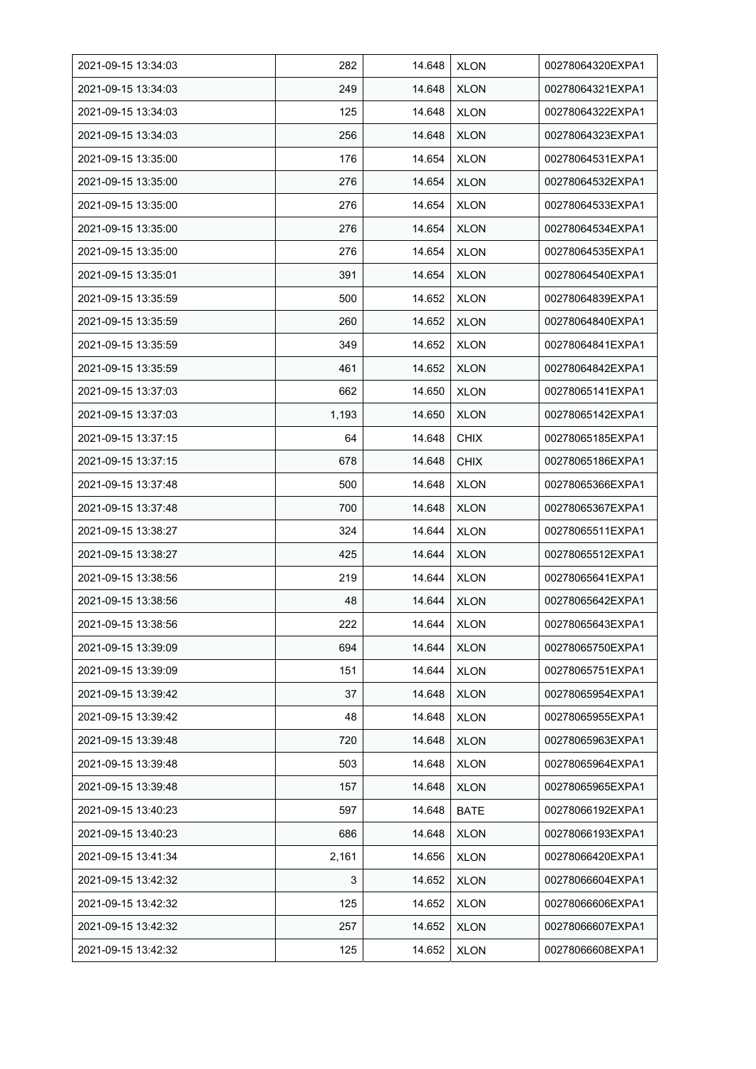| 2021-09-15 13:34:03 | 282   | 14.648 | <b>XLON</b> | 00278064320EXPA1 |
|---------------------|-------|--------|-------------|------------------|
| 2021-09-15 13:34:03 | 249   | 14.648 | <b>XLON</b> | 00278064321EXPA1 |
| 2021-09-15 13:34:03 | 125   | 14.648 | <b>XLON</b> | 00278064322EXPA1 |
| 2021-09-15 13:34:03 | 256   | 14.648 | <b>XLON</b> | 00278064323EXPA1 |
| 2021-09-15 13:35:00 | 176   | 14.654 | <b>XLON</b> | 00278064531EXPA1 |
| 2021-09-15 13:35:00 | 276   | 14.654 | <b>XLON</b> | 00278064532EXPA1 |
| 2021-09-15 13:35:00 | 276   | 14.654 | <b>XLON</b> | 00278064533EXPA1 |
| 2021-09-15 13:35:00 | 276   | 14.654 | <b>XLON</b> | 00278064534EXPA1 |
| 2021-09-15 13:35:00 | 276   | 14.654 | <b>XLON</b> | 00278064535EXPA1 |
| 2021-09-15 13:35:01 | 391   | 14.654 | <b>XLON</b> | 00278064540EXPA1 |
| 2021-09-15 13:35:59 | 500   | 14.652 | <b>XLON</b> | 00278064839EXPA1 |
| 2021-09-15 13:35:59 | 260   | 14.652 | <b>XLON</b> | 00278064840EXPA1 |
| 2021-09-15 13:35:59 | 349   | 14.652 | <b>XLON</b> | 00278064841EXPA1 |
| 2021-09-15 13:35:59 | 461   | 14.652 | <b>XLON</b> | 00278064842EXPA1 |
| 2021-09-15 13:37:03 | 662   | 14.650 | <b>XLON</b> | 00278065141EXPA1 |
| 2021-09-15 13:37:03 | 1,193 | 14.650 | <b>XLON</b> | 00278065142EXPA1 |
| 2021-09-15 13:37:15 | 64    | 14.648 | <b>CHIX</b> | 00278065185EXPA1 |
| 2021-09-15 13:37:15 | 678   | 14.648 | <b>CHIX</b> | 00278065186EXPA1 |
| 2021-09-15 13:37:48 | 500   | 14.648 | <b>XLON</b> | 00278065366EXPA1 |
| 2021-09-15 13:37:48 | 700   | 14.648 | <b>XLON</b> | 00278065367EXPA1 |
| 2021-09-15 13:38:27 | 324   | 14.644 | <b>XLON</b> | 00278065511EXPA1 |
| 2021-09-15 13:38:27 | 425   | 14.644 | <b>XLON</b> | 00278065512EXPA1 |
| 2021-09-15 13:38:56 | 219   | 14.644 | <b>XLON</b> | 00278065641EXPA1 |
| 2021-09-15 13:38:56 | 48    | 14.644 | <b>XLON</b> | 00278065642EXPA1 |
| 2021-09-15 13:38:56 | 222   | 14.644 | <b>XLON</b> | 00278065643EXPA1 |
| 2021-09-15 13:39:09 | 694   | 14.644 | <b>XLON</b> | 00278065750EXPA1 |
| 2021-09-15 13:39:09 | 151   | 14.644 | <b>XLON</b> | 00278065751EXPA1 |
| 2021-09-15 13:39:42 | 37    | 14.648 | <b>XLON</b> | 00278065954EXPA1 |
| 2021-09-15 13:39:42 | 48    | 14.648 | <b>XLON</b> | 00278065955EXPA1 |
| 2021-09-15 13:39:48 | 720   | 14.648 | <b>XLON</b> | 00278065963EXPA1 |
| 2021-09-15 13:39:48 | 503   | 14.648 | <b>XLON</b> | 00278065964EXPA1 |
| 2021-09-15 13:39:48 | 157   | 14.648 | <b>XLON</b> | 00278065965EXPA1 |
| 2021-09-15 13:40:23 | 597   | 14.648 | <b>BATE</b> | 00278066192EXPA1 |
| 2021-09-15 13:40:23 | 686   | 14.648 | <b>XLON</b> | 00278066193EXPA1 |
| 2021-09-15 13:41:34 | 2,161 | 14.656 | <b>XLON</b> | 00278066420EXPA1 |
| 2021-09-15 13:42:32 | 3     | 14.652 | <b>XLON</b> | 00278066604EXPA1 |
| 2021-09-15 13:42:32 | 125   | 14.652 | <b>XLON</b> | 00278066606EXPA1 |
| 2021-09-15 13:42:32 | 257   | 14.652 | <b>XLON</b> | 00278066607EXPA1 |
| 2021-09-15 13:42:32 | 125   | 14.652 | <b>XLON</b> | 00278066608EXPA1 |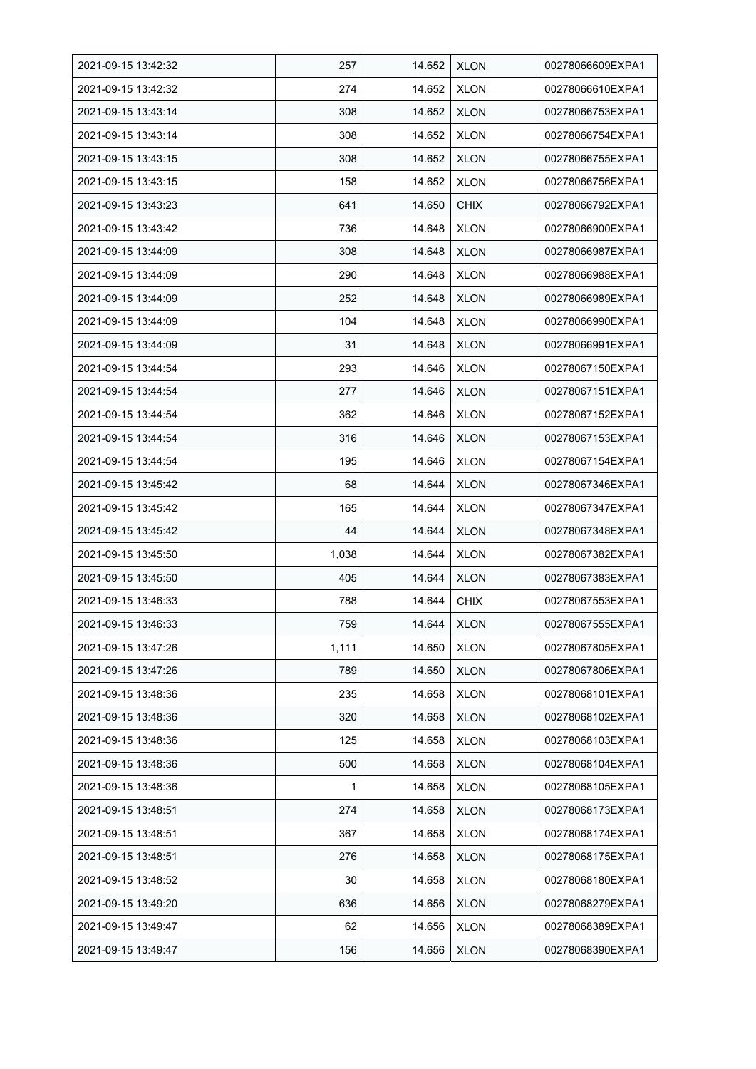| 2021-09-15 13:42:32 | 257   | 14.652 | <b>XLON</b> | 00278066609EXPA1 |
|---------------------|-------|--------|-------------|------------------|
| 2021-09-15 13:42:32 | 274   | 14.652 | <b>XLON</b> | 00278066610EXPA1 |
| 2021-09-15 13:43:14 | 308   | 14.652 | <b>XLON</b> | 00278066753EXPA1 |
| 2021-09-15 13:43:14 | 308   | 14.652 | <b>XLON</b> | 00278066754EXPA1 |
| 2021-09-15 13:43:15 | 308   | 14.652 | <b>XLON</b> | 00278066755EXPA1 |
| 2021-09-15 13:43:15 | 158   | 14.652 | <b>XLON</b> | 00278066756EXPA1 |
| 2021-09-15 13:43:23 | 641   | 14.650 | <b>CHIX</b> | 00278066792EXPA1 |
| 2021-09-15 13:43:42 | 736   | 14.648 | <b>XLON</b> | 00278066900EXPA1 |
| 2021-09-15 13:44:09 | 308   | 14.648 | <b>XLON</b> | 00278066987EXPA1 |
| 2021-09-15 13:44:09 | 290   | 14.648 | <b>XLON</b> | 00278066988EXPA1 |
| 2021-09-15 13:44:09 | 252   | 14.648 | <b>XLON</b> | 00278066989EXPA1 |
| 2021-09-15 13:44:09 | 104   | 14.648 | <b>XLON</b> | 00278066990EXPA1 |
| 2021-09-15 13:44:09 | 31    | 14.648 | <b>XLON</b> | 00278066991EXPA1 |
| 2021-09-15 13:44:54 | 293   | 14.646 | <b>XLON</b> | 00278067150EXPA1 |
| 2021-09-15 13:44:54 | 277   | 14.646 | <b>XLON</b> | 00278067151EXPA1 |
| 2021-09-15 13:44:54 | 362   | 14.646 | <b>XLON</b> | 00278067152EXPA1 |
| 2021-09-15 13:44:54 | 316   | 14.646 | <b>XLON</b> | 00278067153EXPA1 |
| 2021-09-15 13:44:54 | 195   | 14.646 | <b>XLON</b> | 00278067154EXPA1 |
| 2021-09-15 13:45:42 | 68    | 14.644 | XLON        | 00278067346EXPA1 |
| 2021-09-15 13:45:42 | 165   | 14.644 | <b>XLON</b> | 00278067347EXPA1 |
| 2021-09-15 13:45:42 | 44    | 14.644 | <b>XLON</b> | 00278067348EXPA1 |
| 2021-09-15 13:45:50 | 1,038 | 14.644 | <b>XLON</b> | 00278067382EXPA1 |
| 2021-09-15 13:45:50 | 405   | 14.644 | <b>XLON</b> | 00278067383EXPA1 |
| 2021-09-15 13:46:33 | 788   | 14.644 | <b>CHIX</b> | 00278067553EXPA1 |
| 2021-09-15 13:46:33 | 759   | 14.644 | <b>XLON</b> | 00278067555EXPA1 |
| 2021-09-15 13:47:26 | 1,111 | 14.650 | <b>XLON</b> | 00278067805EXPA1 |
| 2021-09-15 13:47:26 | 789   | 14.650 | <b>XLON</b> | 00278067806EXPA1 |
| 2021-09-15 13:48:36 | 235   | 14.658 | XLON        | 00278068101EXPA1 |
| 2021-09-15 13:48:36 | 320   | 14.658 | <b>XLON</b> | 00278068102EXPA1 |
| 2021-09-15 13:48:36 | 125   | 14.658 | <b>XLON</b> | 00278068103EXPA1 |
| 2021-09-15 13:48:36 | 500   | 14.658 | <b>XLON</b> | 00278068104EXPA1 |
| 2021-09-15 13:48:36 | 1     | 14.658 | <b>XLON</b> | 00278068105EXPA1 |
| 2021-09-15 13:48:51 | 274   | 14.658 | <b>XLON</b> | 00278068173EXPA1 |
| 2021-09-15 13:48:51 | 367   | 14.658 | <b>XLON</b> | 00278068174EXPA1 |
| 2021-09-15 13:48:51 | 276   | 14.658 | <b>XLON</b> | 00278068175EXPA1 |
| 2021-09-15 13:48:52 | 30    | 14.658 | <b>XLON</b> | 00278068180EXPA1 |
| 2021-09-15 13:49:20 | 636   | 14.656 | <b>XLON</b> | 00278068279EXPA1 |
| 2021-09-15 13:49:47 | 62    | 14.656 | <b>XLON</b> | 00278068389EXPA1 |
| 2021-09-15 13:49:47 | 156   | 14.656 | <b>XLON</b> | 00278068390EXPA1 |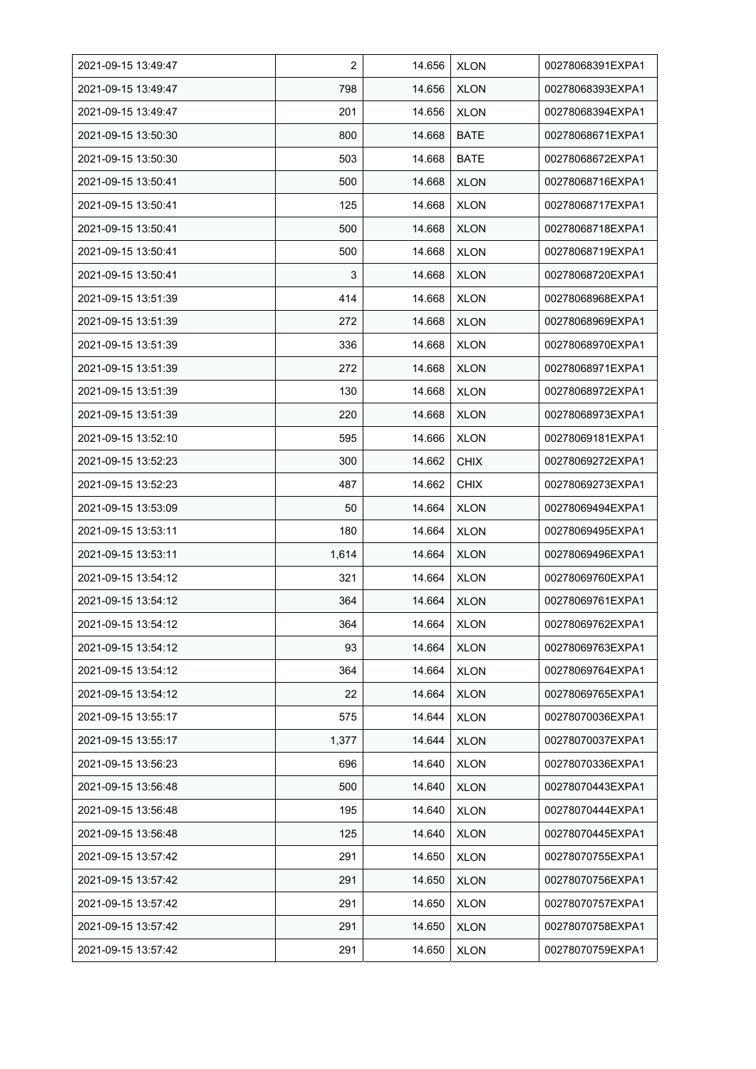| 2021-09-15 13:49:47 | $\overline{2}$ | 14.656 | <b>XLON</b> | 00278068391EXPA1 |
|---------------------|----------------|--------|-------------|------------------|
| 2021-09-15 13:49:47 | 798            | 14.656 | <b>XLON</b> | 00278068393EXPA1 |
| 2021-09-15 13:49:47 | 201            | 14.656 | <b>XLON</b> | 00278068394EXPA1 |
| 2021-09-15 13:50:30 | 800            | 14.668 | <b>BATE</b> | 00278068671EXPA1 |
| 2021-09-15 13:50:30 | 503            | 14.668 | <b>BATE</b> | 00278068672EXPA1 |
| 2021-09-15 13:50:41 | 500            | 14.668 | <b>XLON</b> | 00278068716EXPA1 |
| 2021-09-15 13:50:41 | 125            | 14.668 | <b>XLON</b> | 00278068717EXPA1 |
| 2021-09-15 13:50:41 | 500            | 14.668 | <b>XLON</b> | 00278068718EXPA1 |
| 2021-09-15 13:50:41 | 500            | 14.668 | <b>XLON</b> | 00278068719EXPA1 |
| 2021-09-15 13:50:41 | 3              | 14.668 | <b>XLON</b> | 00278068720EXPA1 |
| 2021-09-15 13:51:39 | 414            | 14.668 | <b>XLON</b> | 00278068968EXPA1 |
| 2021-09-15 13:51:39 | 272            | 14.668 | <b>XLON</b> | 00278068969EXPA1 |
| 2021-09-15 13:51:39 | 336            | 14.668 | <b>XLON</b> | 00278068970EXPA1 |
| 2021-09-15 13:51:39 | 272            | 14.668 | <b>XLON</b> | 00278068971EXPA1 |
| 2021-09-15 13:51:39 | 130            | 14.668 | <b>XLON</b> | 00278068972EXPA1 |
| 2021-09-15 13:51:39 | 220            | 14.668 | <b>XLON</b> | 00278068973EXPA1 |
| 2021-09-15 13:52:10 | 595            | 14.666 | <b>XLON</b> | 00278069181EXPA1 |
| 2021-09-15 13:52:23 | 300            | 14.662 | <b>CHIX</b> | 00278069272EXPA1 |
| 2021-09-15 13:52:23 | 487            | 14.662 | <b>CHIX</b> | 00278069273EXPA1 |
| 2021-09-15 13:53:09 | 50             | 14.664 | <b>XLON</b> | 00278069494EXPA1 |
| 2021-09-15 13:53:11 | 180            | 14.664 | <b>XLON</b> | 00278069495EXPA1 |
| 2021-09-15 13:53:11 | 1,614          | 14.664 | <b>XLON</b> | 00278069496EXPA1 |
| 2021-09-15 13:54:12 | 321            | 14.664 | <b>XLON</b> | 00278069760EXPA1 |
| 2021-09-15 13:54:12 | 364            | 14.664 | <b>XLON</b> | 00278069761EXPA1 |
| 2021-09-15 13:54:12 | 364            | 14.664 | <b>XLON</b> | 00278069762EXPA1 |
| 2021-09-15 13:54:12 | 93             | 14.664 | <b>XLON</b> | 00278069763EXPA1 |
| 2021-09-15 13:54:12 | 364            | 14.664 | <b>XLON</b> | 00278069764EXPA1 |
| 2021-09-15 13:54:12 | 22             | 14.664 | <b>XLON</b> | 00278069765EXPA1 |
| 2021-09-15 13:55:17 | 575            | 14.644 | <b>XLON</b> | 00278070036EXPA1 |
| 2021-09-15 13:55:17 | 1,377          | 14.644 | <b>XLON</b> | 00278070037EXPA1 |
| 2021-09-15 13:56:23 | 696            | 14.640 | <b>XLON</b> | 00278070336EXPA1 |
| 2021-09-15 13:56:48 | 500            | 14.640 | <b>XLON</b> | 00278070443EXPA1 |
| 2021-09-15 13:56:48 | 195            | 14.640 | <b>XLON</b> | 00278070444EXPA1 |
| 2021-09-15 13:56:48 | 125            | 14.640 | <b>XLON</b> | 00278070445EXPA1 |
| 2021-09-15 13:57:42 | 291            | 14.650 | <b>XLON</b> | 00278070755EXPA1 |
| 2021-09-15 13:57:42 | 291            | 14.650 | <b>XLON</b> | 00278070756EXPA1 |
| 2021-09-15 13:57:42 | 291            | 14.650 | <b>XLON</b> | 00278070757EXPA1 |
| 2021-09-15 13:57:42 | 291            | 14.650 | <b>XLON</b> | 00278070758EXPA1 |
| 2021-09-15 13:57:42 | 291            | 14.650 | <b>XLON</b> | 00278070759EXPA1 |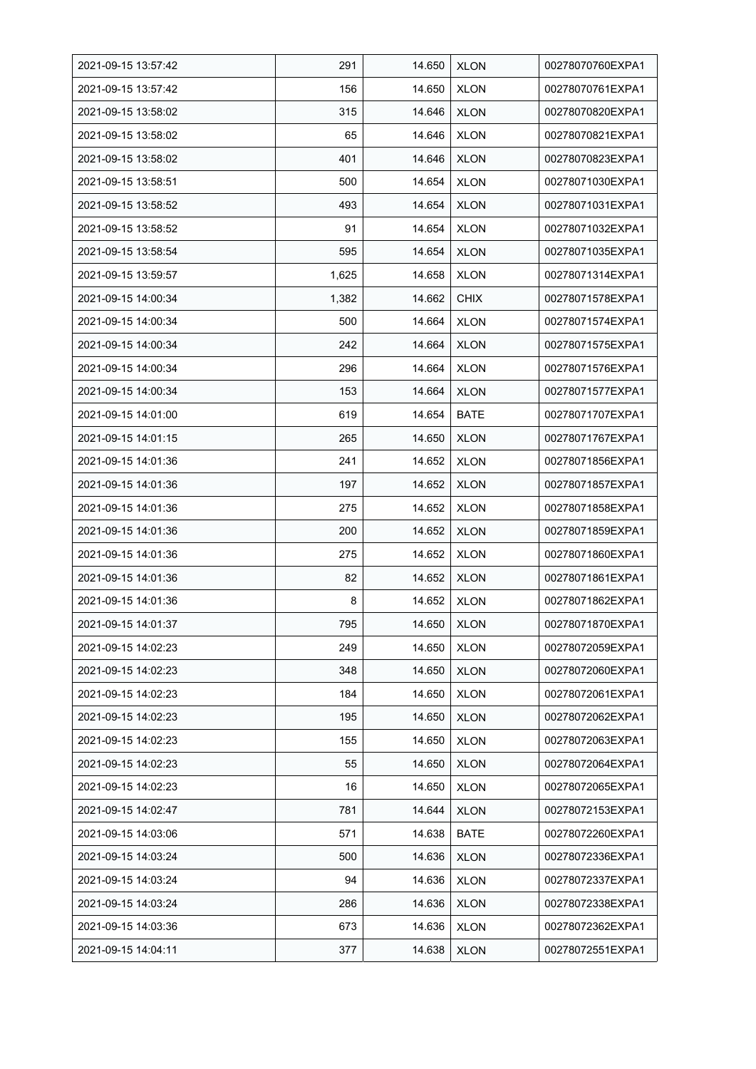| 2021-09-15 13:57:42 | 291   | 14.650 | <b>XLON</b> | 00278070760EXPA1 |
|---------------------|-------|--------|-------------|------------------|
| 2021-09-15 13:57:42 | 156   | 14.650 | <b>XLON</b> | 00278070761EXPA1 |
| 2021-09-15 13:58:02 | 315   | 14.646 | <b>XLON</b> | 00278070820EXPA1 |
| 2021-09-15 13:58:02 | 65    | 14.646 | <b>XLON</b> | 00278070821EXPA1 |
| 2021-09-15 13:58:02 | 401   | 14.646 | <b>XLON</b> | 00278070823EXPA1 |
| 2021-09-15 13:58:51 | 500   | 14.654 | <b>XLON</b> | 00278071030EXPA1 |
| 2021-09-15 13:58:52 | 493   | 14.654 | <b>XLON</b> | 00278071031EXPA1 |
| 2021-09-15 13:58:52 | 91    | 14.654 | <b>XLON</b> | 00278071032EXPA1 |
| 2021-09-15 13:58:54 | 595   | 14.654 | <b>XLON</b> | 00278071035EXPA1 |
| 2021-09-15 13:59:57 | 1,625 | 14.658 | <b>XLON</b> | 00278071314EXPA1 |
| 2021-09-15 14:00:34 | 1,382 | 14.662 | <b>CHIX</b> | 00278071578EXPA1 |
| 2021-09-15 14:00:34 | 500   | 14.664 | <b>XLON</b> | 00278071574EXPA1 |
| 2021-09-15 14:00:34 | 242   | 14.664 | <b>XLON</b> | 00278071575EXPA1 |
| 2021-09-15 14:00:34 | 296   | 14.664 | <b>XLON</b> | 00278071576EXPA1 |
| 2021-09-15 14:00:34 | 153   | 14.664 | <b>XLON</b> | 00278071577EXPA1 |
| 2021-09-15 14:01:00 | 619   | 14.654 | <b>BATE</b> | 00278071707EXPA1 |
| 2021-09-15 14:01:15 | 265   | 14.650 | <b>XLON</b> | 00278071767EXPA1 |
| 2021-09-15 14:01:36 | 241   | 14.652 | <b>XLON</b> | 00278071856EXPA1 |
| 2021-09-15 14:01:36 | 197   | 14.652 | XLON        | 00278071857EXPA1 |
| 2021-09-15 14:01:36 | 275   | 14.652 | XLON        | 00278071858EXPA1 |
| 2021-09-15 14:01:36 | 200   | 14.652 | <b>XLON</b> | 00278071859EXPA1 |
| 2021-09-15 14:01:36 | 275   | 14.652 | <b>XLON</b> | 00278071860EXPA1 |
| 2021-09-15 14:01:36 | 82    | 14.652 | <b>XLON</b> | 00278071861EXPA1 |
| 2021-09-15 14:01:36 | 8     | 14.652 | <b>XLON</b> | 00278071862EXPA1 |
| 2021-09-15 14:01:37 | 795   | 14.650 | <b>XLON</b> | 00278071870EXPA1 |
| 2021-09-15 14:02:23 | 249   | 14.650 | <b>XLON</b> | 00278072059EXPA1 |
| 2021-09-15 14:02:23 | 348   | 14.650 | <b>XLON</b> | 00278072060EXPA1 |
| 2021-09-15 14:02:23 | 184   | 14.650 | <b>XLON</b> | 00278072061EXPA1 |
| 2021-09-15 14:02:23 | 195   | 14.650 | <b>XLON</b> | 00278072062EXPA1 |
| 2021-09-15 14:02:23 | 155   | 14.650 | <b>XLON</b> | 00278072063EXPA1 |
| 2021-09-15 14:02:23 | 55    | 14.650 | <b>XLON</b> | 00278072064EXPA1 |
| 2021-09-15 14:02:23 | 16    | 14.650 | <b>XLON</b> | 00278072065EXPA1 |
| 2021-09-15 14:02:47 | 781   | 14.644 | <b>XLON</b> | 00278072153EXPA1 |
| 2021-09-15 14:03:06 | 571   | 14.638 | <b>BATE</b> | 00278072260EXPA1 |
| 2021-09-15 14:03:24 | 500   | 14.636 | <b>XLON</b> | 00278072336EXPA1 |
| 2021-09-15 14:03:24 | 94    | 14.636 | <b>XLON</b> | 00278072337EXPA1 |
| 2021-09-15 14:03:24 | 286   | 14.636 | <b>XLON</b> | 00278072338EXPA1 |
| 2021-09-15 14:03:36 | 673   | 14.636 | <b>XLON</b> | 00278072362EXPA1 |
| 2021-09-15 14:04:11 | 377   | 14.638 | <b>XLON</b> | 00278072551EXPA1 |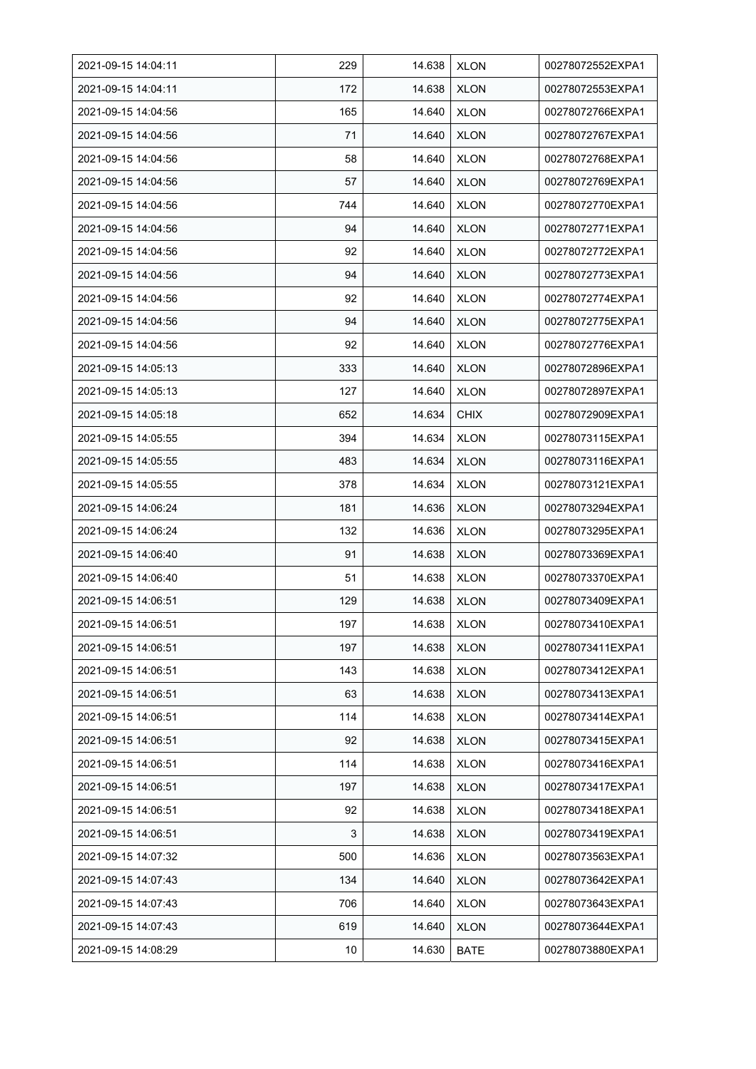| 2021-09-15 14:04:11 | 229 | 14.638 | <b>XLON</b> | 00278072552EXPA1 |
|---------------------|-----|--------|-------------|------------------|
| 2021-09-15 14:04:11 | 172 | 14.638 | <b>XLON</b> | 00278072553EXPA1 |
| 2021-09-15 14:04:56 | 165 | 14.640 | <b>XLON</b> | 00278072766EXPA1 |
| 2021-09-15 14:04:56 | 71  | 14.640 | <b>XLON</b> | 00278072767EXPA1 |
| 2021-09-15 14:04:56 | 58  | 14.640 | <b>XLON</b> | 00278072768EXPA1 |
| 2021-09-15 14:04:56 | 57  | 14.640 | <b>XLON</b> | 00278072769EXPA1 |
| 2021-09-15 14:04:56 | 744 | 14.640 | <b>XLON</b> | 00278072770EXPA1 |
| 2021-09-15 14:04:56 | 94  | 14.640 | <b>XLON</b> | 00278072771EXPA1 |
| 2021-09-15 14:04:56 | 92  | 14.640 | <b>XLON</b> | 00278072772EXPA1 |
| 2021-09-15 14:04:56 | 94  | 14.640 | <b>XLON</b> | 00278072773EXPA1 |
| 2021-09-15 14:04:56 | 92  | 14.640 | <b>XLON</b> | 00278072774EXPA1 |
| 2021-09-15 14:04:56 | 94  | 14.640 | <b>XLON</b> | 00278072775EXPA1 |
| 2021-09-15 14:04:56 | 92  | 14.640 | <b>XLON</b> | 00278072776EXPA1 |
| 2021-09-15 14:05:13 | 333 | 14.640 | <b>XLON</b> | 00278072896EXPA1 |
| 2021-09-15 14:05:13 | 127 | 14.640 | XLON        | 00278072897EXPA1 |
| 2021-09-15 14:05:18 | 652 | 14.634 | <b>CHIX</b> | 00278072909EXPA1 |
| 2021-09-15 14:05:55 | 394 | 14.634 | <b>XLON</b> | 00278073115EXPA1 |
| 2021-09-15 14:05:55 | 483 | 14.634 | <b>XLON</b> | 00278073116EXPA1 |
| 2021-09-15 14:05:55 | 378 | 14.634 | XLON        | 00278073121EXPA1 |
| 2021-09-15 14:06:24 | 181 | 14.636 | XLON        | 00278073294EXPA1 |
| 2021-09-15 14:06:24 | 132 | 14.636 | <b>XLON</b> | 00278073295EXPA1 |
| 2021-09-15 14:06:40 | 91  | 14.638 | <b>XLON</b> | 00278073369EXPA1 |
| 2021-09-15 14:06:40 | 51  | 14.638 | <b>XLON</b> | 00278073370EXPA1 |
| 2021-09-15 14:06:51 | 129 | 14.638 | <b>XLON</b> | 00278073409EXPA1 |
| 2021-09-15 14:06:51 | 197 | 14.638 | <b>XLON</b> | 00278073410EXPA1 |
| 2021-09-15 14:06:51 | 197 | 14.638 | <b>XLON</b> | 00278073411EXPA1 |
| 2021-09-15 14:06:51 | 143 | 14.638 | <b>XLON</b> | 00278073412EXPA1 |
| 2021-09-15 14:06:51 | 63  | 14.638 | <b>XLON</b> | 00278073413EXPA1 |
| 2021-09-15 14:06:51 | 114 | 14.638 | <b>XLON</b> | 00278073414EXPA1 |
| 2021-09-15 14:06:51 | 92  | 14.638 | <b>XLON</b> | 00278073415EXPA1 |
| 2021-09-15 14:06:51 | 114 | 14.638 | <b>XLON</b> | 00278073416EXPA1 |
| 2021-09-15 14:06:51 | 197 | 14.638 | <b>XLON</b> | 00278073417EXPA1 |
| 2021-09-15 14:06:51 | 92  | 14.638 | <b>XLON</b> | 00278073418EXPA1 |
| 2021-09-15 14:06:51 | 3   | 14.638 | <b>XLON</b> | 00278073419EXPA1 |
| 2021-09-15 14:07:32 | 500 | 14.636 | <b>XLON</b> | 00278073563EXPA1 |
| 2021-09-15 14:07:43 | 134 | 14.640 | <b>XLON</b> | 00278073642EXPA1 |
| 2021-09-15 14:07:43 | 706 | 14.640 | <b>XLON</b> | 00278073643EXPA1 |
| 2021-09-15 14:07:43 | 619 | 14.640 | <b>XLON</b> | 00278073644EXPA1 |
| 2021-09-15 14:08:29 | 10  | 14.630 | <b>BATE</b> | 00278073880EXPA1 |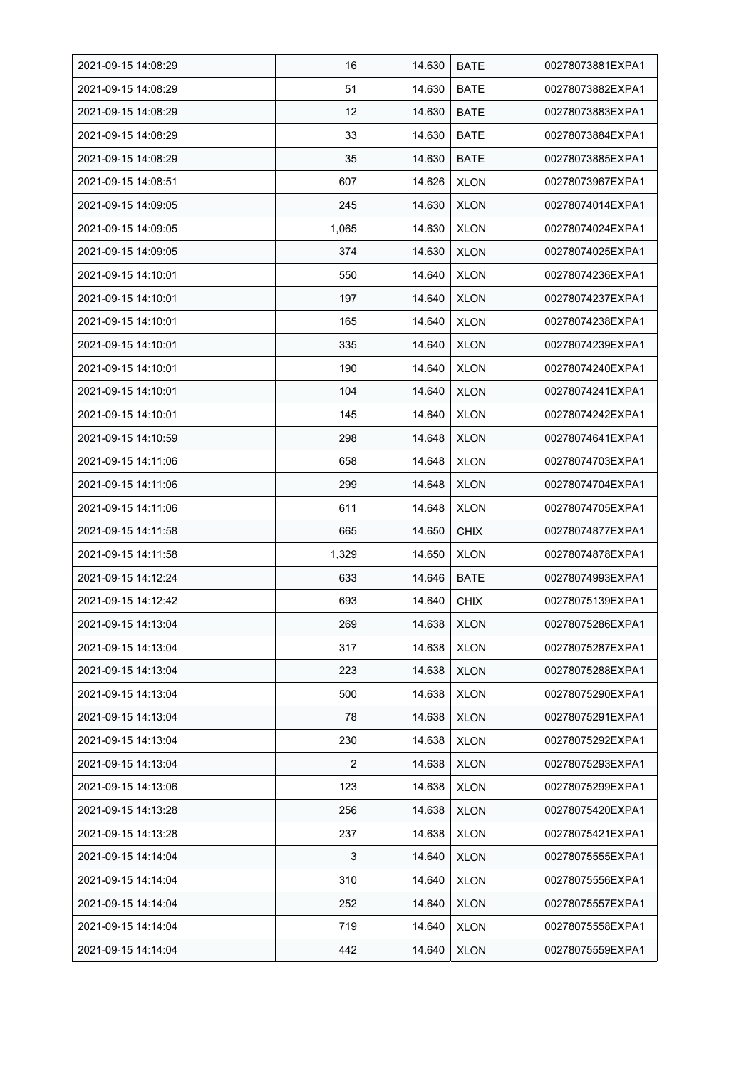| 2021-09-15 14:08:29 | 16    | 14.630 | <b>BATE</b> | 00278073881EXPA1 |
|---------------------|-------|--------|-------------|------------------|
| 2021-09-15 14:08:29 | 51    | 14.630 | <b>BATE</b> | 00278073882EXPA1 |
| 2021-09-15 14:08:29 | 12    | 14.630 | <b>BATE</b> | 00278073883EXPA1 |
| 2021-09-15 14:08:29 | 33    | 14.630 | <b>BATE</b> | 00278073884EXPA1 |
| 2021-09-15 14:08:29 | 35    | 14.630 | BATE        | 00278073885EXPA1 |
| 2021-09-15 14:08:51 | 607   | 14.626 | <b>XLON</b> | 00278073967EXPA1 |
| 2021-09-15 14:09:05 | 245   | 14.630 | <b>XLON</b> | 00278074014EXPA1 |
| 2021-09-15 14:09:05 | 1,065 | 14.630 | <b>XLON</b> | 00278074024EXPA1 |
| 2021-09-15 14:09:05 | 374   | 14.630 | <b>XLON</b> | 00278074025EXPA1 |
| 2021-09-15 14:10:01 | 550   | 14.640 | <b>XLON</b> | 00278074236EXPA1 |
| 2021-09-15 14:10:01 | 197   | 14.640 | <b>XLON</b> | 00278074237EXPA1 |
| 2021-09-15 14:10:01 | 165   | 14.640 | <b>XLON</b> | 00278074238EXPA1 |
| 2021-09-15 14:10:01 | 335   | 14.640 | <b>XLON</b> | 00278074239EXPA1 |
| 2021-09-15 14:10:01 | 190   | 14.640 | <b>XLON</b> | 00278074240EXPA1 |
| 2021-09-15 14:10:01 | 104   | 14.640 | <b>XLON</b> | 00278074241EXPA1 |
| 2021-09-15 14:10.01 | 145   | 14.640 | <b>XLON</b> | 00278074242EXPA1 |
| 2021-09-15 14:10:59 | 298   | 14.648 | <b>XLON</b> | 00278074641EXPA1 |
| 2021-09-15 14:11:06 | 658   | 14.648 | <b>XLON</b> | 00278074703EXPA1 |
| 2021-09-15 14:11:06 | 299   | 14.648 | <b>XLON</b> | 00278074704EXPA1 |
| 2021-09-15 14:11:06 | 611   | 14.648 | <b>XLON</b> | 00278074705EXPA1 |
| 2021-09-15 14:11:58 | 665   | 14.650 | <b>CHIX</b> | 00278074877EXPA1 |
| 2021-09-15 14:11:58 | 1,329 | 14.650 | <b>XLON</b> | 00278074878EXPA1 |
| 2021-09-15 14:12:24 | 633   | 14.646 | <b>BATE</b> | 00278074993EXPA1 |
| 2021-09-15 14:12:42 | 693   | 14.640 | <b>CHIX</b> | 00278075139EXPA1 |
| 2021-09-15 14:13:04 | 269   | 14.638 | <b>XLON</b> | 00278075286EXPA1 |
| 2021-09-15 14:13:04 | 317   | 14.638 | <b>XLON</b> | 00278075287EXPA1 |
| 2021-09-15 14:13:04 | 223   | 14.638 | <b>XLON</b> | 00278075288EXPA1 |
| 2021-09-15 14:13:04 | 500   | 14.638 | <b>XLON</b> | 00278075290EXPA1 |
| 2021-09-15 14:13:04 | 78    | 14.638 | <b>XLON</b> | 00278075291EXPA1 |
| 2021-09-15 14:13:04 | 230   | 14.638 | <b>XLON</b> | 00278075292EXPA1 |
| 2021-09-15 14:13:04 | 2     | 14.638 | <b>XLON</b> | 00278075293EXPA1 |
| 2021-09-15 14:13:06 | 123   | 14.638 | <b>XLON</b> | 00278075299EXPA1 |
| 2021-09-15 14:13:28 | 256   | 14.638 | <b>XLON</b> | 00278075420EXPA1 |
| 2021-09-15 14:13:28 | 237   | 14.638 | <b>XLON</b> | 00278075421EXPA1 |
| 2021-09-15 14:14:04 | 3     | 14.640 | <b>XLON</b> | 00278075555EXPA1 |
| 2021-09-15 14:14:04 | 310   | 14.640 | <b>XLON</b> | 00278075556EXPA1 |
| 2021-09-15 14:14:04 | 252   | 14.640 | <b>XLON</b> | 00278075557EXPA1 |
| 2021-09-15 14:14:04 | 719   | 14.640 | <b>XLON</b> | 00278075558EXPA1 |
| 2021-09-15 14:14:04 | 442   | 14.640 | <b>XLON</b> | 00278075559EXPA1 |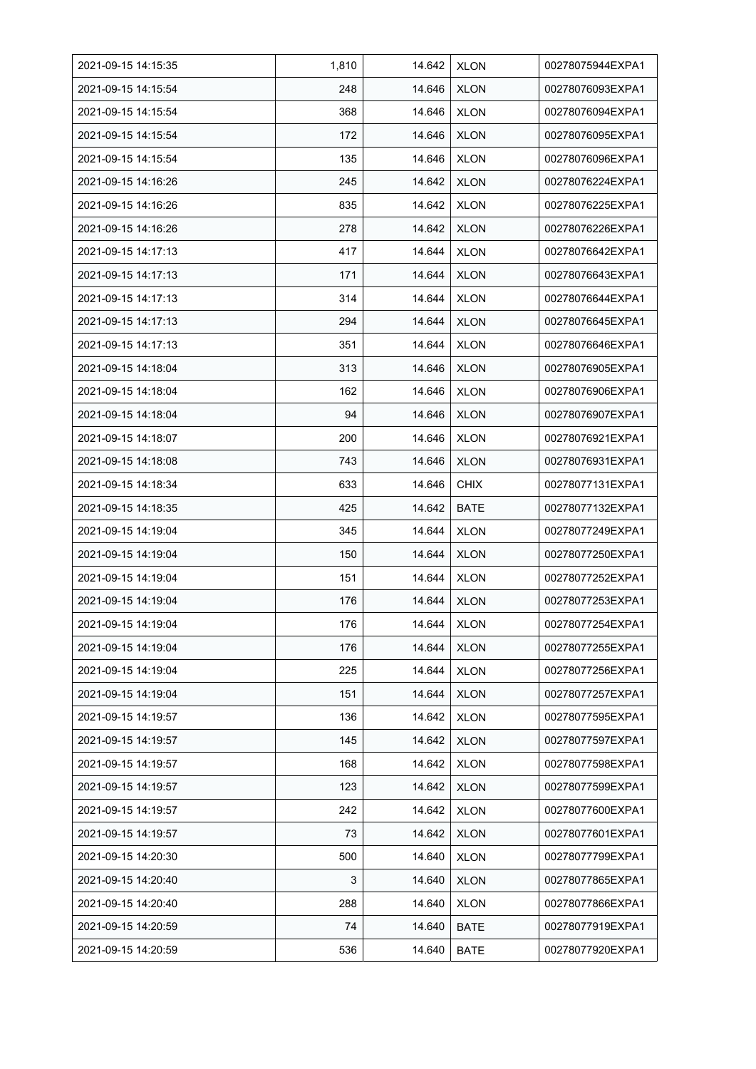| 2021-09-15 14:15:35 | 1,810 | 14.642 | <b>XLON</b> | 00278075944EXPA1 |
|---------------------|-------|--------|-------------|------------------|
| 2021-09-15 14:15:54 | 248   | 14.646 | <b>XLON</b> | 00278076093EXPA1 |
| 2021-09-15 14:15:54 | 368   | 14.646 | <b>XLON</b> | 00278076094EXPA1 |
| 2021-09-15 14:15:54 | 172   | 14.646 | <b>XLON</b> | 00278076095EXPA1 |
| 2021-09-15 14:15:54 | 135   | 14.646 | <b>XLON</b> | 00278076096EXPA1 |
| 2021-09-15 14:16:26 | 245   | 14.642 | <b>XLON</b> | 00278076224EXPA1 |
| 2021-09-15 14:16:26 | 835   | 14.642 | <b>XLON</b> | 00278076225EXPA1 |
| 2021-09-15 14:16:26 | 278   | 14.642 | <b>XLON</b> | 00278076226EXPA1 |
| 2021-09-15 14:17:13 | 417   | 14.644 | <b>XLON</b> | 00278076642EXPA1 |
| 2021-09-15 14:17:13 | 171   | 14.644 | <b>XLON</b> | 00278076643EXPA1 |
| 2021-09-15 14:17:13 | 314   | 14.644 | <b>XLON</b> | 00278076644EXPA1 |
| 2021-09-15 14:17:13 | 294   | 14.644 | <b>XLON</b> | 00278076645EXPA1 |
| 2021-09-15 14:17:13 | 351   | 14.644 | <b>XLON</b> | 00278076646EXPA1 |
| 2021-09-15 14:18:04 | 313   | 14.646 | <b>XLON</b> | 00278076905EXPA1 |
| 2021-09-15 14:18:04 | 162   | 14.646 | <b>XLON</b> | 00278076906EXPA1 |
| 2021-09-15 14:18:04 | 94    | 14.646 | <b>XLON</b> | 00278076907EXPA1 |
| 2021-09-15 14:18:07 | 200   | 14.646 | <b>XLON</b> | 00278076921EXPA1 |
| 2021-09-15 14:18:08 | 743   | 14.646 | <b>XLON</b> | 00278076931EXPA1 |
| 2021-09-15 14:18:34 | 633   | 14.646 | <b>CHIX</b> | 00278077131EXPA1 |
| 2021-09-15 14:18:35 | 425   | 14.642 | <b>BATE</b> | 00278077132EXPA1 |
| 2021-09-15 14:19:04 | 345   | 14.644 | <b>XLON</b> | 00278077249EXPA1 |
| 2021-09-15 14:19:04 | 150   | 14.644 | <b>XLON</b> | 00278077250EXPA1 |
| 2021-09-15 14:19:04 | 151   | 14.644 | <b>XLON</b> | 00278077252EXPA1 |
| 2021-09-15 14:19:04 | 176   | 14.644 | <b>XLON</b> | 00278077253EXPA1 |
| 2021-09-15 14:19:04 | 176   | 14.644 | <b>XLON</b> | 00278077254EXPA1 |
| 2021-09-15 14:19:04 | 176   | 14.644 | <b>XLON</b> | 00278077255EXPA1 |
| 2021-09-15 14:19:04 | 225   | 14.644 | <b>XLON</b> | 00278077256EXPA1 |
| 2021-09-15 14:19:04 | 151   | 14.644 | <b>XLON</b> | 00278077257EXPA1 |
| 2021-09-15 14:19:57 | 136   | 14.642 | <b>XLON</b> | 00278077595EXPA1 |
| 2021-09-15 14:19:57 | 145   | 14.642 | <b>XLON</b> | 00278077597EXPA1 |
| 2021-09-15 14:19:57 | 168   | 14.642 | <b>XLON</b> | 00278077598EXPA1 |
| 2021-09-15 14:19:57 | 123   | 14.642 | <b>XLON</b> | 00278077599EXPA1 |
| 2021-09-15 14:19:57 | 242   | 14.642 | <b>XLON</b> | 00278077600EXPA1 |
| 2021-09-15 14:19:57 | 73    | 14.642 | <b>XLON</b> | 00278077601EXPA1 |
| 2021-09-15 14:20:30 | 500   | 14.640 | XLON        | 00278077799EXPA1 |
| 2021-09-15 14:20:40 | 3     | 14.640 | <b>XLON</b> | 00278077865EXPA1 |
| 2021-09-15 14:20:40 | 288   | 14.640 | <b>XLON</b> | 00278077866EXPA1 |
| 2021-09-15 14:20:59 | 74    | 14.640 | <b>BATE</b> | 00278077919EXPA1 |
| 2021-09-15 14:20:59 | 536   | 14.640 | <b>BATE</b> | 00278077920EXPA1 |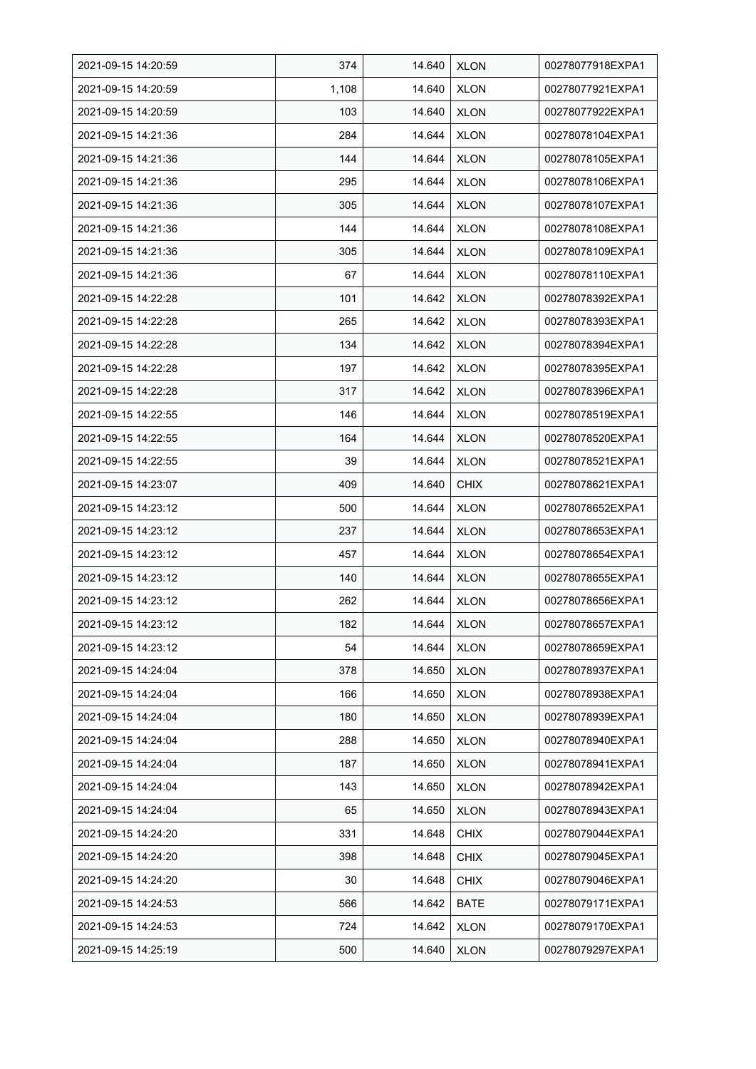| 2021-09-15 14:20:59 | 374   | 14.640 | <b>XLON</b> | 00278077918EXPA1 |
|---------------------|-------|--------|-------------|------------------|
| 2021-09-15 14:20:59 | 1,108 | 14.640 | <b>XLON</b> | 00278077921EXPA1 |
| 2021-09-15 14:20:59 | 103   | 14.640 | <b>XLON</b> | 00278077922EXPA1 |
| 2021-09-15 14:21:36 | 284   | 14.644 | <b>XLON</b> | 00278078104EXPA1 |
| 2021-09-15 14:21:36 | 144   | 14.644 | <b>XLON</b> | 00278078105EXPA1 |
| 2021-09-15 14:21:36 | 295   | 14.644 | <b>XLON</b> | 00278078106EXPA1 |
| 2021-09-15 14:21:36 | 305   | 14.644 | <b>XLON</b> | 00278078107EXPA1 |
| 2021-09-15 14:21:36 | 144   | 14.644 | <b>XLON</b> | 00278078108EXPA1 |
| 2021-09-15 14:21:36 | 305   | 14.644 | <b>XLON</b> | 00278078109EXPA1 |
| 2021-09-15 14:21:36 | 67    | 14.644 | <b>XLON</b> | 00278078110EXPA1 |
| 2021-09-15 14:22:28 | 101   | 14.642 | <b>XLON</b> | 00278078392EXPA1 |
| 2021-09-15 14:22:28 | 265   | 14.642 | <b>XLON</b> | 00278078393EXPA1 |
| 2021-09-15 14:22:28 | 134   | 14.642 | <b>XLON</b> | 00278078394EXPA1 |
| 2021-09-15 14:22:28 | 197   | 14.642 | <b>XLON</b> | 00278078395EXPA1 |
| 2021-09-15 14:22:28 | 317   | 14.642 | <b>XLON</b> | 00278078396EXPA1 |
| 2021-09-15 14:22:55 | 146   | 14.644 | <b>XLON</b> | 00278078519EXPA1 |
| 2021-09-15 14:22:55 | 164   | 14.644 | <b>XLON</b> | 00278078520EXPA1 |
| 2021-09-15 14:22:55 | 39    | 14.644 | <b>XLON</b> | 00278078521EXPA1 |
| 2021-09-15 14:23:07 | 409   | 14.640 | <b>CHIX</b> | 00278078621EXPA1 |
| 2021-09-15 14:23:12 | 500   | 14.644 | <b>XLON</b> | 00278078652EXPA1 |
| 2021-09-15 14:23:12 | 237   | 14.644 | <b>XLON</b> | 00278078653EXPA1 |
| 2021-09-15 14:23:12 | 457   | 14.644 | <b>XLON</b> | 00278078654EXPA1 |
| 2021-09-15 14:23:12 | 140   | 14.644 | <b>XLON</b> | 00278078655EXPA1 |
| 2021-09-15 14:23:12 | 262   | 14.644 | <b>XLON</b> | 00278078656EXPA1 |
| 2021-09-15 14:23:12 | 182   | 14.644 | <b>XLON</b> | 00278078657EXPA1 |
| 2021-09-15 14:23:12 | 54    | 14.644 | <b>XLON</b> | 00278078659EXPA1 |
| 2021-09-15 14:24:04 | 378   | 14.650 | <b>XLON</b> | 00278078937EXPA1 |
| 2021-09-15 14:24:04 | 166   | 14.650 | <b>XLON</b> | 00278078938EXPA1 |
| 2021-09-15 14:24:04 | 180   | 14.650 | <b>XLON</b> | 00278078939EXPA1 |
| 2021-09-15 14:24:04 | 288   | 14.650 | <b>XLON</b> | 00278078940EXPA1 |
| 2021-09-15 14:24:04 | 187   | 14.650 | <b>XLON</b> | 00278078941EXPA1 |
| 2021-09-15 14:24:04 | 143   | 14.650 | <b>XLON</b> | 00278078942EXPA1 |
| 2021-09-15 14:24:04 | 65    | 14.650 | <b>XLON</b> | 00278078943EXPA1 |
| 2021-09-15 14:24:20 | 331   | 14.648 | <b>CHIX</b> | 00278079044EXPA1 |
| 2021-09-15 14:24:20 | 398   | 14.648 | <b>CHIX</b> | 00278079045EXPA1 |
| 2021-09-15 14:24:20 | 30    | 14.648 | <b>CHIX</b> | 00278079046EXPA1 |
| 2021-09-15 14:24:53 | 566   | 14.642 | BATE        | 00278079171EXPA1 |
| 2021-09-15 14:24:53 | 724   | 14.642 | <b>XLON</b> | 00278079170EXPA1 |
| 2021-09-15 14:25:19 | 500   | 14.640 | <b>XLON</b> | 00278079297EXPA1 |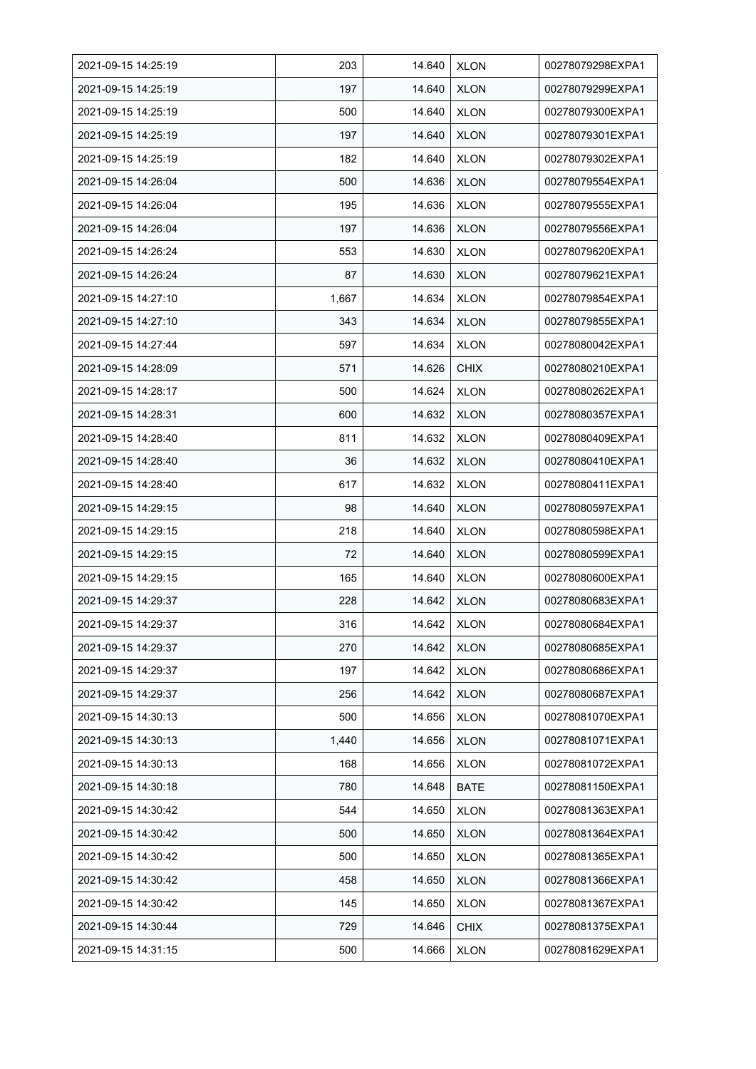| 2021-09-15 14:25:19 | 203   | 14.640 | <b>XLON</b> | 00278079298EXPA1 |
|---------------------|-------|--------|-------------|------------------|
| 2021-09-15 14:25:19 | 197   | 14.640 | <b>XLON</b> | 00278079299EXPA1 |
| 2021-09-15 14:25:19 | 500   | 14.640 | <b>XLON</b> | 00278079300EXPA1 |
| 2021-09-15 14:25:19 | 197   | 14.640 | <b>XLON</b> | 00278079301EXPA1 |
| 2021-09-15 14:25:19 | 182   | 14.640 | <b>XLON</b> | 00278079302EXPA1 |
| 2021-09-15 14:26:04 | 500   | 14.636 | <b>XLON</b> | 00278079554EXPA1 |
| 2021-09-15 14:26:04 | 195   | 14.636 | <b>XLON</b> | 00278079555EXPA1 |
| 2021-09-15 14:26:04 | 197   | 14.636 | <b>XLON</b> | 00278079556EXPA1 |
| 2021-09-15 14:26:24 | 553   | 14.630 | <b>XLON</b> | 00278079620EXPA1 |
| 2021-09-15 14:26:24 | 87    | 14.630 | <b>XLON</b> | 00278079621EXPA1 |
| 2021-09-15 14:27:10 | 1,667 | 14.634 | <b>XLON</b> | 00278079854EXPA1 |
| 2021-09-15 14:27:10 | 343   | 14.634 | <b>XLON</b> | 00278079855EXPA1 |
| 2021-09-15 14:27:44 | 597   | 14.634 | <b>XLON</b> | 00278080042EXPA1 |
| 2021-09-15 14:28:09 | 571   | 14.626 | <b>CHIX</b> | 00278080210EXPA1 |
| 2021-09-15 14:28:17 | 500   | 14.624 | <b>XLON</b> | 00278080262EXPA1 |
| 2021-09-15 14:28:31 | 600   | 14.632 | <b>XLON</b> | 00278080357EXPA1 |
| 2021-09-15 14:28:40 | 811   | 14.632 | <b>XLON</b> | 00278080409EXPA1 |
| 2021-09-15 14:28:40 | 36    | 14.632 | XLON        | 00278080410EXPA1 |
| 2021-09-15 14:28:40 | 617   | 14.632 | <b>XLON</b> | 00278080411EXPA1 |
| 2021-09-15 14:29:15 | 98    | 14.640 | <b>XLON</b> | 00278080597EXPA1 |
| 2021-09-15 14:29:15 | 218   | 14.640 | <b>XLON</b> | 00278080598EXPA1 |
| 2021-09-15 14:29:15 | 72    | 14.640 | <b>XLON</b> | 00278080599EXPA1 |
| 2021-09-15 14:29:15 | 165   | 14.640 | <b>XLON</b> | 00278080600EXPA1 |
| 2021-09-15 14:29:37 | 228   | 14.642 | <b>XLON</b> | 00278080683EXPA1 |
| 2021-09-15 14:29:37 | 316   | 14.642 | <b>XLON</b> | 00278080684EXPA1 |
| 2021-09-15 14:29:37 | 270   | 14.642 | <b>XLON</b> | 00278080685EXPA1 |
| 2021-09-15 14:29:37 | 197   | 14.642 | <b>XLON</b> | 00278080686EXPA1 |
| 2021-09-15 14:29:37 | 256   | 14.642 | <b>XLON</b> | 00278080687EXPA1 |
| 2021-09-15 14:30:13 | 500   | 14.656 | <b>XLON</b> | 00278081070EXPA1 |
| 2021-09-15 14:30:13 | 1,440 | 14.656 | <b>XLON</b> | 00278081071EXPA1 |
| 2021-09-15 14:30:13 | 168   | 14.656 | <b>XLON</b> | 00278081072EXPA1 |
| 2021-09-15 14:30:18 | 780   | 14.648 | BATE        | 00278081150EXPA1 |
| 2021-09-15 14:30:42 | 544   | 14.650 | <b>XLON</b> | 00278081363EXPA1 |
| 2021-09-15 14:30:42 | 500   | 14.650 | <b>XLON</b> | 00278081364EXPA1 |
| 2021-09-15 14:30:42 | 500   | 14.650 | XLON        | 00278081365EXPA1 |
| 2021-09-15 14:30:42 | 458   | 14.650 | <b>XLON</b> | 00278081366EXPA1 |
| 2021-09-15 14:30:42 | 145   | 14.650 | <b>XLON</b> | 00278081367EXPA1 |
| 2021-09-15 14:30:44 | 729   | 14.646 | <b>CHIX</b> | 00278081375EXPA1 |
| 2021-09-15 14:31:15 | 500   | 14.666 | <b>XLON</b> | 00278081629EXPA1 |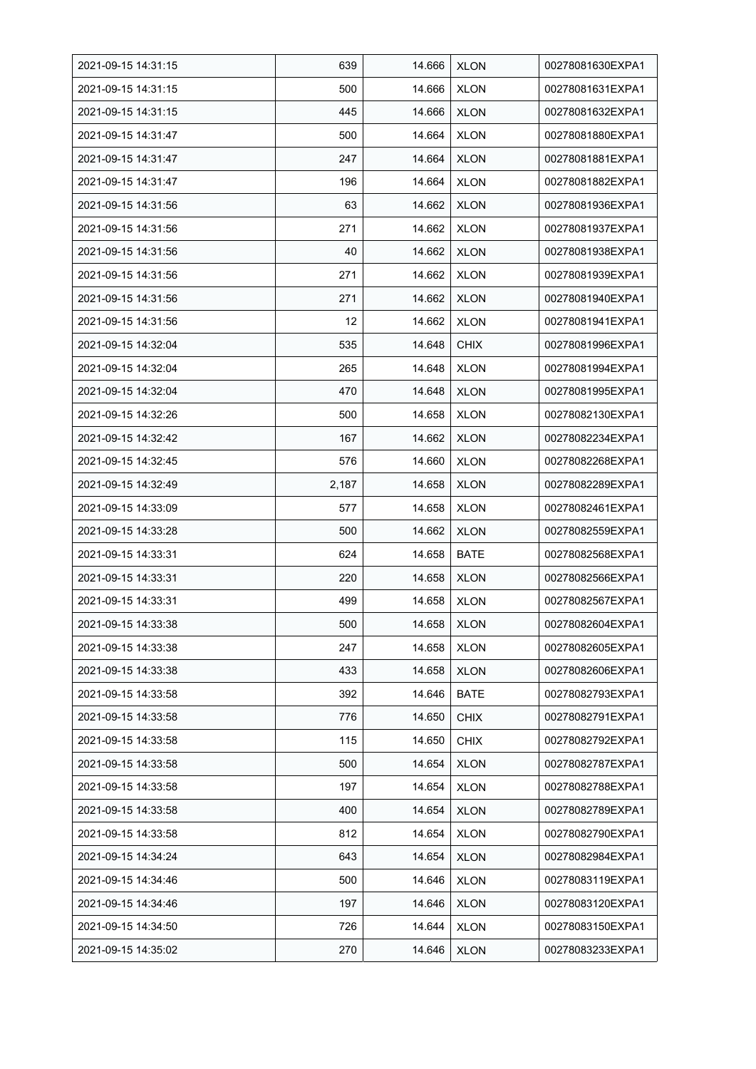| 2021-09-15 14:31:15 | 639   | 14.666 | <b>XLON</b> | 00278081630EXPA1 |
|---------------------|-------|--------|-------------|------------------|
| 2021-09-15 14:31:15 | 500   | 14.666 | <b>XLON</b> | 00278081631EXPA1 |
| 2021-09-15 14:31:15 | 445   | 14.666 | <b>XLON</b> | 00278081632EXPA1 |
| 2021-09-15 14:31:47 | 500   | 14.664 | <b>XLON</b> | 00278081880EXPA1 |
| 2021-09-15 14:31:47 | 247   | 14.664 | <b>XLON</b> | 00278081881EXPA1 |
| 2021-09-15 14:31:47 | 196   | 14.664 | <b>XLON</b> | 00278081882EXPA1 |
| 2021-09-15 14:31:56 | 63    | 14.662 | <b>XLON</b> | 00278081936EXPA1 |
| 2021-09-15 14:31:56 | 271   | 14.662 | <b>XLON</b> | 00278081937EXPA1 |
| 2021-09-15 14:31:56 | 40    | 14.662 | <b>XLON</b> | 00278081938EXPA1 |
| 2021-09-15 14:31:56 | 271   | 14.662 | <b>XLON</b> | 00278081939EXPA1 |
| 2021-09-15 14:31:56 | 271   | 14.662 | <b>XLON</b> | 00278081940EXPA1 |
| 2021-09-15 14:31:56 | 12    | 14.662 | <b>XLON</b> | 00278081941EXPA1 |
| 2021-09-15 14:32:04 | 535   | 14.648 | <b>CHIX</b> | 00278081996EXPA1 |
| 2021-09-15 14:32:04 | 265   | 14.648 | <b>XLON</b> | 00278081994EXPA1 |
| 2021-09-15 14:32:04 | 470   | 14.648 | <b>XLON</b> | 00278081995EXPA1 |
| 2021-09-15 14:32:26 | 500   | 14.658 | <b>XLON</b> | 00278082130EXPA1 |
| 2021-09-15 14:32:42 | 167   | 14.662 | <b>XLON</b> | 00278082234EXPA1 |
| 2021-09-15 14:32:45 | 576   | 14.660 | XLON        | 00278082268EXPA1 |
| 2021-09-15 14:32:49 | 2,187 | 14.658 | <b>XLON</b> | 00278082289EXPA1 |
| 2021-09-15 14:33:09 | 577   | 14.658 | <b>XLON</b> | 00278082461EXPA1 |
| 2021-09-15 14:33:28 | 500   | 14.662 | <b>XLON</b> | 00278082559EXPA1 |
| 2021-09-15 14:33:31 | 624   | 14.658 | <b>BATE</b> | 00278082568EXPA1 |
| 2021-09-15 14:33:31 | 220   | 14.658 | <b>XLON</b> | 00278082566EXPA1 |
| 2021-09-15 14:33:31 | 499   | 14.658 | <b>XLON</b> | 00278082567EXPA1 |
| 2021-09-15 14:33:38 | 500   | 14.658 | <b>XLON</b> | 00278082604EXPA1 |
| 2021-09-15 14:33:38 | 247   | 14.658 | <b>XLON</b> | 00278082605EXPA1 |
| 2021-09-15 14:33:38 | 433   | 14.658 | <b>XLON</b> | 00278082606EXPA1 |
| 2021-09-15 14:33:58 | 392   | 14.646 | <b>BATE</b> | 00278082793EXPA1 |
| 2021-09-15 14:33:58 | 776   | 14.650 | <b>CHIX</b> | 00278082791EXPA1 |
| 2021-09-15 14:33:58 | 115   | 14.650 | <b>CHIX</b> | 00278082792EXPA1 |
| 2021-09-15 14:33:58 | 500   | 14.654 | <b>XLON</b> | 00278082787EXPA1 |
| 2021-09-15 14:33:58 | 197   | 14.654 | <b>XLON</b> | 00278082788EXPA1 |
| 2021-09-15 14:33:58 | 400   | 14.654 | <b>XLON</b> | 00278082789EXPA1 |
| 2021-09-15 14:33:58 | 812   | 14.654 | <b>XLON</b> | 00278082790EXPA1 |
| 2021-09-15 14:34:24 | 643   | 14.654 | <b>XLON</b> | 00278082984EXPA1 |
| 2021-09-15 14:34:46 | 500   | 14.646 | <b>XLON</b> | 00278083119EXPA1 |
| 2021-09-15 14:34:46 | 197   | 14.646 | <b>XLON</b> | 00278083120EXPA1 |
| 2021-09-15 14:34:50 | 726   | 14.644 | <b>XLON</b> | 00278083150EXPA1 |
| 2021-09-15 14:35:02 | 270   | 14.646 | <b>XLON</b> | 00278083233EXPA1 |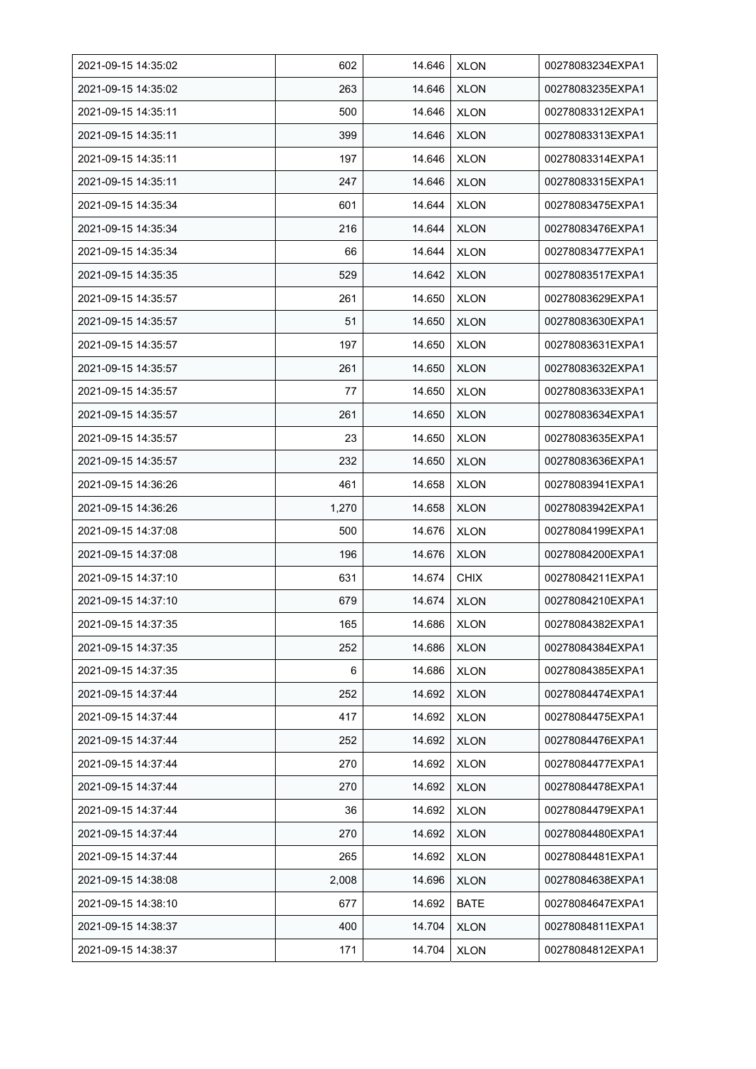| 2021-09-15 14:35:02 | 602   | 14.646 | <b>XLON</b> | 00278083234EXPA1 |
|---------------------|-------|--------|-------------|------------------|
| 2021-09-15 14:35:02 | 263   | 14.646 | <b>XLON</b> | 00278083235EXPA1 |
| 2021-09-15 14:35:11 | 500   | 14.646 | <b>XLON</b> | 00278083312EXPA1 |
| 2021-09-15 14:35:11 | 399   | 14.646 | <b>XLON</b> | 00278083313EXPA1 |
| 2021-09-15 14:35:11 | 197   | 14.646 | <b>XLON</b> | 00278083314EXPA1 |
| 2021-09-15 14:35:11 | 247   | 14.646 | <b>XLON</b> | 00278083315EXPA1 |
| 2021-09-15 14:35:34 | 601   | 14.644 | <b>XLON</b> | 00278083475EXPA1 |
| 2021-09-15 14:35:34 | 216   | 14.644 | <b>XLON</b> | 00278083476EXPA1 |
| 2021-09-15 14:35:34 | 66    | 14.644 | <b>XLON</b> | 00278083477EXPA1 |
| 2021-09-15 14:35:35 | 529   | 14.642 | <b>XLON</b> | 00278083517EXPA1 |
| 2021-09-15 14:35:57 | 261   | 14.650 | <b>XLON</b> | 00278083629EXPA1 |
| 2021-09-15 14:35:57 | 51    | 14.650 | <b>XLON</b> | 00278083630EXPA1 |
| 2021-09-15 14:35:57 | 197   | 14.650 | <b>XLON</b> | 00278083631EXPA1 |
| 2021-09-15 14:35:57 | 261   | 14.650 | <b>XLON</b> | 00278083632EXPA1 |
| 2021-09-15 14:35:57 | 77    | 14.650 | <b>XLON</b> | 00278083633EXPA1 |
| 2021-09-15 14:35:57 | 261   | 14.650 | <b>XLON</b> | 00278083634EXPA1 |
| 2021-09-15 14:35:57 | 23    | 14.650 | <b>XLON</b> | 00278083635EXPA1 |
| 2021-09-15 14:35:57 | 232   | 14.650 | XLON        | 00278083636EXPA1 |
| 2021-09-15 14:36:26 | 461   | 14.658 | <b>XLON</b> | 00278083941EXPA1 |
| 2021-09-15 14:36:26 | 1,270 | 14.658 | <b>XLON</b> | 00278083942EXPA1 |
| 2021-09-15 14:37:08 | 500   | 14.676 | <b>XLON</b> | 00278084199EXPA1 |
| 2021-09-15 14:37:08 | 196   | 14.676 | <b>XLON</b> | 00278084200EXPA1 |
| 2021-09-15 14:37:10 | 631   | 14.674 | <b>CHIX</b> | 00278084211EXPA1 |
| 2021-09-15 14:37:10 | 679   | 14.674 | <b>XLON</b> | 00278084210EXPA1 |
| 2021-09-15 14:37:35 | 165   | 14.686 | <b>XLON</b> | 00278084382EXPA1 |
| 2021-09-15 14:37:35 | 252   | 14.686 | <b>XLON</b> | 00278084384EXPA1 |
| 2021-09-15 14:37:35 | 6     | 14.686 | <b>XLON</b> | 00278084385EXPA1 |
| 2021-09-15 14:37:44 | 252   | 14.692 | <b>XLON</b> | 00278084474EXPA1 |
| 2021-09-15 14:37:44 | 417   | 14.692 | <b>XLON</b> | 00278084475EXPA1 |
| 2021-09-15 14:37:44 | 252   | 14.692 | <b>XLON</b> | 00278084476EXPA1 |
| 2021-09-15 14:37:44 | 270   | 14.692 | <b>XLON</b> | 00278084477EXPA1 |
| 2021-09-15 14:37:44 | 270   | 14.692 | <b>XLON</b> | 00278084478EXPA1 |
| 2021-09-15 14:37:44 | 36    | 14.692 | <b>XLON</b> | 00278084479EXPA1 |
| 2021-09-15 14:37:44 | 270   | 14.692 | <b>XLON</b> | 00278084480EXPA1 |
| 2021-09-15 14:37:44 | 265   | 14.692 | <b>XLON</b> | 00278084481EXPA1 |
| 2021-09-15 14:38:08 | 2,008 | 14.696 | <b>XLON</b> | 00278084638EXPA1 |
| 2021-09-15 14:38:10 | 677   | 14.692 | BATE        | 00278084647EXPA1 |
| 2021-09-15 14:38:37 | 400   | 14.704 | <b>XLON</b> | 00278084811EXPA1 |
| 2021-09-15 14:38:37 | 171   | 14.704 | <b>XLON</b> | 00278084812EXPA1 |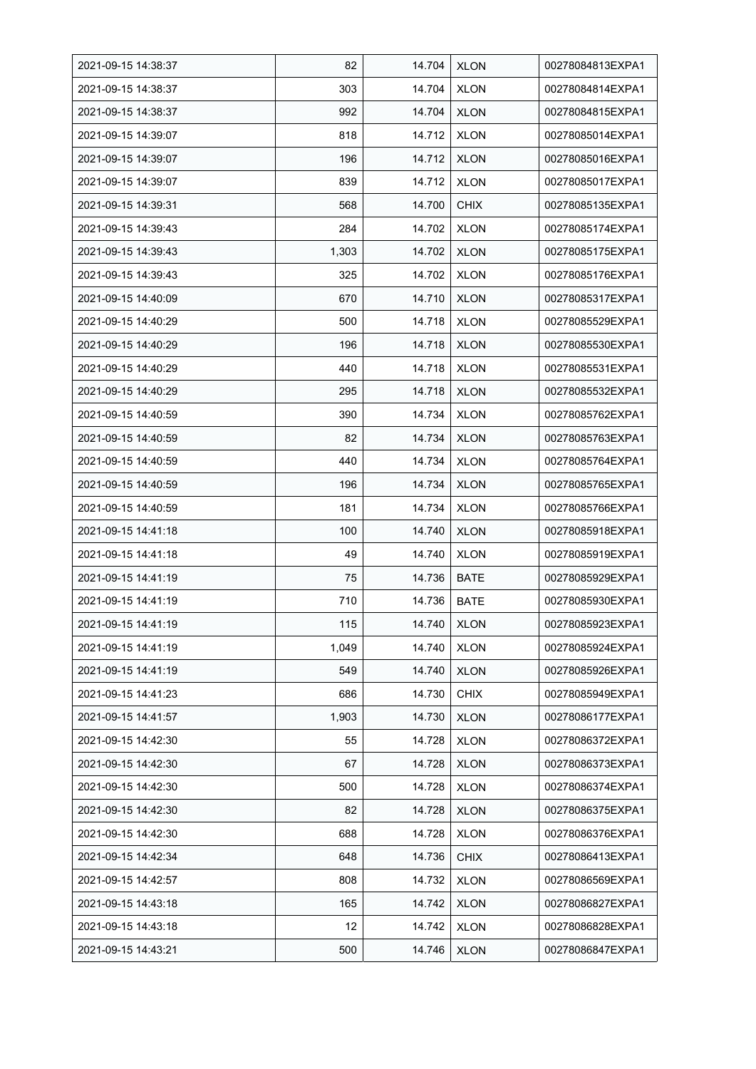| 2021-09-15 14:38:37 | 82    | 14.704 | <b>XLON</b> | 00278084813EXPA1 |
|---------------------|-------|--------|-------------|------------------|
| 2021-09-15 14:38:37 | 303   | 14.704 | <b>XLON</b> | 00278084814EXPA1 |
| 2021-09-15 14:38:37 | 992   | 14.704 | <b>XLON</b> | 00278084815EXPA1 |
| 2021-09-15 14:39:07 | 818   | 14.712 | <b>XLON</b> | 00278085014EXPA1 |
| 2021-09-15 14:39:07 | 196   | 14.712 | <b>XLON</b> | 00278085016EXPA1 |
| 2021-09-15 14:39:07 | 839   | 14.712 | <b>XLON</b> | 00278085017EXPA1 |
| 2021-09-15 14:39:31 | 568   | 14.700 | <b>CHIX</b> | 00278085135EXPA1 |
| 2021-09-15 14:39:43 | 284   | 14.702 | <b>XLON</b> | 00278085174EXPA1 |
| 2021-09-15 14:39:43 | 1,303 | 14.702 | <b>XLON</b> | 00278085175EXPA1 |
| 2021-09-15 14:39:43 | 325   | 14.702 | <b>XLON</b> | 00278085176EXPA1 |
| 2021-09-15 14:40:09 | 670   | 14.710 | <b>XLON</b> | 00278085317EXPA1 |
| 2021-09-15 14:40:29 | 500   | 14.718 | <b>XLON</b> | 00278085529EXPA1 |
| 2021-09-15 14:40:29 | 196   | 14.718 | <b>XLON</b> | 00278085530EXPA1 |
| 2021-09-15 14:40:29 | 440   | 14.718 | <b>XLON</b> | 00278085531EXPA1 |
| 2021-09-15 14:40:29 | 295   | 14.718 | <b>XLON</b> | 00278085532EXPA1 |
| 2021-09-15 14:40:59 | 390   | 14.734 | <b>XLON</b> | 00278085762EXPA1 |
| 2021-09-15 14:40:59 | 82    | 14.734 | <b>XLON</b> | 00278085763EXPA1 |
| 2021-09-15 14:40:59 | 440   | 14.734 | <b>XLON</b> | 00278085764EXPA1 |
| 2021-09-15 14:40:59 | 196   | 14.734 | <b>XLON</b> | 00278085765EXPA1 |
| 2021-09-15 14:40:59 | 181   | 14.734 | <b>XLON</b> | 00278085766EXPA1 |
| 2021-09-15 14:41:18 | 100   | 14.740 | <b>XLON</b> | 00278085918EXPA1 |
| 2021-09-15 14:41:18 | 49    | 14.740 | <b>XLON</b> | 00278085919EXPA1 |
| 2021-09-15 14:41:19 | 75    | 14.736 | BATE        | 00278085929EXPA1 |
| 2021-09-15 14:41:19 | 710   | 14.736 | <b>BATE</b> | 00278085930EXPA1 |
| 2021-09-15 14:41:19 | 115   | 14.740 | <b>XLON</b> | 00278085923EXPA1 |
| 2021-09-15 14:41:19 | 1,049 | 14.740 | <b>XLON</b> | 00278085924EXPA1 |
| 2021-09-15 14:41:19 | 549   | 14.740 | <b>XLON</b> | 00278085926EXPA1 |
| 2021-09-15 14:41:23 | 686   | 14.730 | <b>CHIX</b> | 00278085949EXPA1 |
| 2021-09-15 14:41:57 | 1,903 | 14.730 | <b>XLON</b> | 00278086177EXPA1 |
| 2021-09-15 14:42:30 | 55    | 14.728 | <b>XLON</b> | 00278086372EXPA1 |
| 2021-09-15 14:42:30 | 67    | 14.728 | <b>XLON</b> | 00278086373EXPA1 |
| 2021-09-15 14:42:30 | 500   | 14.728 | <b>XLON</b> | 00278086374EXPA1 |
| 2021-09-15 14:42:30 | 82    | 14.728 | <b>XLON</b> | 00278086375EXPA1 |
| 2021-09-15 14:42:30 | 688   | 14.728 | <b>XLON</b> | 00278086376EXPA1 |
| 2021-09-15 14:42:34 | 648   | 14.736 | <b>CHIX</b> | 00278086413EXPA1 |
| 2021-09-15 14:42:57 | 808   | 14.732 | <b>XLON</b> | 00278086569EXPA1 |
| 2021-09-15 14:43:18 | 165   | 14.742 | <b>XLON</b> | 00278086827EXPA1 |
| 2021-09-15 14:43:18 | 12    | 14.742 | <b>XLON</b> | 00278086828EXPA1 |
| 2021-09-15 14:43:21 | 500   | 14.746 | <b>XLON</b> | 00278086847EXPA1 |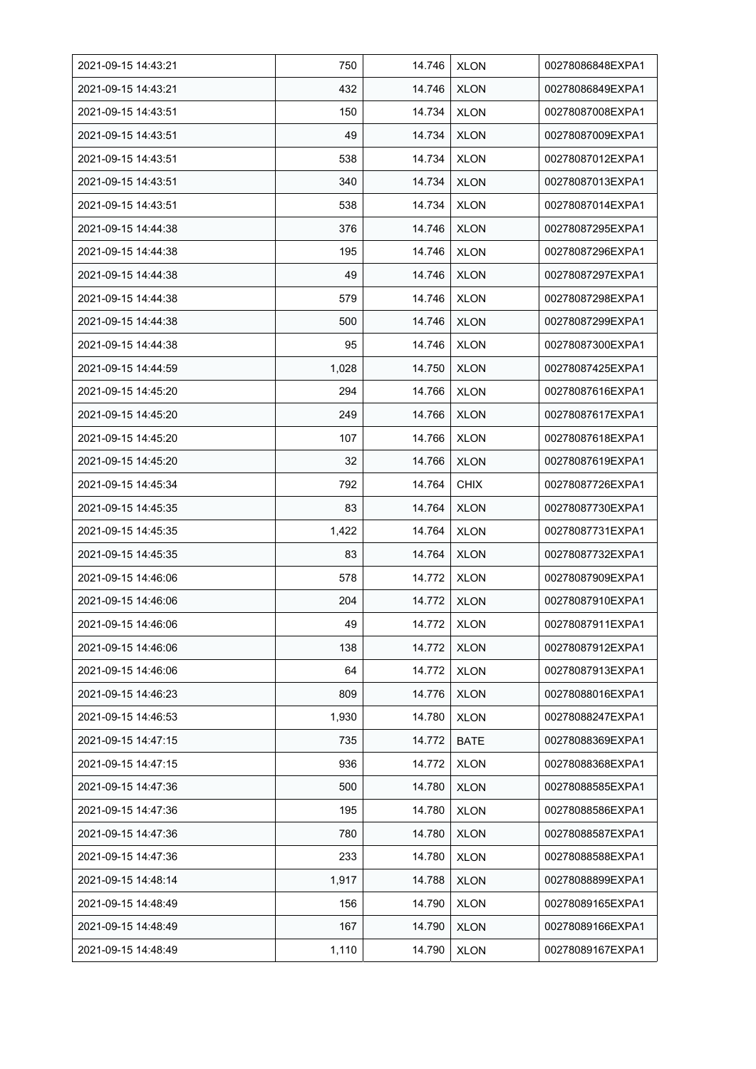| 2021-09-15 14:43:21 | 750   | 14.746 | <b>XLON</b> | 00278086848EXPA1 |
|---------------------|-------|--------|-------------|------------------|
| 2021-09-15 14:43:21 | 432   | 14.746 | <b>XLON</b> | 00278086849EXPA1 |
| 2021-09-15 14:43.51 | 150   | 14.734 | <b>XLON</b> | 00278087008EXPA1 |
| 2021-09-15 14:43:51 | 49    | 14.734 | <b>XLON</b> | 00278087009EXPA1 |
| 2021-09-15 14:43.51 | 538   | 14.734 | <b>XLON</b> | 00278087012EXPA1 |
| 2021-09-15 14:43.51 | 340   | 14.734 | <b>XLON</b> | 00278087013EXPA1 |
| 2021-09-15 14:43.51 | 538   | 14.734 | <b>XLON</b> | 00278087014EXPA1 |
| 2021-09-15 14:44:38 | 376   | 14.746 | <b>XLON</b> | 00278087295EXPA1 |
| 2021-09-15 14:44:38 | 195   | 14.746 | <b>XLON</b> | 00278087296EXPA1 |
| 2021-09-15 14:44:38 | 49    | 14.746 | <b>XLON</b> | 00278087297EXPA1 |
| 2021-09-15 14:44:38 | 579   | 14.746 | <b>XLON</b> | 00278087298EXPA1 |
| 2021-09-15 14:44:38 | 500   | 14.746 | <b>XLON</b> | 00278087299EXPA1 |
| 2021-09-15 14:44:38 | 95    | 14.746 | <b>XLON</b> | 00278087300EXPA1 |
| 2021-09-15 14:44:59 | 1,028 | 14.750 | <b>XLON</b> | 00278087425EXPA1 |
| 2021-09-15 14:45:20 | 294   | 14.766 | <b>XLON</b> | 00278087616EXPA1 |
| 2021-09-15 14:45:20 | 249   | 14.766 | <b>XLON</b> | 00278087617EXPA1 |
| 2021-09-15 14:45:20 | 107   | 14.766 | <b>XLON</b> | 00278087618EXPA1 |
| 2021-09-15 14:45:20 | 32    | 14.766 | <b>XLON</b> | 00278087619EXPA1 |
| 2021-09-15 14:45:34 | 792   | 14.764 | <b>CHIX</b> | 00278087726EXPA1 |
| 2021-09-15 14:45:35 | 83    | 14.764 | <b>XLON</b> | 00278087730EXPA1 |
| 2021-09-15 14:45:35 | 1,422 | 14.764 | <b>XLON</b> | 00278087731EXPA1 |
| 2021-09-15 14:45:35 | 83    | 14.764 | <b>XLON</b> | 00278087732EXPA1 |
| 2021-09-15 14:46:06 | 578   | 14.772 | <b>XLON</b> | 00278087909EXPA1 |
| 2021-09-15 14:46:06 | 204   | 14.772 | <b>XLON</b> | 00278087910EXPA1 |
| 2021-09-15 14:46:06 | 49    | 14.772 | <b>XLON</b> | 00278087911EXPA1 |
| 2021-09-15 14:46:06 | 138   | 14.772 | <b>XLON</b> | 00278087912EXPA1 |
| 2021-09-15 14:46:06 | 64    | 14.772 | <b>XLON</b> | 00278087913EXPA1 |
| 2021-09-15 14:46:23 | 809   | 14.776 | <b>XLON</b> | 00278088016EXPA1 |
| 2021-09-15 14:46:53 | 1,930 | 14.780 | <b>XLON</b> | 00278088247EXPA1 |
| 2021-09-15 14:47:15 | 735   | 14.772 | <b>BATE</b> | 00278088369EXPA1 |
| 2021-09-15 14:47:15 | 936   | 14.772 | <b>XLON</b> | 00278088368EXPA1 |
| 2021-09-15 14:47:36 | 500   | 14.780 | <b>XLON</b> | 00278088585EXPA1 |
| 2021-09-15 14:47:36 | 195   | 14.780 | <b>XLON</b> | 00278088586EXPA1 |
| 2021-09-15 14:47:36 | 780   | 14.780 | <b>XLON</b> | 00278088587EXPA1 |
| 2021-09-15 14:47:36 | 233   | 14.780 | <b>XLON</b> | 00278088588EXPA1 |
| 2021-09-15 14:48:14 | 1,917 | 14.788 | <b>XLON</b> | 00278088899EXPA1 |
| 2021-09-15 14:48:49 | 156   | 14.790 | <b>XLON</b> | 00278089165EXPA1 |
| 2021-09-15 14:48:49 | 167   | 14.790 | <b>XLON</b> | 00278089166EXPA1 |
| 2021-09-15 14:48:49 | 1,110 | 14.790 | <b>XLON</b> | 00278089167EXPA1 |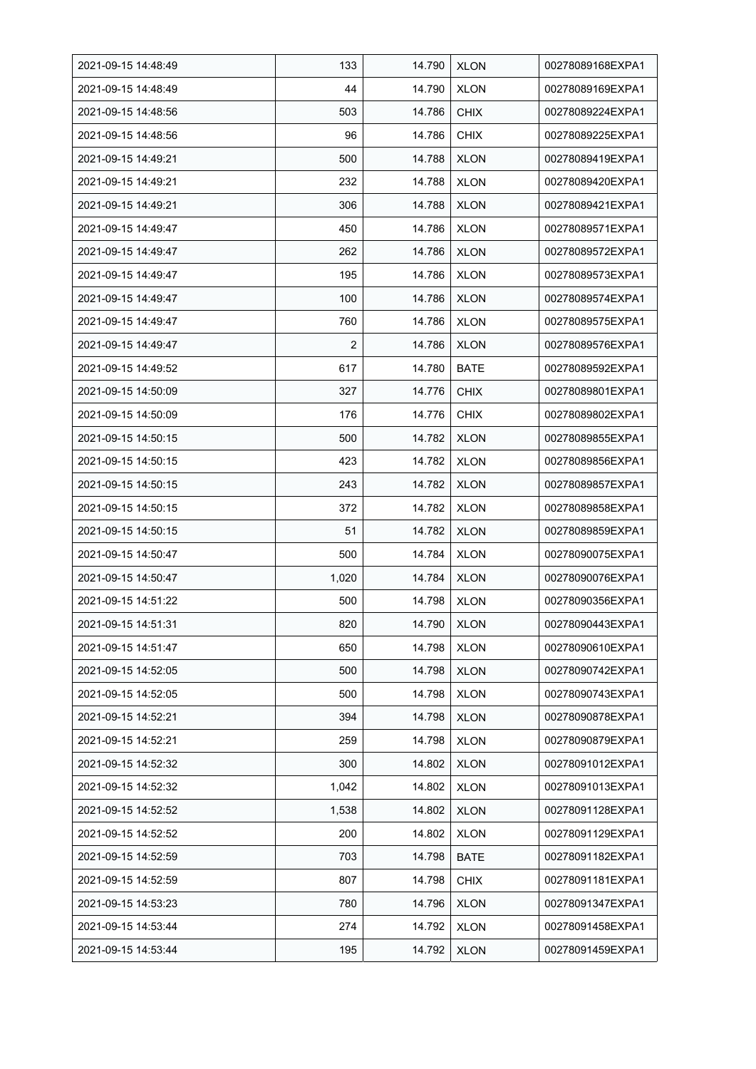| 2021-09-15 14:48:49 | 133            | 14.790 | <b>XLON</b> | 00278089168EXPA1 |
|---------------------|----------------|--------|-------------|------------------|
| 2021-09-15 14:48:49 | 44             | 14.790 | <b>XLON</b> | 00278089169EXPA1 |
| 2021-09-15 14:48:56 | 503            | 14.786 | <b>CHIX</b> | 00278089224EXPA1 |
| 2021-09-15 14:48:56 | 96             | 14.786 | <b>CHIX</b> | 00278089225EXPA1 |
| 2021-09-15 14:49:21 | 500            | 14.788 | <b>XLON</b> | 00278089419EXPA1 |
| 2021-09-15 14:49:21 | 232            | 14.788 | <b>XLON</b> | 00278089420EXPA1 |
| 2021-09-15 14:49.21 | 306            | 14.788 | <b>XLON</b> | 00278089421EXPA1 |
| 2021-09-15 14:49:47 | 450            | 14.786 | <b>XLON</b> | 00278089571EXPA1 |
| 2021-09-15 14:49:47 | 262            | 14.786 | <b>XLON</b> | 00278089572EXPA1 |
| 2021-09-15 14:49:47 | 195            | 14.786 | <b>XLON</b> | 00278089573EXPA1 |
| 2021-09-15 14:49:47 | 100            | 14.786 | <b>XLON</b> | 00278089574EXPA1 |
| 2021-09-15 14:49:47 | 760            | 14.786 | <b>XLON</b> | 00278089575EXPA1 |
| 2021-09-15 14:49:47 | $\overline{2}$ | 14.786 | <b>XLON</b> | 00278089576EXPA1 |
| 2021-09-15 14:49:52 | 617            | 14.780 | <b>BATE</b> | 00278089592EXPA1 |
| 2021-09-15 14:50:09 | 327            | 14.776 | <b>CHIX</b> | 00278089801EXPA1 |
| 2021-09-15 14:50:09 | 176            | 14.776 | <b>CHIX</b> | 00278089802EXPA1 |
| 2021-09-15 14:50:15 | 500            | 14.782 | <b>XLON</b> | 00278089855EXPA1 |
| 2021-09-15 14:50:15 | 423            | 14.782 | <b>XLON</b> | 00278089856EXPA1 |
| 2021-09-15 14:50:15 | 243            | 14.782 | <b>XLON</b> | 00278089857EXPA1 |
| 2021-09-15 14:50:15 | 372            | 14.782 | <b>XLON</b> | 00278089858EXPA1 |
| 2021-09-15 14:50:15 | 51             | 14.782 | <b>XLON</b> | 00278089859EXPA1 |
| 2021-09-15 14:50:47 | 500            | 14.784 | <b>XLON</b> | 00278090075EXPA1 |
| 2021-09-15 14:50:47 | 1,020          | 14.784 | <b>XLON</b> | 00278090076EXPA1 |
| 2021-09-15 14:51:22 | 500            | 14.798 | <b>XLON</b> | 00278090356EXPA1 |
| 2021-09-15 14:51:31 | 820            | 14.790 | <b>XLON</b> | 00278090443EXPA1 |
| 2021-09-15 14:51:47 | 650            | 14.798 | <b>XLON</b> | 00278090610EXPA1 |
| 2021-09-15 14:52:05 | 500            | 14.798 | <b>XLON</b> | 00278090742EXPA1 |
| 2021-09-15 14:52:05 | 500            | 14.798 | <b>XLON</b> | 00278090743EXPA1 |
| 2021-09-15 14:52:21 | 394            | 14.798 | <b>XLON</b> | 00278090878EXPA1 |
| 2021-09-15 14:52:21 | 259            | 14.798 | <b>XLON</b> | 00278090879EXPA1 |
| 2021-09-15 14:52:32 | 300            | 14.802 | <b>XLON</b> | 00278091012EXPA1 |
| 2021-09-15 14:52:32 | 1,042          | 14.802 | <b>XLON</b> | 00278091013EXPA1 |
| 2021-09-15 14:52:52 | 1,538          | 14.802 | <b>XLON</b> | 00278091128EXPA1 |
| 2021-09-15 14:52:52 | 200            | 14.802 | <b>XLON</b> | 00278091129EXPA1 |
| 2021-09-15 14:52:59 | 703            | 14.798 | <b>BATE</b> | 00278091182EXPA1 |
| 2021-09-15 14:52:59 | 807            | 14.798 | <b>CHIX</b> | 00278091181EXPA1 |
| 2021-09-15 14:53:23 | 780            | 14.796 | <b>XLON</b> | 00278091347EXPA1 |
| 2021-09-15 14:53:44 | 274            | 14.792 | <b>XLON</b> | 00278091458EXPA1 |
| 2021-09-15 14:53:44 | 195            | 14.792 | <b>XLON</b> | 00278091459EXPA1 |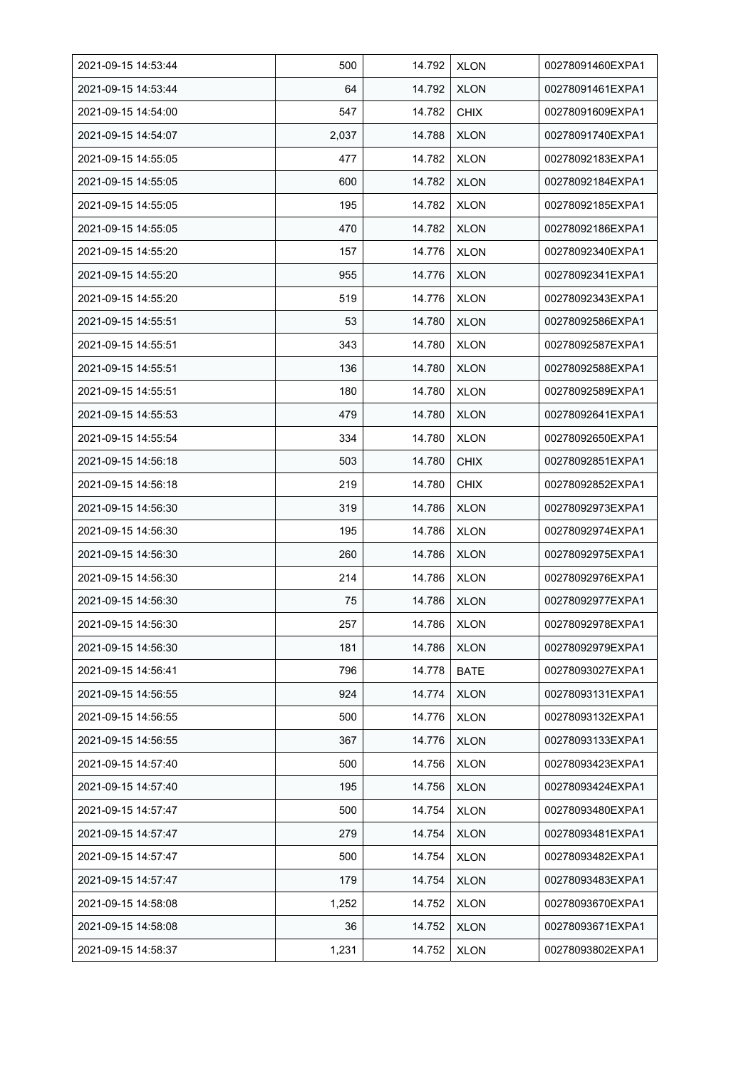| 2021-09-15 14:53:44 | 500   | 14.792 | <b>XLON</b> | 00278091460EXPA1 |
|---------------------|-------|--------|-------------|------------------|
| 2021-09-15 14:53:44 | 64    | 14.792 | <b>XLON</b> | 00278091461EXPA1 |
| 2021-09-15 14:54:00 | 547   | 14.782 | <b>CHIX</b> | 00278091609EXPA1 |
| 2021-09-15 14:54:07 | 2,037 | 14.788 | <b>XLON</b> | 00278091740EXPA1 |
| 2021-09-15 14:55:05 | 477   | 14.782 | <b>XLON</b> | 00278092183EXPA1 |
| 2021-09-15 14:55:05 | 600   | 14.782 | <b>XLON</b> | 00278092184EXPA1 |
| 2021-09-15 14:55:05 | 195   | 14.782 | <b>XLON</b> | 00278092185EXPA1 |
| 2021-09-15 14:55:05 | 470   | 14.782 | <b>XLON</b> | 00278092186EXPA1 |
| 2021-09-15 14:55:20 | 157   | 14.776 | <b>XLON</b> | 00278092340EXPA1 |
| 2021-09-15 14:55:20 | 955   | 14.776 | <b>XLON</b> | 00278092341EXPA1 |
| 2021-09-15 14:55:20 | 519   | 14.776 | <b>XLON</b> | 00278092343EXPA1 |
| 2021-09-15 14:55:51 | 53    | 14.780 | <b>XLON</b> | 00278092586EXPA1 |
| 2021-09-15 14:55:51 | 343   | 14.780 | <b>XLON</b> | 00278092587EXPA1 |
| 2021-09-15 14:55:51 | 136   | 14.780 | <b>XLON</b> | 00278092588EXPA1 |
| 2021-09-15 14:55:51 | 180   | 14.780 | <b>XLON</b> | 00278092589EXPA1 |
| 2021-09-15 14:55:53 | 479   | 14.780 | <b>XLON</b> | 00278092641EXPA1 |
| 2021-09-15 14:55:54 | 334   | 14.780 | <b>XLON</b> | 00278092650EXPA1 |
| 2021-09-15 14:56:18 | 503   | 14.780 | <b>CHIX</b> | 00278092851EXPA1 |
| 2021-09-15 14:56:18 | 219   | 14.780 | <b>CHIX</b> | 00278092852EXPA1 |
| 2021-09-15 14:56:30 | 319   | 14.786 | <b>XLON</b> | 00278092973EXPA1 |
| 2021-09-15 14:56:30 | 195   | 14.786 | <b>XLON</b> | 00278092974EXPA1 |
| 2021-09-15 14:56:30 | 260   | 14.786 | <b>XLON</b> | 00278092975EXPA1 |
| 2021-09-15 14:56:30 | 214   | 14.786 | <b>XLON</b> | 00278092976EXPA1 |
| 2021-09-15 14:56:30 | 75    | 14.786 | <b>XLON</b> | 00278092977EXPA1 |
| 2021-09-15 14:56:30 | 257   | 14.786 | <b>XLON</b> | 00278092978EXPA1 |
| 2021-09-15 14:56:30 | 181   | 14.786 | <b>XLON</b> | 00278092979EXPA1 |
| 2021-09-15 14:56:41 | 796   | 14.778 | BATE        | 00278093027EXPA1 |
| 2021-09-15 14:56:55 | 924   | 14.774 | <b>XLON</b> | 00278093131EXPA1 |
| 2021-09-15 14:56:55 | 500   | 14.776 | <b>XLON</b> | 00278093132EXPA1 |
| 2021-09-15 14:56:55 | 367   | 14.776 | <b>XLON</b> | 00278093133EXPA1 |
| 2021-09-15 14:57:40 | 500   | 14.756 | <b>XLON</b> | 00278093423EXPA1 |
| 2021-09-15 14:57:40 | 195   | 14.756 | <b>XLON</b> | 00278093424EXPA1 |
| 2021-09-15 14:57:47 | 500   | 14.754 | <b>XLON</b> | 00278093480EXPA1 |
| 2021-09-15 14:57:47 | 279   | 14.754 | <b>XLON</b> | 00278093481EXPA1 |
| 2021-09-15 14:57:47 | 500   | 14.754 | <b>XLON</b> | 00278093482EXPA1 |
| 2021-09-15 14:57:47 | 179   | 14.754 | <b>XLON</b> | 00278093483EXPA1 |
| 2021-09-15 14:58:08 | 1,252 | 14.752 | <b>XLON</b> | 00278093670EXPA1 |
| 2021-09-15 14:58:08 | 36    | 14.752 | <b>XLON</b> | 00278093671EXPA1 |
| 2021-09-15 14:58:37 | 1,231 | 14.752 | <b>XLON</b> | 00278093802EXPA1 |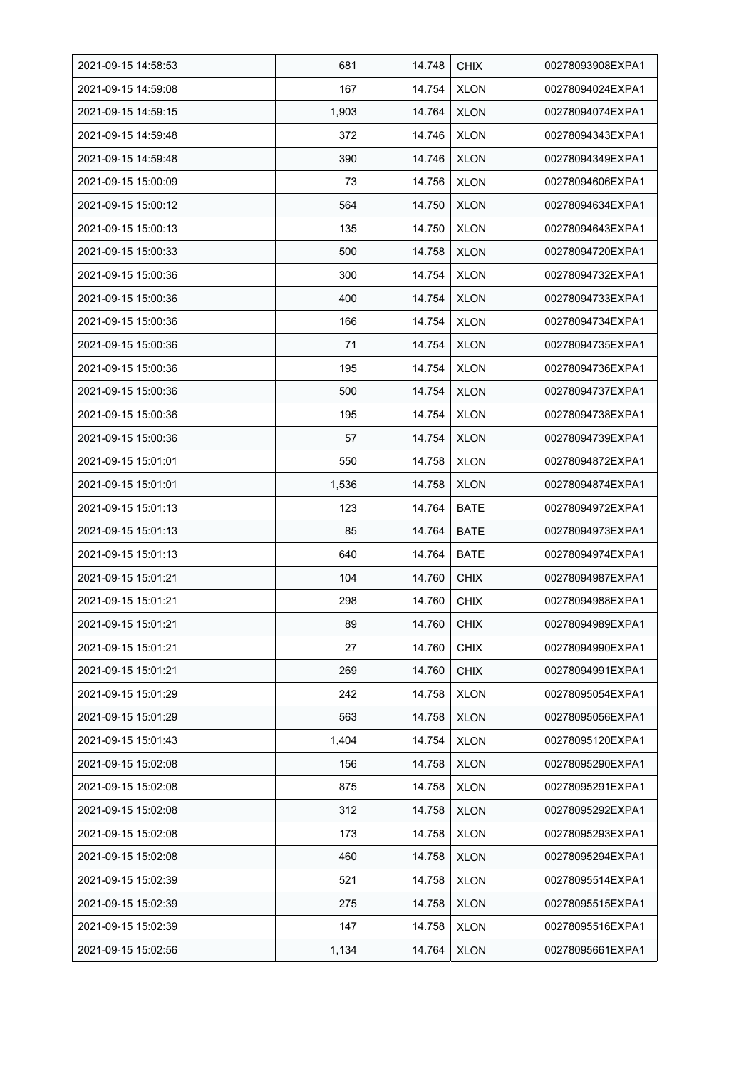| 2021-09-15 14:58:53 | 681   | 14.748 | <b>CHIX</b> | 00278093908EXPA1 |
|---------------------|-------|--------|-------------|------------------|
| 2021-09-15 14:59:08 | 167   | 14.754 | <b>XLON</b> | 00278094024EXPA1 |
| 2021-09-15 14:59:15 | 1,903 | 14.764 | <b>XLON</b> | 00278094074EXPA1 |
| 2021-09-15 14:59:48 | 372   | 14.746 | <b>XLON</b> | 00278094343EXPA1 |
| 2021-09-15 14:59:48 | 390   | 14.746 | <b>XLON</b> | 00278094349EXPA1 |
| 2021-09-15 15:00:09 | 73    | 14.756 | <b>XLON</b> | 00278094606EXPA1 |
| 2021-09-15 15:00:12 | 564   | 14.750 | <b>XLON</b> | 00278094634EXPA1 |
| 2021-09-15 15:00:13 | 135   | 14.750 | <b>XLON</b> | 00278094643EXPA1 |
| 2021-09-15 15:00:33 | 500   | 14.758 | <b>XLON</b> | 00278094720EXPA1 |
| 2021-09-15 15:00:36 | 300   | 14.754 | <b>XLON</b> | 00278094732EXPA1 |
| 2021-09-15 15:00:36 | 400   | 14.754 | <b>XLON</b> | 00278094733EXPA1 |
| 2021-09-15 15:00:36 | 166   | 14.754 | <b>XLON</b> | 00278094734EXPA1 |
| 2021-09-15 15:00:36 | 71    | 14.754 | <b>XLON</b> | 00278094735EXPA1 |
| 2021-09-15 15:00:36 | 195   | 14.754 | <b>XLON</b> | 00278094736EXPA1 |
| 2021-09-15 15:00:36 | 500   | 14.754 | <b>XLON</b> | 00278094737EXPA1 |
| 2021-09-15 15:00:36 | 195   | 14.754 | <b>XLON</b> | 00278094738EXPA1 |
| 2021-09-15 15:00:36 | 57    | 14.754 | <b>XLON</b> | 00278094739EXPA1 |
| 2021-09-15 15:01:01 | 550   | 14.758 | <b>XLON</b> | 00278094872EXPA1 |
| 2021-09-15 15:01:01 | 1,536 | 14.758 | <b>XLON</b> | 00278094874EXPA1 |
| 2021-09-15 15:01:13 | 123   | 14.764 | <b>BATE</b> | 00278094972EXPA1 |
| 2021-09-15 15:01:13 | 85    | 14.764 | <b>BATE</b> | 00278094973EXPA1 |
| 2021-09-15 15:01:13 | 640   | 14.764 | <b>BATE</b> | 00278094974EXPA1 |
| 2021-09-15 15:01:21 | 104   | 14.760 | <b>CHIX</b> | 00278094987EXPA1 |
| 2021-09-15 15 01 21 | 298   | 14.760 | <b>CHIX</b> | 00278094988EXPA1 |
| 2021-09-15 15:01:21 | 89    | 14.760 | <b>CHIX</b> | 00278094989EXPA1 |
| 2021-09-15 15:01:21 | 27    | 14.760 | <b>CHIX</b> | 00278094990EXPA1 |
| 2021-09-15 15:01:21 | 269   | 14.760 | <b>CHIX</b> | 00278094991EXPA1 |
| 2021-09-15 15:01:29 | 242   | 14.758 | <b>XLON</b> | 00278095054EXPA1 |
| 2021-09-15 15:01:29 | 563   | 14.758 | <b>XLON</b> | 00278095056EXPA1 |
| 2021-09-15 15:01:43 | 1,404 | 14.754 | <b>XLON</b> | 00278095120EXPA1 |
| 2021-09-15 15:02:08 | 156   | 14.758 | <b>XLON</b> | 00278095290EXPA1 |
| 2021-09-15 15:02:08 | 875   | 14.758 | <b>XLON</b> | 00278095291EXPA1 |
| 2021-09-15 15:02:08 | 312   | 14.758 | <b>XLON</b> | 00278095292EXPA1 |
| 2021-09-15 15:02:08 | 173   | 14.758 | <b>XLON</b> | 00278095293EXPA1 |
| 2021-09-15 15:02:08 | 460   | 14.758 | <b>XLON</b> | 00278095294EXPA1 |
| 2021-09-15 15:02:39 | 521   | 14.758 | <b>XLON</b> | 00278095514EXPA1 |
| 2021-09-15 15:02:39 | 275   | 14.758 | <b>XLON</b> | 00278095515EXPA1 |
| 2021-09-15 15:02:39 | 147   | 14.758 | <b>XLON</b> | 00278095516EXPA1 |
| 2021-09-15 15:02:56 | 1,134 | 14.764 | <b>XLON</b> | 00278095661EXPA1 |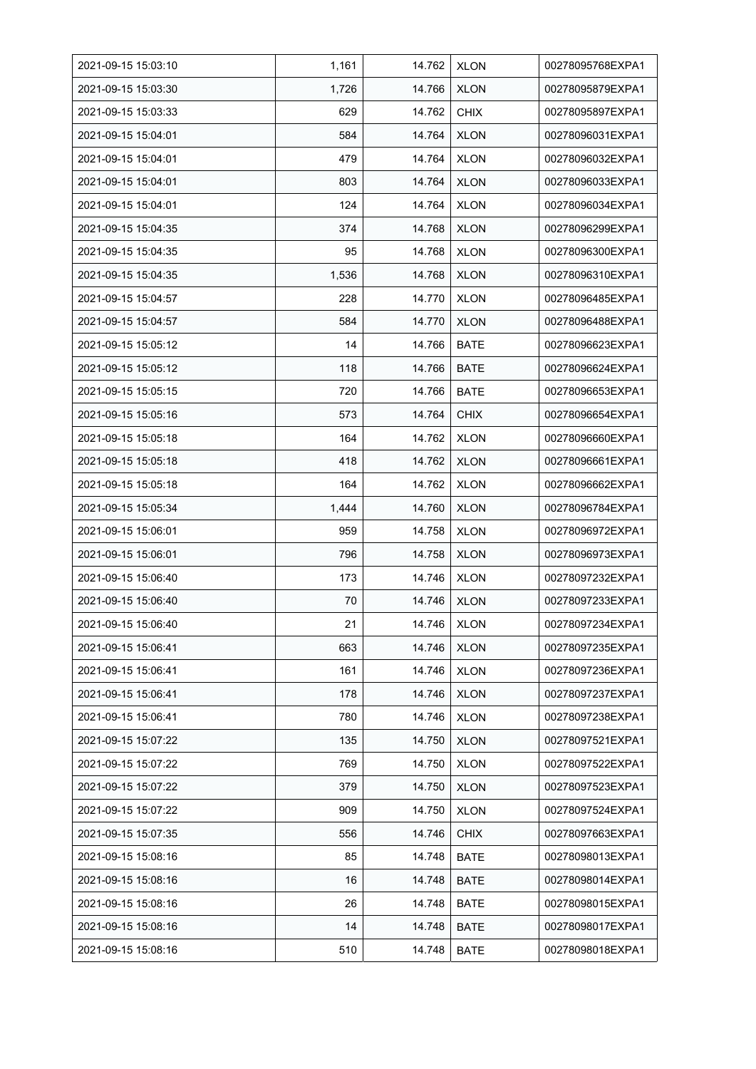| 2021-09-15 15:03:10 | 1,161 | 14.762 | <b>XLON</b> | 00278095768EXPA1 |
|---------------------|-------|--------|-------------|------------------|
| 2021-09-15 15:03:30 | 1,726 | 14.766 | <b>XLON</b> | 00278095879EXPA1 |
| 2021-09-15 15:03:33 | 629   | 14.762 | <b>CHIX</b> | 00278095897EXPA1 |
| 2021-09-15 15:04:01 | 584   | 14.764 | <b>XLON</b> | 00278096031EXPA1 |
| 2021-09-15 15:04:01 | 479   | 14.764 | <b>XLON</b> | 00278096032EXPA1 |
| 2021-09-15 15:04:01 | 803   | 14.764 | <b>XLON</b> | 00278096033EXPA1 |
| 2021-09-15 15:04:01 | 124   | 14.764 | <b>XLON</b> | 00278096034EXPA1 |
| 2021-09-15 15:04:35 | 374   | 14.768 | <b>XLON</b> | 00278096299EXPA1 |
| 2021-09-15 15:04:35 | 95    | 14.768 | <b>XLON</b> | 00278096300EXPA1 |
| 2021-09-15 15:04:35 | 1,536 | 14.768 | <b>XLON</b> | 00278096310EXPA1 |
| 2021-09-15 15:04:57 | 228   | 14.770 | <b>XLON</b> | 00278096485EXPA1 |
| 2021-09-15 15:04:57 | 584   | 14.770 | <b>XLON</b> | 00278096488EXPA1 |
| 2021-09-15 15:05:12 | 14    | 14.766 | <b>BATE</b> | 00278096623EXPA1 |
| 2021-09-15 15:05:12 | 118   | 14.766 | <b>BATE</b> | 00278096624EXPA1 |
| 2021-09-15 15:05:15 | 720   | 14.766 | <b>BATE</b> | 00278096653EXPA1 |
| 2021-09-15 15:05:16 | 573   | 14.764 | <b>CHIX</b> | 00278096654EXPA1 |
| 2021-09-15 15:05:18 | 164   | 14.762 | <b>XLON</b> | 00278096660EXPA1 |
| 2021-09-15 15:05:18 | 418   | 14.762 | <b>XLON</b> | 00278096661EXPA1 |
| 2021-09-15 15:05:18 | 164   | 14.762 | <b>XLON</b> | 00278096662EXPA1 |
| 2021-09-15 15:05:34 | 1,444 | 14.760 | <b>XLON</b> | 00278096784EXPA1 |
| 2021-09-15 15:06:01 | 959   | 14.758 | <b>XLON</b> | 00278096972EXPA1 |
| 2021-09-15 15:06:01 | 796   | 14.758 | <b>XLON</b> | 00278096973EXPA1 |
| 2021-09-15 15:06:40 | 173   | 14.746 | <b>XLON</b> | 00278097232EXPA1 |
| 2021-09-15 15:06:40 | 70    | 14.746 | <b>XLON</b> | 00278097233EXPA1 |
| 2021-09-15 15:06:40 | 21    | 14.746 | <b>XLON</b> | 00278097234EXPA1 |
| 2021-09-15 15:06:41 | 663   | 14.746 | <b>XLON</b> | 00278097235EXPA1 |
| 2021-09-15 15:06:41 | 161   | 14.746 | <b>XLON</b> | 00278097236EXPA1 |
| 2021-09-15 15:06:41 | 178   | 14.746 | XLON        | 00278097237EXPA1 |
| 2021-09-15 15:06:41 | 780   | 14.746 | <b>XLON</b> | 00278097238EXPA1 |
| 2021-09-15 15:07:22 | 135   | 14.750 | <b>XLON</b> | 00278097521EXPA1 |
| 2021-09-15 15:07:22 | 769   | 14.750 | <b>XLON</b> | 00278097522EXPA1 |
| 2021-09-15 15:07:22 | 379   | 14.750 | <b>XLON</b> | 00278097523EXPA1 |
| 2021-09-15 15:07:22 | 909   | 14.750 | <b>XLON</b> | 00278097524EXPA1 |
| 2021-09-15 15:07:35 | 556   | 14.746 | <b>CHIX</b> | 00278097663EXPA1 |
| 2021-09-15 15:08:16 | 85    | 14.748 | <b>BATE</b> | 00278098013EXPA1 |
| 2021-09-15 15:08:16 | 16    | 14.748 | <b>BATE</b> | 00278098014EXPA1 |
| 2021-09-15 15:08:16 | 26    | 14.748 | BATE        | 00278098015EXPA1 |
| 2021-09-15 15:08:16 | 14    | 14.748 | BATE        | 00278098017EXPA1 |
| 2021-09-15 15:08:16 | 510   | 14.748 | <b>BATE</b> | 00278098018EXPA1 |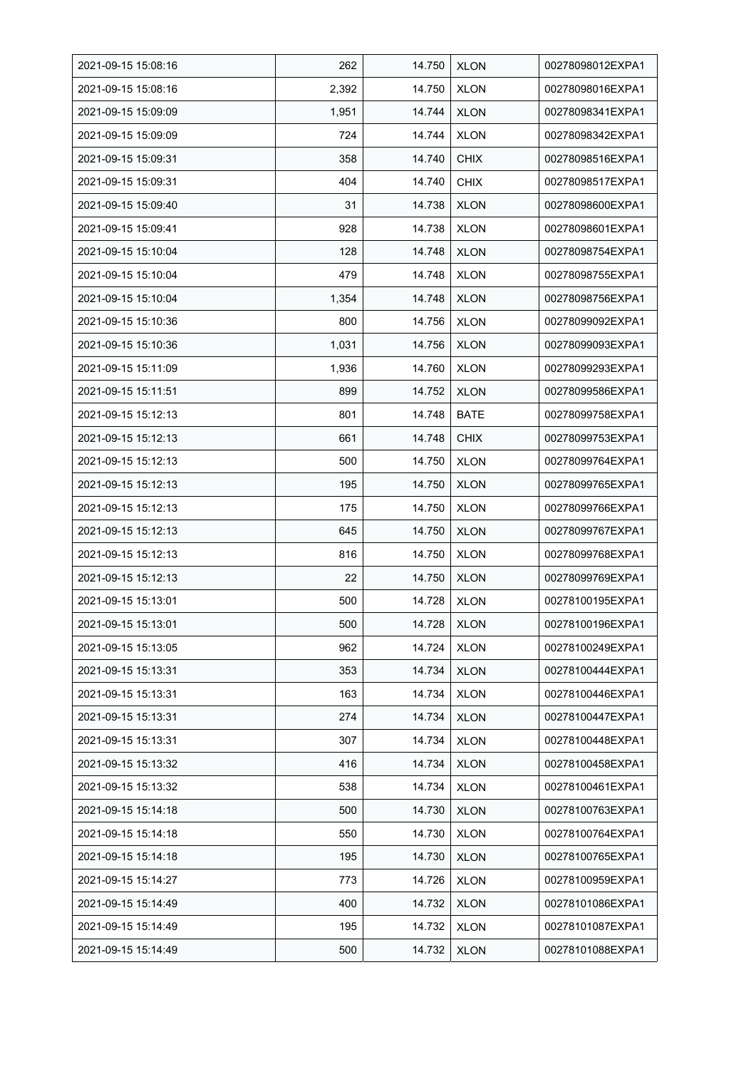| 2021-09-15 15:08:16 | 262   | 14.750 | <b>XLON</b> | 00278098012EXPA1 |
|---------------------|-------|--------|-------------|------------------|
| 2021-09-15 15:08:16 | 2,392 | 14.750 | <b>XLON</b> | 00278098016EXPA1 |
| 2021-09-15 15:09:09 | 1,951 | 14.744 | <b>XLON</b> | 00278098341EXPA1 |
| 2021-09-15 15:09:09 | 724   | 14.744 | <b>XLON</b> | 00278098342EXPA1 |
| 2021-09-15 15:09:31 | 358   | 14.740 | <b>CHIX</b> | 00278098516EXPA1 |
| 2021-09-15 15:09:31 | 404   | 14.740 | <b>CHIX</b> | 00278098517EXPA1 |
| 2021-09-15 15:09:40 | 31    | 14.738 | <b>XLON</b> | 00278098600EXPA1 |
| 2021-09-15 15 09 41 | 928   | 14.738 | <b>XLON</b> | 00278098601EXPA1 |
| 2021-09-15 15:10:04 | 128   | 14.748 | <b>XLON</b> | 00278098754EXPA1 |
| 2021-09-15 15:10:04 | 479   | 14.748 | <b>XLON</b> | 00278098755EXPA1 |
| 2021-09-15 15:10:04 | 1,354 | 14.748 | <b>XLON</b> | 00278098756EXPA1 |
| 2021-09-15 15:10:36 | 800   | 14.756 | <b>XLON</b> | 00278099092EXPA1 |
| 2021-09-15 15:10:36 | 1,031 | 14.756 | <b>XLON</b> | 00278099093EXPA1 |
| 2021-09-15 15:11:09 | 1,936 | 14.760 | <b>XLON</b> | 00278099293EXPA1 |
| 2021-09-15 15:11:51 | 899   | 14.752 | <b>XLON</b> | 00278099586EXPA1 |
| 2021-09-15 15:12:13 | 801   | 14.748 | <b>BATE</b> | 00278099758EXPA1 |
| 2021-09-15 15:12:13 | 661   | 14.748 | <b>CHIX</b> | 00278099753EXPA1 |
| 2021-09-15 15:12:13 | 500   | 14.750 | <b>XLON</b> | 00278099764EXPA1 |
| 2021-09-15 15:12:13 | 195   | 14.750 | <b>XLON</b> | 00278099765EXPA1 |
| 2021-09-15 15:12:13 | 175   | 14.750 | <b>XLON</b> | 00278099766EXPA1 |
| 2021-09-15 15:12:13 | 645   | 14.750 | <b>XLON</b> | 00278099767EXPA1 |
| 2021-09-15 15:12:13 | 816   | 14.750 | <b>XLON</b> | 00278099768EXPA1 |
| 2021-09-15 15:12:13 | 22    | 14.750 | <b>XLON</b> | 00278099769EXPA1 |
| 2021-09-15 15:13:01 | 500   | 14.728 | <b>XLON</b> | 00278100195EXPA1 |
| 2021-09-15 15:13:01 | 500   | 14.728 | <b>XLON</b> | 00278100196EXPA1 |
| 2021-09-15 15:13:05 | 962   | 14.724 | <b>XLON</b> | 00278100249EXPA1 |
| 2021-09-15 15:13:31 | 353   | 14.734 | <b>XLON</b> | 00278100444EXPA1 |
| 2021-09-15 15:13:31 | 163   | 14.734 | <b>XLON</b> | 00278100446EXPA1 |
| 2021-09-15 15:13:31 | 274   | 14.734 | <b>XLON</b> | 00278100447EXPA1 |
| 2021-09-15 15:13:31 | 307   | 14.734 | <b>XLON</b> | 00278100448EXPA1 |
| 2021-09-15 15:13:32 | 416   | 14.734 | <b>XLON</b> | 00278100458EXPA1 |
| 2021-09-15 15:13:32 | 538   | 14.734 | <b>XLON</b> | 00278100461EXPA1 |
| 2021-09-15 15:14:18 | 500   | 14.730 | <b>XLON</b> | 00278100763EXPA1 |
| 2021-09-15 15:14:18 | 550   | 14.730 | <b>XLON</b> | 00278100764EXPA1 |
| 2021-09-15 15:14:18 | 195   | 14.730 | <b>XLON</b> | 00278100765EXPA1 |
| 2021-09-15 15:14:27 | 773   | 14.726 | <b>XLON</b> | 00278100959EXPA1 |
| 2021-09-15 15:14:49 | 400   | 14.732 | <b>XLON</b> | 00278101086EXPA1 |
| 2021-09-15 15:14:49 | 195   | 14.732 | <b>XLON</b> | 00278101087EXPA1 |
| 2021-09-15 15:14:49 | 500   | 14.732 | <b>XLON</b> | 00278101088EXPA1 |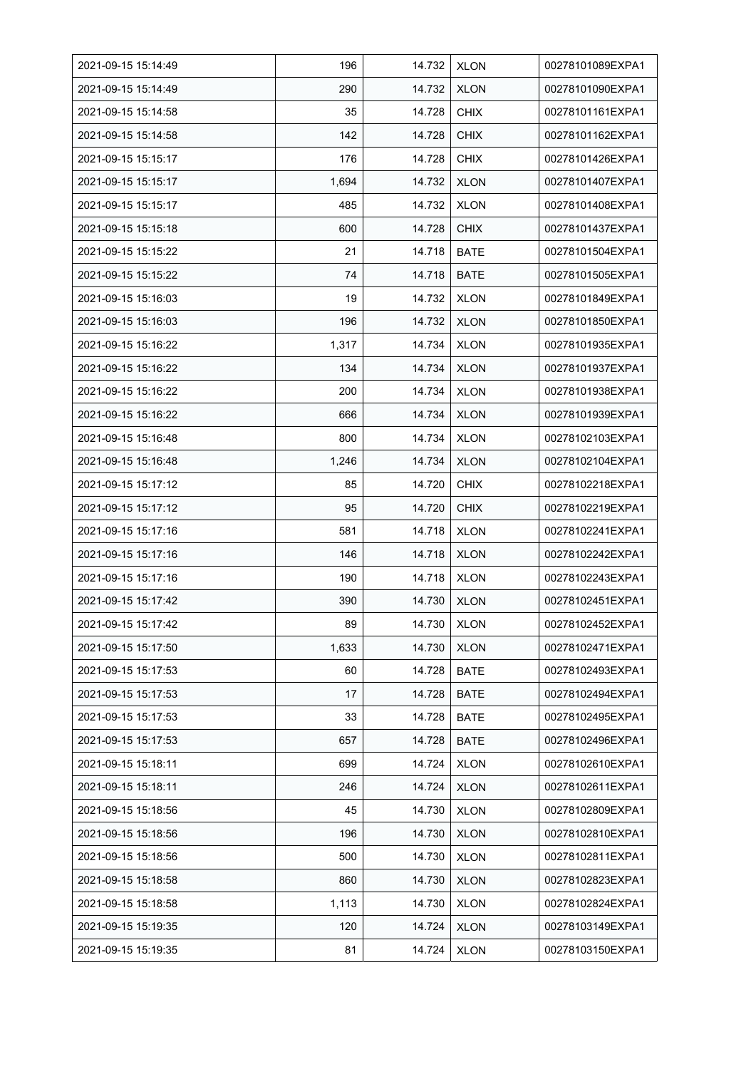| 2021-09-15 15:14:49 | 196   | 14.732 | <b>XLON</b> | 00278101089EXPA1 |
|---------------------|-------|--------|-------------|------------------|
| 2021-09-15 15:14:49 | 290   | 14.732 | <b>XLON</b> | 00278101090EXPA1 |
| 2021-09-15 15:14:58 | 35    | 14.728 | <b>CHIX</b> | 00278101161EXPA1 |
| 2021-09-15 15:14:58 | 142   | 14.728 | <b>CHIX</b> | 00278101162EXPA1 |
| 2021-09-15 15:15:17 | 176   | 14.728 | <b>CHIX</b> | 00278101426EXPA1 |
| 2021-09-15 15:15:17 | 1,694 | 14.732 | <b>XLON</b> | 00278101407EXPA1 |
| 2021-09-15 15:15:17 | 485   | 14.732 | <b>XLON</b> | 00278101408EXPA1 |
| 2021-09-15 15:15:18 | 600   | 14.728 | <b>CHIX</b> | 00278101437EXPA1 |
| 2021-09-15 15:15:22 | 21    | 14.718 | <b>BATE</b> | 00278101504EXPA1 |
| 2021-09-15 15:15:22 | 74    | 14.718 | <b>BATE</b> | 00278101505EXPA1 |
| 2021-09-15 15:16:03 | 19    | 14.732 | <b>XLON</b> | 00278101849EXPA1 |
| 2021-09-15 15:16:03 | 196   | 14.732 | <b>XLON</b> | 00278101850EXPA1 |
| 2021-09-15 15:16:22 | 1,317 | 14.734 | <b>XLON</b> | 00278101935EXPA1 |
| 2021-09-15 15:16:22 | 134   | 14.734 | <b>XLON</b> | 00278101937EXPA1 |
| 2021-09-15 15:16:22 | 200   | 14.734 | <b>XLON</b> | 00278101938EXPA1 |
| 2021-09-15 15:16:22 | 666   | 14.734 | <b>XLON</b> | 00278101939EXPA1 |
| 2021-09-15 15:16:48 | 800   | 14.734 | <b>XLON</b> | 00278102103EXPA1 |
| 2021-09-15 15:16:48 | 1,246 | 14.734 | <b>XLON</b> | 00278102104EXPA1 |
| 2021-09-15 15:17:12 | 85    | 14.720 | <b>CHIX</b> | 00278102218EXPA1 |
| 2021-09-15 15:17:12 | 95    | 14.720 | <b>CHIX</b> | 00278102219EXPA1 |
| 2021-09-15 15:17:16 | 581   | 14.718 | <b>XLON</b> | 00278102241EXPA1 |
| 2021-09-15 15:17:16 | 146   | 14.718 | <b>XLON</b> | 00278102242EXPA1 |
| 2021-09-15 15:17:16 | 190   | 14.718 | <b>XLON</b> | 00278102243EXPA1 |
| 2021-09-15 15:17:42 | 390   | 14.730 | <b>XLON</b> | 00278102451EXPA1 |
| 2021-09-15 15:17:42 | 89    | 14.730 | <b>XLON</b> | 00278102452EXPA1 |
| 2021-09-15 15:17:50 | 1,633 | 14.730 | <b>XLON</b> | 00278102471EXPA1 |
| 2021-09-15 15:17:53 | 60    | 14.728 | BATE        | 00278102493EXPA1 |
| 2021-09-15 15:17:53 | 17    | 14.728 | BATE        | 00278102494EXPA1 |
| 2021-09-15 15:17:53 | 33    | 14.728 | <b>BATE</b> | 00278102495EXPA1 |
| 2021-09-15 15:17:53 | 657   | 14.728 | BATE        | 00278102496EXPA1 |
| 2021-09-15 15:18:11 | 699   | 14.724 | <b>XLON</b> | 00278102610EXPA1 |
| 2021-09-15 15:18:11 | 246   | 14.724 | <b>XLON</b> | 00278102611EXPA1 |
| 2021-09-15 15:18:56 | 45    | 14.730 | <b>XLON</b> | 00278102809EXPA1 |
| 2021-09-15 15:18:56 | 196   | 14.730 | <b>XLON</b> | 00278102810EXPA1 |
| 2021-09-15 15:18:56 | 500   | 14.730 | <b>XLON</b> | 00278102811EXPA1 |
| 2021-09-15 15:18:58 | 860   | 14.730 | <b>XLON</b> | 00278102823EXPA1 |
| 2021-09-15 15:18:58 | 1,113 | 14.730 | <b>XLON</b> | 00278102824EXPA1 |
| 2021-09-15 15:19:35 | 120   | 14.724 | <b>XLON</b> | 00278103149EXPA1 |
| 2021-09-15 15:19:35 | 81    | 14.724 | <b>XLON</b> | 00278103150EXPA1 |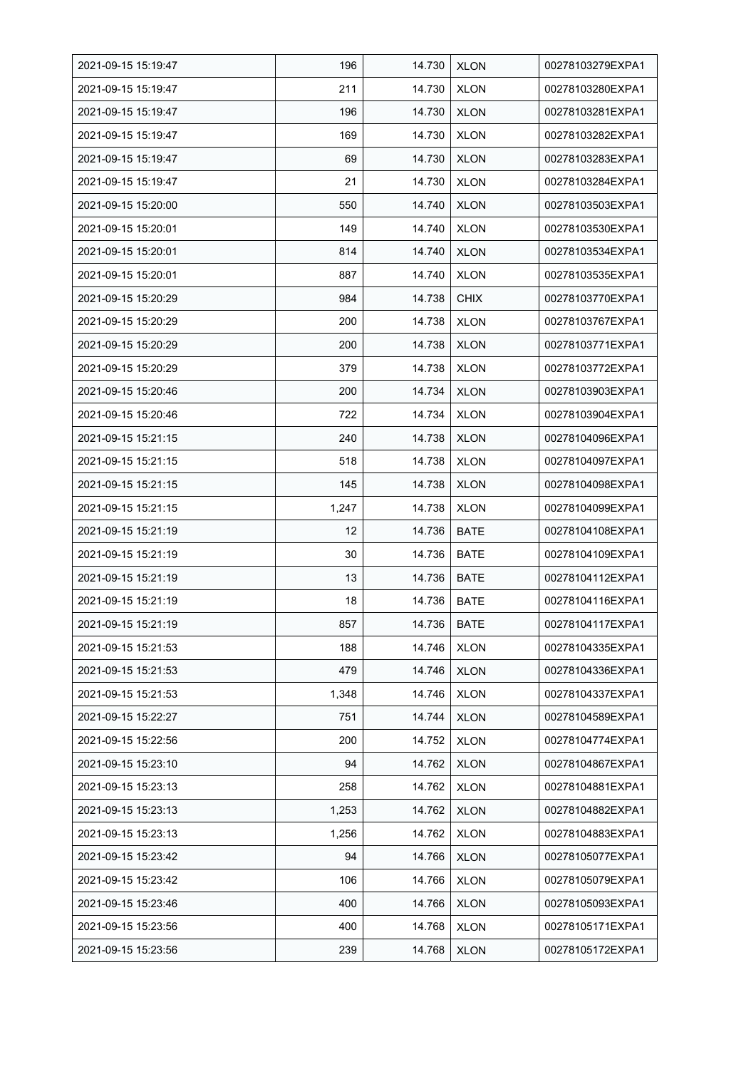| 2021-09-15 15:19:47 | 196   | 14.730 | <b>XLON</b> | 00278103279EXPA1 |
|---------------------|-------|--------|-------------|------------------|
| 2021-09-15 15:19:47 | 211   | 14.730 | <b>XLON</b> | 00278103280EXPA1 |
| 2021-09-15 15:19:47 | 196   | 14.730 | <b>XLON</b> | 00278103281EXPA1 |
| 2021-09-15 15:19:47 | 169   | 14.730 | <b>XLON</b> | 00278103282EXPA1 |
| 2021-09-15 15:19:47 | 69    | 14.730 | <b>XLON</b> | 00278103283EXPA1 |
| 2021-09-15 15:19:47 | 21    | 14.730 | <b>XLON</b> | 00278103284EXPA1 |
| 2021-09-15 15:20:00 | 550   | 14.740 | <b>XLON</b> | 00278103503EXPA1 |
| 2021-09-15 15:20:01 | 149   | 14.740 | <b>XLON</b> | 00278103530EXPA1 |
| 2021-09-15 15:20:01 | 814   | 14.740 | <b>XLON</b> | 00278103534EXPA1 |
| 2021-09-15 15:20:01 | 887   | 14.740 | <b>XLON</b> | 00278103535EXPA1 |
| 2021-09-15 15:20:29 | 984   | 14.738 | <b>CHIX</b> | 00278103770EXPA1 |
| 2021-09-15 15:20:29 | 200   | 14.738 | <b>XLON</b> | 00278103767EXPA1 |
| 2021-09-15 15:20:29 | 200   | 14.738 | <b>XLON</b> | 00278103771EXPA1 |
| 2021-09-15 15:20:29 | 379   | 14.738 | <b>XLON</b> | 00278103772EXPA1 |
| 2021-09-15 15:20:46 | 200   | 14.734 | <b>XLON</b> | 00278103903EXPA1 |
| 2021-09-15 15:20:46 | 722   | 14.734 | <b>XLON</b> | 00278103904EXPA1 |
| 2021-09-15 15:21:15 | 240   | 14.738 | <b>XLON</b> | 00278104096EXPA1 |
| 2021-09-15 15:21:15 | 518   | 14.738 | <b>XLON</b> | 00278104097EXPA1 |
| 2021-09-15 15:21:15 | 145   | 14.738 | <b>XLON</b> | 00278104098EXPA1 |
| 2021-09-15 15:21:15 | 1,247 | 14.738 | <b>XLON</b> | 00278104099EXPA1 |
| 2021-09-15 15:21:19 | 12    | 14.736 | <b>BATE</b> | 00278104108EXPA1 |
| 2021-09-15 15:21:19 | 30    | 14.736 | <b>BATE</b> | 00278104109EXPA1 |
| 2021-09-15 15:21:19 | 13    | 14.736 | <b>BATE</b> | 00278104112EXPA1 |
| 2021-09-15 15:21:19 | 18    | 14.736 | <b>BATE</b> | 00278104116EXPA1 |
| 2021-09-15 15:21:19 | 857   | 14.736 | <b>BATE</b> | 00278104117EXPA1 |
| 2021-09-15 15:21:53 | 188   | 14.746 | <b>XLON</b> | 00278104335EXPA1 |
| 2021-09-15 15:21:53 | 479   | 14.746 | <b>XLON</b> | 00278104336EXPA1 |
| 2021-09-15 15:21:53 | 1,348 | 14.746 | XLON        | 00278104337EXPA1 |
| 2021-09-15 15:22:27 | 751   | 14.744 | <b>XLON</b> | 00278104589EXPA1 |
| 2021-09-15 15:22:56 | 200   | 14.752 | <b>XLON</b> | 00278104774EXPA1 |
| 2021-09-15 15:23:10 | 94    | 14.762 | <b>XLON</b> | 00278104867EXPA1 |
| 2021-09-15 15:23:13 | 258   | 14.762 | <b>XLON</b> | 00278104881EXPA1 |
| 2021-09-15 15:23:13 | 1,253 | 14.762 | <b>XLON</b> | 00278104882EXPA1 |
| 2021-09-15 15:23:13 | 1,256 | 14.762 | <b>XLON</b> | 00278104883EXPA1 |
| 2021-09-15 15:23:42 | 94    | 14.766 | <b>XLON</b> | 00278105077EXPA1 |
| 2021-09-15 15:23:42 | 106   | 14.766 | <b>XLON</b> | 00278105079EXPA1 |
| 2021-09-15 15:23:46 | 400   | 14.766 | <b>XLON</b> | 00278105093EXPA1 |
| 2021-09-15 15:23:56 | 400   | 14.768 | <b>XLON</b> | 00278105171EXPA1 |
| 2021-09-15 15:23:56 | 239   | 14.768 | <b>XLON</b> | 00278105172EXPA1 |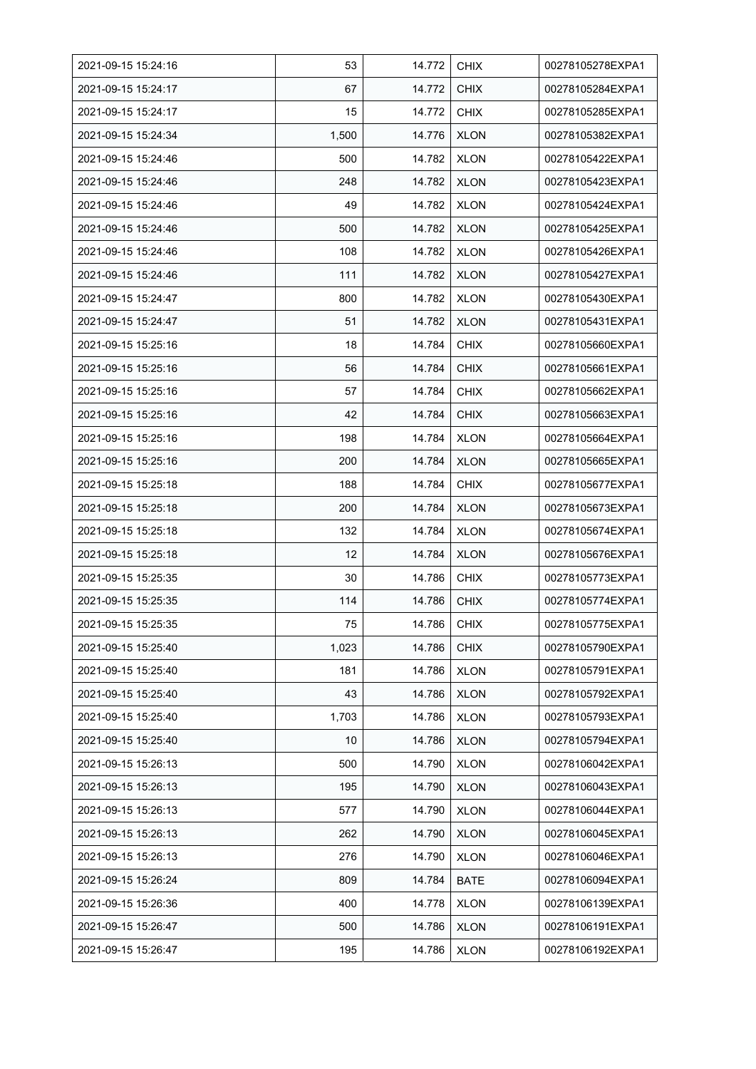| 2021-09-15 15:24:16 | 53    | 14.772 | <b>CHIX</b> | 00278105278EXPA1 |
|---------------------|-------|--------|-------------|------------------|
| 2021-09-15 15:24:17 | 67    | 14.772 | <b>CHIX</b> | 00278105284EXPA1 |
| 2021-09-15 15:24:17 | 15    | 14.772 | <b>CHIX</b> | 00278105285EXPA1 |
| 2021-09-15 15:24:34 | 1,500 | 14.776 | <b>XLON</b> | 00278105382EXPA1 |
| 2021-09-15 15:24:46 | 500   | 14.782 | <b>XLON</b> | 00278105422EXPA1 |
| 2021-09-15 15:24:46 | 248   | 14.782 | <b>XLON</b> | 00278105423EXPA1 |
| 2021-09-15 15:24:46 | 49    | 14.782 | <b>XLON</b> | 00278105424EXPA1 |
| 2021-09-15 15:24:46 | 500   | 14.782 | <b>XLON</b> | 00278105425EXPA1 |
| 2021-09-15 15:24:46 | 108   | 14.782 | <b>XLON</b> | 00278105426EXPA1 |
| 2021-09-15 15:24:46 | 111   | 14.782 | <b>XLON</b> | 00278105427EXPA1 |
| 2021-09-15 15:24:47 | 800   | 14.782 | <b>XLON</b> | 00278105430EXPA1 |
| 2021-09-15 15:24:47 | 51    | 14.782 | <b>XLON</b> | 00278105431EXPA1 |
| 2021-09-15 15:25:16 | 18    | 14.784 | <b>CHIX</b> | 00278105660EXPA1 |
| 2021-09-15 15:25:16 | 56    | 14.784 | <b>CHIX</b> | 00278105661EXPA1 |
| 2021-09-15 15:25:16 | 57    | 14.784 | <b>CHIX</b> | 00278105662EXPA1 |
| 2021-09-15 15:25:16 | 42    | 14.784 | <b>CHIX</b> | 00278105663EXPA1 |
| 2021-09-15 15:25:16 | 198   | 14.784 | <b>XLON</b> | 00278105664EXPA1 |
| 2021-09-15 15:25:16 | 200   | 14.784 | <b>XLON</b> | 00278105665EXPA1 |
| 2021-09-15 15:25:18 | 188   | 14.784 | <b>CHIX</b> | 00278105677EXPA1 |
| 2021-09-15 15:25:18 | 200   | 14.784 | <b>XLON</b> | 00278105673EXPA1 |
| 2021-09-15 15:25:18 | 132   | 14.784 | <b>XLON</b> | 00278105674EXPA1 |
| 2021-09-15 15:25:18 | 12    | 14.784 | <b>XLON</b> | 00278105676EXPA1 |
| 2021-09-15 15:25:35 | 30    | 14.786 | <b>CHIX</b> | 00278105773EXPA1 |
| 2021-09-15 15:25:35 | 114   | 14.786 | <b>CHIX</b> | 00278105774EXPA1 |
| 2021-09-15 15:25:35 | 75    | 14.786 | <b>CHIX</b> | 00278105775EXPA1 |
| 2021-09-15 15:25:40 | 1,023 | 14.786 | <b>CHIX</b> | 00278105790EXPA1 |
| 2021-09-15 15:25:40 | 181   | 14.786 | <b>XLON</b> | 00278105791EXPA1 |
| 2021-09-15 15:25:40 | 43    | 14.786 | <b>XLON</b> | 00278105792EXPA1 |
| 2021-09-15 15:25:40 | 1,703 | 14.786 | <b>XLON</b> | 00278105793EXPA1 |
| 2021-09-15 15:25:40 | 10    | 14.786 | <b>XLON</b> | 00278105794EXPA1 |
| 2021-09-15 15:26:13 | 500   | 14.790 | <b>XLON</b> | 00278106042EXPA1 |
| 2021-09-15 15:26:13 | 195   | 14.790 | <b>XLON</b> | 00278106043EXPA1 |
| 2021-09-15 15:26:13 | 577   | 14.790 | <b>XLON</b> | 00278106044EXPA1 |
| 2021-09-15 15:26:13 | 262   | 14.790 | <b>XLON</b> | 00278106045EXPA1 |
| 2021-09-15 15:26:13 | 276   | 14.790 | <b>XLON</b> | 00278106046EXPA1 |
| 2021-09-15 15:26:24 | 809   | 14.784 | <b>BATE</b> | 00278106094EXPA1 |
| 2021-09-15 15:26:36 | 400   | 14.778 | <b>XLON</b> | 00278106139EXPA1 |
| 2021-09-15 15:26:47 | 500   | 14.786 | <b>XLON</b> | 00278106191EXPA1 |
| 2021-09-15 15:26:47 | 195   | 14.786 | <b>XLON</b> | 00278106192EXPA1 |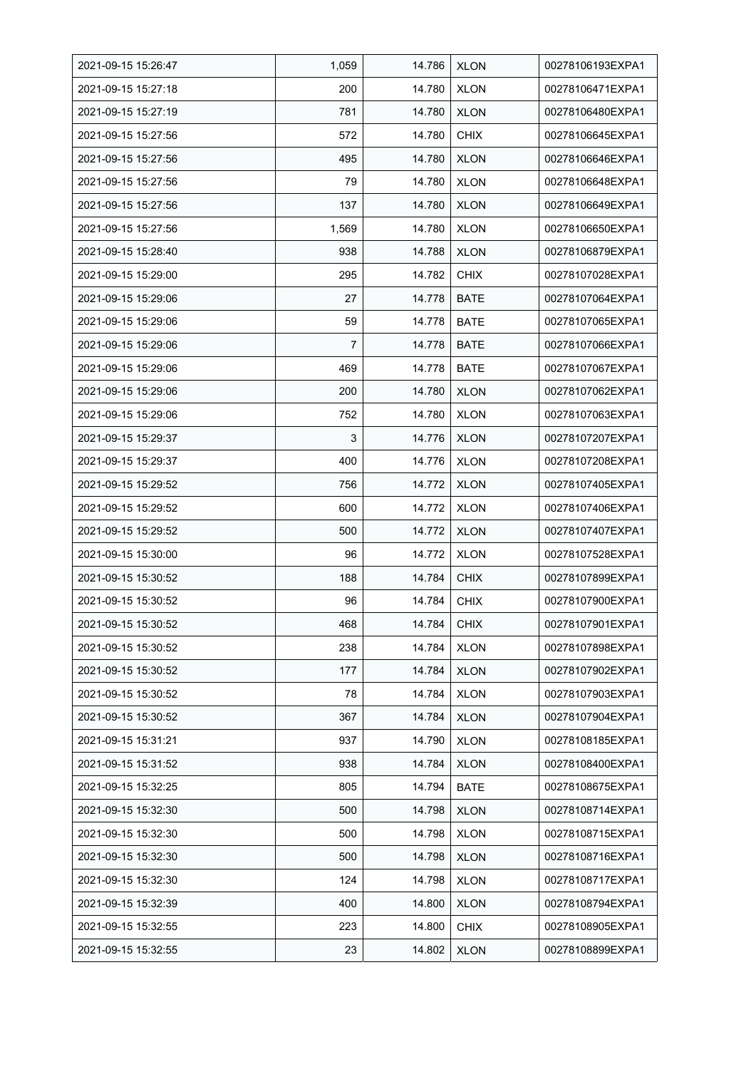| 2021-09-15 15:26:47 | 1,059 | 14.786 | <b>XLON</b> | 00278106193EXPA1 |
|---------------------|-------|--------|-------------|------------------|
| 2021-09-15 15:27:18 | 200   | 14.780 | <b>XLON</b> | 00278106471EXPA1 |
| 2021-09-15 15:27:19 | 781   | 14.780 | <b>XLON</b> | 00278106480EXPA1 |
| 2021-09-15 15:27:56 | 572   | 14.780 | <b>CHIX</b> | 00278106645EXPA1 |
| 2021-09-15 15:27:56 | 495   | 14.780 | <b>XLON</b> | 00278106646EXPA1 |
| 2021-09-15 15:27:56 | 79    | 14.780 | <b>XLON</b> | 00278106648EXPA1 |
| 2021-09-15 15:27:56 | 137   | 14.780 | <b>XLON</b> | 00278106649EXPA1 |
| 2021-09-15 15:27:56 | 1,569 | 14.780 | <b>XLON</b> | 00278106650EXPA1 |
| 2021-09-15 15:28:40 | 938   | 14.788 | <b>XLON</b> | 00278106879EXPA1 |
| 2021-09-15 15:29:00 | 295   | 14.782 | <b>CHIX</b> | 00278107028EXPA1 |
| 2021-09-15 15:29:06 | 27    | 14.778 | <b>BATE</b> | 00278107064EXPA1 |
| 2021-09-15 15:29:06 | 59    | 14.778 | <b>BATE</b> | 00278107065EXPA1 |
| 2021-09-15 15:29:06 | 7     | 14.778 | <b>BATE</b> | 00278107066EXPA1 |
| 2021-09-15 15:29:06 | 469   | 14.778 | <b>BATE</b> | 00278107067EXPA1 |
| 2021-09-15 15:29:06 | 200   | 14.780 | <b>XLON</b> | 00278107062EXPA1 |
| 2021-09-15 15:29:06 | 752   | 14.780 | <b>XLON</b> | 00278107063EXPA1 |
| 2021-09-15 15:29:37 | 3     | 14.776 | <b>XLON</b> | 00278107207EXPA1 |
| 2021-09-15 15:29:37 | 400   | 14.776 | XLON        | 00278107208EXPA1 |
| 2021-09-15 15:29:52 | 756   | 14.772 | <b>XLON</b> | 00278107405EXPA1 |
| 2021-09-15 15:29:52 | 600   | 14.772 | <b>XLON</b> | 00278107406EXPA1 |
| 2021-09-15 15:29:52 | 500   | 14.772 | <b>XLON</b> | 00278107407EXPA1 |
| 2021-09-15 15:30:00 | 96    | 14.772 | <b>XLON</b> | 00278107528EXPA1 |
| 2021-09-15 15:30:52 | 188   | 14.784 | <b>CHIX</b> | 00278107899EXPA1 |
| 2021-09-15 15:30:52 | 96    | 14.784 | <b>CHIX</b> | 00278107900EXPA1 |
| 2021-09-15 15:30:52 | 468   | 14.784 | <b>CHIX</b> | 00278107901EXPA1 |
| 2021-09-15 15:30:52 | 238   | 14.784 | <b>XLON</b> | 00278107898EXPA1 |
| 2021-09-15 15:30:52 | 177   | 14.784 | <b>XLON</b> | 00278107902EXPA1 |
| 2021-09-15 15:30:52 | 78    | 14.784 | <b>XLON</b> | 00278107903EXPA1 |
| 2021-09-15 15:30:52 | 367   | 14.784 | <b>XLON</b> | 00278107904EXPA1 |
| 2021-09-15 15:31:21 | 937   | 14.790 | <b>XLON</b> | 00278108185EXPA1 |
| 2021-09-15 15:31:52 | 938   | 14.784 | <b>XLON</b> | 00278108400EXPA1 |
| 2021-09-15 15:32:25 | 805   | 14.794 | <b>BATE</b> | 00278108675EXPA1 |
| 2021-09-15 15:32:30 | 500   | 14.798 | <b>XLON</b> | 00278108714EXPA1 |
| 2021-09-15 15:32:30 | 500   | 14.798 | <b>XLON</b> | 00278108715EXPA1 |
| 2021-09-15 15:32:30 | 500   | 14.798 | <b>XLON</b> | 00278108716EXPA1 |
| 2021-09-15 15:32:30 | 124   | 14.798 | <b>XLON</b> | 00278108717EXPA1 |
| 2021-09-15 15:32:39 | 400   | 14.800 | <b>XLON</b> | 00278108794EXPA1 |
| 2021-09-15 15:32:55 | 223   | 14.800 | <b>CHIX</b> | 00278108905EXPA1 |
| 2021-09-15 15:32:55 | 23    | 14.802 | <b>XLON</b> | 00278108899EXPA1 |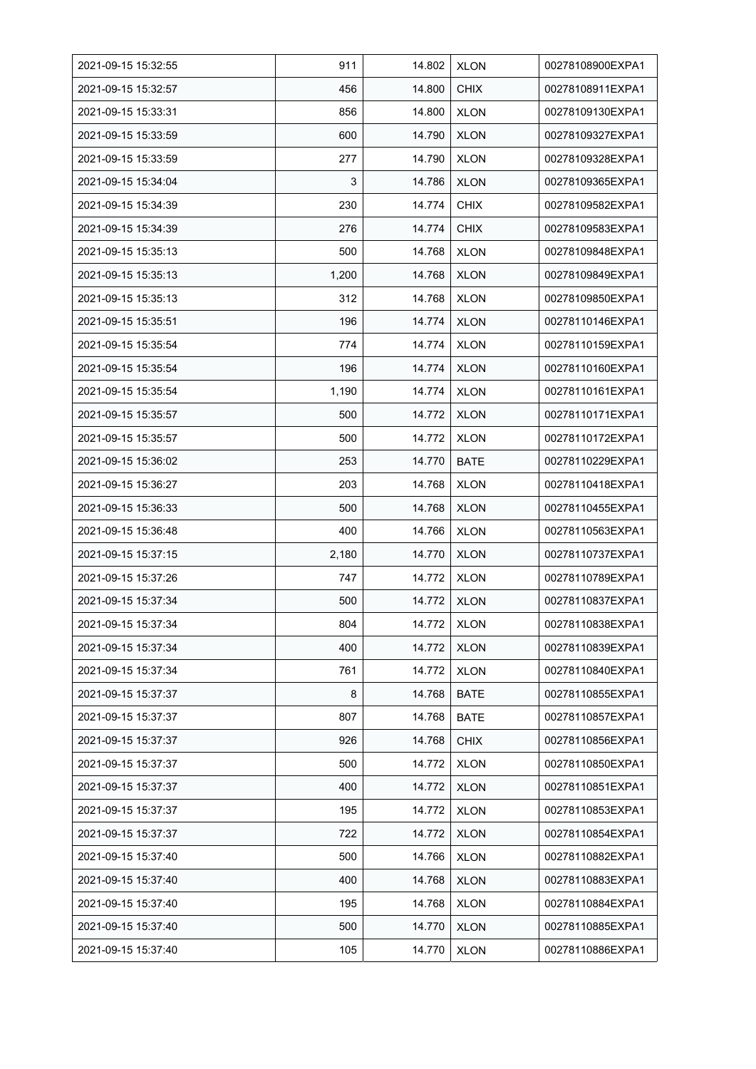| 2021-09-15 15:32:55 | 911   | 14.802 | <b>XLON</b> | 00278108900EXPA1 |
|---------------------|-------|--------|-------------|------------------|
| 2021-09-15 15:32:57 | 456   | 14.800 | <b>CHIX</b> | 00278108911EXPA1 |
| 2021-09-15 15:33:31 | 856   | 14.800 | <b>XLON</b> | 00278109130EXPA1 |
| 2021-09-15 15:33:59 | 600   | 14.790 | <b>XLON</b> | 00278109327EXPA1 |
| 2021-09-15 15:33:59 | 277   | 14.790 | <b>XLON</b> | 00278109328EXPA1 |
| 2021-09-15 15:34:04 | 3     | 14.786 | <b>XLON</b> | 00278109365EXPA1 |
| 2021-09-15 15:34:39 | 230   | 14.774 | <b>CHIX</b> | 00278109582EXPA1 |
| 2021-09-15 15:34:39 | 276   | 14.774 | <b>CHIX</b> | 00278109583EXPA1 |
| 2021-09-15 15:35:13 | 500   | 14.768 | <b>XLON</b> | 00278109848EXPA1 |
| 2021-09-15 15:35:13 | 1,200 | 14.768 | <b>XLON</b> | 00278109849EXPA1 |
| 2021-09-15 15:35:13 | 312   | 14.768 | <b>XLON</b> | 00278109850EXPA1 |
| 2021-09-15 15:35:51 | 196   | 14.774 | <b>XLON</b> | 00278110146EXPA1 |
| 2021-09-15 15:35:54 | 774   | 14.774 | <b>XLON</b> | 00278110159EXPA1 |
| 2021-09-15 15:35:54 | 196   | 14.774 | <b>XLON</b> | 00278110160EXPA1 |
| 2021-09-15 15:35:54 | 1,190 | 14.774 | <b>XLON</b> | 00278110161EXPA1 |
| 2021-09-15 15:35:57 | 500   | 14.772 | <b>XLON</b> | 00278110171EXPA1 |
| 2021-09-15 15:35:57 | 500   | 14.772 | <b>XLON</b> | 00278110172EXPA1 |
| 2021-09-15 15:36:02 | 253   | 14.770 | <b>BATE</b> | 00278110229EXPA1 |
| 2021-09-15 15:36:27 | 203   | 14.768 | <b>XLON</b> | 00278110418EXPA1 |
| 2021-09-15 15:36:33 | 500   | 14.768 | <b>XLON</b> | 00278110455EXPA1 |
| 2021-09-15 15:36:48 | 400   | 14.766 | <b>XLON</b> | 00278110563EXPA1 |
| 2021-09-15 15:37:15 | 2,180 | 14.770 | <b>XLON</b> | 00278110737EXPA1 |
| 2021-09-15 15:37:26 | 747   | 14.772 | <b>XLON</b> | 00278110789EXPA1 |
| 2021-09-15 15:37:34 | 500   | 14.772 | <b>XLON</b> | 00278110837EXPA1 |
| 2021-09-15 15:37:34 | 804   | 14.772 | <b>XLON</b> | 00278110838EXPA1 |
| 2021-09-15 15:37:34 | 400   | 14.772 | <b>XLON</b> | 00278110839EXPA1 |
| 2021-09-15 15:37:34 | 761   | 14.772 | <b>XLON</b> | 00278110840EXPA1 |
| 2021-09-15 15:37:37 | 8     | 14.768 | <b>BATE</b> | 00278110855EXPA1 |
| 2021-09-15 15:37:37 | 807   | 14.768 | <b>BATE</b> | 00278110857EXPA1 |
| 2021-09-15 15:37:37 | 926   | 14.768 | <b>CHIX</b> | 00278110856EXPA1 |
| 2021-09-15 15:37:37 | 500   | 14.772 | <b>XLON</b> | 00278110850EXPA1 |
| 2021-09-15 15:37:37 | 400   | 14.772 | <b>XLON</b> | 00278110851EXPA1 |
| 2021-09-15 15:37:37 | 195   | 14.772 | <b>XLON</b> | 00278110853EXPA1 |
| 2021-09-15 15:37:37 | 722   | 14.772 | <b>XLON</b> | 00278110854EXPA1 |
| 2021-09-15 15:37:40 | 500   | 14.766 | XLON        | 00278110882EXPA1 |
| 2021-09-15 15:37:40 | 400   | 14.768 | <b>XLON</b> | 00278110883EXPA1 |
| 2021-09-15 15:37:40 | 195   | 14.768 | <b>XLON</b> | 00278110884EXPA1 |
| 2021-09-15 15:37:40 | 500   | 14.770 | <b>XLON</b> | 00278110885EXPA1 |
| 2021-09-15 15:37:40 | 105   | 14.770 | <b>XLON</b> | 00278110886EXPA1 |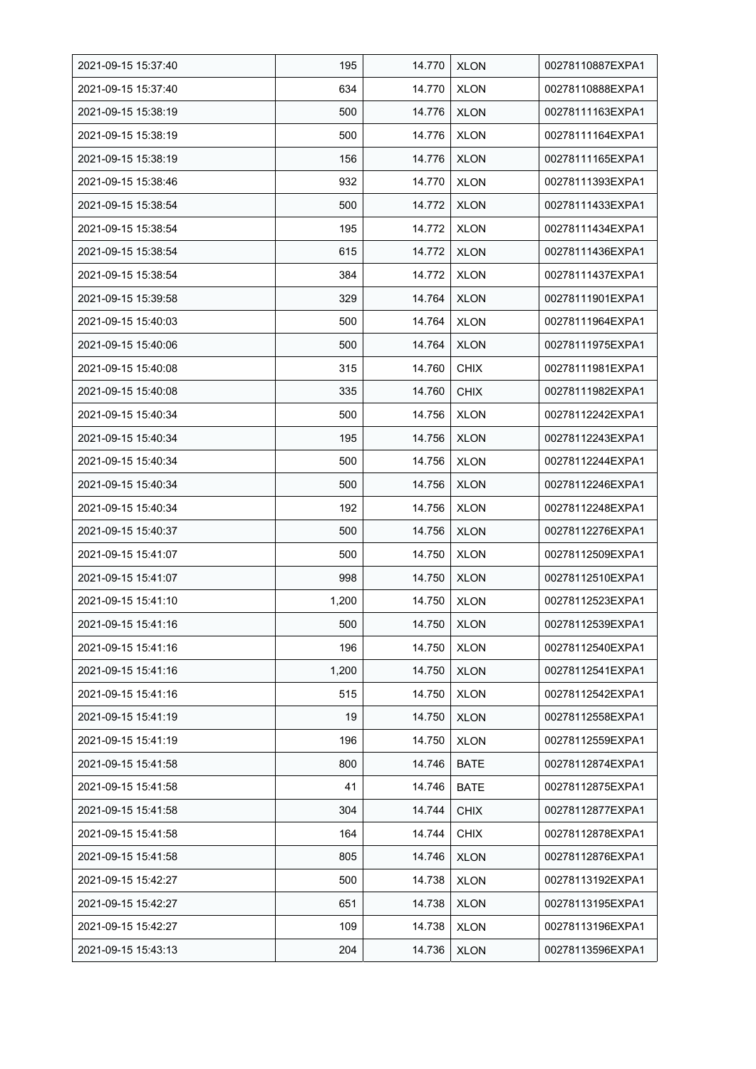| 2021-09-15 15:37:40 | 195   | 14.770 | <b>XLON</b> | 00278110887EXPA1 |
|---------------------|-------|--------|-------------|------------------|
| 2021-09-15 15:37:40 | 634   | 14.770 | <b>XLON</b> | 00278110888EXPA1 |
| 2021-09-15 15:38:19 | 500   | 14.776 | <b>XLON</b> | 00278111163EXPA1 |
| 2021-09-15 15:38:19 | 500   | 14.776 | <b>XLON</b> | 00278111164EXPA1 |
| 2021-09-15 15:38:19 | 156   | 14.776 | <b>XLON</b> | 00278111165EXPA1 |
| 2021-09-15 15:38:46 | 932   | 14.770 | <b>XLON</b> | 00278111393EXPA1 |
| 2021-09-15 15:38:54 | 500   | 14.772 | <b>XLON</b> | 00278111433EXPA1 |
| 2021-09-15 15:38:54 | 195   | 14.772 | <b>XLON</b> | 00278111434EXPA1 |
| 2021-09-15 15:38:54 | 615   | 14.772 | <b>XLON</b> | 00278111436EXPA1 |
| 2021-09-15 15:38:54 | 384   | 14.772 | <b>XLON</b> | 00278111437EXPA1 |
| 2021-09-15 15:39:58 | 329   | 14.764 | <b>XLON</b> | 00278111901EXPA1 |
| 2021-09-15 15:40:03 | 500   | 14.764 | <b>XLON</b> | 00278111964EXPA1 |
| 2021-09-15 15:40:06 | 500   | 14.764 | <b>XLON</b> | 00278111975EXPA1 |
| 2021-09-15 15:40:08 | 315   | 14.760 | <b>CHIX</b> | 00278111981EXPA1 |
| 2021-09-15 15:40:08 | 335   | 14.760 | <b>CHIX</b> | 00278111982EXPA1 |
| 2021-09-15 15:40:34 | 500   | 14.756 | <b>XLON</b> | 00278112242EXPA1 |
| 2021-09-15 15:40:34 | 195   | 14.756 | <b>XLON</b> | 00278112243EXPA1 |
| 2021-09-15 15:40:34 | 500   | 14.756 | XLON        | 00278112244EXPA1 |
| 2021-09-15 15:40:34 | 500   | 14.756 | <b>XLON</b> | 00278112246EXPA1 |
| 2021-09-15 15:40:34 | 192   | 14.756 | <b>XLON</b> | 00278112248EXPA1 |
| 2021-09-15 15:40:37 | 500   | 14.756 | <b>XLON</b> | 00278112276EXPA1 |
| 2021-09-15 15:41:07 | 500   | 14.750 | <b>XLON</b> | 00278112509EXPA1 |
| 2021-09-15 15:41:07 | 998   | 14.750 | <b>XLON</b> | 00278112510EXPA1 |
| 2021-09-15 15:41:10 | 1,200 | 14.750 | <b>XLON</b> | 00278112523EXPA1 |
| 2021-09-15 15:41:16 | 500   | 14.750 | <b>XLON</b> | 00278112539EXPA1 |
| 2021-09-15 15:41:16 | 196   | 14.750 | <b>XLON</b> | 00278112540EXPA1 |
| 2021-09-15 15:41:16 | 1,200 | 14.750 | <b>XLON</b> | 00278112541EXPA1 |
| 2021-09-15 15:41:16 | 515   | 14.750 | <b>XLON</b> | 00278112542EXPA1 |
| 2021-09-15 15:41:19 | 19    | 14.750 | <b>XLON</b> | 00278112558EXPA1 |
| 2021-09-15 15:41:19 | 196   | 14.750 | <b>XLON</b> | 00278112559EXPA1 |
| 2021-09-15 15:41:58 | 800   | 14.746 | <b>BATE</b> | 00278112874EXPA1 |
| 2021-09-15 15:41:58 | 41    | 14.746 | <b>BATE</b> | 00278112875EXPA1 |
| 2021-09-15 15:41:58 | 304   | 14.744 | <b>CHIX</b> | 00278112877EXPA1 |
| 2021-09-15 15:41:58 | 164   | 14.744 | <b>CHIX</b> | 00278112878EXPA1 |
| 2021-09-15 15:41:58 | 805   | 14.746 | <b>XLON</b> | 00278112876EXPA1 |
| 2021-09-15 15:42:27 | 500   | 14.738 | <b>XLON</b> | 00278113192EXPA1 |
| 2021-09-15 15:42:27 | 651   | 14.738 | <b>XLON</b> | 00278113195EXPA1 |
| 2021-09-15 15:42:27 | 109   | 14.738 | <b>XLON</b> | 00278113196EXPA1 |
| 2021-09-15 15:43:13 | 204   | 14.736 | <b>XLON</b> | 00278113596EXPA1 |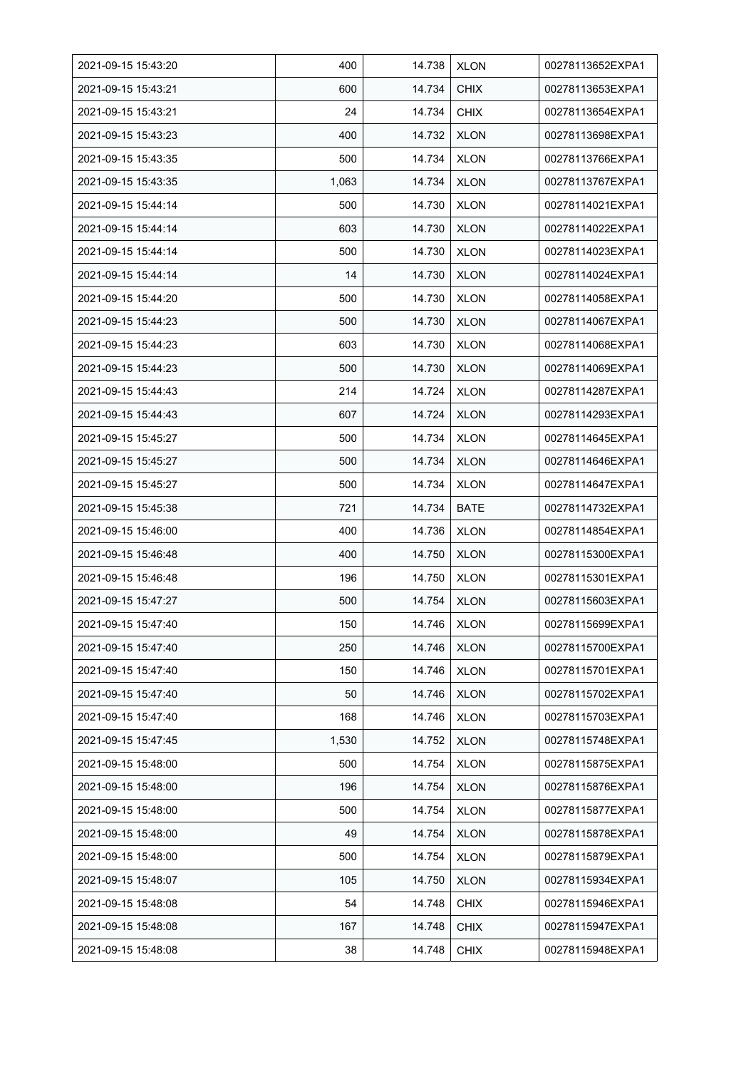| 2021-09-15 15:43:20 | 400   | 14.738 | <b>XLON</b> | 00278113652EXPA1 |
|---------------------|-------|--------|-------------|------------------|
| 2021-09-15 15:43:21 | 600   | 14.734 | <b>CHIX</b> | 00278113653EXPA1 |
| 2021-09-15 15:43:21 | 24    | 14.734 | <b>CHIX</b> | 00278113654EXPA1 |
| 2021-09-15 15:43:23 | 400   | 14.732 | <b>XLON</b> | 00278113698EXPA1 |
| 2021-09-15 15:43:35 | 500   | 14.734 | <b>XLON</b> | 00278113766EXPA1 |
| 2021-09-15 15:43:35 | 1,063 | 14.734 | <b>XLON</b> | 00278113767EXPA1 |
| 2021-09-15 15:44:14 | 500   | 14.730 | <b>XLON</b> | 00278114021EXPA1 |
| 2021-09-15 15:44:14 | 603   | 14.730 | <b>XLON</b> | 00278114022EXPA1 |
| 2021-09-15 15:44:14 | 500   | 14.730 | <b>XLON</b> | 00278114023EXPA1 |
| 2021-09-15 15:44:14 | 14    | 14.730 | <b>XLON</b> | 00278114024EXPA1 |
| 2021-09-15 15:44:20 | 500   | 14.730 | <b>XLON</b> | 00278114058EXPA1 |
| 2021-09-15 15:44:23 | 500   | 14.730 | <b>XLON</b> | 00278114067EXPA1 |
| 2021-09-15 15:44:23 | 603   | 14.730 | <b>XLON</b> | 00278114068EXPA1 |
| 2021-09-15 15:44:23 | 500   | 14.730 | <b>XLON</b> | 00278114069EXPA1 |
| 2021-09-15 15:44:43 | 214   | 14.724 | <b>XLON</b> | 00278114287EXPA1 |
| 2021-09-15 15:44:43 | 607   | 14.724 | <b>XLON</b> | 00278114293EXPA1 |
| 2021-09-15 15:45:27 | 500   | 14.734 | <b>XLON</b> | 00278114645EXPA1 |
| 2021-09-15 15:45:27 | 500   | 14.734 | <b>XLON</b> | 00278114646EXPA1 |
| 2021-09-15 15:45:27 | 500   | 14.734 | XLON        | 00278114647EXPA1 |
| 2021-09-15 15:45:38 | 721   | 14.734 | <b>BATE</b> | 00278114732EXPA1 |
| 2021-09-15 15:46:00 | 400   | 14.736 | <b>XLON</b> | 00278114854EXPA1 |
| 2021-09-15 15:46:48 | 400   | 14.750 | <b>XLON</b> | 00278115300EXPA1 |
| 2021-09-15 15:46:48 | 196   | 14.750 | <b>XLON</b> | 00278115301EXPA1 |
| 2021-09-15 15:47:27 | 500   | 14.754 | <b>XLON</b> | 00278115603EXPA1 |
| 2021-09-15 15:47:40 | 150   | 14.746 | <b>XLON</b> | 00278115699EXPA1 |
| 2021-09-15 15:47:40 | 250   | 14.746 | <b>XLON</b> | 00278115700EXPA1 |
| 2021-09-15 15:47:40 | 150   | 14.746 | <b>XLON</b> | 00278115701EXPA1 |
| 2021-09-15 15:47:40 | 50    | 14.746 | <b>XLON</b> | 00278115702EXPA1 |
| 2021-09-15 15:47:40 | 168   | 14.746 | <b>XLON</b> | 00278115703EXPA1 |
| 2021-09-15 15:47:45 | 1,530 | 14.752 | <b>XLON</b> | 00278115748EXPA1 |
| 2021-09-15 15:48:00 | 500   | 14.754 | <b>XLON</b> | 00278115875EXPA1 |
| 2021-09-15 15:48:00 | 196   | 14.754 | <b>XLON</b> | 00278115876EXPA1 |
| 2021-09-15 15:48:00 | 500   | 14.754 | <b>XLON</b> | 00278115877EXPA1 |
| 2021-09-15 15:48:00 | 49    | 14.754 | <b>XLON</b> | 00278115878EXPA1 |
| 2021-09-15 15:48:00 | 500   | 14.754 | XLON        | 00278115879EXPA1 |
| 2021-09-15 15:48:07 | 105   | 14.750 | <b>XLON</b> | 00278115934EXPA1 |
| 2021-09-15 15:48:08 | 54    | 14.748 | <b>CHIX</b> | 00278115946EXPA1 |
| 2021-09-15 15:48:08 | 167   | 14.748 | <b>CHIX</b> | 00278115947EXPA1 |
| 2021-09-15 15:48:08 | 38    | 14.748 | <b>CHIX</b> | 00278115948EXPA1 |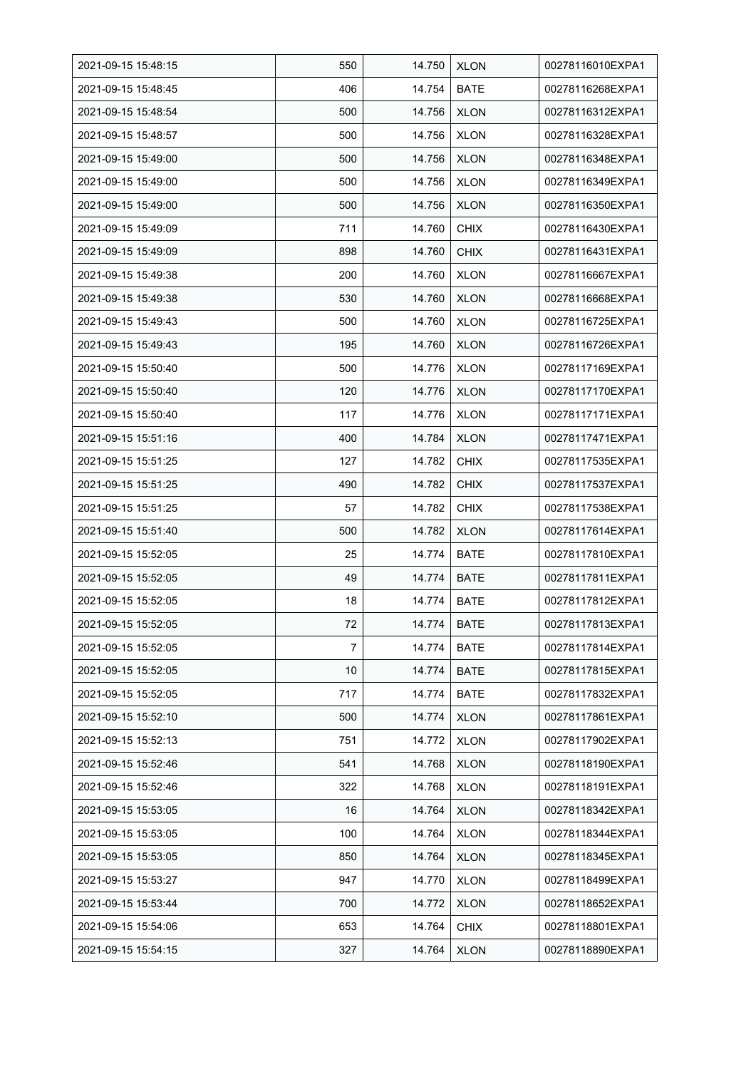| 2021-09-15 15:48:15 | 550 | 14.750 | <b>XLON</b> | 00278116010EXPA1 |
|---------------------|-----|--------|-------------|------------------|
| 2021-09-15 15:48:45 | 406 | 14.754 | <b>BATE</b> | 00278116268EXPA1 |
| 2021-09-15 15:48:54 | 500 | 14.756 | <b>XLON</b> | 00278116312EXPA1 |
| 2021-09-15 15:48:57 | 500 | 14.756 | <b>XLON</b> | 00278116328EXPA1 |
| 2021-09-15 15:49:00 | 500 | 14.756 | <b>XLON</b> | 00278116348EXPA1 |
| 2021-09-15 15:49:00 | 500 | 14.756 | <b>XLON</b> | 00278116349EXPA1 |
| 2021-09-15 15:49:00 | 500 | 14.756 | <b>XLON</b> | 00278116350EXPA1 |
| 2021-09-15 15:49:09 | 711 | 14.760 | <b>CHIX</b> | 00278116430EXPA1 |
| 2021-09-15 15:49:09 | 898 | 14.760 | <b>CHIX</b> | 00278116431EXPA1 |
| 2021-09-15 15:49:38 | 200 | 14.760 | <b>XLON</b> | 00278116667EXPA1 |
| 2021-09-15 15:49:38 | 530 | 14.760 | <b>XLON</b> | 00278116668EXPA1 |
| 2021-09-15 15:49:43 | 500 | 14.760 | <b>XLON</b> | 00278116725EXPA1 |
| 2021-09-15 15:49:43 | 195 | 14.760 | <b>XLON</b> | 00278116726EXPA1 |
| 2021-09-15 15:50:40 | 500 | 14.776 | <b>XLON</b> | 00278117169EXPA1 |
| 2021-09-15 15:50:40 | 120 | 14.776 | <b>XLON</b> | 00278117170EXPA1 |
| 2021-09-15 15:50:40 | 117 | 14.776 | <b>XLON</b> | 00278117171EXPA1 |
| 2021-09-15 15:51:16 | 400 | 14.784 | <b>XLON</b> | 00278117471EXPA1 |
| 2021-09-15 15:51:25 | 127 | 14.782 | <b>CHIX</b> | 00278117535EXPA1 |
| 2021-09-15 15:51:25 | 490 | 14.782 | <b>CHIX</b> | 00278117537EXPA1 |
| 2021-09-15 15:51:25 | 57  | 14.782 | <b>CHIX</b> | 00278117538EXPA1 |
| 2021-09-15 15:51:40 | 500 | 14.782 | <b>XLON</b> | 00278117614EXPA1 |
| 2021-09-15 15:52:05 | 25  | 14.774 | BATE        | 00278117810EXPA1 |
| 2021-09-15 15:52:05 | 49  | 14.774 | BATE        | 00278117811EXPA1 |
| 2021-09-15 15:52:05 | 18  | 14.774 | <b>BATE</b> | 00278117812EXPA1 |
| 2021-09-15 15:52:05 | 72  | 14.774 | <b>BATE</b> | 00278117813EXPA1 |
| 2021-09-15 15:52:05 | 7   | 14.774 | <b>BATE</b> | 00278117814EXPA1 |
| 2021-09-15 15:52:05 | 10  | 14.774 | BATE        | 00278117815EXPA1 |
| 2021-09-15 15:52:05 | 717 | 14.774 | <b>BATE</b> | 00278117832EXPA1 |
| 2021-09-15 15:52:10 | 500 | 14.774 | <b>XLON</b> | 00278117861EXPA1 |
| 2021-09-15 15:52:13 | 751 | 14.772 | <b>XLON</b> | 00278117902EXPA1 |
| 2021-09-15 15:52:46 | 541 | 14.768 | <b>XLON</b> | 00278118190EXPA1 |
| 2021-09-15 15:52:46 | 322 | 14.768 | <b>XLON</b> | 00278118191EXPA1 |
| 2021-09-15 15:53:05 | 16  | 14.764 | <b>XLON</b> | 00278118342EXPA1 |
| 2021-09-15 15:53:05 | 100 | 14.764 | <b>XLON</b> | 00278118344EXPA1 |
| 2021-09-15 15:53:05 | 850 | 14.764 | <b>XLON</b> | 00278118345EXPA1 |
| 2021-09-15 15:53:27 | 947 | 14.770 | <b>XLON</b> | 00278118499EXPA1 |
| 2021-09-15 15:53:44 | 700 | 14.772 | <b>XLON</b> | 00278118652EXPA1 |
| 2021-09-15 15:54:06 | 653 | 14.764 | <b>CHIX</b> | 00278118801EXPA1 |
| 2021-09-15 15:54:15 | 327 | 14.764 | <b>XLON</b> | 00278118890EXPA1 |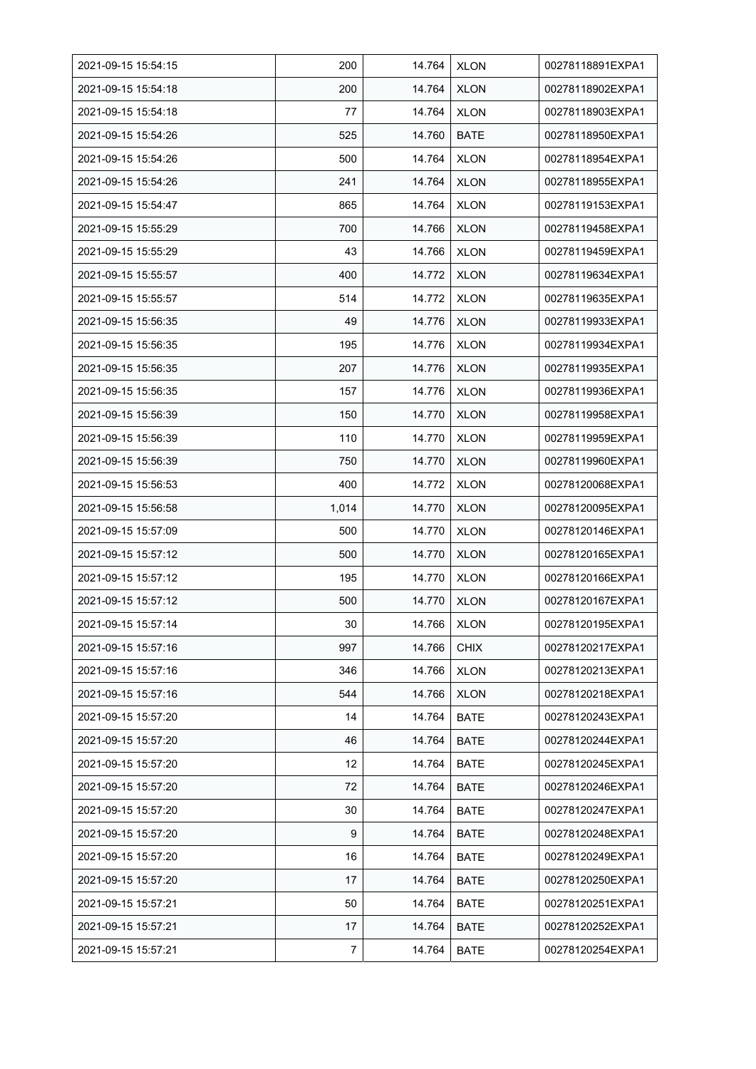| 2021-09-15 15:54:15 | 200   | 14.764 | <b>XLON</b> | 00278118891EXPA1 |
|---------------------|-------|--------|-------------|------------------|
| 2021-09-15 15:54:18 | 200   | 14.764 | <b>XLON</b> | 00278118902EXPA1 |
| 2021-09-15 15:54:18 | 77    | 14.764 | <b>XLON</b> | 00278118903EXPA1 |
| 2021-09-15 15:54:26 | 525   | 14.760 | <b>BATE</b> | 00278118950EXPA1 |
| 2021-09-15 15:54:26 | 500   | 14.764 | <b>XLON</b> | 00278118954EXPA1 |
| 2021-09-15 15:54:26 | 241   | 14.764 | <b>XLON</b> | 00278118955EXPA1 |
| 2021-09-15 15:54:47 | 865   | 14.764 | <b>XLON</b> | 00278119153EXPA1 |
| 2021-09-15 15:55:29 | 700   | 14.766 | <b>XLON</b> | 00278119458EXPA1 |
| 2021-09-15 15:55:29 | 43    | 14.766 | <b>XLON</b> | 00278119459EXPA1 |
| 2021-09-15 15:55:57 | 400   | 14.772 | <b>XLON</b> | 00278119634EXPA1 |
| 2021-09-15 15:55:57 | 514   | 14.772 | <b>XLON</b> | 00278119635EXPA1 |
| 2021-09-15 15:56:35 | 49    | 14.776 | <b>XLON</b> | 00278119933EXPA1 |
| 2021-09-15 15:56:35 | 195   | 14.776 | <b>XLON</b> | 00278119934EXPA1 |
| 2021-09-15 15:56:35 | 207   | 14.776 | <b>XLON</b> | 00278119935EXPA1 |
| 2021-09-15 15:56:35 | 157   | 14.776 | <b>XLON</b> | 00278119936EXPA1 |
| 2021-09-15 15:56:39 | 150   | 14.770 | <b>XLON</b> | 00278119958EXPA1 |
| 2021-09-15 15:56:39 | 110   | 14.770 | <b>XLON</b> | 00278119959EXPA1 |
| 2021-09-15 15:56:39 | 750   | 14.770 | <b>XLON</b> | 00278119960EXPA1 |
| 2021-09-15 15:56:53 | 400   | 14.772 | <b>XLON</b> | 00278120068EXPA1 |
| 2021-09-15 15:56:58 | 1,014 | 14.770 | <b>XLON</b> | 00278120095EXPA1 |
| 2021-09-15 15:57:09 | 500   | 14.770 | <b>XLON</b> | 00278120146EXPA1 |
| 2021-09-15 15:57:12 | 500   | 14.770 | <b>XLON</b> | 00278120165EXPA1 |
| 2021-09-15 15:57:12 | 195   | 14.770 | <b>XLON</b> | 00278120166EXPA1 |
| 2021-09-15 15:57:12 | 500   | 14.770 | <b>XLON</b> | 00278120167EXPA1 |
| 2021-09-15 15:57:14 | 30    | 14.766 | <b>XLON</b> | 00278120195EXPA1 |
| 2021-09-15 15:57:16 | 997   | 14.766 | <b>CHIX</b> | 00278120217EXPA1 |
| 2021-09-15 15:57:16 | 346   | 14.766 | <b>XLON</b> | 00278120213EXPA1 |
| 2021-09-15 15:57:16 | 544   | 14.766 | <b>XLON</b> | 00278120218EXPA1 |
| 2021-09-15 15:57:20 | 14    | 14.764 | <b>BATE</b> | 00278120243EXPA1 |
| 2021-09-15 15:57:20 | 46    | 14.764 | BATE        | 00278120244EXPA1 |
| 2021-09-15 15:57:20 | 12    | 14.764 | BATE        | 00278120245EXPA1 |
| 2021-09-15 15:57:20 | 72    | 14.764 | BATE        | 00278120246EXPA1 |
| 2021-09-15 15:57:20 | 30    | 14.764 | <b>BATE</b> | 00278120247EXPA1 |
| 2021-09-15 15:57:20 | 9     | 14.764 | <b>BATE</b> | 00278120248EXPA1 |
| 2021-09-15 15:57:20 | 16    | 14.764 | BATE        | 00278120249EXPA1 |
| 2021-09-15 15:57:20 | 17    | 14.764 | BATE        | 00278120250EXPA1 |
| 2021-09-15 15:57:21 | 50    | 14.764 | BATE        | 00278120251EXPA1 |
| 2021-09-15 15:57:21 | 17    | 14.764 | BATE        | 00278120252EXPA1 |
| 2021-09-15 15:57:21 | 7     | 14.764 | <b>BATE</b> | 00278120254EXPA1 |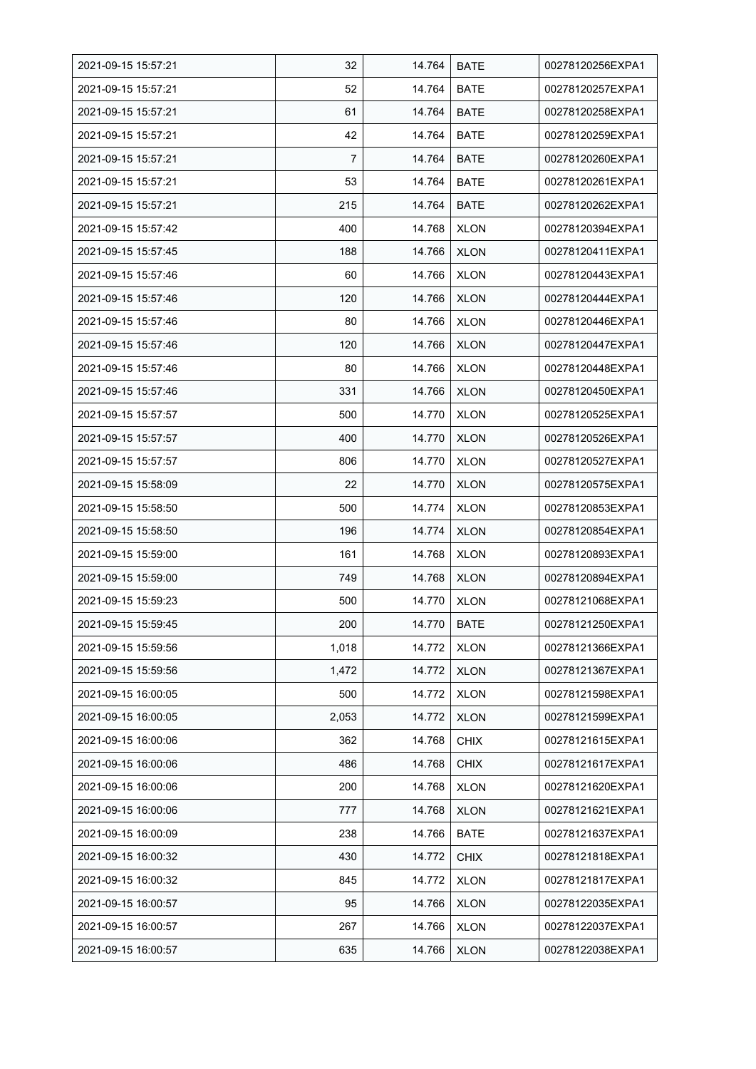| 2021-09-15 15:57:21 | 32    | 14.764 | <b>BATE</b> | 00278120256EXPA1 |
|---------------------|-------|--------|-------------|------------------|
| 2021-09-15 15:57:21 | 52    | 14.764 | <b>BATE</b> | 00278120257EXPA1 |
| 2021-09-15 15:57:21 | 61    | 14.764 | <b>BATE</b> | 00278120258EXPA1 |
| 2021-09-15 15:57:21 | 42    | 14.764 | <b>BATE</b> | 00278120259EXPA1 |
| 2021-09-15 15:57:21 | 7     | 14.764 | BATE        | 00278120260EXPA1 |
| 2021-09-15 15:57:21 | 53    | 14.764 | <b>BATE</b> | 00278120261EXPA1 |
| 2021-09-15 15:57:21 | 215   | 14.764 | <b>BATE</b> | 00278120262EXPA1 |
| 2021-09-15 15:57:42 | 400   | 14.768 | <b>XLON</b> | 00278120394EXPA1 |
| 2021-09-15 15:57:45 | 188   | 14.766 | <b>XLON</b> | 00278120411EXPA1 |
| 2021-09-15 15:57:46 | 60    | 14.766 | <b>XLON</b> | 00278120443EXPA1 |
| 2021-09-15 15:57:46 | 120   | 14.766 | <b>XLON</b> | 00278120444EXPA1 |
| 2021-09-15 15:57:46 | 80    | 14.766 | <b>XLON</b> | 00278120446EXPA1 |
| 2021-09-15 15:57:46 | 120   | 14.766 | <b>XLON</b> | 00278120447EXPA1 |
| 2021-09-15 15:57:46 | 80    | 14.766 | <b>XLON</b> | 00278120448EXPA1 |
| 2021-09-15 15:57:46 | 331   | 14.766 | <b>XLON</b> | 00278120450EXPA1 |
| 2021-09-15 15:57:57 | 500   | 14.770 | <b>XLON</b> | 00278120525EXPA1 |
| 2021-09-15 15:57:57 | 400   | 14.770 | <b>XLON</b> | 00278120526EXPA1 |
| 2021-09-15 15:57:57 | 806   | 14.770 | <b>XLON</b> | 00278120527EXPA1 |
| 2021-09-15 15:58:09 | 22    | 14.770 | <b>XLON</b> | 00278120575EXPA1 |
| 2021-09-15 15:58:50 | 500   | 14.774 | <b>XLON</b> | 00278120853EXPA1 |
| 2021-09-15 15:58:50 | 196   | 14.774 | <b>XLON</b> | 00278120854EXPA1 |
| 2021-09-15 15:59:00 | 161   | 14.768 | <b>XLON</b> | 00278120893EXPA1 |
| 2021-09-15 15:59:00 | 749   | 14.768 | <b>XLON</b> | 00278120894EXPA1 |
| 2021-09-15 15:59:23 | 500   | 14.770 | <b>XLON</b> | 00278121068EXPA1 |
| 2021-09-15 15:59:45 | 200   | 14.770 | <b>BATE</b> | 00278121250EXPA1 |
| 2021-09-15 15:59:56 | 1,018 | 14.772 | <b>XLON</b> | 00278121366EXPA1 |
| 2021-09-15 15:59:56 | 1,472 | 14.772 | <b>XLON</b> | 00278121367EXPA1 |
| 2021-09-15 16:00:05 | 500   | 14.772 | <b>XLON</b> | 00278121598EXPA1 |
| 2021-09-15 16:00:05 | 2,053 | 14.772 | <b>XLON</b> | 00278121599EXPA1 |
| 2021-09-15 16:00:06 | 362   | 14.768 | <b>CHIX</b> | 00278121615EXPA1 |
| 2021-09-15 16:00:06 | 486   | 14.768 | <b>CHIX</b> | 00278121617EXPA1 |
| 2021-09-15 16:00:06 | 200   | 14.768 | <b>XLON</b> | 00278121620EXPA1 |
| 2021-09-15 16:00:06 | 777   | 14.768 | <b>XLON</b> | 00278121621EXPA1 |
| 2021-09-15 16:00:09 | 238   | 14.766 | <b>BATE</b> | 00278121637EXPA1 |
| 2021-09-15 16:00:32 | 430   | 14.772 | <b>CHIX</b> | 00278121818EXPA1 |
| 2021-09-15 16:00:32 | 845   | 14.772 | <b>XLON</b> | 00278121817EXPA1 |
| 2021-09-15 16:00:57 | 95    | 14.766 | <b>XLON</b> | 00278122035EXPA1 |
| 2021-09-15 16:00:57 | 267   | 14.766 | <b>XLON</b> | 00278122037EXPA1 |
| 2021-09-15 16:00:57 | 635   | 14.766 | <b>XLON</b> | 00278122038EXPA1 |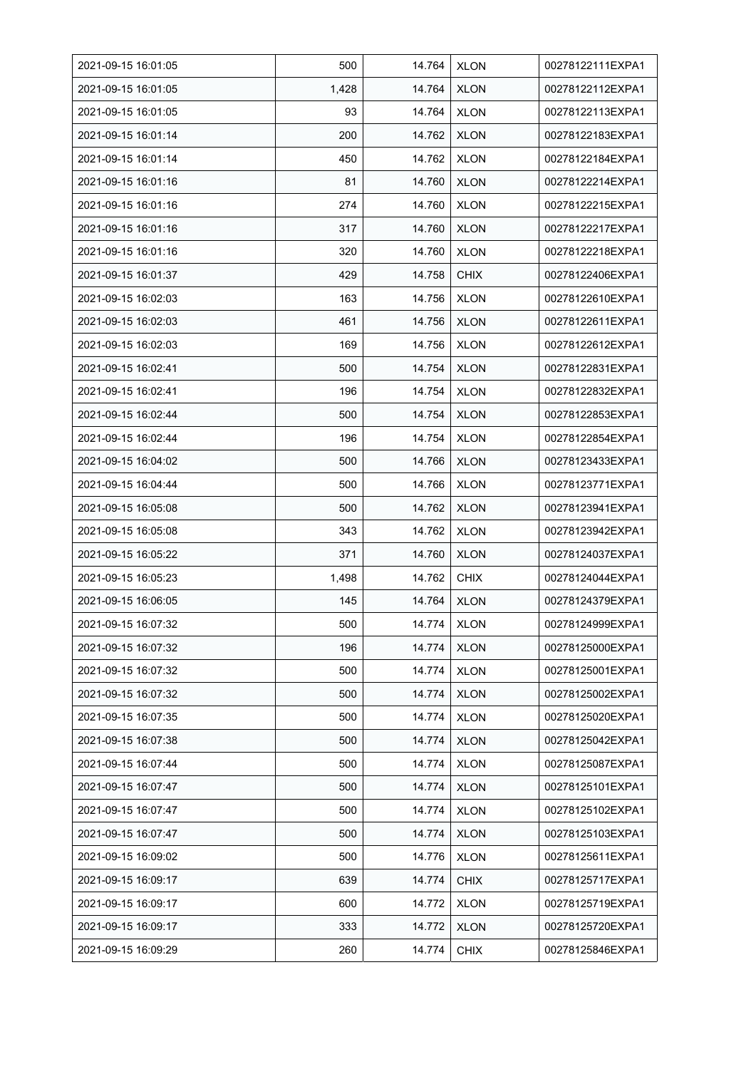| 2021-09-15 16:01:05 | 500   | 14.764 | <b>XLON</b> | 00278122111EXPA1 |
|---------------------|-------|--------|-------------|------------------|
| 2021-09-15 16:01:05 | 1,428 | 14.764 | <b>XLON</b> | 00278122112EXPA1 |
| 2021-09-15 16:01:05 | 93    | 14.764 | <b>XLON</b> | 00278122113EXPA1 |
| 2021-09-15 16:01:14 | 200   | 14.762 | <b>XLON</b> | 00278122183EXPA1 |
| 2021-09-15 16:01:14 | 450   | 14.762 | <b>XLON</b> | 00278122184EXPA1 |
| 2021-09-15 16:01:16 | 81    | 14.760 | <b>XLON</b> | 00278122214EXPA1 |
| 2021-09-15 16:01:16 | 274   | 14.760 | <b>XLON</b> | 00278122215EXPA1 |
| 2021-09-15 16:01:16 | 317   | 14.760 | <b>XLON</b> | 00278122217EXPA1 |
| 2021-09-15 16:01:16 | 320   | 14.760 | <b>XLON</b> | 00278122218EXPA1 |
| 2021-09-15 16:01:37 | 429   | 14.758 | <b>CHIX</b> | 00278122406EXPA1 |
| 2021-09-15 16:02:03 | 163   | 14.756 | <b>XLON</b> | 00278122610EXPA1 |
| 2021-09-15 16:02:03 | 461   | 14.756 | <b>XLON</b> | 00278122611EXPA1 |
| 2021-09-15 16:02:03 | 169   | 14.756 | <b>XLON</b> | 00278122612EXPA1 |
| 2021-09-15 16:02:41 | 500   | 14.754 | <b>XLON</b> | 00278122831EXPA1 |
| 2021-09-15 16:02:41 | 196   | 14.754 | <b>XLON</b> | 00278122832EXPA1 |
| 2021-09-15 16:02:44 | 500   | 14.754 | <b>XLON</b> | 00278122853EXPA1 |
| 2021-09-15 16:02:44 | 196   | 14.754 | <b>XLON</b> | 00278122854EXPA1 |
| 2021-09-15 16:04:02 | 500   | 14.766 | <b>XLON</b> | 00278123433EXPA1 |
| 2021-09-15 16:04:44 | 500   | 14.766 | <b>XLON</b> | 00278123771EXPA1 |
| 2021-09-15 16:05:08 | 500   | 14.762 | <b>XLON</b> | 00278123941EXPA1 |
| 2021-09-15 16:05:08 | 343   | 14.762 | <b>XLON</b> | 00278123942EXPA1 |
| 2021-09-15 16:05:22 | 371   | 14.760 | <b>XLON</b> | 00278124037EXPA1 |
| 2021-09-15 16:05:23 | 1,498 | 14.762 | <b>CHIX</b> | 00278124044EXPA1 |
| 2021-09-15 16:06:05 | 145   | 14.764 | <b>XLON</b> | 00278124379EXPA1 |
| 2021-09-15 16:07:32 | 500   | 14.774 | <b>XLON</b> | 00278124999EXPA1 |
| 2021-09-15 16:07:32 | 196   | 14.774 | <b>XLON</b> | 00278125000EXPA1 |
| 2021-09-15 16:07:32 | 500   | 14.774 | <b>XLON</b> | 00278125001EXPA1 |
| 2021-09-15 16:07:32 | 500   | 14.774 | <b>XLON</b> | 00278125002EXPA1 |
| 2021-09-15 16:07:35 | 500   | 14.774 | <b>XLON</b> | 00278125020EXPA1 |
| 2021-09-15 16:07:38 | 500   | 14.774 | <b>XLON</b> | 00278125042EXPA1 |
| 2021-09-15 16:07:44 | 500   | 14.774 | <b>XLON</b> | 00278125087EXPA1 |
| 2021-09-15 16:07:47 | 500   | 14.774 | <b>XLON</b> | 00278125101EXPA1 |
| 2021-09-15 16:07:47 | 500   | 14.774 | <b>XLON</b> | 00278125102EXPA1 |
| 2021-09-15 16:07:47 | 500   | 14.774 | <b>XLON</b> | 00278125103EXPA1 |
| 2021-09-15 16:09:02 | 500   | 14.776 | <b>XLON</b> | 00278125611EXPA1 |
| 2021-09-15 16:09:17 | 639   | 14.774 | <b>CHIX</b> | 00278125717EXPA1 |
| 2021-09-15 16:09:17 | 600   | 14.772 | <b>XLON</b> | 00278125719EXPA1 |
| 2021-09-15 16:09:17 | 333   | 14.772 | <b>XLON</b> | 00278125720EXPA1 |
| 2021-09-15 16:09:29 | 260   | 14.774 | <b>CHIX</b> | 00278125846EXPA1 |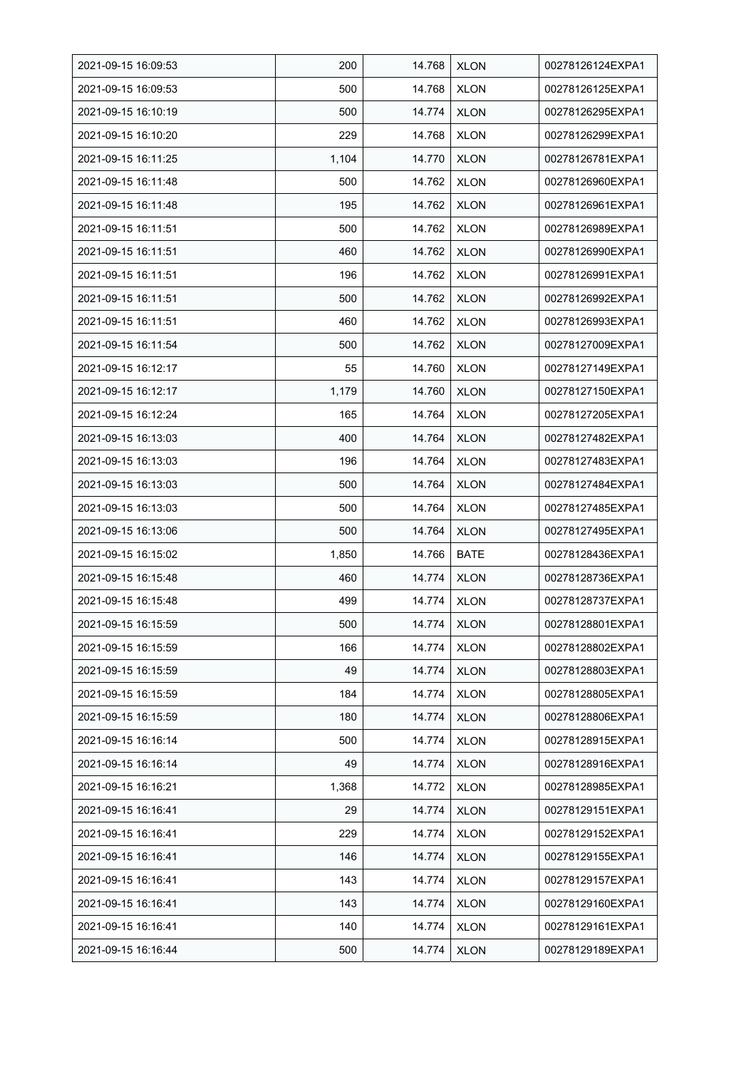| 2021-09-15 16:09:53 | 200   | 14.768 | <b>XLON</b> | 00278126124EXPA1 |
|---------------------|-------|--------|-------------|------------------|
| 2021-09-15 16:09:53 | 500   | 14.768 | <b>XLON</b> | 00278126125EXPA1 |
| 2021-09-15 16:10:19 | 500   | 14.774 | <b>XLON</b> | 00278126295EXPA1 |
| 2021-09-15 16:10:20 | 229   | 14.768 | <b>XLON</b> | 00278126299EXPA1 |
| 2021-09-15 16:11:25 | 1,104 | 14.770 | <b>XLON</b> | 00278126781EXPA1 |
| 2021-09-15 16:11:48 | 500   | 14.762 | <b>XLON</b> | 00278126960EXPA1 |
| 2021-09-15 16:11:48 | 195   | 14.762 | <b>XLON</b> | 00278126961EXPA1 |
| 2021-09-15 16:11:51 | 500   | 14.762 | <b>XLON</b> | 00278126989EXPA1 |
| 2021-09-15 16:11:51 | 460   | 14.762 | <b>XLON</b> | 00278126990EXPA1 |
| 2021-09-15 16:11:51 | 196   | 14.762 | <b>XLON</b> | 00278126991EXPA1 |
| 2021-09-15 16:11:51 | 500   | 14.762 | <b>XLON</b> | 00278126992EXPA1 |
| 2021-09-15 16:11:51 | 460   | 14.762 | <b>XLON</b> | 00278126993EXPA1 |
| 2021-09-15 16:11:54 | 500   | 14.762 | <b>XLON</b> | 00278127009EXPA1 |
| 2021-09-15 16:12:17 | 55    | 14.760 | <b>XLON</b> | 00278127149EXPA1 |
| 2021-09-15 16:12:17 | 1,179 | 14.760 | <b>XLON</b> | 00278127150EXPA1 |
| 2021-09-15 16:12:24 | 165   | 14.764 | <b>XLON</b> | 00278127205EXPA1 |
| 2021-09-15 16:13:03 | 400   | 14.764 | <b>XLON</b> | 00278127482EXPA1 |
| 2021-09-15 16:13:03 | 196   | 14.764 | <b>XLON</b> | 00278127483EXPA1 |
| 2021-09-15 16:13:03 | 500   | 14.764 | <b>XLON</b> | 00278127484EXPA1 |
| 2021-09-15 16:13:03 | 500   | 14.764 | <b>XLON</b> | 00278127485EXPA1 |
| 2021-09-15 16:13:06 | 500   | 14.764 | <b>XLON</b> | 00278127495EXPA1 |
| 2021-09-15 16:15:02 | 1,850 | 14.766 | <b>BATE</b> | 00278128436EXPA1 |
| 2021-09-15 16:15:48 | 460   | 14.774 | <b>XLON</b> | 00278128736EXPA1 |
| 2021-09-15 16:15:48 | 499   | 14.774 | <b>XLON</b> | 00278128737EXPA1 |
| 2021-09-15 16:15:59 | 500   | 14.774 | <b>XLON</b> | 00278128801EXPA1 |
| 2021-09-15 16:15:59 | 166   | 14.774 | <b>XLON</b> | 00278128802EXPA1 |
| 2021-09-15 16:15:59 | 49    | 14.774 | <b>XLON</b> | 00278128803EXPA1 |
| 2021-09-15 16:15:59 | 184   | 14.774 | <b>XLON</b> | 00278128805EXPA1 |
| 2021-09-15 16:15:59 | 180   | 14.774 | <b>XLON</b> | 00278128806EXPA1 |
| 2021-09-15 16:16:14 | 500   | 14.774 | <b>XLON</b> | 00278128915EXPA1 |
| 2021-09-15 16:16:14 | 49    | 14.774 | <b>XLON</b> | 00278128916EXPA1 |
| 2021-09-15 16:16:21 | 1,368 | 14.772 | <b>XLON</b> | 00278128985EXPA1 |
| 2021-09-15 16:16:41 | 29    | 14.774 | <b>XLON</b> | 00278129151EXPA1 |
| 2021-09-15 16:16:41 | 229   | 14.774 | <b>XLON</b> | 00278129152EXPA1 |
| 2021-09-15 16:16:41 | 146   | 14.774 | <b>XLON</b> | 00278129155EXPA1 |
| 2021-09-15 16:16:41 | 143   | 14.774 | <b>XLON</b> | 00278129157EXPA1 |
| 2021-09-15 16:16:41 | 143   | 14.774 | <b>XLON</b> | 00278129160EXPA1 |
| 2021-09-15 16:16:41 | 140   | 14.774 | <b>XLON</b> | 00278129161EXPA1 |
| 2021-09-15 16:16:44 | 500   | 14.774 | <b>XLON</b> | 00278129189EXPA1 |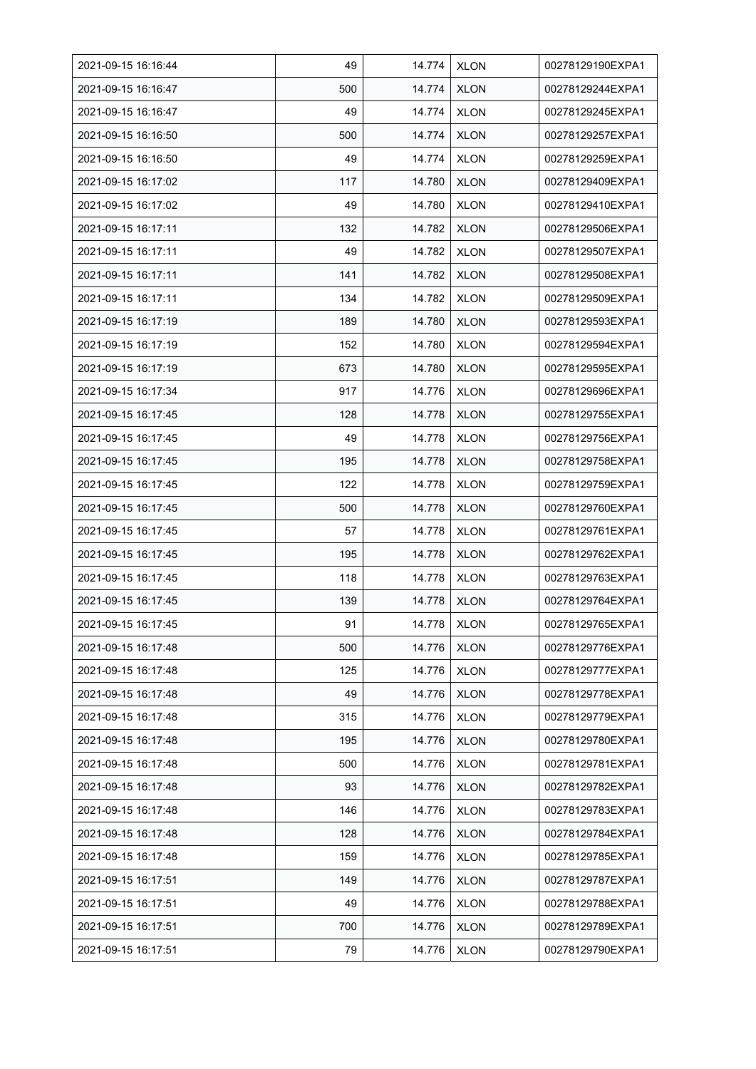| 2021-09-15 16:16:44 | 49  | 14.774 | <b>XLON</b> | 00278129190EXPA1 |
|---------------------|-----|--------|-------------|------------------|
| 2021-09-15 16:16:47 | 500 | 14.774 | <b>XLON</b> | 00278129244EXPA1 |
| 2021-09-15 16:16:47 | 49  | 14.774 | <b>XLON</b> | 00278129245EXPA1 |
| 2021-09-15 16:16:50 | 500 | 14.774 | <b>XLON</b> | 00278129257EXPA1 |
| 2021-09-15 16:16:50 | 49  | 14.774 | <b>XLON</b> | 00278129259EXPA1 |
| 2021-09-15 16:17:02 | 117 | 14.780 | <b>XLON</b> | 00278129409EXPA1 |
| 2021-09-15 16:17:02 | 49  | 14.780 | <b>XLON</b> | 00278129410EXPA1 |
| 2021-09-15 16:17:11 | 132 | 14.782 | <b>XLON</b> | 00278129506EXPA1 |
| 2021-09-15 16:17:11 | 49  | 14.782 | <b>XLON</b> | 00278129507EXPA1 |
| 2021-09-15 16:17:11 | 141 | 14.782 | <b>XLON</b> | 00278129508EXPA1 |
| 2021-09-15 16:17:11 | 134 | 14.782 | <b>XLON</b> | 00278129509EXPA1 |
| 2021-09-15 16:17:19 | 189 | 14.780 | <b>XLON</b> | 00278129593EXPA1 |
| 2021-09-15 16:17:19 | 152 | 14.780 | <b>XLON</b> | 00278129594EXPA1 |
| 2021-09-15 16:17:19 | 673 | 14.780 | <b>XLON</b> | 00278129595EXPA1 |
| 2021-09-15 16:17:34 | 917 | 14.776 | <b>XLON</b> | 00278129696EXPA1 |
| 2021-09-15 16:17:45 | 128 | 14.778 | <b>XLON</b> | 00278129755EXPA1 |
| 2021-09-15 16:17:45 | 49  | 14.778 | <b>XLON</b> | 00278129756EXPA1 |
| 2021-09-15 16:17:45 | 195 | 14.778 | <b>XLON</b> | 00278129758EXPA1 |
| 2021-09-15 16:17:45 | 122 | 14.778 | <b>XLON</b> | 00278129759EXPA1 |
| 2021-09-15 16:17:45 | 500 | 14.778 | <b>XLON</b> | 00278129760EXPA1 |
| 2021-09-15 16:17:45 | 57  | 14.778 | <b>XLON</b> | 00278129761EXPA1 |
| 2021-09-15 16:17:45 | 195 | 14.778 | <b>XLON</b> | 00278129762EXPA1 |
| 2021-09-15 16:17:45 | 118 | 14.778 | <b>XLON</b> | 00278129763EXPA1 |
| 2021-09-15 16:17:45 | 139 | 14.778 | <b>XLON</b> | 00278129764EXPA1 |
| 2021-09-15 16:17:45 | 91  | 14.778 | <b>XLON</b> | 00278129765EXPA1 |
| 2021-09-15 16:17:48 | 500 | 14.776 | <b>XLON</b> | 00278129776EXPA1 |
| 2021-09-15 16:17:48 | 125 | 14.776 | <b>XLON</b> | 00278129777EXPA1 |
| 2021-09-15 16:17:48 | 49  | 14.776 | <b>XLON</b> | 00278129778EXPA1 |
| 2021-09-15 16:17:48 | 315 | 14.776 | <b>XLON</b> | 00278129779EXPA1 |
| 2021-09-15 16:17:48 | 195 | 14.776 | <b>XLON</b> | 00278129780EXPA1 |
| 2021-09-15 16:17:48 | 500 | 14.776 | <b>XLON</b> | 00278129781EXPA1 |
| 2021-09-15 16:17:48 | 93  | 14.776 | <b>XLON</b> | 00278129782EXPA1 |
| 2021-09-15 16:17:48 | 146 | 14.776 | <b>XLON</b> | 00278129783EXPA1 |
| 2021-09-15 16:17:48 | 128 | 14.776 | <b>XLON</b> | 00278129784EXPA1 |
| 2021-09-15 16:17:48 | 159 | 14.776 | XLON        | 00278129785EXPA1 |
| 2021-09-15 16:17:51 | 149 | 14.776 | XLON        | 00278129787EXPA1 |
| 2021-09-15 16:17:51 | 49  | 14.776 | <b>XLON</b> | 00278129788EXPA1 |
| 2021-09-15 16:17:51 | 700 | 14.776 | <b>XLON</b> | 00278129789EXPA1 |
| 2021-09-15 16:17:51 | 79  | 14.776 | <b>XLON</b> | 00278129790EXPA1 |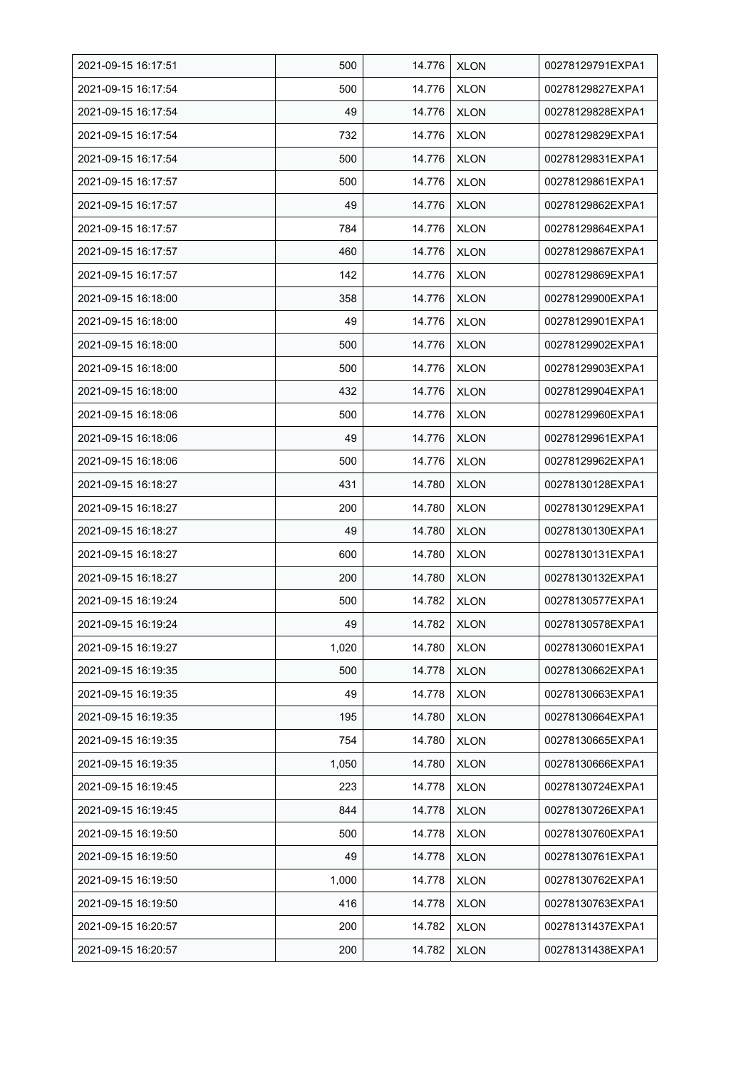| 2021-09-15 16:17:51 | 500   | 14.776 | <b>XLON</b> | 00278129791EXPA1 |
|---------------------|-------|--------|-------------|------------------|
| 2021-09-15 16:17:54 | 500   | 14.776 | <b>XLON</b> | 00278129827EXPA1 |
| 2021-09-15 16:17:54 | 49    | 14.776 | <b>XLON</b> | 00278129828EXPA1 |
| 2021-09-15 16:17:54 | 732   | 14.776 | <b>XLON</b> | 00278129829EXPA1 |
| 2021-09-15 16:17:54 | 500   | 14.776 | <b>XLON</b> | 00278129831EXPA1 |
| 2021-09-15 16:17:57 | 500   | 14.776 | <b>XLON</b> | 00278129861EXPA1 |
| 2021-09-15 16:17:57 | 49    | 14.776 | <b>XLON</b> | 00278129862EXPA1 |
| 2021-09-15 16:17:57 | 784   | 14.776 | <b>XLON</b> | 00278129864EXPA1 |
| 2021-09-15 16:17:57 | 460   | 14.776 | <b>XLON</b> | 00278129867EXPA1 |
| 2021-09-15 16:17:57 | 142   | 14.776 | <b>XLON</b> | 00278129869EXPA1 |
| 2021-09-15 16:18:00 | 358   | 14.776 | <b>XLON</b> | 00278129900EXPA1 |
| 2021-09-15 16:18:00 | 49    | 14.776 | <b>XLON</b> | 00278129901EXPA1 |
| 2021-09-15 16:18:00 | 500   | 14.776 | <b>XLON</b> | 00278129902EXPA1 |
| 2021-09-15 16:18:00 | 500   | 14.776 | <b>XLON</b> | 00278129903EXPA1 |
| 2021-09-15 16:18:00 | 432   | 14.776 | <b>XLON</b> | 00278129904EXPA1 |
| 2021-09-15 16:18:06 | 500   | 14.776 | <b>XLON</b> | 00278129960EXPA1 |
| 2021-09-15 16:18:06 | 49    | 14.776 | <b>XLON</b> | 00278129961EXPA1 |
| 2021-09-15 16:18:06 | 500   | 14.776 | <b>XLON</b> | 00278129962EXPA1 |
| 2021-09-15 16:18:27 | 431   | 14.780 | <b>XLON</b> | 00278130128EXPA1 |
| 2021-09-15 16:18:27 | 200   | 14.780 | <b>XLON</b> | 00278130129EXPA1 |
| 2021-09-15 16:18:27 | 49    | 14.780 | <b>XLON</b> | 00278130130EXPA1 |
| 2021-09-15 16:18:27 | 600   | 14.780 | <b>XLON</b> | 00278130131EXPA1 |
| 2021-09-15 16:18:27 | 200   | 14.780 | <b>XLON</b> | 00278130132EXPA1 |
| 2021-09-15 16:19:24 | 500   | 14.782 | <b>XLON</b> | 00278130577EXPA1 |
| 2021-09-15 16:19:24 | 49    | 14.782 | <b>XLON</b> | 00278130578EXPA1 |
| 2021-09-15 16:19:27 | 1,020 | 14.780 | <b>XLON</b> | 00278130601EXPA1 |
| 2021-09-15 16:19:35 | 500   | 14.778 | <b>XLON</b> | 00278130662EXPA1 |
| 2021-09-15 16:19:35 | 49    | 14.778 | <b>XLON</b> | 00278130663EXPA1 |
| 2021-09-15 16:19:35 | 195   | 14.780 | <b>XLON</b> | 00278130664EXPA1 |
| 2021-09-15 16:19:35 | 754   | 14.780 | <b>XLON</b> | 00278130665EXPA1 |
| 2021-09-15 16:19:35 | 1,050 | 14.780 | <b>XLON</b> | 00278130666EXPA1 |
| 2021-09-15 16:19:45 | 223   | 14.778 | <b>XLON</b> | 00278130724EXPA1 |
| 2021-09-15 16:19:45 | 844   | 14.778 | <b>XLON</b> | 00278130726EXPA1 |
| 2021-09-15 16:19:50 | 500   | 14.778 | <b>XLON</b> | 00278130760EXPA1 |
| 2021-09-15 16:19:50 | 49    | 14.778 | <b>XLON</b> | 00278130761EXPA1 |
| 2021-09-15 16:19:50 | 1,000 | 14.778 | <b>XLON</b> | 00278130762EXPA1 |
| 2021-09-15 16:19:50 | 416   | 14.778 | <b>XLON</b> | 00278130763EXPA1 |
| 2021-09-15 16:20:57 | 200   | 14.782 | <b>XLON</b> | 00278131437EXPA1 |
| 2021-09-15 16:20:57 | 200   | 14.782 | <b>XLON</b> | 00278131438EXPA1 |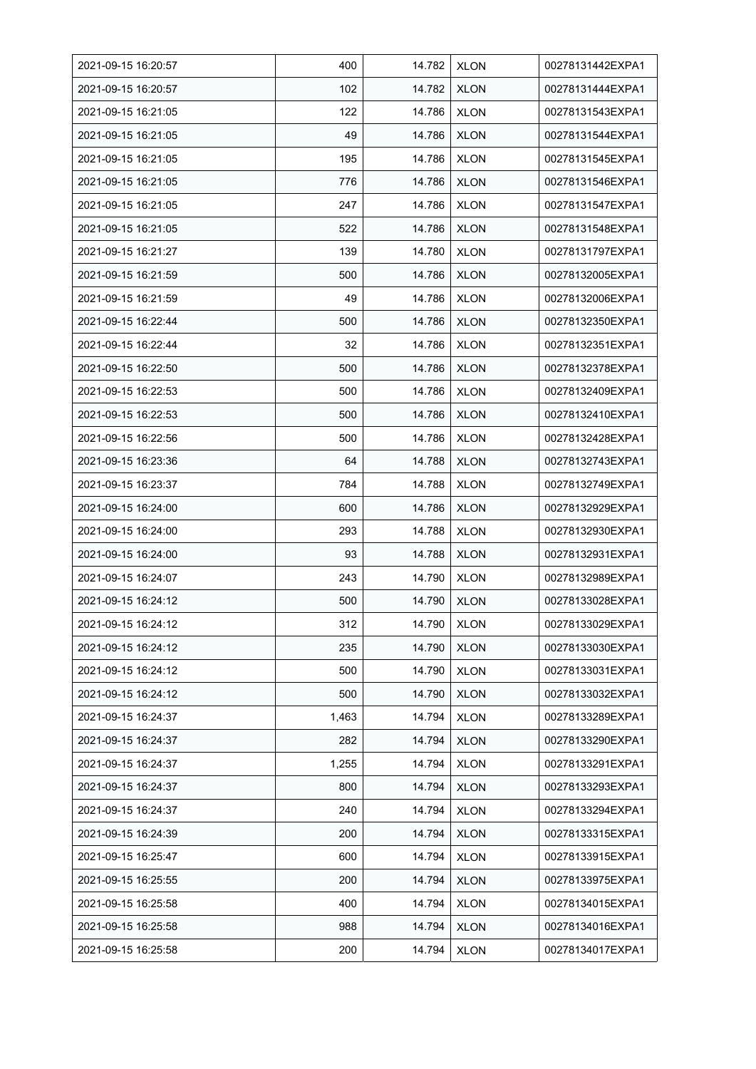| 2021-09-15 16:20:57 | 400   | 14.782 | <b>XLON</b> | 00278131442EXPA1 |
|---------------------|-------|--------|-------------|------------------|
| 2021-09-15 16:20:57 | 102   | 14.782 | <b>XLON</b> | 00278131444EXPA1 |
| 2021-09-15 16:21:05 | 122   | 14.786 | <b>XLON</b> | 00278131543EXPA1 |
| 2021-09-15 16:21:05 | 49    | 14.786 | <b>XLON</b> | 00278131544EXPA1 |
| 2021-09-15 16:21:05 | 195   | 14.786 | <b>XLON</b> | 00278131545EXPA1 |
| 2021-09-15 16:21:05 | 776   | 14.786 | <b>XLON</b> | 00278131546EXPA1 |
| 2021-09-15 16:21:05 | 247   | 14.786 | <b>XLON</b> | 00278131547EXPA1 |
| 2021-09-15 16:21:05 | 522   | 14.786 | <b>XLON</b> | 00278131548EXPA1 |
| 2021-09-15 16:21:27 | 139   | 14.780 | <b>XLON</b> | 00278131797EXPA1 |
| 2021-09-15 16:21:59 | 500   | 14.786 | <b>XLON</b> | 00278132005EXPA1 |
| 2021-09-15 16:21:59 | 49    | 14.786 | <b>XLON</b> | 00278132006EXPA1 |
| 2021-09-15 16:22:44 | 500   | 14.786 | <b>XLON</b> | 00278132350EXPA1 |
| 2021-09-15 16:22:44 | 32    | 14.786 | <b>XLON</b> | 00278132351EXPA1 |
| 2021-09-15 16:22:50 | 500   | 14.786 | <b>XLON</b> | 00278132378EXPA1 |
| 2021-09-15 16:22:53 | 500   | 14.786 | <b>XLON</b> | 00278132409EXPA1 |
| 2021-09-15 16:22:53 | 500   | 14.786 | <b>XLON</b> | 00278132410EXPA1 |
| 2021-09-15 16:22:56 | 500   | 14.786 | <b>XLON</b> | 00278132428EXPA1 |
| 2021-09-15 16:23:36 | 64    | 14.788 | <b>XLON</b> | 00278132743EXPA1 |
| 2021-09-15 16:23:37 | 784   | 14.788 | <b>XLON</b> | 00278132749EXPA1 |
| 2021-09-15 16:24:00 | 600   | 14.786 | <b>XLON</b> | 00278132929EXPA1 |
| 2021-09-15 16:24:00 | 293   | 14.788 | <b>XLON</b> | 00278132930EXPA1 |
| 2021-09-15 16:24:00 | 93    | 14.788 | <b>XLON</b> | 00278132931EXPA1 |
| 2021-09-15 16:24:07 | 243   | 14.790 | <b>XLON</b> | 00278132989EXPA1 |
| 2021-09-15 16:24:12 | 500   | 14.790 | <b>XLON</b> | 00278133028EXPA1 |
| 2021-09-15 16:24:12 | 312   | 14.790 | <b>XLON</b> | 00278133029EXPA1 |
| 2021-09-15 16:24:12 | 235   | 14.790 | <b>XLON</b> | 00278133030EXPA1 |
| 2021-09-15 16:24:12 | 500   | 14.790 | <b>XLON</b> | 00278133031EXPA1 |
| 2021-09-15 16:24:12 | 500   | 14.790 | <b>XLON</b> | 00278133032EXPA1 |
| 2021-09-15 16:24:37 | 1,463 | 14.794 | <b>XLON</b> | 00278133289EXPA1 |
| 2021-09-15 16:24:37 | 282   | 14.794 | <b>XLON</b> | 00278133290EXPA1 |
| 2021-09-15 16:24:37 | 1,255 | 14.794 | <b>XLON</b> | 00278133291EXPA1 |
| 2021-09-15 16:24:37 | 800   | 14.794 | <b>XLON</b> | 00278133293EXPA1 |
| 2021-09-15 16:24:37 | 240   | 14.794 | <b>XLON</b> | 00278133294EXPA1 |
| 2021-09-15 16:24:39 | 200   | 14.794 | <b>XLON</b> | 00278133315EXPA1 |
| 2021-09-15 16:25:47 | 600   | 14.794 | <b>XLON</b> | 00278133915EXPA1 |
| 2021-09-15 16:25:55 | 200   | 14.794 | <b>XLON</b> | 00278133975EXPA1 |
| 2021-09-15 16:25:58 | 400   | 14.794 | <b>XLON</b> | 00278134015EXPA1 |
| 2021-09-15 16:25:58 | 988   | 14.794 | <b>XLON</b> | 00278134016EXPA1 |
| 2021-09-15 16:25:58 | 200   | 14.794 | <b>XLON</b> | 00278134017EXPA1 |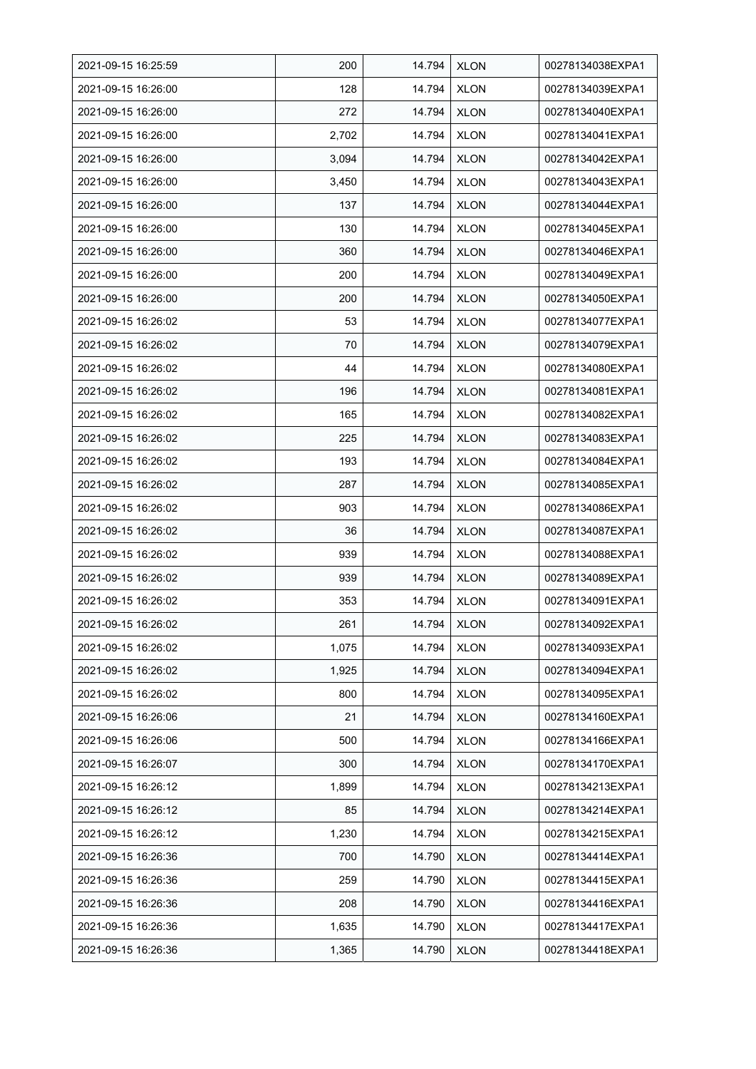| 2021-09-15 16:25:59 | 200   | 14.794 | <b>XLON</b> | 00278134038EXPA1 |
|---------------------|-------|--------|-------------|------------------|
| 2021-09-15 16:26:00 | 128   | 14.794 | <b>XLON</b> | 00278134039EXPA1 |
| 2021-09-15 16:26:00 | 272   | 14.794 | <b>XLON</b> | 00278134040EXPA1 |
| 2021-09-15 16:26:00 | 2,702 | 14.794 | <b>XLON</b> | 00278134041EXPA1 |
| 2021-09-15 16:26:00 | 3,094 | 14.794 | <b>XLON</b> | 00278134042EXPA1 |
| 2021-09-15 16:26:00 | 3,450 | 14.794 | <b>XLON</b> | 00278134043EXPA1 |
| 2021-09-15 16:26:00 | 137   | 14.794 | <b>XLON</b> | 00278134044EXPA1 |
| 2021-09-15 16:26:00 | 130   | 14.794 | <b>XLON</b> | 00278134045EXPA1 |
| 2021-09-15 16:26:00 | 360   | 14.794 | <b>XLON</b> | 00278134046EXPA1 |
| 2021-09-15 16:26:00 | 200   | 14.794 | <b>XLON</b> | 00278134049EXPA1 |
| 2021-09-15 16:26:00 | 200   | 14.794 | <b>XLON</b> | 00278134050EXPA1 |
| 2021-09-15 16:26:02 | 53    | 14.794 | <b>XLON</b> | 00278134077EXPA1 |
| 2021-09-15 16:26:02 | 70    | 14.794 | <b>XLON</b> | 00278134079EXPA1 |
| 2021-09-15 16:26:02 | 44    | 14.794 | <b>XLON</b> | 00278134080EXPA1 |
| 2021-09-15 16:26:02 | 196   | 14.794 | <b>XLON</b> | 00278134081EXPA1 |
| 2021-09-15 16:26:02 | 165   | 14.794 | <b>XLON</b> | 00278134082EXPA1 |
| 2021-09-15 16:26:02 | 225   | 14.794 | <b>XLON</b> | 00278134083EXPA1 |
| 2021-09-15 16:26:02 | 193   | 14.794 | <b>XLON</b> | 00278134084EXPA1 |
| 2021-09-15 16:26:02 | 287   | 14.794 | <b>XLON</b> | 00278134085EXPA1 |
| 2021-09-15 16:26:02 | 903   | 14.794 | <b>XLON</b> | 00278134086EXPA1 |
| 2021-09-15 16:26:02 | 36    | 14.794 | <b>XLON</b> | 00278134087EXPA1 |
| 2021-09-15 16:26:02 | 939   | 14.794 | <b>XLON</b> | 00278134088EXPA1 |
| 2021-09-15 16:26:02 | 939   | 14.794 | <b>XLON</b> | 00278134089EXPA1 |
| 2021-09-15 16:26:02 | 353   | 14.794 | <b>XLON</b> | 00278134091EXPA1 |
| 2021-09-15 16:26:02 | 261   | 14.794 | <b>XLON</b> | 00278134092EXPA1 |
| 2021-09-15 16:26:02 | 1,075 | 14.794 | <b>XLON</b> | 00278134093EXPA1 |
| 2021-09-15 16:26:02 | 1,925 | 14.794 | <b>XLON</b> | 00278134094EXPA1 |
| 2021-09-15 16:26:02 | 800   | 14.794 | <b>XLON</b> | 00278134095EXPA1 |
| 2021-09-15 16:26:06 | 21    | 14.794 | <b>XLON</b> | 00278134160EXPA1 |
| 2021-09-15 16:26:06 | 500   | 14.794 | <b>XLON</b> | 00278134166EXPA1 |
| 2021-09-15 16:26:07 | 300   | 14.794 | <b>XLON</b> | 00278134170EXPA1 |
| 2021-09-15 16:26:12 | 1,899 | 14.794 | <b>XLON</b> | 00278134213EXPA1 |
| 2021-09-15 16:26:12 | 85    | 14.794 | <b>XLON</b> | 00278134214EXPA1 |
| 2021-09-15 16:26:12 | 1,230 | 14.794 | <b>XLON</b> | 00278134215EXPA1 |
| 2021-09-15 16:26:36 | 700   | 14.790 | <b>XLON</b> | 00278134414EXPA1 |
| 2021-09-15 16:26:36 | 259   | 14.790 | <b>XLON</b> | 00278134415EXPA1 |
| 2021-09-15 16:26:36 | 208   | 14.790 | <b>XLON</b> | 00278134416EXPA1 |
| 2021-09-15 16:26:36 | 1,635 | 14.790 | <b>XLON</b> | 00278134417EXPA1 |
| 2021-09-15 16:26:36 | 1,365 | 14.790 | <b>XLON</b> | 00278134418EXPA1 |